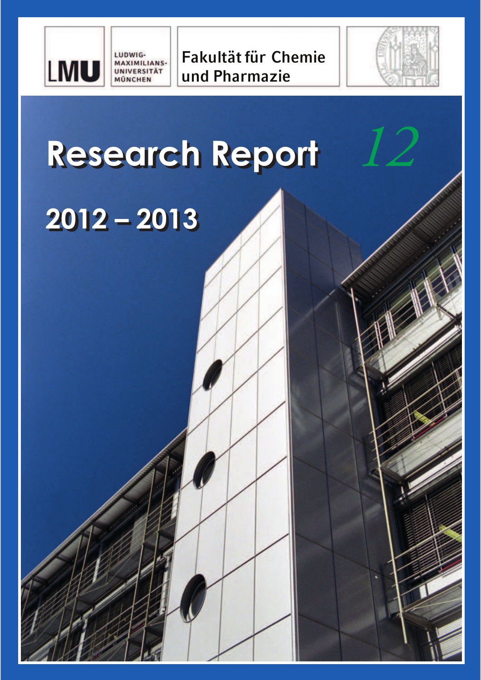

**Fakultät für Chemie und Pharmazie**



*12*

# **Research Report**

## **2012 – 2013**

LUDWIG-<br>MAXIMILIANS-

**UNIVERSITÄT MÜNCHEN**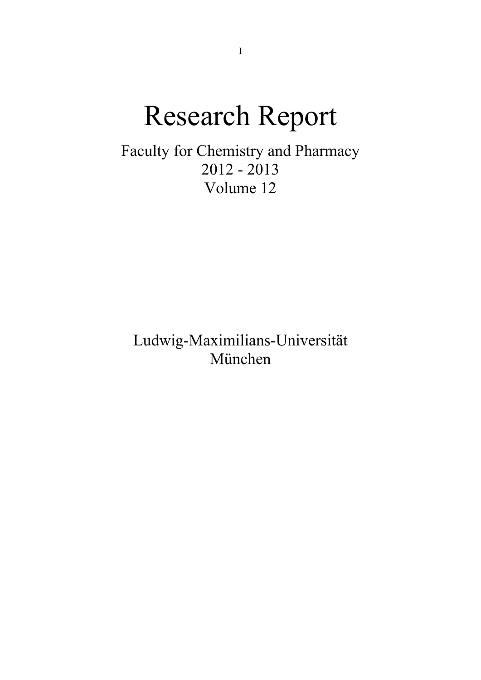## Research Report

Faculty for Chemistry and Pharmacy 2012 - 2013 Volume 12

Ludwig-Maximilians-Universität München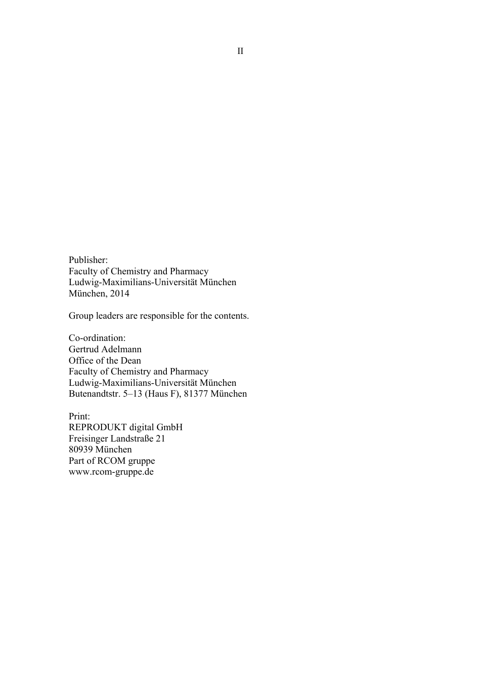Publisher: Faculty of Chemistry and Pharmacy Ludwig-Maximilians-Universität München München, 2014

Group leaders are responsible for the contents.

Co-ordination: Gertrud Adelmann Office of the Dean Faculty of Chemistry and Pharmacy Ludwig-Maximilians-Universität München Butenandtstr. 5–13 (Haus F), 81377 München

Print: REPRODUKT digital GmbH Freisinger Landstraße 21 80939 München Part of RCOM gruppe www.rcom-gruppe.de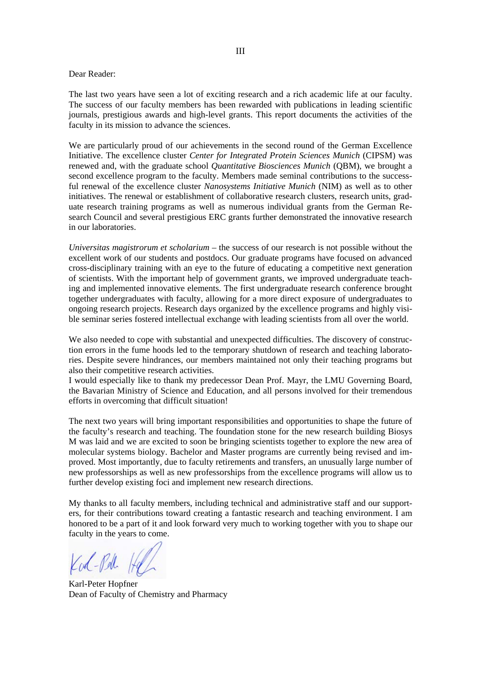#### Dear Reader:

The last two years have seen a lot of exciting research and a rich academic life at our faculty. The success of our faculty members has been rewarded with publications in leading scientific journals, prestigious awards and high-level grants. This report documents the activities of the faculty in its mission to advance the sciences.

We are particularly proud of our achievements in the second round of the German Excellence Initiative. The excellence cluster *Center for Integrated Protein Sciences Munich* (CIPSM) was renewed and, with the graduate school *Quantitative Biosciences Munich* (QBM), we brought a second excellence program to the faculty. Members made seminal contributions to the successful renewal of the excellence cluster *Nanosystems Initiative Munich* (NIM) as well as to other initiatives. The renewal or establishment of collaborative research clusters, research units, graduate research training programs as well as numerous individual grants from the German Research Council and several prestigious ERC grants further demonstrated the innovative research in our laboratories.

*Universitas magistrorum et scholarium* – the success of our research is not possible without the excellent work of our students and postdocs. Our graduate programs have focused on advanced cross-disciplinary training with an eye to the future of educating a competitive next generation of scientists. With the important help of government grants, we improved undergraduate teaching and implemented innovative elements. The first undergraduate research conference brought together undergraduates with faculty, allowing for a more direct exposure of undergraduates to ongoing research projects. Research days organized by the excellence programs and highly visible seminar series fostered intellectual exchange with leading scientists from all over the world.

We also needed to cope with substantial and unexpected difficulties. The discovery of construction errors in the fume hoods led to the temporary shutdown of research and teaching laboratories. Despite severe hindrances, our members maintained not only their teaching programs but also their competitive research activities.

I would especially like to thank my predecessor Dean Prof. Mayr, the LMU Governing Board, the Bavarian Ministry of Science and Education, and all persons involved for their tremendous efforts in overcoming that difficult situation!

The next two years will bring important responsibilities and opportunities to shape the future of the faculty's research and teaching. The foundation stone for the new research building Biosys M was laid and we are excited to soon be bringing scientists together to explore the new area of molecular systems biology. Bachelor and Master programs are currently being revised and improved. Most importantly, due to faculty retirements and transfers, an unusually large number of new professorships as well as new professorships from the excellence programs will allow us to further develop existing foci and implement new research directions.

My thanks to all faculty members, including technical and administrative staff and our supporters, for their contributions toward creating a fantastic research and teaching environment. I am honored to be a part of it and look forward very much to working together with you to shape our faculty in the years to come.

Kod-Pel

Karl-Peter Hopfner Dean of Faculty of Chemistry and Pharmacy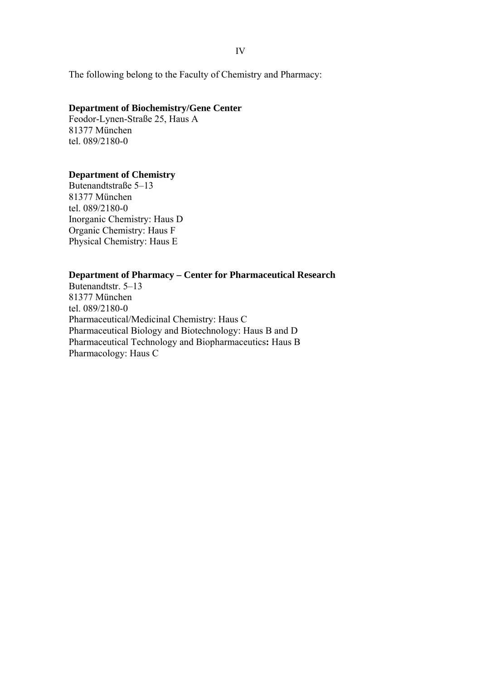IV

The following belong to the Faculty of Chemistry and Pharmacy:

## **Department of Biochemistry/Gene Center**

Feodor-Lynen-Straße 25, Haus A 81377 München tel. 089/2180-0

## **Department of Chemistry**

Butenandtstraße 5–13 81377 München tel. 089/2180-0 Inorganic Chemistry: Haus D Organic Chemistry: Haus F Physical Chemistry: Haus E

## **Department of Pharmacy – Center for Pharmaceutical Research**

Butenandtstr. 5–13 81377 München tel. 089/2180-0 Pharmaceutical/Medicinal Chemistry: Haus C Pharmaceutical Biology and Biotechnology: Haus B and D Pharmaceutical Technology and Biopharmaceutics**:** Haus B Pharmacology: Haus C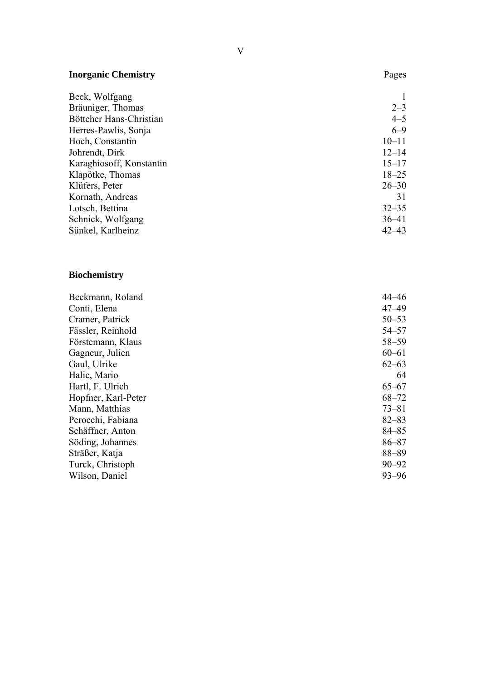| <b>Inorganic Chemistry</b> | Pages     |
|----------------------------|-----------|
| Beck, Wolfgang             |           |
| Bräuniger, Thomas          | $2 - 3$   |
| Böttcher Hans-Christian    | $4 - 5$   |
| Herres-Pawlis, Sonja       | $6 - 9$   |
| Hoch, Constantin           | $10 - 11$ |
| Johrendt, Dirk             | $12 - 14$ |
| Karaghiosoff, Konstantin   | $15 - 17$ |
| Klapötke, Thomas           | $18 - 25$ |
| Klüfers, Peter             | $26 - 30$ |
| Kornath, Andreas           | 31        |
| Lotsch, Bettina            | $32 - 35$ |
| Schnick, Wolfgang          | $36 - 41$ |
| Sünkel, Karlheinz          | $42 - 43$ |

## **Biochemistry**

| Beckmann, Roland    | 44–46     |
|---------------------|-----------|
| Conti, Elena        | $47 - 49$ |
| Cramer, Patrick     | $50 - 53$ |
| Fässler, Reinhold   | $54 - 57$ |
| Förstemann, Klaus   | $58 - 59$ |
| Gagneur, Julien     | $60 - 61$ |
| Gaul, Ulrike        | $62 - 63$ |
| Halic, Mario        | 64        |
| Hartl, F. Ulrich    | $65 - 67$ |
| Hopfner, Karl-Peter | $68 - 72$ |
| Mann, Matthias      | $73 - 81$ |
| Perocchi, Fabiana   | $82 - 83$ |
| Schäffner, Anton    | $84 - 85$ |
| Söding, Johannes    | $86 - 87$ |
| Sträßer, Katja      | $88 - 89$ |
| Turck, Christoph    | $90 - 92$ |
| Wilson, Daniel      | $93 - 96$ |
|                     |           |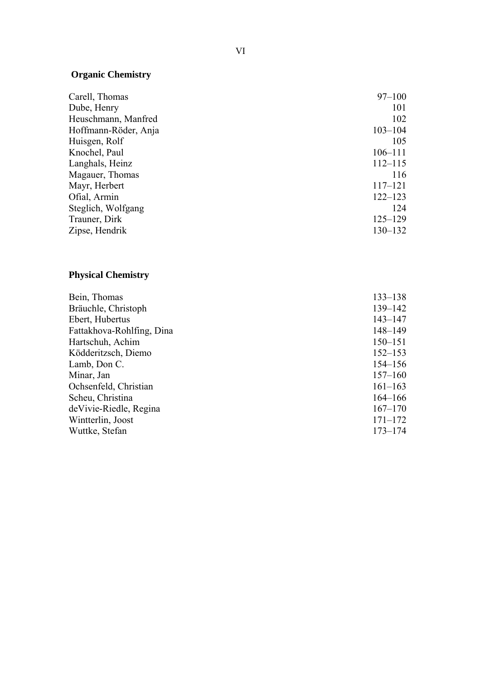## **Organic Chemistry**

| Carell, Thomas       | $97 - 100$  |
|----------------------|-------------|
| Dube, Henry          | 101         |
| Heuschmann, Manfred  | 102         |
| Hoffmann-Röder, Anja | $103 - 104$ |
| Huisgen, Rolf        | 105         |
| Knochel, Paul        | $106 - 111$ |
| Langhals, Heinz      | $112 - 115$ |
| Magauer, Thomas      | 116         |
| Mayr, Herbert        | $117 - 121$ |
| Ofial, Armin         | $122 - 123$ |
| Steglich, Wolfgang   | 124         |
| Trauner, Dirk        | $125 - 129$ |
| Zipse, Hendrik       | $130 - 132$ |

## **Physical Chemistry**

| Bein, Thomas              | $133 - 138$ |
|---------------------------|-------------|
| Bräuchle, Christoph       | $139 - 142$ |
| Ebert, Hubertus           | $143 - 147$ |
| Fattakhova-Rohlfing, Dina | $148 - 149$ |
| Hartschuh, Achim          | $150 - 151$ |
| Ködderitzsch, Diemo       | $152 - 153$ |
| Lamb, Don C.              | $154 - 156$ |
| Minar, Jan                | $157 - 160$ |
| Ochsenfeld, Christian     | $161 - 163$ |
| Scheu, Christina          | $164 - 166$ |
| de Vivie-Riedle, Regina   | $167 - 170$ |
| Wintterlin, Joost         | $171 - 172$ |
| Wuttke, Stefan            | $173 - 174$ |
|                           |             |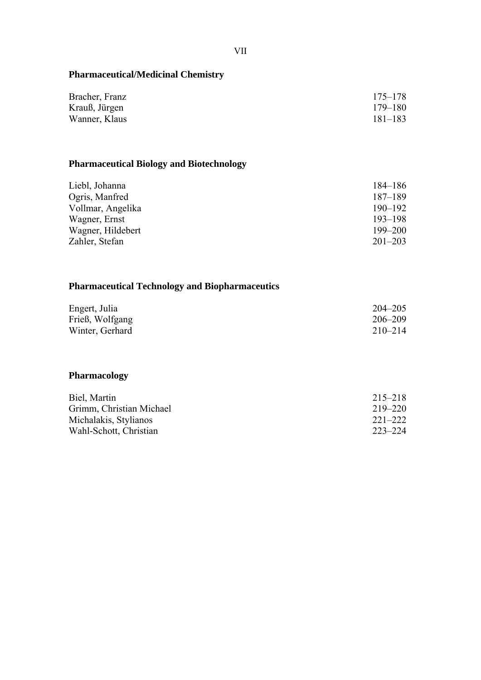| Bracher, Franz | $175 - 178$ |
|----------------|-------------|
| Krauß, Jürgen  | $179 - 180$ |
| Wanner, Klaus  | $181 - 183$ |

## **Pharmaceutical Biology and Biotechnology**

| 184–186     |
|-------------|
| $187 - 189$ |
| $190 - 192$ |
| $193 - 198$ |
| $199 - 200$ |
| $201 - 203$ |
|             |

## **Pharmaceutical Technology and Biopharmaceutics**

| Engert, Julia   | $204 - 205$ |
|-----------------|-------------|
| Frieß, Wolfgang | $206 - 209$ |
| Winter, Gerhard | $210 - 214$ |

## **Pharmacology**

| Biel, Martin             | $215 - 218$ |
|--------------------------|-------------|
| Grimm, Christian Michael | $219 - 220$ |
| Michalakis, Stylianos    | $221 - 222$ |
| Wahl-Schott, Christian   | 223–224     |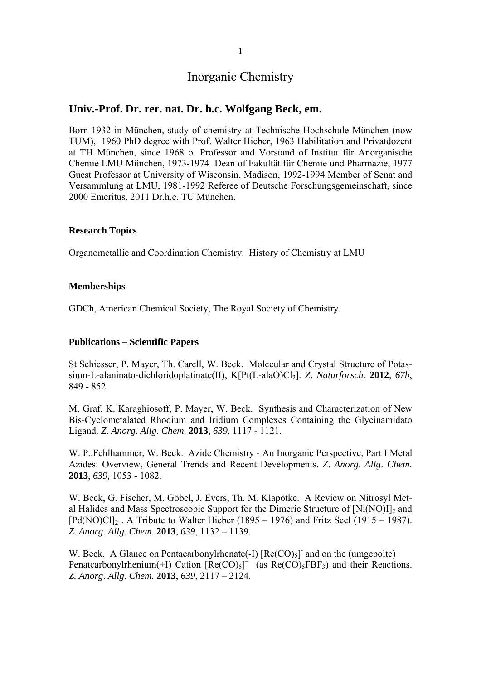## **Univ.-Prof. Dr. rer. nat. Dr. h.c. Wolfgang Beck, em.**

Born 1932 in München, study of chemistry at Technische Hochschule München (now TUM), 1960 PhD degree with Prof. Walter Hieber, 1963 Habilitation and Privatdozent at TH München, since 1968 o. Professor and Vorstand of Institut für Anorganische Chemie LMU München, 1973-1974 Dean of Fakultät für Chemie und Pharmazie, 1977 Guest Professor at University of Wisconsin, Madison, 1992-1994 Member of Senat and Versammlung at LMU, 1981-1992 Referee of Deutsche Forschungsgemeinschaft, since 2000 Emeritus, 2011 Dr.h.c. TU München.

## **Research Topics**

Organometallic and Coordination Chemistry. History of Chemistry at LMU

## **Memberships**

GDCh, American Chemical Society, The Royal Society of Chemistry.

## **Publications – Scientific Papers**

St.Schiesser, P. Mayer, Th. Carell, W. Beck. Molecular and Crystal Structure of Potassium-L-alaninato-dichloridoplatinate(II), K[Pt(L-alaO)Cl<sub>2</sub>]. *Z. Naturforsch.* **2012**, *67b*, 849 - 852.

M. Graf, K. Karaghiosoff, P. Mayer, W. Beck. Synthesis and Characterization of New Bis-Cyclometalated Rhodium and Iridium Complexes Containing the Glycinamidato Ligand. *Z*. *Anorg*. *Allg*. *Chem*. **2013**, *639*, 1117 - 1121.

W. P..Fehlhammer, W. Beck. Azide Chemistry - An Inorganic Perspective, Part I Metal Azides: Overview, General Trends and Recent Developments. *Z*. *Anorg*. *Allg*. *Chem*. **2013**, *639,* 1053 - 1082.

W. Beck, G. Fischer, M. Göbel, J. Evers, Th. M. Klapötke. A Review on Nitrosyl Metal Halides and Mass Spectroscopic Support for the Dimeric Structure of  $[Ni(NO)I]_2$  and  $[Pd(NO)Cl]_2$ . A Tribute to Walter Hieber (1895 – 1976) and Fritz Seel (1915 – 1987). *Z*. *Anorg*. *Allg*. *Chem*. **2013**, *639*, 1132 – 1139.

W. Beck. A Glance on Pentacarbonylrhenate(-I)  $[Re(CO)_5]$  and on the (umgepolte) Penatcarbonylrhenium(+I) Cation  $[Re(CO)_5]^+$  (as  $Re(CO)_5FBF_3$ ) and their Reactions. *Z. Anorg*. *Allg*. *Chem*. **2013**, *639*, 2117 – 2124.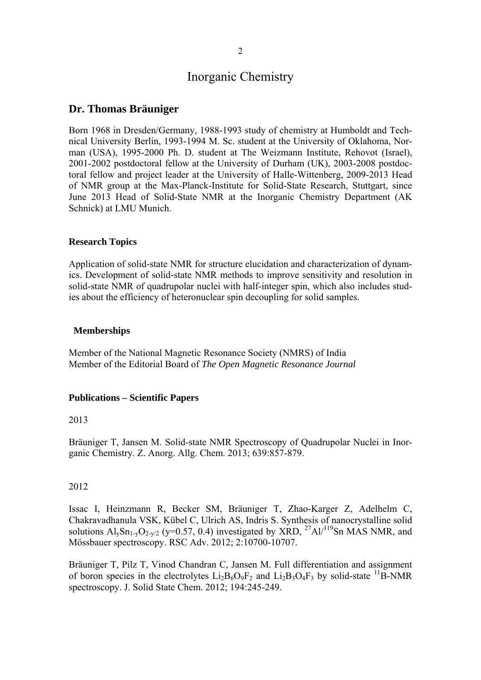## **Dr. Thomas Bräuniger**

Born 1968 in Dresden/Germany, 1988-1993 study of chemistry at Humboldt and Technical University Berlin, 1993-1994 M. Sc. student at the University of Oklahoma, Norman (USA), 1995-2000 Ph. D. student at The Weizmann Institute, Rehovot (Israel), 2001-2002 postdoctoral fellow at the University of Durham (UK), 2003-2008 postdoctoral fellow and project leader at the University of Halle-Wittenberg, 2009-2013 Head of NMR group at the Max-Planck-Institute for Solid-State Research, Stuttgart, since June 2013 Head of Solid-State NMR at the Inorganic Chemistry Department (AK Schnick) at LMU Munich.

## **Research Topics**

Application of solid-state NMR for structure elucidation and characterization of dynamics. Development of solid-state NMR methods to improve sensitivity and resolution in solid-state NMR of quadrupolar nuclei with half-integer spin, which also includes studies about the efficiency of heteronuclear spin decoupling for solid samples.

## **Memberships**

Member of the National Magnetic Resonance Society (NMRS) of India Member of the Editorial Board of *The Open Magnetic Resonance Journal* 

#### **Publications – Scientific Papers**

## 2013

Bräuniger T, Jansen M. Solid-state NMR Spectroscopy of Quadrupolar Nuclei in Inorganic Chemistry. Z. Anorg. Allg. Chem. 2013; 639:857-879.

### 2012

Issac I, Heinzmann R, Becker SM, Bräuniger T, Zhao-Karger Z, Adelhelm C, Chakravadhanula VSK, Kübel C, Ulrich AS, Indris S. Synthesis of nanocrystalline solid solutions  $Al_ySn_{1-y}O_{2-y/2}$  (y=0.57, 0.4) investigated by XRD, <sup>27</sup>Al/<sup>119</sup>Sn MAS NMR, and Mössbauer spectroscopy. RSC Adv. 2012; 2:10700-10707.

Bräuniger T, Pilz T, Vinod Chandran C, Jansen M. Full differentiation and assignment of boron species in the electrolytes  $Li_2B_6O_9F_2$  and  $Li_2B_3O_4F_3$  by solid-state <sup>11</sup>B-NMR spectroscopy. J. Solid State Chem. 2012; 194:245-249.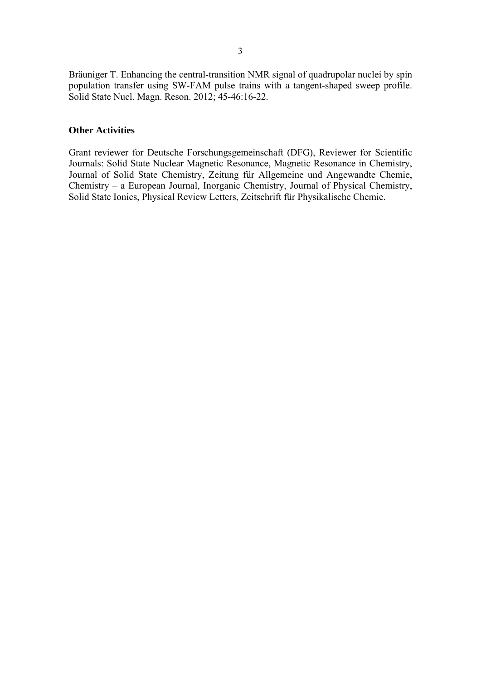Bräuniger T. Enhancing the central-transition NMR signal of quadrupolar nuclei by spin population transfer using SW-FAM pulse trains with a tangent-shaped sweep profile. Solid State Nucl. Magn. Reson. 2012; 45-46:16-22.

## **Other Activities**

Grant reviewer for Deutsche Forschungsgemeinschaft (DFG), Reviewer for Scientific Journals: Solid State Nuclear Magnetic Resonance, Magnetic Resonance in Chemistry, Journal of Solid State Chemistry, Zeitung für Allgemeine und Angewandte Chemie, Chemistry – a European Journal, Inorganic Chemistry, Journal of Physical Chemistry, Solid State Ionics, Physical Review Letters, Zeitschrift für Physikalische Chemie.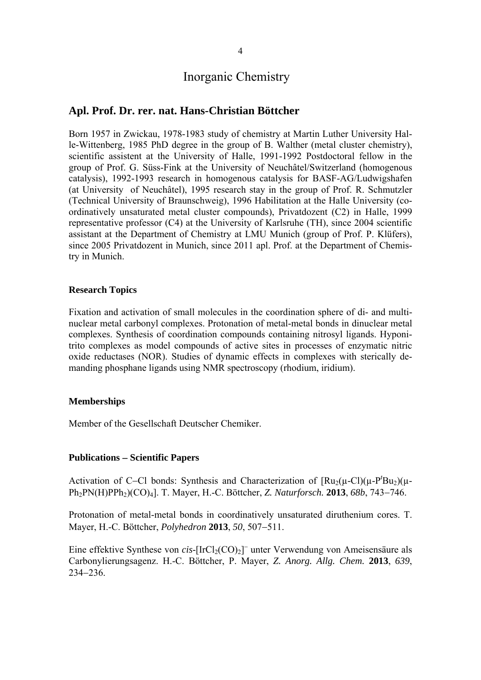## **Apl. Prof. Dr. rer. nat. Hans-Christian Böttcher**

Born 1957 in Zwickau, 1978-1983 study of chemistry at Martin Luther University Halle-Wittenberg, 1985 PhD degree in the group of B. Walther (metal cluster chemistry), scientific assistent at the University of Halle, 1991-1992 Postdoctoral fellow in the group of Prof. G. Süss-Fink at the University of Neuchâtel/Switzerland (homogenous catalysis), 1992-1993 research in homogenous catalysis for BASF-AG/Ludwigshafen (at University of Neuchâtel), 1995 research stay in the group of Prof. R. Schmutzler (Technical University of Braunschweig), 1996 Habilitation at the Halle University (coordinatively unsaturated metal cluster compounds), Privatdozent (C2) in Halle, 1999 representative professor (C4) at the University of Karlsruhe (TH), since 2004 scientific assistant at the Department of Chemistry at LMU Munich (group of Prof. P. Klüfers), since 2005 Privatdozent in Munich, since 2011 apl. Prof. at the Department of Chemistry in Munich.

#### **Research Topics**

Fixation and activation of small molecules in the coordination sphere of di- and multinuclear metal carbonyl complexes. Protonation of metal-metal bonds in dinuclear metal complexes. Synthesis of coordination compounds containing nitrosyl ligands. Hyponitrito complexes as model compounds of active sites in processes of enzymatic nitric oxide reductases (NOR). Studies of dynamic effects in complexes with sterically demanding phosphane ligands using NMR spectroscopy (rhodium, iridium).

## **Memberships**

Member of the Gesellschaft Deutscher Chemiker.

## **Publications Scientific Papers**

Activation of C-Cl bonds: Synthesis and Characterization of  $\left[\text{Ru}_2(\mu-\text{Cl})(\mu-\text{P}'\text{Bu}_2)(\mu-\text{H}'\text{Bu}_1)\right]$ Ph<sub>2</sub>PN(H)PPh<sub>2</sub>)(CO)<sub>4</sub>]. T. Mayer, H.-C. Böttcher, *Z. Naturforsch.* **2013**, *68b*, 743–746.

Protonation of metal-metal bonds in coordinatively unsaturated diruthenium cores. T. Mayer, H.-C. Böttcher, *Polyhedron* 2013, 50, 507–511.

Eine effektive Synthese von  $cis$ - $[IrCl<sub>2</sub>(CO)<sub>2</sub>]$ <sup>-</sup> unter Verwendung von Ameisensäure als Carbonylierungsagenz. H.-C. Böttcher, P. Mayer, *Z. Anorg. Allg. Chem.* **2013**, *639*,  $234 - 236$ .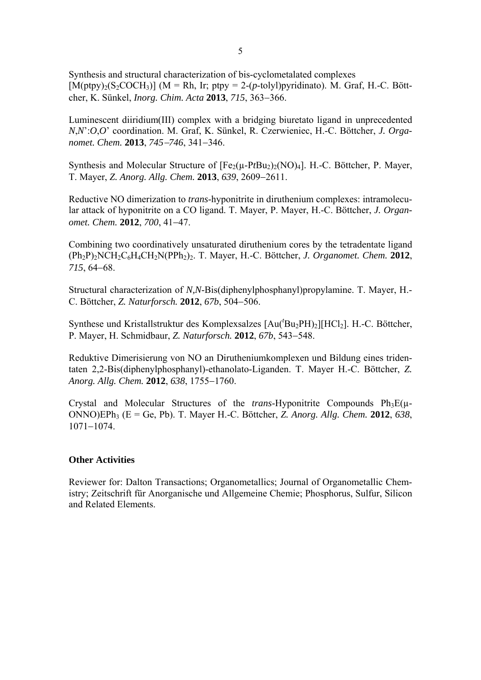Synthesis and structural characterization of bis-cyclometalated complexes  $[M(\text{ptpy})_2(S_2\text{COCH}_3)]$  (M = Rh, Ir; ptpy = 2-(*p*-tolyl)pyridinato). M. Graf, H.-C. Böttcher, K. Sünkel, *Inorg. Chim. Acta* 2013, 715, 363-366.

Luminescent diiridium(III) complex with a bridging biuretato ligand in unprecedented *N*,*N*':*O*,*O*' coordination. M. Graf, K. Sünkel, R. Czerwieniec, H.-C. Böttcher, *J. Organomet. Chem.* **2013**,  $745 - 746$ ,  $341 - 346$ .

Synthesis and Molecular Structure of  $[Fe<sub>2</sub>(\mu-PtBu<sub>2</sub>)<sub>2</sub>(NO)<sub>4</sub>]$ . H.-C. Böttcher, P. Mayer, T. Mayer, *Z. Anorg. Allg. Chem.* **2013**, *639*, 2609–2611.

Reductive NO dimerization to *trans*-hyponitrite in diruthenium complexes: intramolecular attack of hyponitrite on a CO ligand. T. Mayer, P. Mayer, H.-C. Böttcher, *J. Organomet. Chem.* **2012**, *700*, 41-47.

Combining two coordinatively unsaturated diruthenium cores by the tetradentate ligand (Ph2P)2NCH2C6H4CH2N(PPh2)2. T. Mayer, H.-C. Böttcher, *J. Organomet. Chem.* **2012**, 715, 64–68.

Structural characterization of *N,N*-Bis(diphenylphosphanyl)propylamine. T. Mayer, H.- C. Böttcher, *Z. Naturforsch.* **2012**, *67b*, 504-506.

Synthese und Kristallstruktur des Komplexsalzes [Au('Bu<sub>2</sub>PH)<sub>2</sub>][HCl<sub>2</sub>]. H.-C. Böttcher, P. Mayer, H. Schmidbaur, *Z. Naturforsch.* **2012**, *67b*, 543-548.

Reduktive Dimerisierung von NO an Dirutheniumkomplexen und Bildung eines tridentaten 2,2-Bis(diphenylphosphanyl)-ethanolato-Liganden. T. Mayer H.-C. Böttcher, *Z. Anorg. Allg. Chem.* **2012**, *638*, 1755-1760.

Crystal and Molecular Structures of the *trans*-Hyponitrite Compounds  $Ph_3E(\mu-$ ONNO)EPh3 (E = Ge, Pb). T. Mayer H.-C. Böttcher, *Z. Anorg. Allg. Chem.* **2012**, *638*,  $1071 - 1074$ .

#### **Other Activities**

Reviewer for: Dalton Transactions; Organometallics; Journal of Organometallic Chemistry; Zeitschrift für Anorganische und Allgemeine Chemie; Phosphorus, Sulfur, Silicon and Related Elements.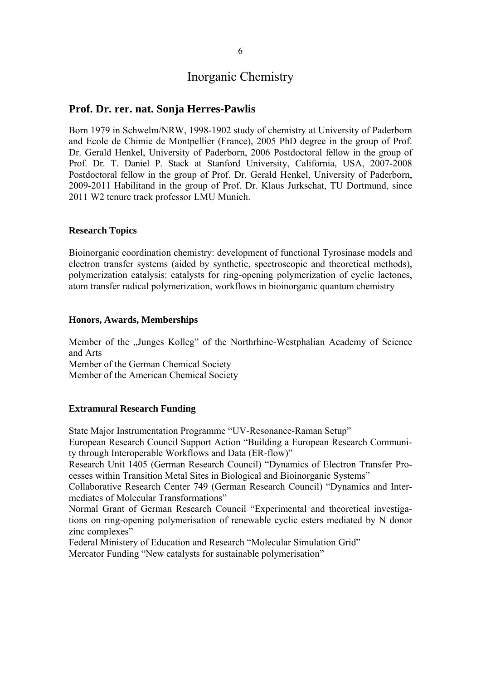## **Prof. Dr. rer. nat. Sonja Herres-Pawlis**

Born 1979 in Schwelm/NRW, 1998-1902 study of chemistry at University of Paderborn and Ecole de Chimie de Montpellier (France), 2005 PhD degree in the group of Prof. Dr. Gerald Henkel, University of Paderborn, 2006 Postdoctoral fellow in the group of Prof. Dr. T. Daniel P. Stack at Stanford University, California, USA, 2007-2008 Postdoctoral fellow in the group of Prof. Dr. Gerald Henkel, University of Paderborn, 2009-2011 Habilitand in the group of Prof. Dr. Klaus Jurkschat, TU Dortmund, since 2011 W2 tenure track professor LMU Munich.

## **Research Topics**

Bioinorganic coordination chemistry: development of functional Tyrosinase models and electron transfer systems (aided by synthetic, spectroscopic and theoretical methods), polymerization catalysis: catalysts for ring-opening polymerization of cyclic lactones, atom transfer radical polymerization, workflows in bioinorganic quantum chemistry

## **Honors, Awards, Memberships**

Member of the "Junges Kolleg" of the Northrhine-Westphalian Academy of Science and Arts

Member of the German Chemical Society

Member of the American Chemical Society

## **Extramural Research Funding**

State Major Instrumentation Programme "UV-Resonance-Raman Setup"

European Research Council Support Action "Building a European Research Community through Interoperable Workflows and Data (ER-flow)"

Research Unit 1405 (German Research Council) "Dynamics of Electron Transfer Processes within Transition Metal Sites in Biological and Bioinorganic Systems"

Collaborative Research Center 749 (German Research Council) "Dynamics and Intermediates of Molecular Transformations"

Normal Grant of German Research Council "Experimental and theoretical investigations on ring-opening polymerisation of renewable cyclic esters mediated by N donor zinc complexes"

Federal Ministery of Education and Research "Molecular Simulation Grid"

Mercator Funding "New catalysts for sustainable polymerisation"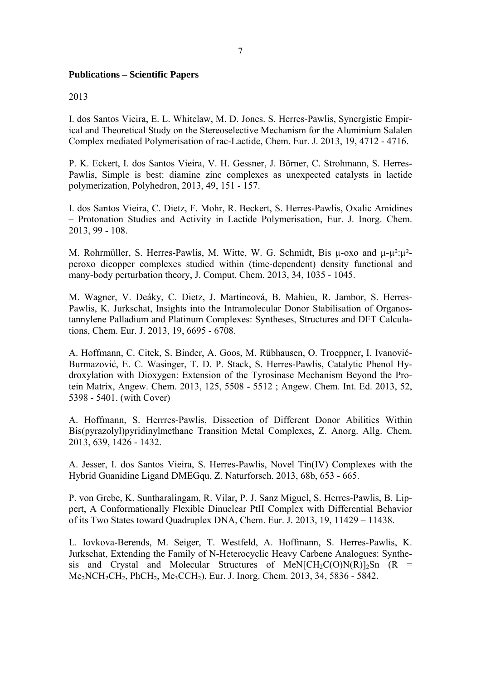## **Publications – Scientific Papers**

## 2013

I. dos Santos Vieira, E. L. Whitelaw, M. D. Jones. S. Herres-Pawlis, Synergistic Empirical and Theoretical Study on the Stereoselective Mechanism for the Aluminium Salalen Complex mediated Polymerisation of rac-Lactide, Chem. Eur. J. 2013, 19, 4712 - 4716.

P. K. Eckert, I. dos Santos Vieira, V. H. Gessner, J. Börner, C. Strohmann, S. Herres-Pawlis, Simple is best: diamine zinc complexes as unexpected catalysts in lactide polymerization, Polyhedron, 2013, 49, 151 - 157.

I. dos Santos Vieira, C. Dietz, F. Mohr, R. Beckert, S. Herres-Pawlis, Oxalic Amidines – Protonation Studies and Activity in Lactide Polymerisation, Eur. J. Inorg. Chem. 2013, 99 - 108.

M. Rohrmüller, S. Herres-Pawlis, M. Witte, W. G. Schmidt, Bis  $\mu$ -oxo and  $\mu$ - $\mu^2$ : $\mu^2$ peroxo dicopper complexes studied within (time-dependent) density functional and many-body perturbation theory, J. Comput. Chem. 2013, 34, 1035 - 1045.

M. Wagner, V. Deáky, C. Dietz, J. Martincová, B. Mahieu, R. Jambor, S. Herres-Pawlis, K. Jurkschat, Insights into the Intramolecular Donor Stabilisation of Organostannylene Palladium and Platinum Complexes: Syntheses, Structures and DFT Calculations, Chem. Eur. J. 2013, 19, 6695 - 6708.

A. Hoffmann, C. Citek, S. Binder, A. Goos, M. Rübhausen, O. Troeppner, I. Ivanović-Burmazović, E. C. Wasinger, T. D. P. Stack, S. Herres-Pawlis, Catalytic Phenol Hydroxylation with Dioxygen: Extension of the Tyrosinase Mechanism Beyond the Protein Matrix, Angew. Chem. 2013, 125, 5508 - 5512 ; Angew. Chem. Int. Ed. 2013, 52, 5398 - 5401. (with Cover)

A. Hoffmann, S. Herrres-Pawlis, Dissection of Different Donor Abilities Within Bis(pyrazolyl)pyridinylmethane Transition Metal Complexes, Z. Anorg. Allg. Chem. 2013, 639, 1426 - 1432.

A. Jesser, I. dos Santos Vieira, S. Herres-Pawlis, Novel Tin(IV) Complexes with the Hybrid Guanidine Ligand DMEGqu, Z. Naturforsch. 2013, 68b, 653 - 665.

P. von Grebe, K. Suntharalingam, R. Vilar, P. J. Sanz Miguel, S. Herres-Pawlis, B. Lippert, A Conformationally Flexible Dinuclear PtII Complex with Differential Behavior of its Two States toward Quadruplex DNA, Chem. Eur. J. 2013, 19, 11429 – 11438.

L. Iovkova-Berends, M. Seiger, T. Westfeld, A. Hoffmann, S. Herres-Pawlis, K. Jurkschat, Extending the Family of N-Heterocyclic Heavy Carbene Analogues: Synthesis and Crystal and Molecular Structures of MeN $[CH_2C(O)N(R)]_2$ Sn (R =  $Me<sub>2</sub>NCH<sub>2</sub>CH<sub>2</sub>$ , PhCH<sub>2</sub>, Me<sub>3</sub>CCH<sub>2</sub>), Eur. J. Inorg. Chem. 2013, 34, 5836 - 5842.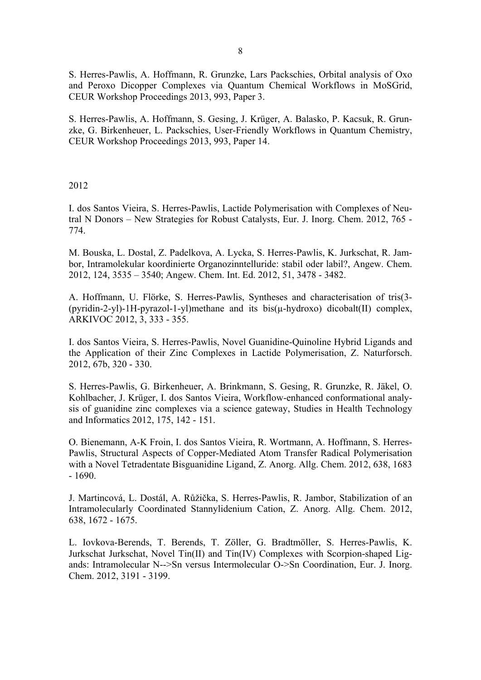S. Herres-Pawlis, A. Hoffmann, R. Grunzke, Lars Packschies, Orbital analysis of Oxo and Peroxo Dicopper Complexes via Quantum Chemical Workflows in MoSGrid, CEUR Workshop Proceedings 2013, 993, Paper 3.

S. Herres-Pawlis, A. Hoffmann, S. Gesing, J. Krüger, A. Balasko, P. Kacsuk, R. Grunzke, G. Birkenheuer, L. Packschies, User-Friendly Workflows in Quantum Chemistry, CEUR Workshop Proceedings 2013, 993, Paper 14.

2012

I. dos Santos Vieira, S. Herres-Pawlis, Lactide Polymerisation with Complexes of Neutral N Donors – New Strategies for Robust Catalysts, Eur. J. Inorg. Chem. 2012, 765 - 774.

M. Bouska, L. Dostal, Z. Padelkova, A. Lycka, S. Herres-Pawlis, K. Jurkschat, R. Jambor, Intramolekular koordinierte Organozinntelluride: stabil oder labil?, Angew. Chem. 2012, 124, 3535 – 3540; Angew. Chem. Int. Ed. 2012, 51, 3478 - 3482.

A. Hoffmann, U. Flörke, S. Herres-Pawlis, Syntheses and characterisation of tris(3- (pyridin-2-yl)-1H-pyrazol-1-yl)methane and its bis(µ-hydroxo) dicobalt(II) complex, ARKIVOC 2012, 3, 333 - 355.

I. dos Santos Vieira, S. Herres-Pawlis, Novel Guanidine-Quinoline Hybrid Ligands and the Application of their Zinc Complexes in Lactide Polymerisation, Z. Naturforsch. 2012, 67b, 320 - 330.

S. Herres-Pawlis, G. Birkenheuer, A. Brinkmann, S. Gesing, R. Grunzke, R. Jäkel, O. Kohlbacher, J. Krüger, I. dos Santos Vieira, Workflow-enhanced conformational analysis of guanidine zinc complexes via a science gateway, Studies in Health Technology and Informatics 2012, 175, 142 - 151.

O. Bienemann, A-K Froin, I. dos Santos Vieira, R. Wortmann, A. Hoffmann, S. Herres-Pawlis, Structural Aspects of Copper-Mediated Atom Transfer Radical Polymerisation with a Novel Tetradentate Bisguanidine Ligand, Z. Anorg. Allg. Chem. 2012, 638, 1683 - 1690.

J. Martincová, L. Dostál, A. Růžička, S. Herres-Pawlis, R. Jambor, Stabilization of an Intramolecularly Coordinated Stannylidenium Cation, Z. Anorg. Allg. Chem. 2012, 638, 1672 - 1675.

L. Iovkova-Berends, T. Berends, T. Zöller, G. Bradtmöller, S. Herres-Pawlis, K. Jurkschat Jurkschat, Novel Tin(II) and Tin(IV) Complexes with Scorpion-shaped Ligands: Intramolecular N-->Sn versus Intermolecular O->Sn Coordination, Eur. J. Inorg. Chem. 2012, 3191 - 3199.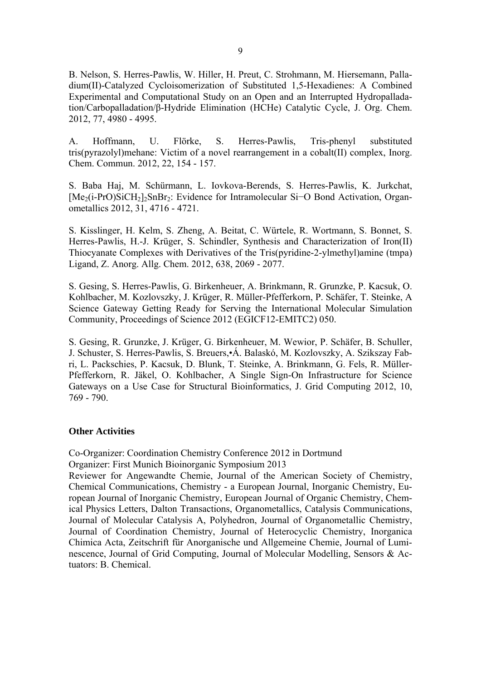B. Nelson, S. Herres-Pawlis, W. Hiller, H. Preut, C. Strohmann, M. Hiersemann, Palladium(II)-Catalyzed Cycloisomerization of Substituted 1,5-Hexadienes: A Combined Experimental and Computational Study on an Open and an Interrupted Hydropalladation/Carbopalladation/β-Hydride Elimination (HCHe) Catalytic Cycle, J. Org. Chem. 2012, 77, 4980 - 4995.

A. Hoffmann, U. Flörke, S. Herres-Pawlis, Tris-phenyl substituted tris(pyrazolyl)mehane: Victim of a novel rearrangement in a cobalt(II) complex, Inorg. Chem. Commun. 2012, 22, 154 - 157.

S. Baba Haj, M. Schürmann, L. Iovkova-Berends, S. Herres-Pawlis, K. Jurkchat, [Me<sub>2</sub>(i-PrO)SiCH<sub>2</sub>]<sub>2</sub>SnBr<sub>2</sub>: Evidence for Intramolecular Si–O Bond Activation, Organometallics 2012, 31, 4716 - 4721.

S. Kisslinger, H. Kelm, S. Zheng, A. Beitat, C. Würtele, R. Wortmann, S. Bonnet, S. Herres-Pawlis, H.-J. Krüger, S. Schindler, Synthesis and Characterization of Iron(II) Thiocyanate Complexes with Derivatives of the Tris(pyridine-2-ylmethyl)amine (tmpa) Ligand, Z. Anorg. Allg. Chem. 2012, 638, 2069 - 2077.

S. Gesing, S. Herres-Pawlis, G. Birkenheuer, A. Brinkmann, R. Grunzke, P. Kacsuk, O. Kohlbacher, M. Kozlovszky, J. Krüger, R. Müller-Pfefferkorn, P. Schäfer, T. Steinke, A Science Gateway Getting Ready for Serving the International Molecular Simulation Community, Proceedings of Science 2012 (EGICF12-EMITC2) 050.

S. Gesing, R. Grunzke, J. Krüger, G. Birkenheuer, M. Wewior, P. Schäfer, B. Schuller, J. Schuster, S. Herres-Pawlis, S. Breuers,•Á. Balaskó, M. Kozlovszky, A. Szikszay Fabri, L. Packschies, P. Kacsuk, D. Blunk, T. Steinke, A. Brinkmann, G. Fels, R. Müller-Pfefferkorn, R. Jäkel, O. Kohlbacher, A Single Sign-On Infrastructure for Science Gateways on a Use Case for Structural Bioinformatics, J. Grid Computing 2012, 10, 769 - 790.

#### **Other Activities**

Co-Organizer: Coordination Chemistry Conference 2012 in Dortmund Organizer: First Munich Bioinorganic Symposium 2013

Reviewer for Angewandte Chemie, Journal of the American Society of Chemistry, Chemical Communications, Chemistry - a European Journal, Inorganic Chemistry, European Journal of Inorganic Chemistry, European Journal of Organic Chemistry, Chemical Physics Letters, Dalton Transactions, Organometallics, Catalysis Communications, Journal of Molecular Catalysis A, Polyhedron, Journal of Organometallic Chemistry, Journal of Coordination Chemistry, Journal of Heterocyclic Chemistry, Inorganica Chimica Acta, Zeitschrift für Anorganische und Allgemeine Chemie, Journal of Luminescence, Journal of Grid Computing, Journal of Molecular Modelling, Sensors & Actuators: B. Chemical.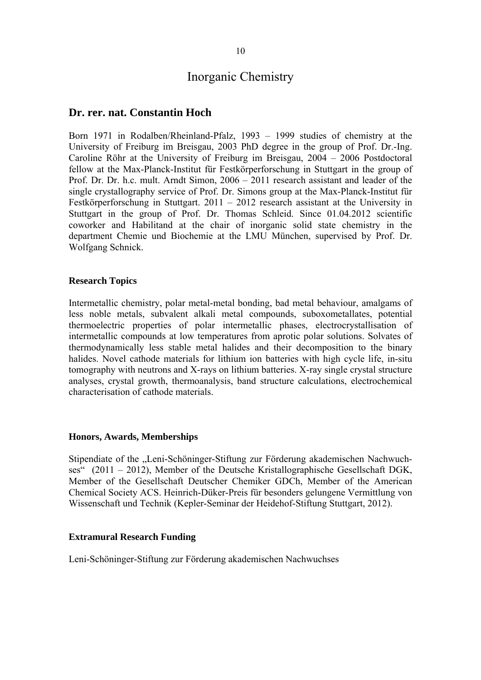## **Dr. rer. nat. Constantin Hoch**

Born 1971 in Rodalben/Rheinland-Pfalz, 1993 – 1999 studies of chemistry at the University of Freiburg im Breisgau, 2003 PhD degree in the group of Prof. Dr.-Ing. Caroline Röhr at the University of Freiburg im Breisgau, 2004 – 2006 Postdoctoral fellow at the Max-Planck-Institut für Festkörperforschung in Stuttgart in the group of Prof. Dr. Dr. h.c. mult. Arndt Simon, 2006 – 2011 research assistant and leader of the single crystallography service of Prof. Dr. Simons group at the Max-Planck-Institut für Festkörperforschung in Stuttgart. 2011 – 2012 research assistant at the University in Stuttgart in the group of Prof. Dr. Thomas Schleid. Since 01.04.2012 scientific coworker and Habilitand at the chair of inorganic solid state chemistry in the department Chemie und Biochemie at the LMU München, supervised by Prof. Dr. Wolfgang Schnick.

## **Research Topics**

Intermetallic chemistry, polar metal-metal bonding, bad metal behaviour, amalgams of less noble metals, subvalent alkali metal compounds, suboxometallates, potential thermoelectric properties of polar intermetallic phases, electrocrystallisation of intermetallic compounds at low temperatures from aprotic polar solutions. Solvates of thermodynamically less stable metal halides and their decomposition to the binary halides. Novel cathode materials for lithium ion batteries with high cycle life, in-situ tomography with neutrons and X-rays on lithium batteries. X-ray single crystal structure analyses, crystal growth, thermoanalysis, band structure calculations, electrochemical characterisation of cathode materials.

#### **Honors, Awards, Memberships**

Stipendiate of the "Leni-Schöninger-Stiftung zur Förderung akademischen Nachwuchses" (2011 – 2012), Member of the Deutsche Kristallographische Gesellschaft DGK, Member of the Gesellschaft Deutscher Chemiker GDCh, Member of the American Chemical Society ACS. Heinrich-Düker-Preis für besonders gelungene Vermittlung von Wissenschaft und Technik (Kepler-Seminar der Heidehof-Stiftung Stuttgart, 2012).

#### **Extramural Research Funding**

Leni-Schöninger-Stiftung zur Förderung akademischen Nachwuchses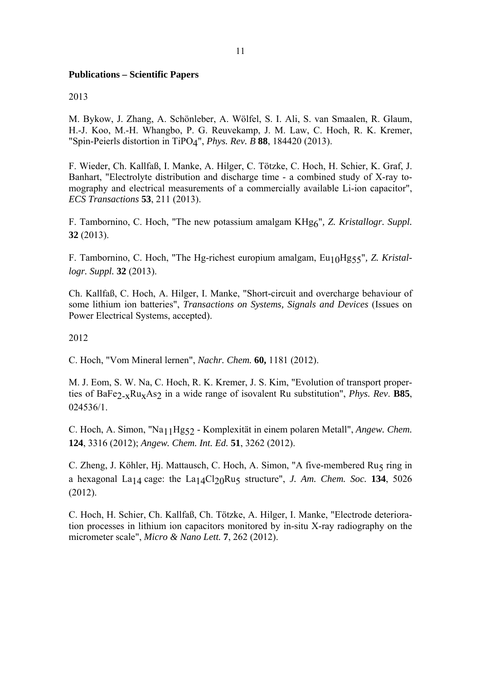## **Publications – Scientific Papers**

## 2013

M. Bykow, J. Zhang, A. Schönleber, A. Wölfel, S. I. Ali, S. van Smaalen, R. Glaum, H.-J. Koo, M.-H. Whangbo, P. G. Reuvekamp, J. M. Law, C. Hoch, R. K. Kremer, "Spin-Peierls distortion in TiPO4", *Phys. Rev. B* **88**, 184420 (2013).

F. Wieder, Ch. Kallfaß, I. Manke, A. Hilger, C. Tötzke, C. Hoch, H. Schier, K. Graf, J. Banhart, "Electrolyte distribution and discharge time - a combined study of X-ray tomography and electrical measurements of a commercially available Li-ion capacitor", *ECS Transactions* **53**, 211 (2013).

F. Tambornino, C. Hoch, "The new potassium amalgam KHg6"*, Z. Kristallogr. Suppl.*  **32** (2013).

F. Tambornino, C. Hoch, "The Hg-richest europium amalgam, Eu10Hg55"*, Z. Kristallogr. Suppl.* **32** (2013).

Ch. Kallfaß, C. Hoch, A. Hilger, I. Manke, "Short-circuit and overcharge behaviour of some lithium ion batteries", *Transactions on Systems, Signals and Devices* (Issues on Power Electrical Systems, accepted).

2012

C. Hoch, "Vom Mineral lernen", *Nachr. Chem.* **60,** 1181 (2012).

M. J. Eom, S. W. Na, C. Hoch, R. K. Kremer, J. S. Kim, "Evolution of transport properties of BaFe $2_xRu_xAs_2$  in a wide range of isovalent Ru substitution", *Phys. Rev.* **B85**, 024536/1.

C. Hoch, A. Simon, "Na11Hg52 - Komplexität in einem polaren Metall", *Angew. Chem.*  **124**, 3316 (2012); *Angew. Chem. Int. Ed.* **51**, 3262 (2012).

C. Zheng, J. Köhler, Hj. Mattausch, C. Hoch, A. Simon, "A five-membered Ru5 ring in a hexagonal La<sub>14</sub> cage: the La<sub>14</sub>Cl<sub>20</sub>Ru<sub>5</sub> structure", *J. Am. Chem. Soc.* **134**, 5026 (2012).

C. Hoch, H. Schier, Ch. Kallfaß, Ch. Tötzke, A. Hilger, I. Manke, "Electrode deterioration processes in lithium ion capacitors monitored by in-situ X-ray radiography on the micrometer scale", *Micro & Nano Lett.* **7**, 262 (2012).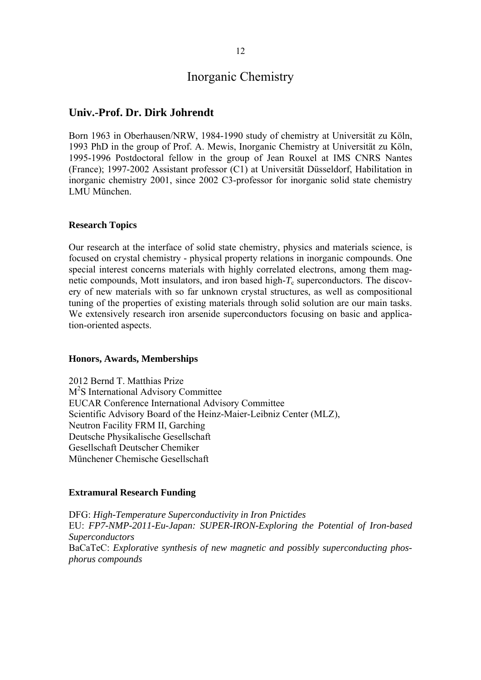## **Univ.-Prof. Dr. Dirk Johrendt**

Born 1963 in Oberhausen/NRW, 1984-1990 study of chemistry at Universität zu Köln, 1993 PhD in the group of Prof. A. Mewis, Inorganic Chemistry at Universität zu Köln, 1995-1996 Postdoctoral fellow in the group of Jean Rouxel at IMS CNRS Nantes (France); 1997-2002 Assistant professor (C1) at Universität Düsseldorf, Habilitation in inorganic chemistry 2001, since 2002 C3-professor for inorganic solid state chemistry LMU München.

#### **Research Topics**

Our research at the interface of solid state chemistry, physics and materials science, is focused on crystal chemistry - physical property relations in inorganic compounds. One special interest concerns materials with highly correlated electrons, among them magnetic compounds, Mott insulators, and iron based high- $T_c$  superconductors. The discovery of new materials with so far unknown crystal structures, as well as compositional tuning of the properties of existing materials through solid solution are our main tasks. We extensively research iron arsenide superconductors focusing on basic and application-oriented aspects.

#### **Honors, Awards, Memberships**

2012 Bernd T. Matthias Prize M<sup>2</sup>S International Advisory Committee EUCAR Conference International Advisory Committee Scientific Advisory Board of the Heinz-Maier-Leibniz Center (MLZ), Neutron Facility FRM II, Garching Deutsche Physikalische Gesellschaft Gesellschaft Deutscher Chemiker Münchener Chemische Gesellschaft

#### **Extramural Research Funding**

DFG: *High-Temperature Superconductivity in Iron Pnictides* EU: *FP7-NMP-2011-Eu-Japan: SUPER-IRON-Exploring the Potential of Iron-based Superconductors* BaCaTeC: *Explorative synthesis of new magnetic and possibly superconducting phosphorus compounds*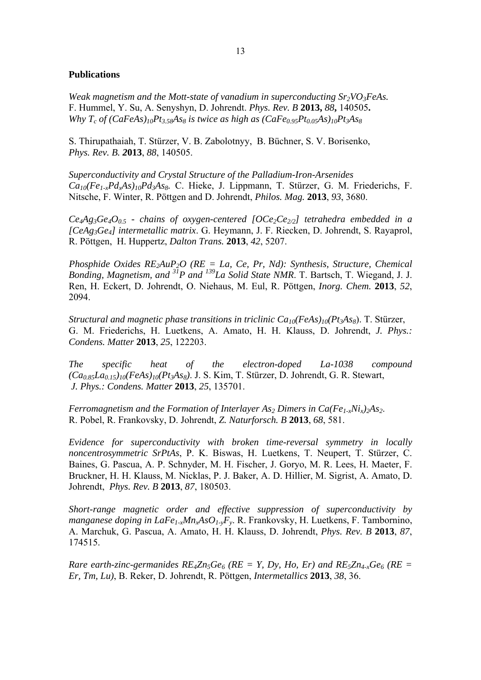## **Publications**

*Weak magnetism and the Mott-state of vanadium in superconducting Sr<sub>2</sub>VO<sub>3</sub>FeAs.* F. Hummel, Y. Su, A. Senyshyn, D. Johrendt. *Phys. Rev. B* **2013,** *88***,** 140505**.** *Why T<sub>c</sub>* of  $(CaFeAs)_{10}Pt_{3.58}As_8$  *is twice as high as*  $(CaFe_{0.95}Pt_{0.05}As)_{10}Pt_3As_8$ 

S. Thirupathaiah, T. Stürzer, V. B. Zabolotnyy, B. Büchner, S. V. Borisenko, *Phys. Rev. B. 2***013**, *88*, 140505.

*Superconductivity and Crystal Structure of the Palladium-Iron-Arsenides Ca10(Fe1-xPdxAs)10Pd3As8.* C. Hieke, J. Lippmann, T. Stürzer, G. M. Friederichs, F. Nitsche, F. Winter, R. Pöttgen and D. Johrendt, *Philos. Mag.* **2013**, *93*, 3680.

 $Ce<sub>4</sub>Ag<sub>3</sub>Ge<sub>4</sub>O<sub>0.5</sub>$  - chains of oxygen-centered  $[OCe<sub>2</sub>Ce<sub>2/2</sub>]$  tetrahedra embedded in a *[CeAg3Ge4] intermetallic matrix*. G. Heymann, J. F. Riecken, D. Johrendt, S. Rayaprol, R. Pöttgen, H. Huppertz, *Dalton Trans.* **2013**, *42*, 5207.

*Phosphide Oxides RE2AuP2O (RE = La, Ce, Pr, Nd): Synthesis, Structure, Chemical Bonding, Magnetism, and 31P and 139La Solid State NMR*. T. Bartsch, T. Wiegand, J. J. Ren, H. Eckert, D. Johrendt, O. Niehaus, M. Eul, R. Pöttgen, *Inorg. Chem.* **2013**, *52*, 2094.

*Structural and magnetic phase transitions in triclinic Ca<sub>10</sub>(FeAs)<sub>10</sub>(Pt<sub>3</sub>As<sub>8</sub>). T. Stürzer,* G. M. Friederichs, H. Luetkens, A. Amato, H. H. Klauss, D. Johrendt, *J. Phys.: Condens. Matter* **2013**, *25*, 122203.

*The specific heat of the electron-doped La-1038 compound (Ca0.85La0.15)10(FeAs)10(Pt3As8)*. J. S. Kim, T. Stürzer, D. Johrendt, G. R. Stewart, *J. Phys.: Condens. Matter* **2013**, *25*, 135701.

*Ferromagnetism and the Formation of Interlayer As<sub>2</sub> Dimers in Ca(Fe<sub>1-x</sub>Ni<sub>x</sub>)<sub>2</sub>As<sub>2</sub>.* R. Pobel, R. Frankovsky, D. Johrendt, *Z. Naturforsch. B* **2013**, *68*, 581.

*Evidence for superconductivity with broken time-reversal symmetry in locally noncentrosymmetric SrPtAs*, P. K. Biswas, H. Luetkens, T. Neupert, T. Stürzer, C. Baines, G. Pascua, A. P. Schnyder, M. H. Fischer, J. Goryo, M. R. Lees, H. Maeter, F. Bruckner, H. H. Klauss, M. Nicklas, P. J. Baker, A. D. Hillier, M. Sigrist, A. Amato, D. Johrendt, *Phys. Rev. B* **2013**, *87*, 180503.

*Short-range magnetic order and effective suppression of superconductivity by manganese doping in LaFe1-xMnxAsO1-yFy*. R. Frankovsky, H. Luetkens, F. Tambornino, A. Marchuk, G. Pascua, A. Amato, H. H. Klauss, D. Johrendt, *Phys. Rev. B* **2013**, *87*, 174515.

*Rare earth-zinc-germanides*  $RE_4Zn_5Ge_6$  *(RE = Y, Dy, Ho, Er) and RE<sub>5</sub>Zn<sub>4-x</sub>Ge<sub>6</sub> (RE = Er, Tm, Lu)*, B. Reker, D. Johrendt, R. Pöttgen, *Intermetallics* **2013**, *38*, 36.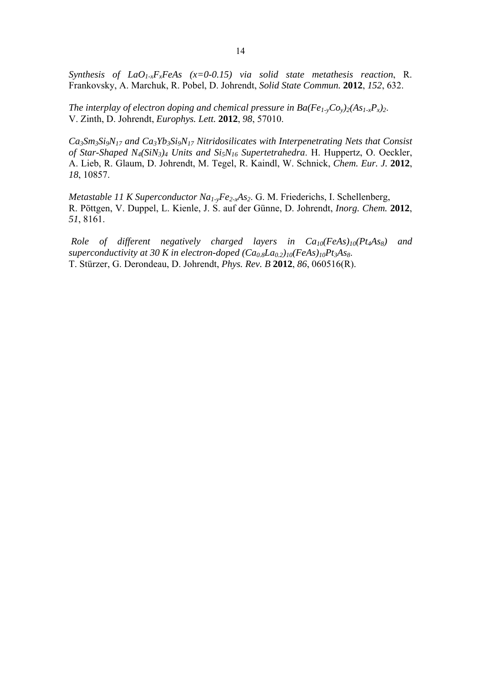*Synthesis of LaO1-xFxFeAs (x=0-0.15) via solid state metathesis reaction*, R. Frankovsky, A. Marchuk, R. Pobel, D. Johrendt, *Solid State Commun.* **2012**, *152*, 632.

*The interplay of electron doping and chemical pressure in Ba(Fe<sub>1-y</sub>Co<sub>y</sub>)<sub>2</sub>(As<sub>1-x</sub>P<sub>x</sub>)<sub>2</sub>.* V. Zinth, D. Johrendt, *Europhys. Lett.* **2012**, *98*, 57010.

*Ca3Sm3Si9N17 and Ca3Yb3Si9N17 Nitridosilicates with Interpenetrating Nets that Consist of Star-Shaped N4(SiN3)4 Units and Si5N16 Supertetrahedra*. H. Huppertz, O. Oeckler, A. Lieb, R. Glaum, D. Johrendt, M. Tegel, R. Kaindl, W. Schnick, *Chem. Eur. J.* **2012**, *18*, 10857.

*Metastable 11 K Superconductor Na1-yFe2-xAs2*. G. M. Friederichs, I. Schellenberg, R. Pöttgen, V. Duppel, L. Kienle, J. S. auf der Günne, D. Johrendt, *Inorg. Chem.* **2012**, *51*, 8161.

*Role of different negatively charged layers in Ca10(FeAs)10(Pt4As8) and superconductivity at 30 K in electron-doped*  $(Ca_0sLa_0<sub>2</sub>)_{10}(FeAs)_{10}Pt<sub>3</sub>As$ *.* T. Stürzer, G. Derondeau, D. Johrendt, *Phys. Rev. B* **2012**, *86*, 060516(R).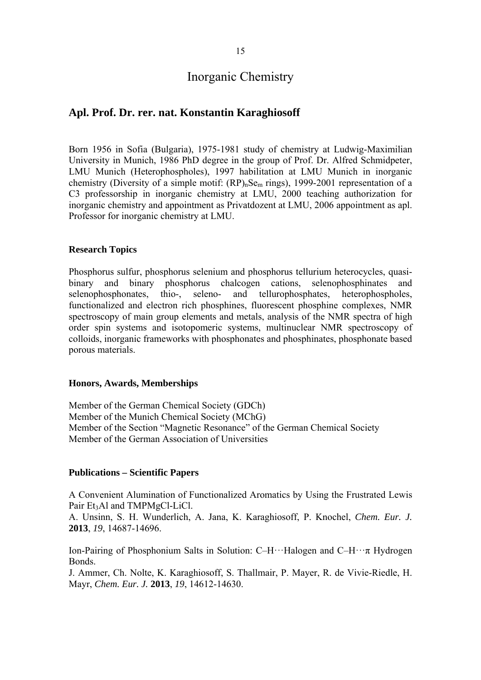## **Apl. Prof. Dr. rer. nat. Konstantin Karaghiosoff**

Born 1956 in Sofia (Bulgaria), 1975-1981 study of chemistry at Ludwig-Maximilian University in Munich, 1986 PhD degree in the group of Prof. Dr. Alfred Schmidpeter, LMU Munich (Heterophospholes), 1997 habilitation at LMU Munich in inorganic chemistry (Diversity of a simple motif:  $(RP)_{n}Se_{m}$  rings), 1999-2001 representation of a C3 professorship in inorganic chemistry at LMU, 2000 teaching authorization for inorganic chemistry and appointment as Privatdozent at LMU, 2006 appointment as apl. Professor for inorganic chemistry at LMU.

## **Research Topics**

Phosphorus sulfur, phosphorus selenium and phosphorus tellurium heterocycles, quasibinary and binary phosphorus chalcogen cations, selenophosphinates and selenophosphonates, thio-, seleno- and tellurophosphates, heterophospholes, functionalized and electron rich phosphines, fluorescent phosphine complexes, NMR spectroscopy of main group elements and metals, analysis of the NMR spectra of high order spin systems and isotopomeric systems, multinuclear NMR spectroscopy of colloids, inorganic frameworks with phosphonates and phosphinates, phosphonate based porous materials.

#### **Honors, Awards, Memberships**

Member of the German Chemical Society (GDCh) Member of the Munich Chemical Society (MChG) Member of the Section "Magnetic Resonance" of the German Chemical Society Member of the German Association of Universities

## **Publications – Scientific Papers**

A Convenient Alumination of Functionalized Aromatics by Using the Frustrated Lewis Pair Et<sub>3</sub>Al and TMPMgCl-LiCl.

A. Unsinn, S. H. Wunderlich, A. Jana, K. Karaghiosoff, P. Knochel, *Chem. Eur. J.* **2013**, *19*, 14687-14696.

Ion-Pairing of Phosphonium Salts in Solution: C–H···Halogen and C–H···π Hydrogen Bonds.

J. Ammer, Ch. Nolte, K. Karaghiosoff, S. Thallmair, P. Mayer, R. de Vivie-Riedle, H. Mayr, *Chem. Eur. J.* **2013**, *19*, 14612-14630.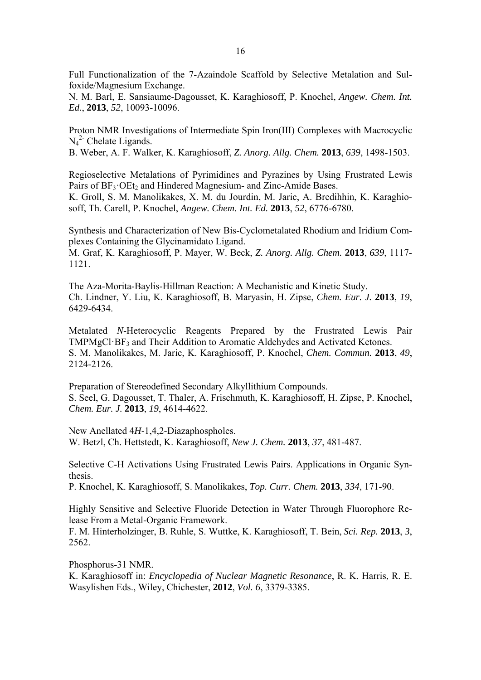Full Functionalization of the 7-Azaindole Scaffold by Selective Metalation and Sulfoxide/Magnesium Exchange.

N. M. Barl, E. Sansiaume-Dagousset, K. Karaghiosoff, P. Knochel, *Angew. Chem. Int. Ed.*, **2013**, *52*, 10093-10096.

Proton NMR Investigations of Intermediate Spin Iron(III) Complexes with Macrocyclic N<sub>4</sub><sup>2</sup> Chelate Ligands.

B. Weber, A. F. Walker, K. Karaghiosoff, *Z. Anorg. Allg. Chem.* **2013**, *639*, 1498-1503.

Regioselective Metalations of Pyrimidines and Pyrazines by Using Frustrated Lewis Pairs of  $BF_3 \cdot OEt_2$  and Hindered Magnesium- and Zinc-Amide Bases.

K. Groll, S. M. Manolikakes, X. M. du Jourdin, M. Jaric, A. Bredihhin, K. Karaghiosoff, Th. Carell, P. Knochel, *Angew. Chem. Int. Ed.* **2013**, *52*, 6776-6780.

Synthesis and Characterization of New Bis-Cyclometalated Rhodium and Iridium Complexes Containing the Glycinamidato Ligand.

M. Graf, K. Karaghiosoff, P. Mayer, W. Beck, *Z. Anorg. Allg. Chem.* **2013**, *639*, 1117- 1121.

The Aza-Morita-Baylis-Hillman Reaction: A Mechanistic and Kinetic Study. Ch. Lindner, Y. Liu, K. Karaghiosoff, B. Maryasin, H. Zipse, *Chem. Eur. J.* **2013**, *19*, 6429-6434.

Metalated *N*-Heterocyclic Reagents Prepared by the Frustrated Lewis Pair TMPMgCl·BF3 and Their Addition to Aromatic Aldehydes and Activated Ketones. S. M. Manolikakes, M. Jaric, K. Karaghiosoff, P. Knochel, *Chem. Commun.* **2013**, *49*, 2124-2126.

Preparation of Stereodefined Secondary Alkyllithium Compounds. S. Seel, G. Dagousset, T. Thaler, A. Frischmuth, K. Karaghiosoff, H. Zipse, P. Knochel, *Chem. Eur. J.* **2013**, *19*, 4614-4622.

New Anellated 4*H*-1,4,2-Diazaphospholes. W. Betzl, Ch. Hettstedt, K. Karaghiosoff, *New J. Chem.* **2013**, *37*, 481-487.

Selective C-H Activations Using Frustrated Lewis Pairs. Applications in Organic Synthesis.

P. Knochel, K. Karaghiosoff, S. Manolikakes, *Top. Curr. Chem.* **2013**, *334*, 171-90.

Highly Sensitive and Selective Fluoride Detection in Water Through Fluorophore Release From a Metal-Organic Framework.

F. M. Hinterholzinger, B. Ruhle, S. Wuttke, K. Karaghiosoff, T. Bein, *Sci. Rep.* **2013**, *3*, 2562.

Phosphorus-31 NMR.

K. Karaghiosoff in: *Encyclopedia of Nuclear Magnetic Resonance*, R. K. Harris, R. E. Wasylishen Eds., Wiley, Chichester, **2012**, *Vol. 6*, 3379-3385.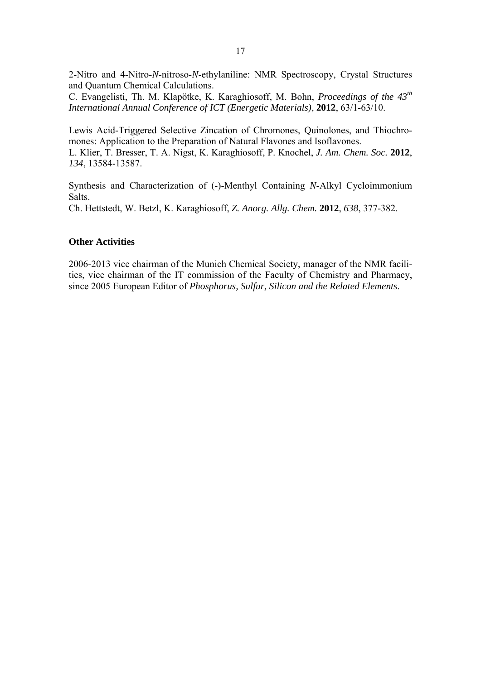2-Nitro and 4-Nitro-*N*-nitroso-*N*-ethylaniline: NMR Spectroscopy, Crystal Structures and Quantum Chemical Calculations.

C. Evangelisti, Th. M. Klapötke, K. Karaghiosoff, M. Bohn, *Proceedings of the 43th International Annual Conference of ICT (Energetic Materials)*, **2012**, 63/1-63/10.

Lewis Acid-Triggered Selective Zincation of Chromones, Quinolones, and Thiochromones: Application to the Preparation of Natural Flavones and Isoflavones. L. Klier, T. Bresser, T. A. Nigst, K. Karaghiosoff, P. Knochel, *J. Am. Chem. Soc.* **2012**, *134*, 13584-13587.

Synthesis and Characterization of (-)-Menthyl Containing *N*-Alkyl Cycloimmonium Salts. Ch. Hettstedt, W. Betzl, K. Karaghiosoff, *Z. Anorg. Allg. Chem.* **2012**, *638*, 377-382.

## **Other Activities**

2006-2013 vice chairman of the Munich Chemical Society, manager of the NMR facilities, vice chairman of the IT commission of the Faculty of Chemistry and Pharmacy, since 2005 European Editor of *Phosphorus, Sulfur, Silicon and the Related Elements*.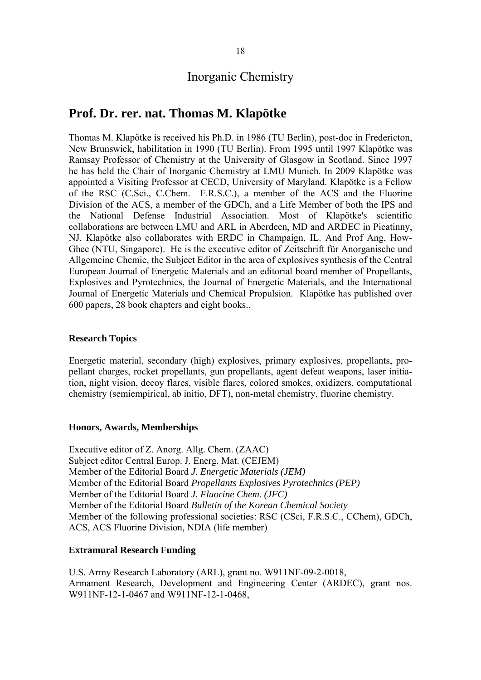## **Prof. Dr. rer. nat. Thomas M. Klapötke**

Thomas M. Klapötke is received his Ph.D. in 1986 (TU Berlin), post-doc in Fredericton, New Brunswick, habilitation in 1990 (TU Berlin). From 1995 until 1997 Klapötke was Ramsay Professor of Chemistry at the University of Glasgow in Scotland. Since 1997 he has held the Chair of Inorganic Chemistry at LMU Munich. In 2009 Klapötke was appointed a Visiting Professor at CECD, University of Maryland. Klapötke is a Fellow of the RSC (C.Sci., C.Chem. F.R.S.C.), a member of the ACS and the Fluorine Division of the ACS, a member of the GDCh, and a Life Member of both the IPS and the National Defense Industrial Association. Most of Klapötke's scientific collaborations are between LMU and ARL in Aberdeen, MD and ARDEC in Picatinny, NJ. Klapötke also collaborates with ERDC in Champaign, IL. And Prof Ang, How-Ghee (NTU, Singapore). He is the executive editor of Zeitschrift für Anorganische und Allgemeine Chemie, the Subject Editor in the area of explosives synthesis of the Central European Journal of Energetic Materials and an editorial board member of Propellants, Explosives and Pyrotechnics, the Journal of Energetic Materials, and the International Journal of Energetic Materials and Chemical Propulsion. Klapötke has published over 600 papers, 28 book chapters and eight books..

## **Research Topics**

Energetic material, secondary (high) explosives, primary explosives, propellants, propellant charges, rocket propellants, gun propellants, agent defeat weapons, laser initiation, night vision, decoy flares, visible flares, colored smokes, oxidizers, computational chemistry (semiempirical, ab initio, DFT), non-metal chemistry, fluorine chemistry.

#### **Honors, Awards, Memberships**

Executive editor of Z. Anorg. Allg. Chem. (ZAAC) Subject editor Central Europ. J. Energ. Mat. (CEJEM) Member of the Editorial Board *J. Energetic Materials (JEM)*  Member of the Editorial Board *Propellants Explosives Pyrotechnics (PEP)*  Member of the Editorial Board *J. Fluorine Chem. (JFC)*  Member of the Editorial Board *Bulletin of the Korean Chemical Society* Member of the following professional societies: RSC (CSci, F.R.S.C., CChem), GDCh, ACS, ACS Fluorine Division, NDIA (life member)

#### **Extramural Research Funding**

U.S. Army Research Laboratory (ARL), grant no. W911NF-09-2-0018, Armament Research, Development and Engineering Center (ARDEC), grant nos. W911NF-12-1-0467 and W911NF-12-1-0468,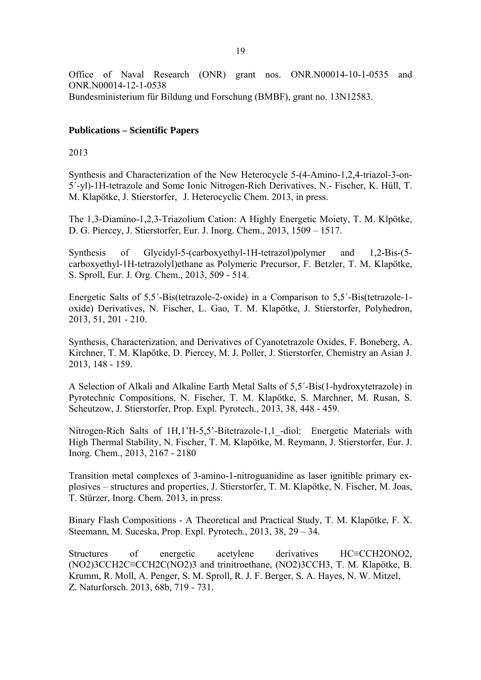Office of Naval Research (ONR) grant nos. ONR.N00014-10-1-0535 and ONR.N00014-12-1-0538 Bundesministerium für Bildung und Forschung (BMBF), grant no. 13N12583.

## **Publications – Scientific Papers**

2013

Synthesis and Characterization of the New Heterocycle 5-(4-Amino-1,2,4-triazol-3-on-5´-yl)-1H-tetrazole and Some Ionic Nitrogen-Rich Derivatives, N.- Fischer, K. Hüll, T. M. Klapötke, J. Stierstorfer, J. Heterocyclic Chem. 2013, in press.

The 1,3-Diamino-1,2,3-Triazolium Cation: A Highly Energetic Moiety, T. M. Klpötke, D. G. Piercey, J. Stierstorfer, Eur. J. Inorg. Chem., 2013, 1509 – 1517.

Synthesis of Glycidyl-5-(carboxyethyl-1H-tetrazol)polymer and 1,2-Bis-(5 carboxyethyl-1H-tetrazolyl)ethane as Polymeric Precursor, F. Betzler, T. M. Klapötke, S. Sproll, Eur. J. Org. Chem., 2013, 509 - 514.

Energetic Salts of 5,5´-Bis(tetrazole-2-oxide) in a Comparison to 5,5´-Bis(tetrazole-1 oxide) Derivatives, N. Fischer, L. Gao, T. M. Klapötke, J. Stierstorfer, Polyhedron, 2013, 51, 201 - 210.

Synthesis, Characterization, and Derivatives of Cyanotetrazole Oxides, F. Boneberg, A. Kirchner, T. M. Klapötke, D. Piercey, M. J. Poller, J. Stierstorfer, Chemistry an Asian J. 2013, 148 - 159.

A Selection of Alkali and Alkaline Earth Metal Salts of 5,5´-Bis(1-hydroxytetrazole) in Pyrotechnic Compositions, N. Fischer, T. M. Klapötke, S. Marchner, M. Rusan, S. Scheutzow, J. Stierstorfer, Prop. Expl. Pyrotech., 2013, 38, 448 - 459.

Nitrogen-Rich Salts of 1H,1'H-5,5'-Bitetrazole-1,1 -diol: Energetic Materials with High Thermal Stability, N. Fischer, T. M. Klapötke, M. Reymann, J. Stierstorfer, Eur. J. Inorg. Chem., 2013, 2167 - 2180

Transition metal complexes of 3-amino-1-nitroguanidine as laser ignitible primary explosives – structures and properties, J. Stierstorfer, T. M. Klapötke, N. Fischer, M. Joas, T. Stürzer, Inorg. Chem. 2013, in press.

Binary Flash Compositions - A Theoretical and Practical Study, T. M. Klapötke, F. X. Steemann, M. Suceska, Prop. Expl. Pyrotech., 2013, 38, 29 – 34.

Structures of energetic acetylene derivatives HC≡CCH2ONO2, (NO2)3CCH2C≡CCH2C(NO2)3 and trinitroethane, (NO2)3CCH3, T. M. Klapötke, B. Krumm, R. Moll, A. Penger, S. M. Sproll, R. J. F. Berger, S. A. Hayes, N. W. Mitzel, Z. Naturforsch. 2013, 68b, 719 - 731.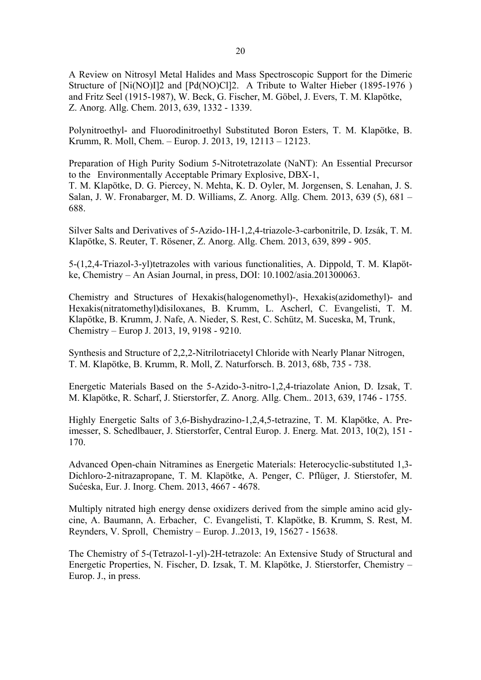A Review on Nitrosyl Metal Halides and Mass Spectroscopic Support for the Dimeric Structure of [Ni(NO)I]2 and [Pd(NO)Cl]2. A Tribute to Walter Hieber (1895-1976) and Fritz Seel (1915-1987), W. Beck, G. Fischer, M. Göbel, J. Evers, T. M. Klapötke, Z. Anorg. Allg. Chem. 2013, 639, 1332 - 1339.

Polynitroethyl- and Fluorodinitroethyl Substituted Boron Esters, T. M. Klapötke, B. Krumm, R. Moll, Chem. – Europ. J. 2013, 19, 12113 – 12123.

Preparation of High Purity Sodium 5-Nitrotetrazolate (NaNT): An Essential Precursor to the Environmentally Acceptable Primary Explosive, DBX-1,

T. M. Klapötke, D. G. Piercey, N. Mehta, K. D. Oyler, M. Jorgensen, S. Lenahan, J. S. Salan, J. W. Fronabarger, M. D. Williams, Z. Anorg. Allg. Chem. 2013, 639 (5), 681 – 688.

Silver Salts and Derivatives of 5-Azido-1H-1,2,4-triazole-3-carbonitrile, D. Izsák, T. M. Klapötke, S. Reuter, T. Rösener, Z. Anorg. Allg. Chem. 2013, 639, 899 - 905.

5-(1,2,4-Triazol-3-yl)tetrazoles with various functionalities, A. Dippold, T. M. Klapötke, Chemistry – An Asian Journal, in press, DOI: 10.1002/asia.201300063.

Chemistry and Structures of Hexakis(halogenomethyl)-, Hexakis(azidomethyl)- and Hexakis(nitratomethyl)disiloxanes, B. Krumm, L. Ascherl, C. Evangelisti, T. M. Klapötke, B. Krumm, J. Nafe, A. Nieder, S. Rest, C. Schütz, M. Suceska, M, Trunk, Chemistry – Europ J. 2013, 19, 9198 - 9210.

Synthesis and Structure of 2,2,2-Nitrilotriacetyl Chloride with Nearly Planar Nitrogen, T. M. Klapötke, B. Krumm, R. Moll, Z. Naturforsch. B. 2013, 68b, 735 - 738.

Energetic Materials Based on the 5-Azido-3-nitro-1,2,4-triazolate Anion, D. Izsak, T. M. Klapötke, R. Scharf, J. Stierstorfer, Z. Anorg. Allg. Chem.. 2013, 639, 1746 - 1755.

Highly Energetic Salts of 3,6-Bishydrazino-1,2,4,5-tetrazine, T. M. Klapötke, A. Preimesser, S. Schedlbauer, J. Stierstorfer, Central Europ. J. Energ. Mat. 2013, 10(2), 151 - 170.

Advanced Open-chain Nitramines as Energetic Materials: Heterocyclic-substituted 1,3- Dichloro-2-nitrazapropane, T. M. Klapötke, A. Penger, C. Pflüger, J. Stierstofer, M. Sućeska, Eur. J. Inorg. Chem. 2013, 4667 - 4678.

Multiply nitrated high energy dense oxidizers derived from the simple amino acid glycine, A. Baumann, A. Erbacher, C. Evangelisti, T. Klapötke, B. Krumm, S. Rest, M. Reynders, V. Sproll, Chemistry – Europ. J..2013, 19, 15627 - 15638.

The Chemistry of 5-(Tetrazol-1-yl)-2H-tetrazole: An Extensive Study of Structural and Energetic Properties, N. Fischer, D. Izsak, T. M. Klapötke, J. Stierstorfer, Chemistry – Europ. J., in press.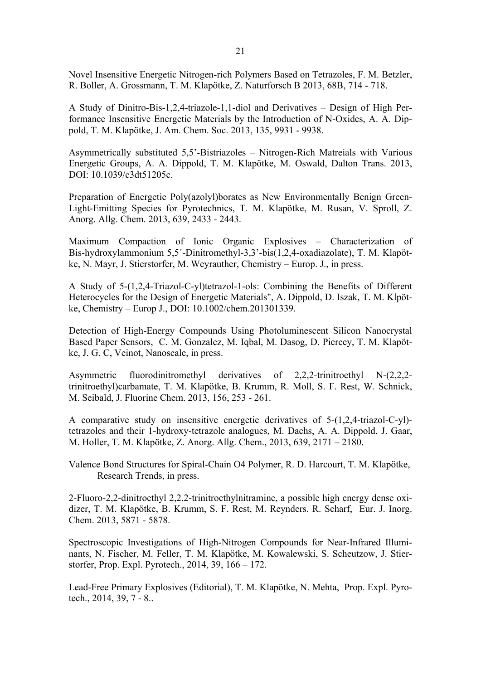Novel Insensitive Energetic Nitrogen-rich Polymers Based on Tetrazoles, F. M. Betzler, R. Boller, A. Grossmann, T. M. Klapötke, Z. Naturforsch B 2013, 68B, 714 - 718.

A Study of Dinitro-Bis-1,2,4-triazole-1,1-diol and Derivatives – Design of High Performance Insensitive Energetic Materials by the Introduction of N-Oxides, A. A. Dippold, T. M. Klapötke, J. Am. Chem. Soc. 2013, 135, 9931 - 9938.

Asymmetrically substituted 5,5'-Bistriazoles – Nitrogen-Rich Matreials with Various Energetic Groups, A. A. Dippold, T. M. Klapötke, M. Oswald, Dalton Trans. 2013, DOI: 10.1039/c3dt51205c.

Preparation of Energetic Poly(azolyl)borates as New Environmentally Benign Green-Light-Emitting Species for Pyrotechnics, T. M. Klapötke, M. Rusan, V. Sproll, Z. Anorg. Allg. Chem. 2013, 639, 2433 - 2443.

Maximum Compaction of Ionic Organic Explosives – Characterization of Bis-hydroxylammonium 5,5´-Dinitromethyl-3,3'-bis(1,2,4-oxadiazolate), T. M. Klapötke, N. Mayr, J. Stierstorfer, M. Weyrauther, Chemistry – Europ. J., in press.

A Study of 5-(1,2,4-Triazol-C-yl)tetrazol-1-ols: Combining the Benefits of Different Heterocycles for the Design of Energetic Materials", A. Dippold, D. Iszak, T. M. Klpötke, Chemistry – Europ J., DOI: 10.1002/chem.201301339.

Detection of High-Energy Compounds Using Photoluminescent Silicon Nanocrystal Based Paper Sensors, C. M. Gonzalez, M. Iqbal, M. Dasog, D. Piercey, T. M. Klapötke, J. G. C, Veinot, Nanoscale, in press.

Asymmetric fluorodinitromethyl derivatives of 2,2,2-trinitroethyl N-(2,2,2 trinitroethyl)carbamate, T. M. Klapötke, B. Krumm, R. Moll, S. F. Rest, W. Schnick, M. Seibald, J. Fluorine Chem. 2013, 156, 253 - 261.

A comparative study on insensitive energetic derivatives of 5-(1,2,4-triazol-C-yl) tetrazoles and their 1-hydroxy-tetrazole analogues, M. Dachs, A. A. Dippold, J. Gaar, M. Holler, T. M. Klapötke, Z. Anorg. Allg. Chem., 2013, 639, 2171 – 2180.

Valence Bond Structures for Spiral-Chain O4 Polymer, R. D. Harcourt, T. M. Klapötke, Research Trends, in press.

2-Fluoro-2,2-dinitroethyl 2,2,2-trinitroethylnitramine, a possible high energy dense oxidizer, T. M. Klapötke, B. Krumm, S. F. Rest, M. Reynders. R. Scharf, Eur. J. Inorg. Chem. 2013, 5871 - 5878.

Spectroscopic Investigations of High-Nitrogen Compounds for Near-Infrared Illuminants, N. Fischer, M. Feller, T. M. Klapötke, M. Kowalewski, S. Scheutzow, J. Stierstorfer, Prop. Expl. Pyrotech., 2014, 39, 166 – 172.

Lead-Free Primary Explosives (Editorial), T. M. Klapötke, N. Mehta, Prop. Expl. Pyrotech., 2014, 39, 7 - 8..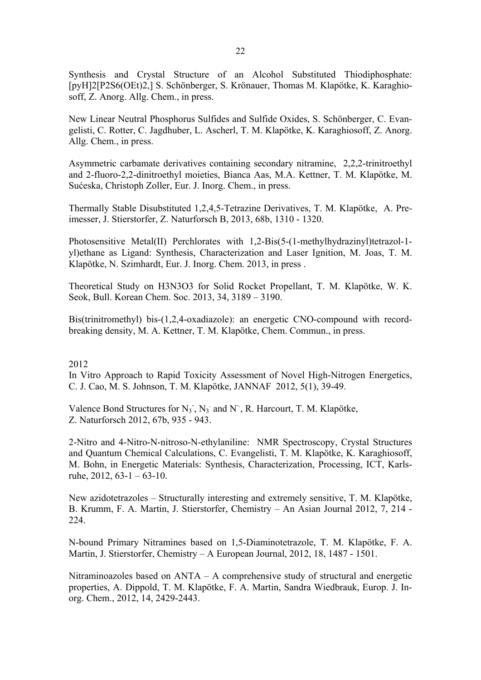Synthesis and Crystal Structure of an Alcohol Substituted Thiodiphosphate: [pyH]2[P2S6(OEt)2,] S. Schönberger, S. Krönauer, Thomas M. Klapötke, K. Karaghiosoff, Z. Anorg. Allg. Chem., in press.

New Linear Neutral Phosphorus Sulfides and Sulfide Oxides, S. Schönberger, C. Evangelisti, C. Rotter, C. Jagdhuber, L. Ascherl, T. M. Klapötke, K. Karaghiosoff, Z. Anorg. Allg. Chem., in press.

Asymmetric carbamate derivatives containing secondary nitramine, 2,2,2-trinitroethyl and 2-fluoro-2,2-dinitroethyl moieties, Bianca Aas, M.A. Kettner, T. M. Klapötke, M. Sućeska, Christoph Zoller, Eur. J. Inorg. Chem., in press.

Thermally Stable Disubstituted 1,2,4,5-Tetrazine Derivatives, T. M. Klapötke, A. Preimesser, J. Stierstorfer, Z. Naturforsch B, 2013, 68b, 1310 - 1320.

Photosensitive Metal(II) Perchlorates with 1,2-Bis(5-(1-methylhydrazinyl)tetrazol-1 yl)ethane as Ligand: Synthesis, Characterization and Laser Ignition, M. Joas, T. M. Klapötke, N. Szimhardt, Eur. J. Inorg. Chem. 2013, in press .

Theoretical Study on H3N3O3 for Solid Rocket Propellant, T. M. Klapötke, W. K. Seok, Bull. Korean Chem. Soc. 2013, 34, 3189 – 3190.

Bis(trinitromethyl) bis-(1,2,4-oxadiazole): an energetic CNO-compound with recordbreaking density, M. A. Kettner, T. M. Klapötke, Chem. Commun., in press.

## 2012

In Vitro Approach to Rapid Toxicity Assessment of Novel High-Nitrogen Energetics, C. J. Cao, M. S. Johnson, T. M. Klapötke, JANNAF 2012, 5(1), 39-49.

Valence Bond Structures for  $N_3$ ,  $N_3$  and N<sup>-</sup>, R. Harcourt, T. M. Klapötke, Z. Naturforsch 2012, 67b, 935 - 943.

2-Nitro and 4-Nitro-N-nitroso-N-ethylaniline: NMR Spectroscopy, Crystal Structures and Quantum Chemical Calculations, C. Evangelisti, T. M. Klapötke, K. Karaghiosoff, M. Bohn, in Energetic Materials: Synthesis, Characterization, Processing, ICT, Karlsruhe,  $2012, 63-1-63-10$ .

New azidotetrazoles – Structurally interesting and extremely sensitive, T. M. Klapötke, B. Krumm, F. A. Martin, J. Stierstorfer, Chemistry – An Asian Journal 2012, 7, 214 - 224.

N-bound Primary Nitramines based on 1,5-Diaminotetrazole, T. M. Klapötke, F. A. Martin, J. Stierstorfer, Chemistry – A European Journal, 2012, 18, 1487 - 1501.

Nitraminoazoles based on ANTA – A comprehensive study of structural and energetic properties, A. Dippold, T. M. Klapötke, F. A. Martin, Sandra Wiedbrauk, Europ. J. Inorg. Chem., 2012, 14, 2429-2443.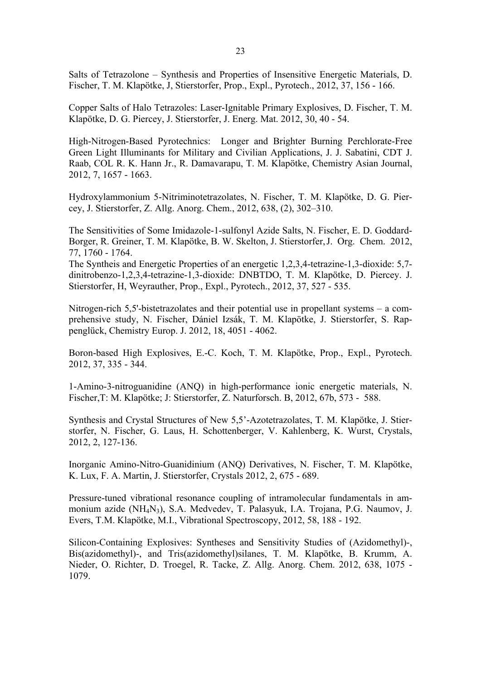Salts of Tetrazolone – Synthesis and Properties of Insensitive Energetic Materials, D. Fischer, T. M. Klapötke, J, Stierstorfer, Prop., Expl., Pyrotech., 2012, 37, 156 - 166.

Copper Salts of Halo Tetrazoles: Laser-Ignitable Primary Explosives, D. Fischer, T. M. Klapötke, D. G. Piercey, J. Stierstorfer, J. Energ. Mat. 2012, 30, 40 - 54.

High-Nitrogen-Based Pyrotechnics: Longer and Brighter Burning Perchlorate-Free Green Light Illuminants for Military and Civilian Applications, J. J. Sabatini, CDT J. Raab, COL R. K. Hann Jr., R. Damavarapu, T. M. Klapötke, Chemistry Asian Journal, 2012, 7, 1657 - 1663.

Hydroxylammonium 5-Nitriminotetrazolates, N. Fischer, T. M. Klapötke, D. G. Piercey, J. Stierstorfer, Z. Allg. Anorg. Chem., 2012, 638, (2), 302–310.

The Sensitivities of Some Imidazole-1-sulfonyl Azide Salts, N. Fischer, E. D. Goddard-Borger, R. Greiner, T. M. Klapötke, B. W. Skelton, J. Stierstorfer, J. Org. Chem. 2012, 77, 1760 - 1764.

The Syntheis and Energetic Properties of an energetic 1,2,3,4-tetrazine-1,3-dioxide: 5,7 dinitrobenzo-1,2,3,4-tetrazine-1,3-dioxide: DNBTDO, T. M. Klapötke, D. Piercey. J. Stierstorfer, H, Weyrauther, Prop., Expl., Pyrotech., 2012, 37, 527 - 535.

Nitrogen-rich 5,5'-bistetrazolates and their potential use in propellant systems – a comprehensive study, N. Fischer, Dániel Izsák, T. M. Klapötke, J. Stierstorfer, S. Rappenglück, Chemistry Europ. J. 2012, 18, 4051 - 4062.

Boron-based High Explosives, E.-C. Koch, T. M. Klapötke, Prop., Expl., Pyrotech. 2012, 37, 335 - 344.

1-Amino-3-nitroguanidine (ANQ) in high-performance ionic energetic materials, N. Fischer,T: M. Klapötke; J: Stierstorfer, Z. Naturforsch. B, 2012, 67b, 573 - 588.

Synthesis and Crystal Structures of New 5,5'-Azotetrazolates, T. M. Klapötke, J. Stierstorfer, N. Fischer, G. Laus, H. Schottenberger, V. Kahlenberg, K. Wurst, Crystals, 2012, 2, 127-136.

Inorganic Amino-Nitro-Guanidinium (ANQ) Derivatives, N. Fischer, T. M. Klapötke, K. Lux, F. A. Martin, J. Stierstorfer, Crystals 2012, 2, 675 - 689.

Pressure-tuned vibrational resonance coupling of intramolecular fundamentals in ammonium azide (NH4N3), S.A. Medvedev, T. Palasyuk, I.A. Trojana, P.G. Naumov, J. Evers, T.M. Klapötke, M.I., Vibrational Spectroscopy, 2012, 58, 188 - 192.

Silicon-Containing Explosives: Syntheses and Sensitivity Studies of (Azidomethyl)-, Bis(azidomethyl)-, and Tris(azidomethyl)silanes, T. M. Klapötke, B. Krumm, A. Nieder, O. Richter, D. Troegel, R. Tacke, Z. Allg. Anorg. Chem. 2012, 638, 1075 - 1079.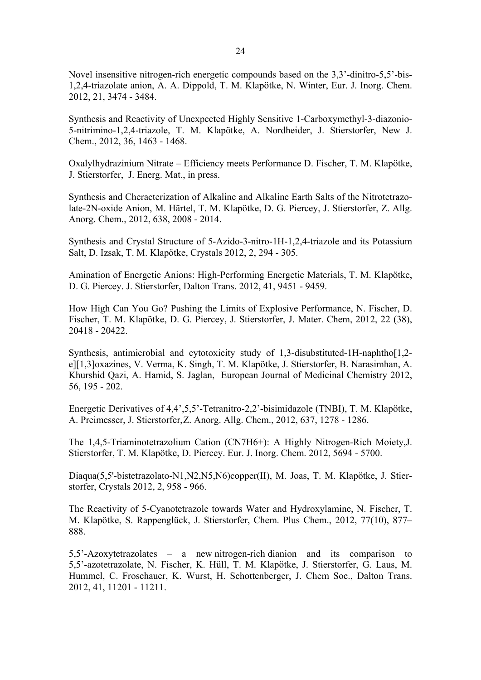Novel insensitive nitrogen-rich energetic compounds based on the 3,3'-dinitro-5,5'-bis-1,2,4-triazolate anion, A. A. Dippold, T. M. Klapötke, N. Winter, Eur. J. Inorg. Chem. 2012, 21, 3474 - 3484.

Synthesis and Reactivity of Unexpected Highly Sensitive 1-Carboxymethyl-3-diazonio-5-nitrimino-1,2,4-triazole, T. M. Klapötke, A. Nordheider, J. Stierstorfer, New J. Chem., 2012, 36, 1463 - 1468.

Oxalylhydrazinium Nitrate – Efficiency meets Performance D. Fischer, T. M. Klapötke, J. Stierstorfer, J. Energ. Mat., in press.

Synthesis and Cheracterization of Alkaline and Alkaline Earth Salts of the Nitrotetrazolate-2N-oxide Anion, M. Härtel, T. M. Klapötke, D. G. Piercey, J. Stierstorfer, Z. Allg. Anorg. Chem., 2012, 638, 2008 - 2014.

Synthesis and Crystal Structure of 5-Azido-3-nitro-1H-1,2,4-triazole and its Potassium Salt, D. Izsak, T. M. Klapötke, Crystals 2012, 2, 294 - 305.

Amination of Energetic Anions: High-Performing Energetic Materials, T. M. Klapötke, D. G. Piercey. J. Stierstorfer, Dalton Trans. 2012, 41, 9451 - 9459.

How High Can You Go? Pushing the Limits of Explosive Performance, N. Fischer, D. Fischer, T. M. Klapötke, D. G. Piercey, J. Stierstorfer, J. Mater. Chem, 2012, 22 (38), 20418 - 20422.

Synthesis, antimicrobial and cytotoxicity study of 1,3-disubstituted-1H-naphtho[1,2 e][1,3]oxazines, V. Verma, K. Singh, T. M. Klapötke, J. Stierstorfer, B. Narasimhan, A. Khurshid Qazi, A. Hamid, S. Jaglan, European Journal of Medicinal Chemistry 2012, 56, 195 - 202.

Energetic Derivatives of 4,4',5,5'-Tetranitro-2,2'-bisimidazole (TNBI), T. M. Klapötke, A. Preimesser, J. Stierstorfer, Z. Anorg. Allg. Chem., 2012, 637, 1278 - 1286.

The 1,4,5-Triaminotetrazolium Cation (CN7H6+): A Highly Nitrogen-Rich Moiety,J. Stierstorfer, T. M. Klapötke, D. Piercey. Eur. J. Inorg. Chem. 2012, 5694 - 5700.

Diaqua(5,5'-bistetrazolato-N1,N2,N5,N6)copper(II), M. Joas, T. M. Klapötke, J. Stierstorfer, Crystals 2012, 2, 958 - 966.

The Reactivity of 5-Cyanotetrazole towards Water and Hydroxylamine, N. Fischer, T. M. Klapötke, S. Rappenglück, J. Stierstorfer, Chem. Plus Chem., 2012, 77(10), 877– 888.

5,5'-Azoxytetrazolates – a new nitrogen-rich dianion and its comparison to 5,5'-azotetrazolate, N. Fischer, K. Hüll, T. M. Klapötke, J. Stierstorfer, G. Laus, M. Hummel, C. Froschauer, K. Wurst, H. Schottenberger, J. Chem Soc., Dalton Trans. 2012, 41, 11201 - 11211.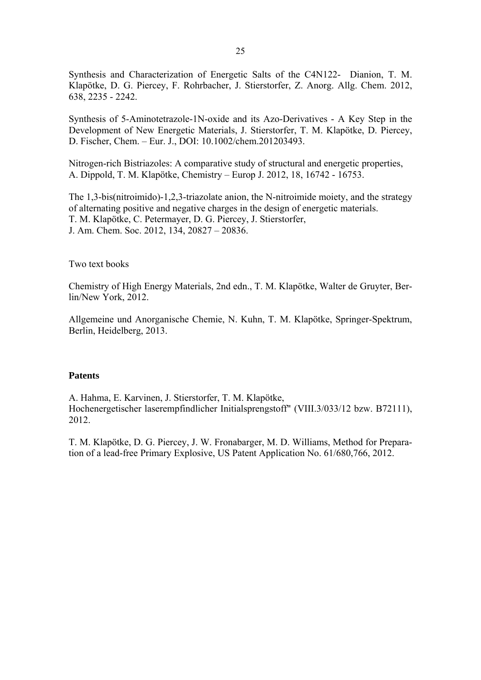Synthesis and Characterization of Energetic Salts of the C4N122- Dianion, T. M. Klapötke, D. G. Piercey, F. Rohrbacher, J. Stierstorfer, Z. Anorg. Allg. Chem. 2012, 638, 2235 - 2242.

Synthesis of 5-Aminotetrazole-1N-oxide and its Azo-Derivatives - A Key Step in the Development of New Energetic Materials, J. Stierstorfer, T. M. Klapötke, D. Piercey, D. Fischer, Chem. – Eur. J., DOI: 10.1002/chem.201203493.

Nitrogen-rich Bistriazoles: A comparative study of structural and energetic properties, A. Dippold, T. M. Klapötke, Chemistry – Europ J. 2012, 18, 16742 - 16753.

The 1,3-bis(nitroimido)-1,2,3-triazolate anion, the N-nitroimide moiety, and the strategy of alternating positive and negative charges in the design of energetic materials. T. M. Klapötke, C. Petermayer, D. G. Piercey, J. Stierstorfer, J. Am. Chem. Soc. 2012, 134, 20827 – 20836.

Two text books

Chemistry of High Energy Materials, 2nd edn., T. M. Klapötke, Walter de Gruyter, Berlin/New York, 2012.

Allgemeine und Anorganische Chemie, N. Kuhn, T. M. Klapötke, Springer-Spektrum, Berlin, Heidelberg, 2013.

## **Patents**

A. Hahma, E. Karvinen, J. Stierstorfer, T. M. Klapötke, Hochenergetischer laserempfindlicher Initialsprengstoff" (VIII.3/033/12 bzw. B72111), 2012.

T. M. Klapötke, D. G. Piercey, J. W. Fronabarger, M. D. Williams, Method for Preparation of a lead-free Primary Explosive, US Patent Application No. 61/680,766, 2012.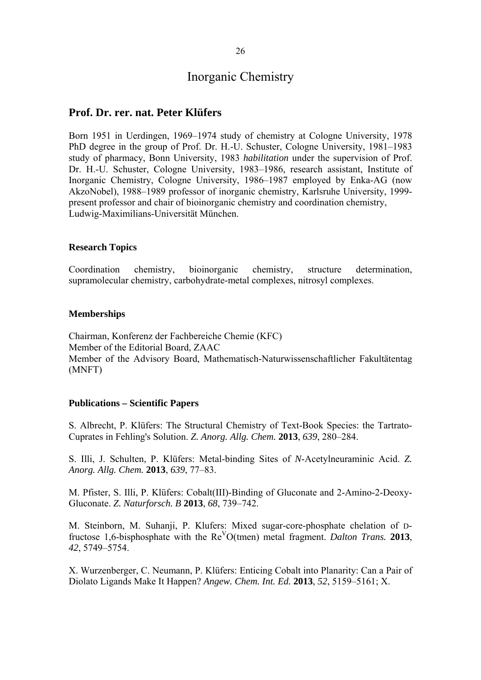## **Prof. Dr. rer. nat. Peter Klüfers**

Born 1951 in Uerdingen, 1969–1974 study of chemistry at Cologne University, 1978 PhD degree in the group of Prof. Dr. H.-U. Schuster, Cologne University, 1981–1983 study of pharmacy, Bonn University, 1983 *habilitation* under the supervision of Prof. Dr. H.-U. Schuster, Cologne University, 1983–1986, research assistant, Institute of Inorganic Chemistry, Cologne University, 1986–1987 employed by Enka-AG (now AkzoNobel), 1988–1989 professor of inorganic chemistry, Karlsruhe University, 1999 present professor and chair of bioinorganic chemistry and coordination chemistry, Ludwig-Maximilians-Universität München.

#### **Research Topics**

Coordination chemistry, bioinorganic chemistry, structure determination, supramolecular chemistry, carbohydrate-metal complexes, nitrosyl complexes.

#### **Memberships**

Chairman, Konferenz der Fachbereiche Chemie (KFC) Member of the Editorial Board, ZAAC Member of the Advisory Board, Mathematisch-Naturwissenschaftlicher Fakultätentag (MNFT)

#### **Publications – Scientific Papers**

S. Albrecht, P. Klüfers: The Structural Chemistry of Text-Book Species: the Tartrato-Cuprates in Fehling's Solution. *Z. Anorg. Allg. Chem.* **2013**, *639*, 280–284.

S. Illi, J. Schulten, P. Klüfers: Metal-binding Sites of *N*-Acetylneuraminic Acid. *Z. Anorg. Allg. Chem.* **2013**, *639*, 77–83.

M. Pfister, S. Illi, P. Klüfers: Cobalt(III)-Binding of Gluconate and 2-Amino-2-Deoxy-Gluconate. *Z. Naturforsch. B* **2013**, *68*, 739–742.

M. Steinborn, M. Suhanji, P. Klufers: Mixed sugar-core-phosphate chelation of Dfructose 1,6-bisphosphate with the ReVO(tmen) metal fragment. *Dalton Trans.* **2013**, *42*, 5749–5754.

X. Wurzenberger, C. Neumann, P. Klüfers: Enticing Cobalt into Planarity: Can a Pair of Diolato Ligands Make It Happen? *Angew. Chem. Int. Ed.* **2013**, *52*, 5159–5161; X.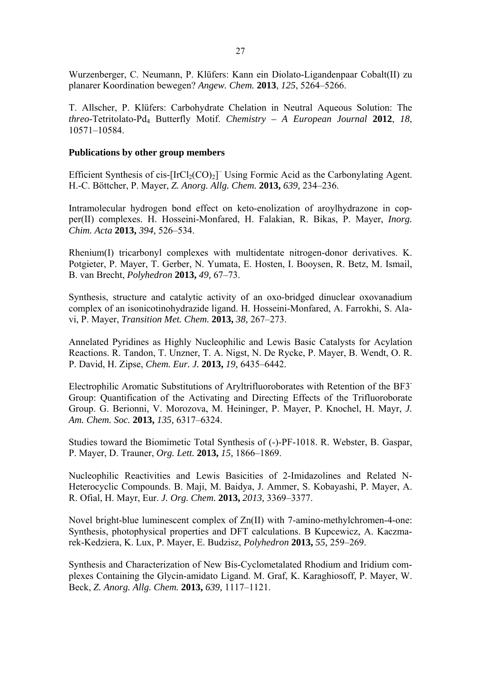Wurzenberger, C. Neumann, P. Klüfers: Kann ein Diolato-Ligandenpaar Cobalt(II) zu planarer Koordination bewegen? *Angew. Chem.* **2013**, *125*, 5264–5266.

T. Allscher, P. Klüfers: Carbohydrate Chelation in Neutral Aqueous Solution: The *threo*-Tetritolato-Pd4 Butterfly Motif. *Chemistry – A European Journal* **2012**, *18*, 10571–10584.

## **Publications by other group members**

Efficient Synthesis of cis- $[IrCl<sub>2</sub>(CO)<sub>2</sub>]$ <sup>-</sup> Using Formic Acid as the Carbonylating Agent. H.-C. Böttcher, P. Mayer, *Z. Anorg. Allg. Chem.* **2013,** *639,* 234–236.

Intramolecular hydrogen bond effect on keto-enolization of aroylhydrazone in copper(II) complexes. H. Hosseini-Monfared, H. Falakian, R. Bikas, P. Mayer, *Inorg. Chim. Acta* **2013,** *394,* 526–534.

Rhenium(I) tricarbonyl complexes with multidentate nitrogen-donor derivatives. K. Potgieter, P. Mayer, T. Gerber, N. Yumata, E. Hosten, I. Booysen, R. Betz, M. Ismail, B. van Brecht, *Polyhedron* **2013,** *49,* 67–73.

Synthesis, structure and catalytic activity of an oxo-bridged dinuclear oxovanadium complex of an isonicotinohydrazide ligand. H. Hosseini-Monfared, A. Farrokhi, S. Alavi, P. Mayer, *Transition Met. Chem.* **2013,** *38,* 267–273.

Annelated Pyridines as Highly Nucleophilic and Lewis Basic Catalysts for Acylation Reactions. R. Tandon, T. Unzner, T. A. Nigst, N. De Rycke, P. Mayer, B. Wendt, O. R. P. David, H. Zipse, *Chem. Eur. J.* **2013,** *19,* 6435–6442.

Electrophilic Aromatic Substitutions of Aryltrifluoroborates with Retention of the BF3- Group: Quantification of the Activating and Directing Effects of the Trifluoroborate Group. G. Berionni, V. Morozova, M. Heininger, P. Mayer, P. Knochel, H. Mayr, *J. Am. Chem. Soc.* **2013,** *135,* 6317–6324.

Studies toward the Biomimetic Total Synthesis of (-)-PF-1018. R. Webster, B. Gaspar, P. Mayer, D. Trauner, *Org. Lett.* **2013,** *15,* 1866–1869.

Nucleophilic Reactivities and Lewis Basicities of 2-Imidazolines and Related N-Heterocyclic Compounds. B. Maji, M. Baidya, J. Ammer, S. Kobayashi, P. Mayer, A. R. Ofial, H. Mayr, Eur. *J. Org. Chem.* **2013,** *2013,* 3369–3377.

Novel bright-blue luminescent complex of Zn(II) with 7-amino-methylchromen-4-one: Synthesis, photophysical properties and DFT calculations. B Kupcewicz, A. Kaczmarek-Kedziera, K. Lux, P. Mayer, E. Budzisz, *Polyhedron* **2013,** *55,* 259–269.

Synthesis and Characterization of New Bis-Cyclometalated Rhodium and Iridium complexes Containing the Glycin-amidato Ligand. M. Graf, K. Karaghiosoff, P. Mayer, W. Beck, *Z. Anorg. Allg. Chem.* **2013,** *639,* 1117–1121.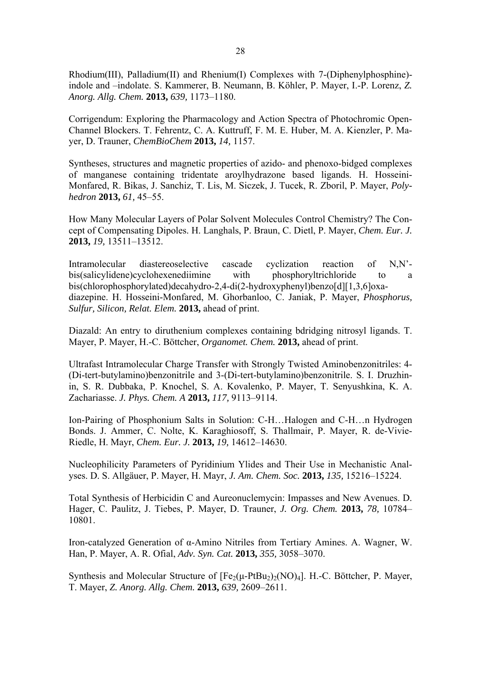Rhodium(III), Palladium(II) and Rhenium(I) Complexes with 7-(Diphenylphosphine) indole and –indolate. S. Kammerer, B. Neumann, B. Köhler, P. Mayer, I.-P. Lorenz, *Z. Anorg. Allg. Chem.* **2013,** *639,* 1173–1180.

Corrigendum: Exploring the Pharmacology and Action Spectra of Photochromic Open-Channel Blockers. T. Fehrentz, C. A. Kuttruff, F. M. E. Huber, M. A. Kienzler, P. Mayer, D. Trauner, *ChemBioChem* **2013,** *14,* 1157.

Syntheses, structures and magnetic properties of azido- and phenoxo-bidged complexes of manganese containing tridentate aroylhydrazone based ligands. H. Hosseini-Monfared, R. Bikas, J. Sanchiz, T. Lis, M. Siczek, J. Tucek, R. Zboril, P. Mayer, *Polyhedron* **2013,** *61,* 45–55.

How Many Molecular Layers of Polar Solvent Molecules Control Chemistry? The Concept of Compensating Dipoles. H. Langhals, P. Braun, C. Dietl, P. Mayer, *Chem. Eur. J.* **2013,** *19,* 13511–13512.

Intramolecular diastereoselective cascade cyclization reaction of N,N' bis(salicylidene)cyclohexenediimine with phosphoryltrichloride to a bis(chlorophosphorylated)decahydro-2,4-di(2-hydroxyphenyl)benzo[d][1,3,6]oxadiazepine. H. Hosseini-Monfared, M. Ghorbanloo, C. Janiak, P. Mayer, *Phosphorus, Sulfur, Silicon, Relat. Elem.* **2013,** ahead of print.

Diazald: An entry to diruthenium complexes containing bdridging nitrosyl ligands. T. Mayer, P. Mayer, H.-C. Böttcher, *Organomet. Chem.* **2013,** ahead of print.

Ultrafast Intramolecular Charge Transfer with Strongly Twisted Aminobenzonitriles: 4- (Di-tert-butylamino)benzonitrile and 3-(Di-tert-butylamino)benzonitrile. S. I. Druzhinin, S. R. Dubbaka, P. Knochel, S. A. Kovalenko, P. Mayer, T. Senyushkina, K. A. Zachariasse. *J. Phys. Chem. A* **2013,** *117,* 9113–9114.

Ion-Pairing of Phosphonium Salts in Solution: C-H…Halogen and C-H…n Hydrogen Bonds. J. Ammer, C. Nolte, K. Karaghiosoff, S. Thallmair, P. Mayer, R. de-Vivie-Riedle, H. Mayr, *Chem. Eur. J.* **2013,** *19,* 14612–14630.

Nucleophilicity Parameters of Pyridinium Ylides and Their Use in Mechanistic Analyses. D. S. Allgäuer, P. Mayer, H. Mayr, *J. Am. Chem. Soc.* **2013,** *135,* 15216–15224.

Total Synthesis of Herbicidin C and Aureonuclemycin: Impasses and New Avenues. D. Hager, C. Paulitz, J. Tiebes, P. Mayer, D. Trauner, *J. Org. Chem.* **2013,** *78,* 10784– 10801.

Iron-catalyzed Generation of α-Amino Nitriles from Tertiary Amines. A. Wagner, W. Han, P. Mayer, A. R. Ofial, *Adv. Syn. Cat.* **2013,** *355,* 3058–3070.

Synthesis and Molecular Structure of  $[Fe<sub>2</sub>(\mu-PtBu<sub>2</sub>)<sub>2</sub>(NO)<sub>4</sub>]$ . H.-C. Böttcher, P. Mayer, T. Mayer, *Z. Anorg. Allg. Chem.* **2013,** *639,* 2609–2611.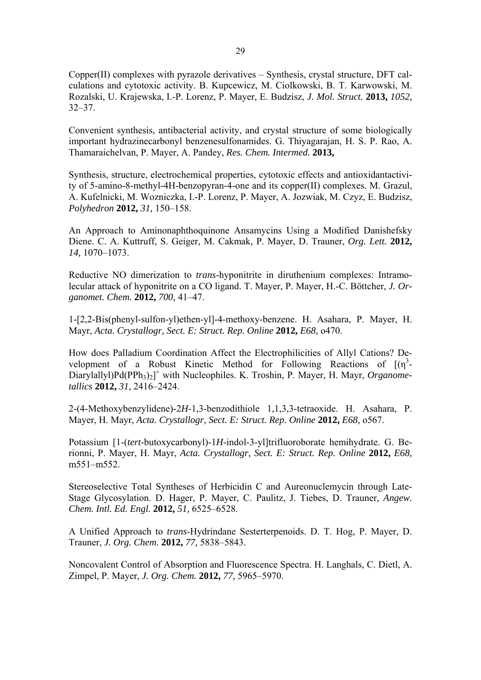Copper(II) complexes with pyrazole derivatives – Synthesis, crystal structure, DFT calculations and cytotoxic activity. B. Kupcewicz, M. Ciolkowski, B. T. Karwowski, M. Rozalski, U. Krajewska, I.-P. Lorenz, P. Mayer, E. Budzisz, *J. Mol. Struct.* **2013,** *1052,*  $32 - 37$ .

Convenient synthesis, antibacterial activity, and crystal structure of some biologically important hydrazinecarbonyl benzenesulfonamides. G. Thiyagarajan, H. S. P. Rao, A. Thamaraichelvan, P. Mayer, A. Pandey, *Res. Chem. Intermed.* **2013,**

Synthesis, structure, electrochemical properties, cytotoxic effects and antioxidantactivity of 5-amino-8-methyl-4H-benzopyran-4-one and its copper(II) complexes. M. Grazul, A. Kufelnicki, M. Wozniczka, I.-P. Lorenz, P. Mayer, A. Jozwiak, M. Czyz, E. Budzisz, *Polyhedron* **2012,** *31,* 150–158.

An Approach to Aminonaphthoquinone Ansamycins Using a Modified Danishefsky Diene. C. A. Kuttruff, S. Geiger, M. Cakmak, P. Mayer, D. Trauner, *Org. Lett.* **2012,** *14,* 1070–1073.

Reductive NO dimerization to *trans*-hyponitrite in diruthenium complexes: Intramolecular attack of hyponitrite on a CO ligand. T. Mayer, P. Mayer, H.-C. Böttcher, *J. Organomet. Chem.* **2012,** *700,* 41–47.

1-[2,2-Bis(phenyl-sulfon-yl)ethen-yl]-4-methoxy-benzene. H. Asahara, P. Mayer, H. Mayr, *Acta. Crystallogr, Sect. E: Struct. Rep. Online* **2012,** *E68,* o470.

How does Palladium Coordination Affect the Electrophilicities of Allyl Cations? Development of a Robust Kinetic Method for Following Reactions of  $[(\eta^3 -$ Diarylallyl)Pd(PPh<sub>3</sub>)<sub>2</sub>]<sup>+</sup> with Nucleophiles. K. Troshin, P. Mayer, H. Mayr, Organome*tallics* **2012,** *31,* 2416–2424.

2-(4-Methoxybenzylidene)-2*H*-1,3-benzodithiole 1,1,3,3-tetraoxide. H. Asahara, P. Mayer, H. Mayr, *Acta. Crystallogr, Sect. E: Struct. Rep. Online* **2012,** *E68,* o567.

Potassium [1-(*tert*-butoxycarbonyl)-1*H*-indol-3-yl]trifluoroborate hemihydrate. G. Berionni, P. Mayer, H. Mayr, *Acta. Crystallogr, Sect. E: Struct. Rep. Online* **2012,** *E68,* m551–m552.

Stereoselective Total Syntheses of Herbicidin C and Aureonuclemycin through Late-Stage Glycosylation. D. Hager, P. Mayer, C. Paulitz, J. Tiebes, D. Trauner, *Angew. Chem. Intl. Ed. Engl.* **2012,** *51,* 6525–6528.

A Unified Approach to *trans*-Hydrindane Sesterterpenoids. D. T. Hog, P. Mayer, D. Trauner, *J. Org. Chem.* **2012,** *77,* 5838–5843.

Noncovalent Control of Absorption and Fluorescence Spectra. H. Langhals, C. Dietl, A. Zimpel, P. Mayer, *J. Org. Chem.* **2012,** *77,* 5965–5970.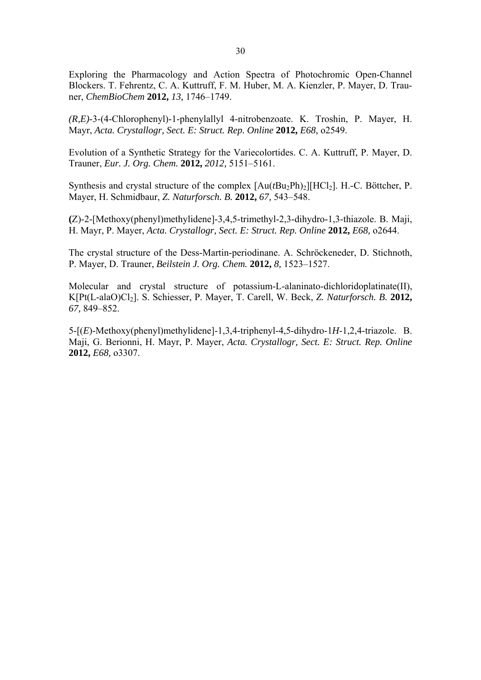Exploring the Pharmacology and Action Spectra of Photochromic Open-Channel Blockers. T. Fehrentz, C. A. Kuttruff, F. M. Huber, M. A. Kienzler, P. Mayer, D. Trauner, *ChemBioChem* **2012,** *13,* 1746–1749.

*(R,E)*-3-(4-Chlorophenyl)-1-phenylallyl 4-nitrobenzoate. K. Troshin, P. Mayer, H. Mayr, *Acta. Crystallogr, Sect. E: Struct. Rep. Online* **2012,** *E68,* o2549.

Evolution of a Synthetic Strategy for the Variecolortides. C. A. Kuttruff, P. Mayer, D. Trauner, *Eur. J. Org. Chem.* **2012,** *2012,* 5151–5161.

Synthesis and crystal structure of the complex  $[Au(tBu_2Ph)_2][HCl_2]$ . H.-C. Böttcher, P. Mayer, H. Schmidbaur, *Z. Naturforsch. B.* **2012,** *67,* 543–548.

**(**Z)-2-[Methoxy(phenyl)methylidene]-3,4,5-trimethyl-2,3-dihydro-1,3-thiazole. B. Maji, H. Mayr, P. Mayer, *Acta. Crystallogr, Sect. E: Struct. Rep. Online* **2012,** *E68,* o2644.

The crystal structure of the Dess-Martin-periodinane. A. Schröckeneder, D. Stichnoth, P. Mayer, D. Trauner, *Beilstein J. Org. Chem.* **2012,** *8,* 1523–1527.

Molecular and crystal structure of potassium-L-alaninato-dichloridoplatinate(II), K[Pt(L-alaO)Cl<sub>2</sub>]. S. Schiesser, P. Mayer, T. Carell, W. Beck, *Z. Naturforsch. B.* 2012, *67,* 849–852.

5-[(*E*)-Methoxy(phenyl)methylidene]-1,3,4-triphenyl-4,5-dihydro-1*H*-1,2,4-triazole. B. Maji, G. Berionni, H. Mayr, P. Mayer, *Acta. Crystallogr, Sect. E: Struct. Rep. Online* **2012,** *E68,* o3307.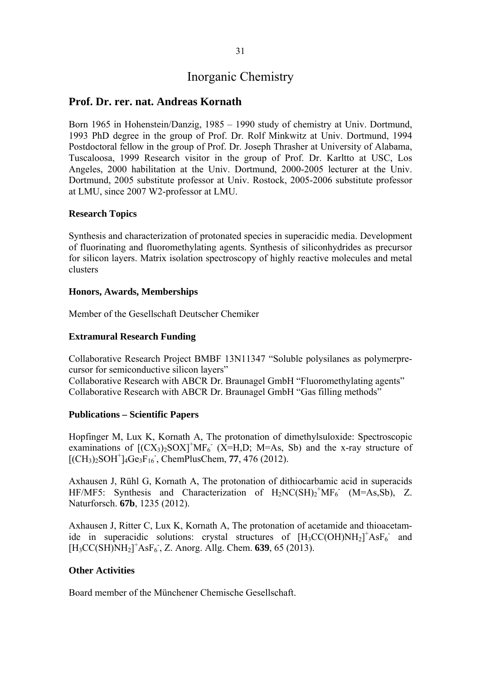# Inorganic Chemistry

# **Prof. Dr. rer. nat. Andreas Kornath**

Born 1965 in Hohenstein/Danzig, 1985 – 1990 study of chemistry at Univ. Dortmund, 1993 PhD degree in the group of Prof. Dr. Rolf Minkwitz at Univ. Dortmund, 1994 Postdoctoral fellow in the group of Prof. Dr. Joseph Thrasher at University of Alabama, Tuscaloosa, 1999 Research visitor in the group of Prof. Dr. Karltto at USC, Los Angeles, 2000 habilitation at the Univ. Dortmund, 2000-2005 lecturer at the Univ. Dortmund, 2005 substitute professor at Univ. Rostock, 2005-2006 substitute professor at LMU, since 2007 W2-professor at LMU.

## **Research Topics**

Synthesis and characterization of protonated species in superacidic media. Development of fluorinating and fluoromethylating agents. Synthesis of siliconhydrides as precursor for silicon layers. Matrix isolation spectroscopy of highly reactive molecules and metal clusters

## **Honors, Awards, Memberships**

Member of the Gesellschaft Deutscher Chemiker

## **Extramural Research Funding**

Collaborative Research Project BMBF 13N11347 "Soluble polysilanes as polymerprecursor for semiconductive silicon layers"

Collaborative Research with ABCR Dr. Braunagel GmbH "Fluoromethylating agents" Collaborative Research with ABCR Dr. Braunagel GmbH "Gas filling methods"

## **Publications – Scientific Papers**

Hopfinger M, Lux K, Kornath A, The protonation of dimethylsuloxide: Spectroscopic examinations of  $[(CX<sub>3</sub>)<sub>2</sub>SOX]<sup>+</sup>MF<sub>6</sub> (X=H,D; M=As, Sb)$  and the x-ray structure of  $[(CH<sub>3</sub>)<sub>2</sub>SOH<sup>+</sup>]<sub>4</sub>Ge<sub>3</sub>F<sub>16</sub>$ , ChemPlusChem, **77**, 476 (2012).

Axhausen J, Rühl G, Kornath A, The protonation of dithiocarbamic acid in superacids HF/MF5: Synthesis and Characterization of  $H_2NC(SH)_2^+MF_6$  (M=As,Sb), Z. Naturforsch. **67b**, 1235 (2012).

Axhausen J, Ritter C, Lux K, Kornath A, The protonation of acetamide and thioacetamide in superacidic solutions: crystal structures of  $[H<sub>3</sub>CC(OH)NH<sub>2</sub>]<sup>+</sup> AsF<sub>6</sub>$  and [H3CC(SH)NH2] + AsF6 - , Z. Anorg. Allg. Chem. **639**, 65 (2013).

## **Other Activities**

Board member of the Münchener Chemische Gesellschaft.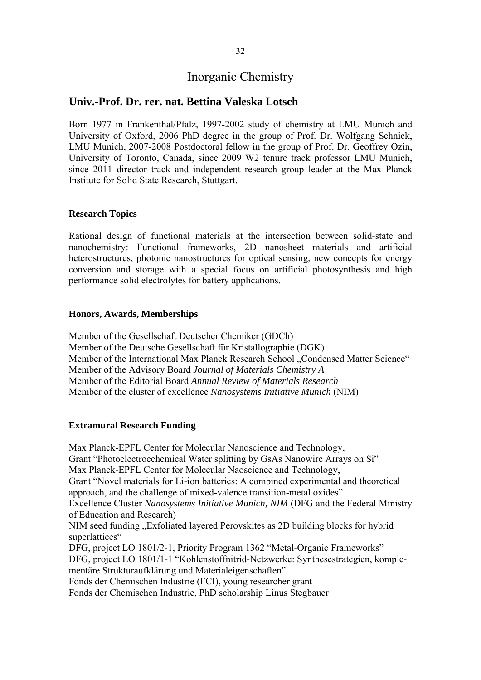# Inorganic Chemistry

# **Univ.-Prof. Dr. rer. nat. Bettina Valeska Lotsch**

Born 1977 in Frankenthal/Pfalz, 1997-2002 study of chemistry at LMU Munich and University of Oxford, 2006 PhD degree in the group of Prof. Dr. Wolfgang Schnick, LMU Munich, 2007-2008 Postdoctoral fellow in the group of Prof. Dr. Geoffrey Ozin, University of Toronto, Canada, since 2009 W2 tenure track professor LMU Munich, since 2011 director track and independent research group leader at the Max Planck Institute for Solid State Research, Stuttgart.

## **Research Topics**

Rational design of functional materials at the intersection between solid-state and nanochemistry: Functional frameworks, 2D nanosheet materials and artificial heterostructures, photonic nanostructures for optical sensing, new concepts for energy conversion and storage with a special focus on artificial photosynthesis and high performance solid electrolytes for battery applications.

### **Honors, Awards, Memberships**

Member of the Gesellschaft Deutscher Chemiker (GDCh) Member of the Deutsche Gesellschaft für Kristallographie (DGK) Member of the International Max Planck Research School ..Condensed Matter Science" Member of the Advisory Board *Journal of Materials Chemistry A* Member of the Editorial Board *Annual Review of Materials Research* Member of the cluster of excellence *Nanosystems Initiative Munich* (NIM)

## **Extramural Research Funding**

Max Planck-EPFL Center for Molecular Nanoscience and Technology, Grant "Photoelectroechemical Water splitting by GsAs Nanowire Arrays on Si" Max Planck-EPFL Center for Molecular Naoscience and Technology, Grant "Novel materials for Li-ion batteries: A combined experimental and theoretical approach, and the challenge of mixed-valence transition-metal oxides" Excellence Cluster *Nanosystems Initiative Munich, NIM* (DFG and the Federal Ministry of Education and Research) NIM seed funding "Exfoliated layered Perovskites as 2D building blocks for hybrid superlattices" DFG, project LO 1801/2-1, Priority Program 1362 "Metal-Organic Frameworks" DFG, project LO 1801/1-1 "Kohlenstoffnitrid-Netzwerke: Synthesestrategien, komplementäre Strukturaufklärung und Materialeigenschaften" Fonds der Chemischen Industrie (FCI), young researcher grant Fonds der Chemischen Industrie, PhD scholarship Linus Stegbauer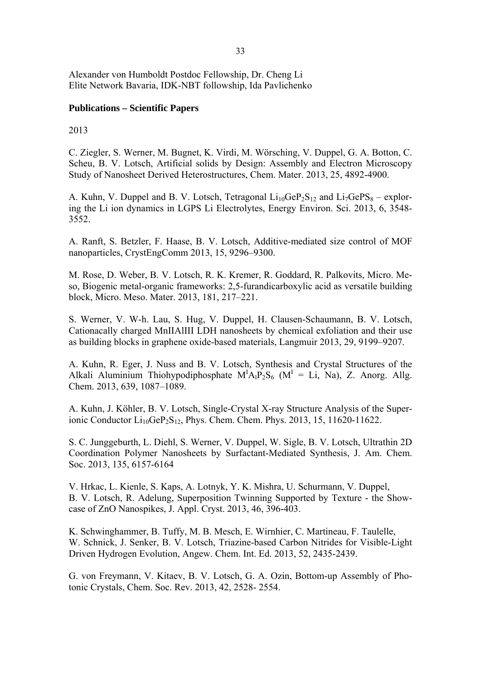Alexander von Humboldt Postdoc Fellowship, Dr. Cheng Li Elite Network Bavaria, IDK-NBT followship, Ida Pavlichenko

# **Publications – Scientific Papers**

# 2013

C. Ziegler, S. Werner, M. Bugnet, K. Virdi, M. Wörsching, V. Duppel, G. A. Botton, C. Scheu, B. V. Lotsch, Artificial solids by Design: Assembly and Electron Microscopy Study of Nanosheet Derived Heterostructures, Chem. Mater. 2013, 25, 4892-4900.

A. Kuhn, V. Duppel and B. V. Lotsch, Tetragonal  $Li_{10}GeP_2S_{12}$  and  $Li_7GePS_8$  – exploring the Li ion dynamics in LGPS Li Electrolytes, Energy Environ. Sci. 2013, 6, 3548- 3552.

A. Ranft, S. Betzler, F. Haase, B. V. Lotsch, Additive-mediated size control of MOF nanoparticles, CrystEngComm 2013, 15, 9296–9300.

M. Rose, D. Weber, B. V. Lotsch, R. K. Kremer, R. Goddard, R. Palkovits, Micro. Meso, Biogenic metal-organic frameworks: 2,5-furandicarboxylic acid as versatile building block, Micro. Meso. Mater. 2013, 181, 217–221.

S. Werner, V. W-h. Lau, S. Hug, V. Duppel, H. Clausen-Schaumann, B. V. Lotsch, Cationacally charged MnIIAlIII LDH nanosheets by chemical exfoliation and their use as building blocks in graphene oxide-based materials, Langmuir 2013, 29, 9199–9207.

A. Kuhn, R. Eger, J. Nuss and B. V. Lotsch, Synthesis and Crystal Structures of the Alkali Aluminium Thiohypodiphosphate  $M^{I}A_{I}P_{2}S_{6}$  ( $M^{I} = Li$ , Na), Z. Anorg. Allg. Chem. 2013, 639, 1087–1089.

A. Kuhn, J. Köhler, B. V. Lotsch, Single-Crystal X-ray Structure Analysis of the Superionic Conductor  $Li_{10}GeP_2S_{12}$ , Phys. Chem. Chem. Phys. 2013, 15, 11620-11622.

S. C. Junggeburth, L. Diehl, S. Werner, V. Duppel, W. Sigle, B. V. Lotsch, Ultrathin 2D Coordination Polymer Nanosheets by Surfactant-Mediated Synthesis, J. Am. Chem. Soc. 2013, 135, 6157-6164

V. Hrkac, L. Kienle, S. Kaps, A. Lotnyk, Y. K. Mishra, U. Schurmann, V. Duppel, B. V. Lotsch, R. Adelung, Superposition Twinning Supported by Texture - the Showcase of ZnO Nanospikes, J. Appl. Cryst. 2013, 46, 396-403.

K. Schwinghammer, B. Tuffy, M. B. Mesch, E. Wirnhier, C. Martineau, F. Taulelle, W. Schnick, J. Senker, B. V. Lotsch, Triazine-based Carbon Nitrides for Visible-Light Driven Hydrogen Evolution, Angew. Chem. Int. Ed. 2013, 52, 2435-2439.

G. von Freymann, V. Kitaev, B. V. Lotsch, G. A. Ozin, Bottom-up Assembly of Photonic Crystals, Chem. Soc. Rev. 2013, 42, 2528- 2554.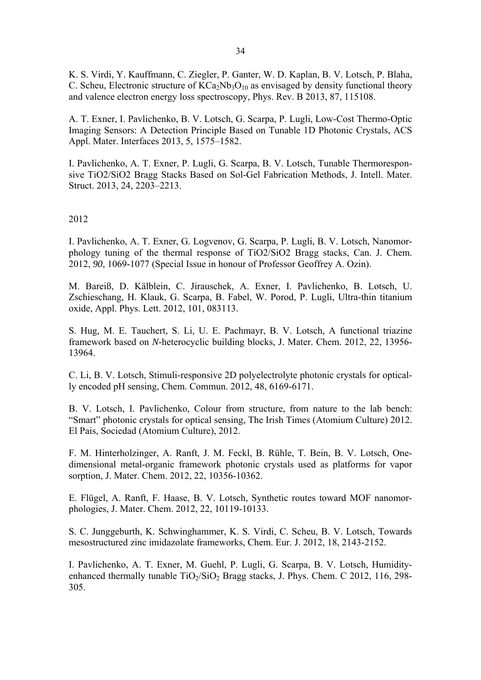K. S. Virdi, Y. Kauffmann, C. Ziegler, P. Ganter, W. D. Kaplan, B. V. Lotsch, P. Blaha, C. Scheu, Electronic structure of  $KCa_2Nb_3O_{10}$  as envisaged by density functional theory and valence electron energy loss spectroscopy, Phys. Rev. B 2013, 87, 115108.

A. T. Exner, I. Pavlichenko, B. V. Lotsch, G. Scarpa, P. Lugli, Low-Cost Thermo-Optic Imaging Sensors: A Detection Principle Based on Tunable 1D Photonic Crystals, ACS Appl. Mater. Interfaces 2013, 5, 1575–1582.

I. Pavlichenko, A. T. Exner, P. Lugli, G. Scarpa, B. V. Lotsch, Tunable Thermoresponsive TiO2/SiO2 Bragg Stacks Based on Sol-Gel Fabrication Methods, J. Intell. Mater. Struct. 2013, 24, 2203–2213.

## 2012

I. Pavlichenko, A. T. Exner, G. Logvenov, G. Scarpa, P. Lugli, B. V. Lotsch, Nanomorphology tuning of the thermal response of TiO2/SiO2 Bragg stacks, Can. J. Chem. 2012, *90*, 1069-1077 (Special Issue in honour of Professor Geoffrey A. Ozin).

M. Bareiß, D. Kälblein, C. Jirauschek, A. Exner, I. Pavlichenko, B. Lotsch, U. Zschieschang, H. Klauk, G. Scarpa, B. Fabel, W. Porod, P. Lugli, Ultra-thin titanium oxide, Appl. Phys. Lett. 2012, 101, 083113.

S. Hug*,* M. E. Tauchert*,* S. Li*,* U. E. Pachmayr, B. V. Lotsch, A functional triazine framework based on *N*-heterocyclic building blocks, J. Mater. Chem. 2012, 22, 13956- 13964.

C. Li, B. V. Lotsch, Stimuli-responsive 2D polyelectrolyte photonic crystals for optically encoded pH sensing, Chem. Commun. 2012, 48, 6169-6171.

B. V. Lotsch, I. Pavlichenko, Colour from structure, from nature to the lab bench: "Smart" photonic crystals for optical sensing, The Irish Times (Atomium Culture) 2012. El Pais, Sociedad (Atomium Culture), 2012.

F. M. Hinterholzinger, A. Ranft, J. M. Feckl, B. Rühle, T. Bein, B. V. Lotsch, Onedimensional metal-organic framework photonic crystals used as platforms for vapor sorption, J. Mater. Chem. 2012, 22, 10356-10362.

E. Flügel, A. Ranft, F. Haase, B. V. Lotsch, Synthetic routes toward MOF nanomorphologies, J. Mater. Chem. 2012, 22, 10119-10133.

S. C. Junggeburth, K. Schwinghammer, K. S. Virdi, C. Scheu, B. V. Lotsch, Towards mesostructured zinc imidazolate frameworks, Chem. Eur. J. 2012, 18, 2143-2152.

I. Pavlichenko, A. T. Exner, M. Guehl, P. Lugli, G. Scarpa, B. V. Lotsch, Humidityenhanced thermally tunable  $TiO<sub>2</sub>/SiO<sub>2</sub>$  Bragg stacks, J. Phys. Chem. C 2012, 116, 298-305.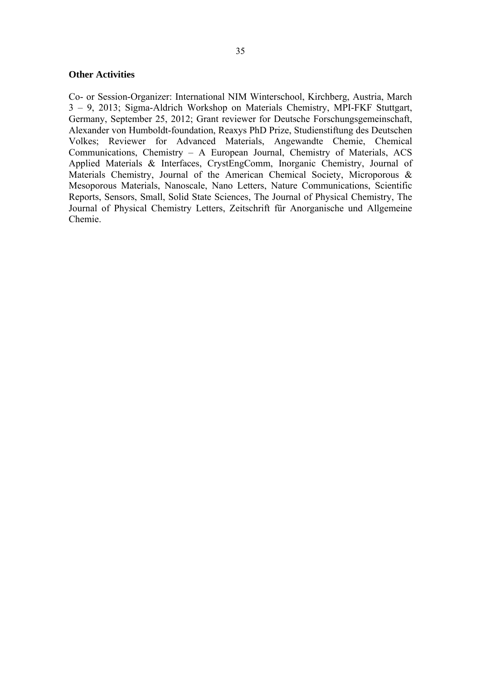#### **Other Activities**

Co- or Session-Organizer: International NIM Winterschool, Kirchberg, Austria, March 3 – 9, 2013; Sigma-Aldrich Workshop on Materials Chemistry, MPI-FKF Stuttgart, Germany, September 25, 2012; Grant reviewer for Deutsche Forschungsgemeinschaft, Alexander von Humboldt-foundation, Reaxys PhD Prize, Studienstiftung des Deutschen Volkes; Reviewer for Advanced Materials, Angewandte Chemie, Chemical Communications, Chemistry – A European Journal, Chemistry of Materials, ACS Applied Materials & Interfaces, CrystEngComm, Inorganic Chemistry, Journal of Materials Chemistry, Journal of the American Chemical Society, Microporous & Mesoporous Materials, Nanoscale, Nano Letters, Nature Communications, Scientific Reports, Sensors, Small, Solid State Sciences, The Journal of Physical Chemistry, The Journal of Physical Chemistry Letters, Zeitschrift für Anorganische und Allgemeine Chemie.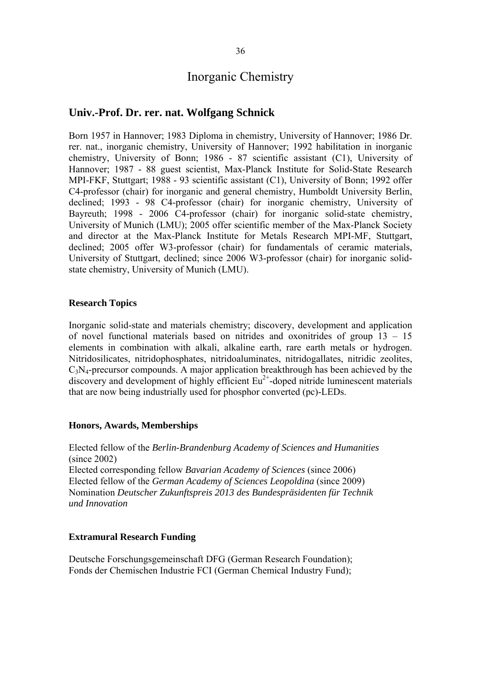# Inorganic Chemistry

# **Univ.-Prof. Dr. rer. nat. Wolfgang Schnick**

Born 1957 in Hannover; 1983 Diploma in chemistry, University of Hannover; 1986 Dr. rer. nat., inorganic chemistry, University of Hannover; 1992 habilitation in inorganic chemistry, University of Bonn; 1986 - 87 scientific assistant (C1), University of Hannover; 1987 - 88 guest scientist, Max-Planck Institute for Solid-State Research MPI-FKF, Stuttgart; 1988 - 93 scientific assistant (C1), University of Bonn; 1992 offer C4-professor (chair) for inorganic and general chemistry, Humboldt University Berlin, declined; 1993 - 98 C4-professor (chair) for inorganic chemistry, University of Bayreuth; 1998 - 2006 C4-professor (chair) for inorganic solid-state chemistry, University of Munich (LMU); 2005 offer scientific member of the Max-Planck Society and director at the Max-Planck Institute for Metals Research MPI-MF, Stuttgart, declined; 2005 offer W3-professor (chair) for fundamentals of ceramic materials, University of Stuttgart, declined; since 2006 W3-professor (chair) for inorganic solidstate chemistry, University of Munich (LMU).

### **Research Topics**

Inorganic solid-state and materials chemistry; discovery, development and application of novel functional materials based on nitrides and oxonitrides of group 13 – 15 elements in combination with alkali, alkaline earth, rare earth metals or hydrogen. Nitridosilicates, nitridophosphates, nitridoaluminates, nitridogallates, nitridic zeolites,  $C_3N_4$ -precursor compounds. A major application breakthrough has been achieved by the discovery and development of highly efficient  $Eu^{2+}$ -doped nitride luminescent materials that are now being industrially used for phosphor converted (pc)-LEDs.

#### **Honors, Awards, Memberships**

Elected fellow of the *Berlin-Brandenburg Academy of Sciences and Humanities* (since 2002) Elected corresponding fellow *Bavarian Academy of Sciences* (since 2006) Elected fellow of the *German Academy of Sciences Leopoldina* (since 2009) Nomination *Deutscher Zukunftspreis 2013 des Bundespräsidenten für Technik und Innovation* 

#### **Extramural Research Funding**

Deutsche Forschungsgemeinschaft DFG (German Research Foundation); Fonds der Chemischen Industrie FCI (German Chemical Industry Fund);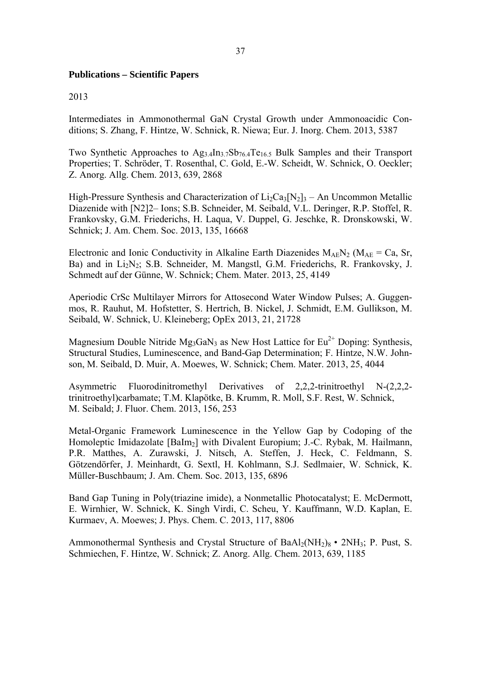### **Publications – Scientific Papers**

#### 2013

Intermediates in Ammonothermal GaN Crystal Growth under Ammonoacidic Conditions; S. Zhang, F. Hintze, W. Schnick, R. Niewa; Eur. J. Inorg. Chem. 2013, 5387

Two Synthetic Approaches to  $Ag_{3,4}In_{3,7}Sb_{76,4}Te_{16,5}$  Bulk Samples and their Transport Properties; T. Schröder, T. Rosenthal, C. Gold, E.-W. Scheidt, W. Schnick, O. Oeckler; Z. Anorg. Allg. Chem. 2013, 639, 2868

High-Pressure Synthesis and Characterization of  $Li_2Ca_3[N_2]_3$  – An Uncommon Metallic Diazenide with [N2]2– Ions; S.B. Schneider, M. Seibald, V.L. Deringer, R.P. Stoffel, R. Frankovsky, G.M. Friederichs, H. Laqua, V. Duppel, G. Jeschke, R. Dronskowski, W. Schnick; J. Am. Chem. Soc. 2013, 135, 16668

Electronic and Ionic Conductivity in Alkaline Earth Diazenides  $M_{AF}N_2$  ( $M_{AF}$  = Ca, Sr, Ba) and in Li<sub>2</sub>N<sub>2</sub>; S.B. Schneider, M. Mangstl, G.M. Friederichs, R. Frankovsky, J. Schmedt auf der Günne, W. Schnick; Chem. Mater. 2013, 25, 4149

Aperiodic CrSc Multilayer Mirrors for Attosecond Water Window Pulses; A. Guggenmos, R. Rauhut, M. Hofstetter, S. Hertrich, B. Nickel, J. Schmidt, E.M. Gullikson, M. Seibald, W. Schnick, U. Kleineberg; OpEx 2013, 21, 21728

Magnesium Double Nitride Mg<sub>3</sub>GaN<sub>3</sub> as New Host Lattice for  $Eu^{2+}$  Doping: Synthesis, Structural Studies, Luminescence, and Band-Gap Determination; F. Hintze, N.W. Johnson, M. Seibald, D. Muir, A. Moewes, W. Schnick; Chem. Mater. 2013, 25, 4044

Asymmetric Fluorodinitromethyl Derivatives of 2,2,2-trinitroethyl N-(2,2,2 trinitroethyl)carbamate; T.M. Klapötke, B. Krumm, R. Moll, S.F. Rest, W. Schnick, M. Seibald; J. Fluor. Chem. 2013, 156, 253

Metal-Organic Framework Luminescence in the Yellow Gap by Codoping of the Homoleptic Imidazolate [BaIm<sub>2</sub>] with Divalent Europium; J.-C. Rybak, M. Hailmann, P.R. Matthes, A. Zurawski, J. Nitsch, A. Steffen, J. Heck, C. Feldmann, S. Götzendörfer, J. Meinhardt, G. Sextl, H. Kohlmann, S.J. Sedlmaier, W. Schnick, K. Müller-Buschbaum; J. Am. Chem. Soc. 2013, 135, 6896

Band Gap Tuning in Poly(triazine imide), a Nonmetallic Photocatalyst; E. McDermott, E. Wirnhier, W. Schnick, K. Singh Virdi, C. Scheu, Y. Kauffmann, W.D. Kaplan, E. Kurmaev, A. Moewes; J. Phys. Chem. C. 2013, 117, 8806

Ammonothermal Synthesis and Crystal Structure of  $BaAl<sub>2</sub>(NH<sub>2</sub>)<sub>8</sub>$  • 2NH<sub>3</sub>; P. Pust, S. Schmiechen, F. Hintze, W. Schnick; Z. Anorg. Allg. Chem. 2013, 639, 1185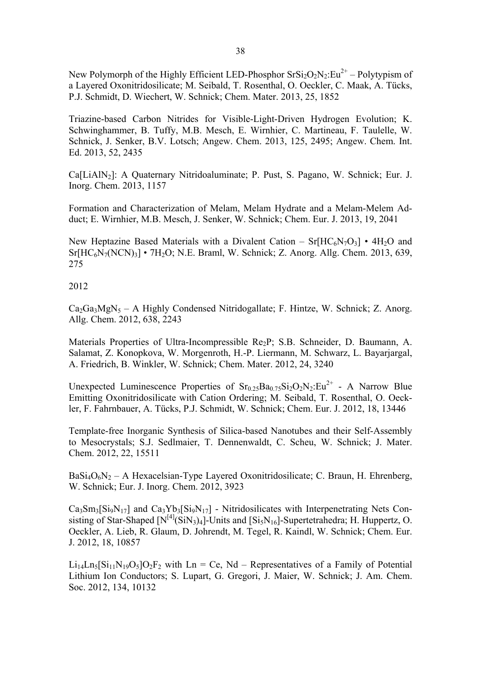New Polymorph of the Highly Efficient LED-Phosphor  $Srsi<sub>2</sub>O<sub>2</sub>N<sub>2</sub>:Eu<sup>2+</sup> – Polytypism of$ a Layered Oxonitridosilicate; M. Seibald, T. Rosenthal, O. Oeckler, C. Maak, A. Tücks, P.J. Schmidt, D. Wiechert, W. Schnick; Chem. Mater. 2013, 25, 1852

Triazine-based Carbon Nitrides for Visible-Light-Driven Hydrogen Evolution; K. Schwinghammer, B. Tuffy, M.B. Mesch, E. Wirnhier, C. Martineau, F. Taulelle, W. Schnick, J. Senker, B.V. Lotsch; Angew. Chem. 2013, 125, 2495; Angew. Chem. Int. Ed. 2013, 52, 2435

Ca[LiAlN<sub>2</sub>]: A Quaternary Nitridoaluminate; P. Pust, S. Pagano, W. Schnick; Eur. J. Inorg. Chem. 2013, 1157

Formation and Characterization of Melam, Melam Hydrate and a Melam-Melem Adduct; E. Wirnhier, M.B. Mesch, J. Senker, W. Schnick; Chem. Eur. J. 2013, 19, 2041

New Heptazine Based Materials with a Divalent Cation –  $Sr[HC_6N_7O_3] \cdot 4H_2O$  and  $Sr[HC<sub>6</sub>N<sub>7</sub>(NCN)<sub>3</sub>]$  • 7H<sub>2</sub>O; N.E. Braml, W. Schnick; Z. Anorg. Allg. Chem. 2013, 639, 275

2012

 $Ca<sub>2</sub>Ga<sub>3</sub>MgN<sub>5</sub> - A$  Highly Condensed Nitridogallate; F. Hintze, W. Schnick; Z. Anorg. Allg. Chem. 2012, 638, 2243

Materials Properties of Ultra-Incompressible Re<sub>2</sub>P; S.B. Schneider, D. Baumann, A. Salamat, Z. Konopkova, W. Morgenroth, H.-P. Liermann, M. Schwarz, L. Bayarjargal, A. Friedrich, B. Winkler, W. Schnick; Chem. Mater. 2012, 24, 3240

Unexpected Luminescence Properties of  $Sr<sub>0.25</sub>Ba<sub>0.75</sub>Si<sub>2</sub>O<sub>2</sub>N<sub>2</sub>:Eu<sup>2+</sup> - A Narrow Blue$ Emitting Oxonitridosilicate with Cation Ordering; M. Seibald, T. Rosenthal, O. Oeckler, F. Fahrnbauer, A. Tücks, P.J. Schmidt, W. Schnick; Chem. Eur. J. 2012, 18, 13446

Template-free Inorganic Synthesis of Silica-based Nanotubes and their Self-Assembly to Mesocrystals; S.J. Sedlmaier, T. Dennenwaldt, C. Scheu, W. Schnick; J. Mater. Chem. 2012, 22, 15511

 $BaSi<sub>4</sub>O<sub>6</sub>N<sub>2</sub> - A Hexacelsian-Type Layered Oxonitridosilicate; C. Braun, H. Ehrenberg,$ W. Schnick; Eur. J. Inorg. Chem. 2012, 3923

 $Ca_3Sm_3[Si_9N_{17}]$  and  $Ca_3Yb_3[Si_9N_{17}]$  - Nitridosilicates with Interpenetrating Nets Consisting of Star-Shaped  $[N^{[4]}(SiN_3)_4]$ -Units and  $[Si_5N_{16}]$ -Supertetrahedra; H. Huppertz, O. Oeckler, A. Lieb, R. Glaum, D. Johrendt, M. Tegel, R. Kaindl, W. Schnick; Chem. Eur. J. 2012, 18, 10857

 $Li<sub>14</sub>Ln<sub>5</sub>[Si<sub>11</sub>N<sub>19</sub>O<sub>5</sub>]O<sub>2</sub>F<sub>2</sub> with Ln = Ce, Nd – Representatives of a Family of Potential$ Lithium Ion Conductors; S. Lupart, G. Gregori, J. Maier, W. Schnick; J. Am. Chem. Soc. 2012, 134, 10132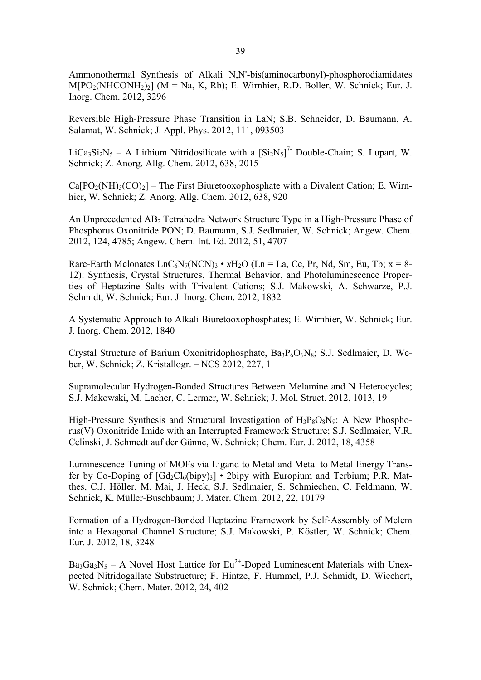Ammonothermal Synthesis of Alkali N,N'-bis(aminocarbonyl)-phosphorodiamidates  $M[PO<sub>2</sub>(NHCONH<sub>2</sub>)<sub>2</sub>]$  (M = Na, K, Rb); E. Wirnhier, R.D. Boller, W. Schnick; Eur. J. Inorg. Chem. 2012, 3296

Reversible High-Pressure Phase Transition in LaN; S.B. Schneider, D. Baumann, A. Salamat, W. Schnick; J. Appl. Phys. 2012, 111, 093503

LiCa<sub>3</sub>Si<sub>2</sub>N<sub>5</sub> – A Lithium Nitridosilicate with a  $[Si<sub>2</sub>N<sub>5</sub>]<sup>7</sup>$  Double-Chain; S. Lupart, W. Schnick; Z. Anorg. Allg. Chem. 2012, 638, 2015

 $Ca[PO<sub>2</sub>(NH)<sub>3</sub>(CO)<sub>2</sub>]$  – The First Biuretooxophosphate with a Divalent Cation; E. Wirnhier, W. Schnick; Z. Anorg. Allg. Chem. 2012, 638, 920

An Unprecedented AB<sub>2</sub> Tetrahedra Network Structure Type in a High-Pressure Phase of Phosphorus Oxonitride PON; D. Baumann, S.J. Sedlmaier, W. Schnick; Angew. Chem. 2012, 124, 4785; Angew. Chem. Int. Ed. 2012, 51, 4707

Rare-Earth Melonates  $LnC_6N_7(NCN)_3 \cdot xH_2O$  (Ln = La, Ce, Pr, Nd, Sm, Eu, Tb;  $x = 8$ -12): Synthesis, Crystal Structures, Thermal Behavior, and Photoluminescence Properties of Heptazine Salts with Trivalent Cations; S.J. Makowski, A. Schwarze, P.J. Schmidt, W. Schnick; Eur. J. Inorg. Chem. 2012, 1832

A Systematic Approach to Alkali Biuretooxophosphates; E. Wirnhier, W. Schnick; Eur. J. Inorg. Chem. 2012, 1840

Crystal Structure of Barium Oxonitridophosphate, Ba<sub>3</sub>P<sub>6</sub>O<sub>6</sub>N<sub>8</sub>; S.J. Sedlmaier, D. Weber, W. Schnick; Z. Kristallogr. – NCS 2012, 227, 1

Supramolecular Hydrogen-Bonded Structures Between Melamine and N Heterocycles; S.J. Makowski, M. Lacher, C. Lermer, W. Schnick; J. Mol. Struct. 2012, 1013, 19

High-Pressure Synthesis and Structural Investigation of  $H_3P_8O_8N_9$ : A New Phosphorus(V) Oxonitride Imide with an Interrupted Framework Structure; S.J. Sedlmaier, V.R. Celinski, J. Schmedt auf der Günne, W. Schnick; Chem. Eur. J. 2012, 18, 4358

Luminescence Tuning of MOFs via Ligand to Metal and Metal to Metal Energy Transfer by Co-Doping of  $[Gd_2Cl_6(bipy)_3]$  • 2bipy with Europium and Terbium; P.R. Matthes, C.J. Höller, M. Mai, J. Heck, S.J. Sedlmaier, S. Schmiechen, C. Feldmann, W. Schnick, K. Müller-Buschbaum; J. Mater. Chem. 2012, 22, 10179

Formation of a Hydrogen-Bonded Heptazine Framework by Self-Assembly of Melem into a Hexagonal Channel Structure; S.J. Makowski, P. Köstler, W. Schnick; Chem. Eur. J. 2012, 18, 3248

 $Ba_3Ga_3N_5 - A$  Novel Host Lattice for Eu<sup>2+</sup>-Doped Luminescent Materials with Unexpected Nitridogallate Substructure; F. Hintze, F. Hummel, P.J. Schmidt, D. Wiechert, W. Schnick; Chem. Mater. 2012, 24, 402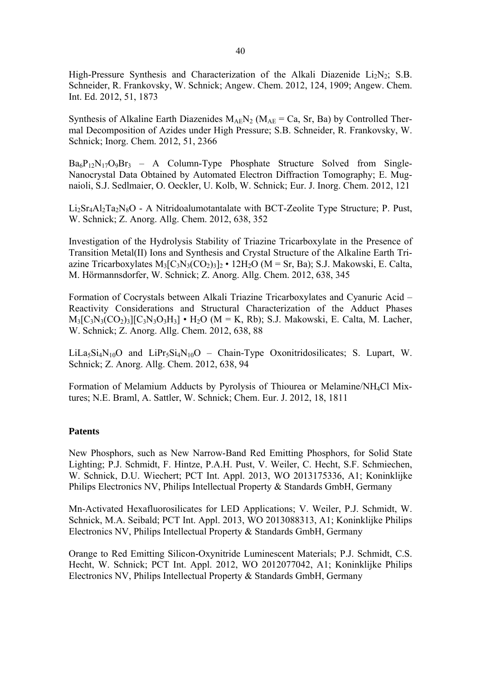High-Pressure Synthesis and Characterization of the Alkali Diazenide  $Li<sub>2</sub>N<sub>2</sub>$ ; S.B. Schneider, R. Frankovsky, W. Schnick; Angew. Chem. 2012, 124, 1909; Angew. Chem. Int. Ed. 2012, 51, 1873

Synthesis of Alkaline Earth Diazenides  $M_{AE}N_2$  ( $M_{AE} = Ca$ , Sr, Ba) by Controlled Thermal Decomposition of Azides under High Pressure; S.B. Schneider, R. Frankovsky, W. Schnick; Inorg. Chem. 2012, 51, 2366

 $Ba_6P_{12}N_{17}O_9Br_3 - A$  Column-Type Phosphate Structure Solved from Single-Nanocrystal Data Obtained by Automated Electron Diffraction Tomography; E. Mugnaioli, S.J. Sedlmaier, O. Oeckler, U. Kolb, W. Schnick; Eur. J. Inorg. Chem. 2012, 121

 $Li<sub>2</sub>St<sub>4</sub>Al<sub>2</sub>Ta<sub>2</sub>N<sub>8</sub>O - A Nitridoalumotantalate with BCT-Zeolite Type Structure; P. Pust,$ W. Schnick; Z. Anorg. Allg. Chem. 2012, 638, 352

Investigation of the Hydrolysis Stability of Triazine Tricarboxylate in the Presence of Transition Metal(II) Ions and Synthesis and Crystal Structure of the Alkaline Earth Triazine Tricarboxylates  $M_3[C_3N_3(CO_2)_3]_2 \cdot 12H_2O$  (M = Sr, Ba); S.J. Makowski, E. Calta, M. Hörmannsdorfer, W. Schnick; Z. Anorg. Allg. Chem. 2012, 638, 345

Formation of Cocrystals between Alkali Triazine Tricarboxylates and Cyanuric Acid – Reactivity Considerations and Structural Characterization of the Adduct Phases  $M_3[C_3N_3(CO_2)_3][C_3N_3O_3H_3]$  •  $H_2O$  (M = K, Rb); S.J. Makowski, E. Calta, M. Lacher, W. Schnick; Z. Anorg. Allg. Chem. 2012, 638, 88

 $LiLa<sub>5</sub>Si<sub>4</sub>N<sub>10</sub>O$  and  $LiPr<sub>5</sub>Si<sub>4</sub>N<sub>10</sub>O$  – Chain-Type Oxonitridosilicates; S. Lupart, W. Schnick; Z. Anorg. Allg. Chem. 2012, 638, 94

Formation of Melamium Adducts by Pyrolysis of Thiourea or Melamine/NH4Cl Mixtures; N.E. Braml, A. Sattler, W. Schnick; Chem. Eur. J. 2012, 18, 1811

## **Patents**

New Phosphors, such as New Narrow-Band Red Emitting Phosphors, for Solid State Lighting; P.J. Schmidt, F. Hintze, P.A.H. Pust, V. Weiler, C. Hecht, S.F. Schmiechen, W. Schnick, D.U. Wiechert; PCT Int. Appl. 2013, WO 2013175336, A1; Koninklijke Philips Electronics NV, Philips Intellectual Property & Standards GmbH, Germany

Mn-Activated Hexafluorosilicates for LED Applications; V. Weiler, P.J. Schmidt, W. Schnick, M.A. Seibald; PCT Int. Appl. 2013, WO 2013088313, A1; Koninklijke Philips Electronics NV, Philips Intellectual Property & Standards GmbH, Germany

Orange to Red Emitting Silicon-Oxynitride Luminescent Materials; P.J. Schmidt, C.S. Hecht, W. Schnick; PCT Int. Appl. 2012, WO 2012077042, A1; Koninklijke Philips Electronics NV, Philips Intellectual Property & Standards GmbH, Germany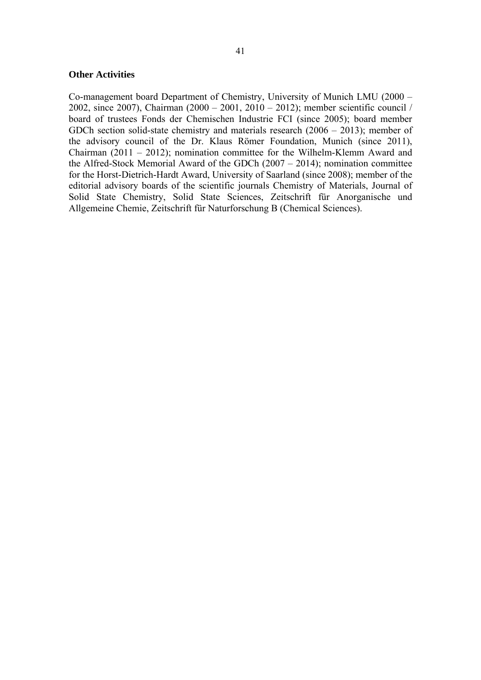#### **Other Activities**

Co-management board Department of Chemistry, University of Munich LMU (2000 – 2002, since 2007), Chairman (2000 – 2001, 2010 – 2012); member scientific council / board of trustees Fonds der Chemischen Industrie FCI (since 2005); board member GDCh section solid-state chemistry and materials research (2006 – 2013); member of the advisory council of the Dr. Klaus Römer Foundation, Munich (since 2011), Chairman (2011 – 2012); nomination committee for the Wilhelm-Klemm Award and the Alfred-Stock Memorial Award of the GDCh (2007 – 2014); nomination committee for the Horst-Dietrich-Hardt Award, University of Saarland (since 2008); member of the editorial advisory boards of the scientific journals Chemistry of Materials, Journal of Solid State Chemistry, Solid State Sciences, Zeitschrift für Anorganische und Allgemeine Chemie, Zeitschrift für Naturforschung B (Chemical Sciences).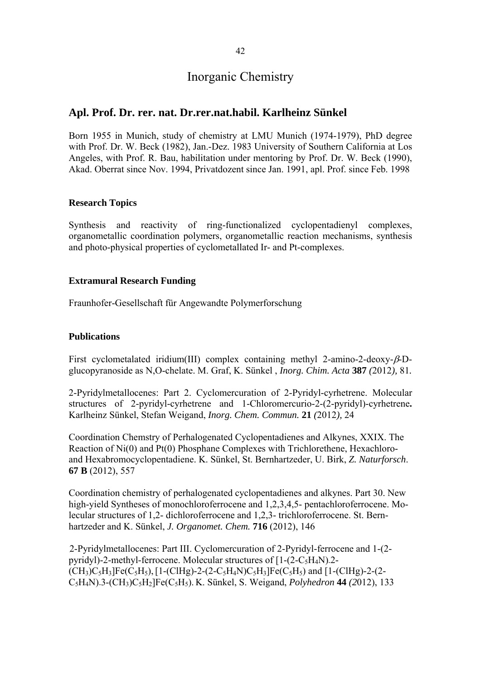# Inorganic Chemistry

# **Apl. Prof. Dr. rer. nat. Dr.rer.nat.habil. Karlheinz Sünkel**

Born 1955 in Munich, study of chemistry at LMU Munich (1974-1979), PhD degree with Prof. Dr. W. Beck (1982), Jan.-Dez. 1983 University of Southern California at Los. Angeles, with Prof. R. Bau, habilitation under mentoring by Prof. Dr. W. Beck (1990), Akad. Oberrat since Nov. 1994, Privatdozent since Jan. 1991, apl. Prof. since Feb. 1998

# **Research Topics**

Synthesis and reactivity of ring-functionalized cyclopentadienyl complexes, organometallic coordination polymers, organometallic reaction mechanisms, synthesis and photo-physical properties of cyclometallated Ir- and Pt-complexes.

# **Extramural Research Funding**

Fraunhofer-Gesellschaft für Angewandte Polymerforschung

# **Publications**

First cyclometalated iridium(III) complex containing methyl 2-amino-2-deoxy- $\beta$ -Dglucopyranoside as N,O-chelate. M. Graf, K. Sünkel , *Inorg. Chim. Acta* **387** *(*2012*),* 81*.* 

2-Pyridylmetallocenes: Part 2. Cyclomercuration of 2-Pyridyl-cyrhetrene. Molecular structures of 2-pyridyl-cyrhetrene and 1-Chloromercurio-2-(2-pyridyl)-cyrhetrene**.**  Karlheinz Sünkel, Stefan Weigand, *Inorg. Chem. Commun.* **21** *(*2012*),* 24

Coordination Chemstry of Perhalogenated Cyclopentadienes and Alkynes, XXIX. The Reaction of Ni(0) and Pt(0) Phosphane Complexes with Trichlorethene, Hexachloroand Hexabromocyclopentadiene. K. Sünkel, St. Bernhartzeder, U. Birk, *Z. Naturforsch*. **67 B** (2012), 557

Coordination chemistry of perhalogenated cyclopentadienes and alkynes. Part 30. New high-yield Syntheses of monochloroferrocene and 1,2,3,4,5- pentachloroferrocene. Molecular structures of 1,2- dichloroferrocene and 1,2,3- trichloroferrocene. St. Bernhartzeder and K. Sünkel, *J. Organomet. Chem.* **716** (2012), 146

2-Pyridylmetallocenes: Part III. Cyclomercuration of 2-Pyridyl-ferrocene and 1-(2 pyridyl)-2-methyl-ferrocene. Molecular structures of  $[1-(2-C<sub>5</sub>H<sub>4</sub>N).2 (CH_3)C_5H_3[Fe(C_5H_5), [1-(CIHg)-2-(2-C_5H_4N)C_5H_3]Fe(C_5H_5)$  and  $[1-(CIHg)-2-(2-C_5H_4N)C_5H_3]Fe(C_5H_5)$ C5H4N)-3-(CH3)C5H2]Fe(C5H5). K. Sünkel, S. Weigand, *Polyhedron* **44** *(2*012), 133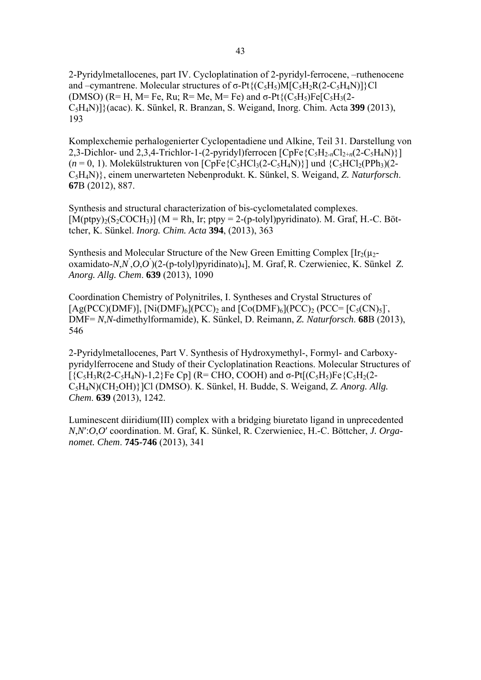2-Pyridylmetallocenes, part IV. Cycloplatination of 2-pyridyl-ferrocene, –ruthenocene and –cymantrene. Molecular structures of  $\sigma$ -Pt $\{ (C_5H_5)$ M[C<sub>5</sub>H<sub>2</sub>R(2-C<sub>5</sub>H<sub>4</sub>N)]}Cl (DMSO) ( $R=H$ ,  $M=Fe$ ,  $Ru$ ;  $R=Me$ ,  $M=Fe$ ) and  $\sigma$ - $Pt$ { $(C_5H_5)Fe[C_5H_3(2-$ C5H4N)]}(acac). K. Sünkel, R. Branzan, S. Weigand, Inorg. Chim. Acta **399** (2013), 193

Komplexchemie perhalogenierter Cyclopentadiene und Alkine, Teil 31. Darstellung von 2,3-Dichlor- und 2,3,4-Trichlor-1-(2-pyridyl)ferrocen  $[\text{CpFe} \{C_5H_{2n}Cl_{2+n}(2-C_5H_4N)\}]$  $(n=0, 1)$ . Molekülstrukturen von  $[CpFe{C<sub>5</sub>HCl<sub>3</sub>(2-C<sub>5</sub>H<sub>4</sub>N)}]$  und  ${C<sub>5</sub>HCl<sub>2</sub>(PPh<sub>3</sub>)(2-$ C5H4N)}, einem unerwarteten Nebenprodukt. K. Sünkel, S. Weigand, *Z. Naturforsch*. **67**B (2012), 887.

Synthesis and structural characterization of bis-cyclometalated complexes.  $[M(\text{ptpy})_2(S_2\text{COCH}_3)]$  (M = Rh, Ir; ptpy = 2-(p-tolyl)pyridinato). M. Graf, H.-C. Böttcher, K. Sünkel. *Inorg. Chim. Acta* **394**, (2013), 363

Synthesis and Molecular Structure of the New Green Emitting Complex  $[\text{Ir}_2(\mu_2$ oxamidato-*N*,*N*' ,*O*,*O*' )(2-(p-tolyl)pyridinato)4], M. Graf,R. Czerwieniec, K. Sünkel *Z. Anorg. Allg. Chem*. **639** (2013), 1090

Coordination Chemistry of Polynitriles, I. Syntheses and Crystal Structures of [Ag(PCC)(DMF)], [Ni(DMF)<sub>6</sub>](PCC)<sub>2</sub> and [Co(DMF)<sub>6</sub>](PCC)<sub>2</sub> (PCC= [C<sub>5</sub>(CN)<sub>5</sub>]<sup>-</sup>, DMF= *N*,*N*-dimethylformamide), K. Sünkel, D. Reimann, *Z. Naturforsch*. **68**B (2013), 546

2-Pyridylmetallocenes, Part V. Synthesis of Hydroxymethyl-, Formyl- and Carboxypyridylferrocene and Study of their Cycloplatination Reactions. Molecular Structures of  $[\{C_5H_3R(2-C_5H_4N)-1,2\}$ Fe Cp] (R= CHO, COOH) and  $\sigma$ -Pt $[(C_5H_5)Fe\{C_5H_2(2-C_5H_4N)-1,2\}$ C5H4N)(CH2OH)}]Cl (DMSO). K. Sünkel, H. Budde, S. Weigand, *Z. Anorg. Allg. Chem*. **639** (2013), 1242.

Luminescent diiridium(III) complex with a bridging biuretato ligand in unprecedented *N*,*N*′:*O*,*O*′ coordination. M. Graf, K. Sünkel, R. Czerwieniec, H.-C. Böttcher, *J. Organomet. Chem*. **745-746** (2013), 341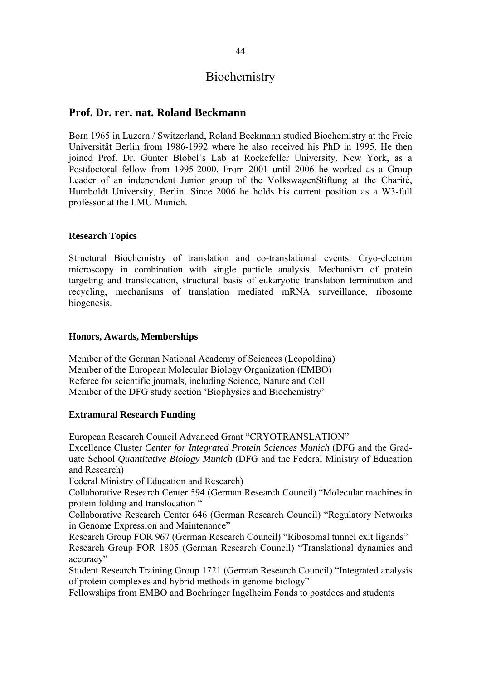# **Biochemistry**

# **Prof. Dr. rer. nat. Roland Beckmann**

Born 1965 in Luzern / Switzerland, Roland Beckmann studied Biochemistry at the Freie Universität Berlin from 1986-1992 where he also received his PhD in 1995. He then joined Prof. Dr. Günter Blobel's Lab at Rockefeller University, New York, as a Postdoctoral fellow from 1995-2000. From 2001 until 2006 he worked as a Group Leader of an independent Junior group of the VolkswagenStiftung at the Charitè, Humboldt University, Berlin. Since 2006 he holds his current position as a W3-full professor at the LMU Munich.

## **Research Topics**

Structural Biochemistry of translation and co-translational events: Cryo-electron microscopy in combination with single particle analysis. Mechanism of protein targeting and translocation, structural basis of eukaryotic translation termination and recycling, mechanisms of translation mediated mRNA surveillance, ribosome biogenesis.

# **Honors, Awards, Memberships**

Member of the German National Academy of Sciences (Leopoldina) Member of the European Molecular Biology Organization (EMBO) Referee for scientific journals, including Science, Nature and Cell Member of the DFG study section 'Biophysics and Biochemistry'

## **Extramural Research Funding**

European Research Council Advanced Grant "CRYOTRANSLATION"

Excellence Cluster *Center for Integrated Protein Sciences Munich* (DFG and the Graduate School *Quantitative Biology Munich* (DFG and the Federal Ministry of Education and Research)

Federal Ministry of Education and Research)

Collaborative Research Center 594 (German Research Council) "Molecular machines in protein folding and translocation "

Collaborative Research Center 646 (German Research Council) "Regulatory Networks in Genome Expression and Maintenance"

Research Group FOR 967 (German Research Council) "Ribosomal tunnel exit ligands" Research Group FOR 1805 (German Research Council) "Translational dynamics and accuracy"

Student Research Training Group 1721 (German Research Council) "Integrated analysis of protein complexes and hybrid methods in genome biology"

Fellowships from EMBO and Boehringer Ingelheim Fonds to postdocs and students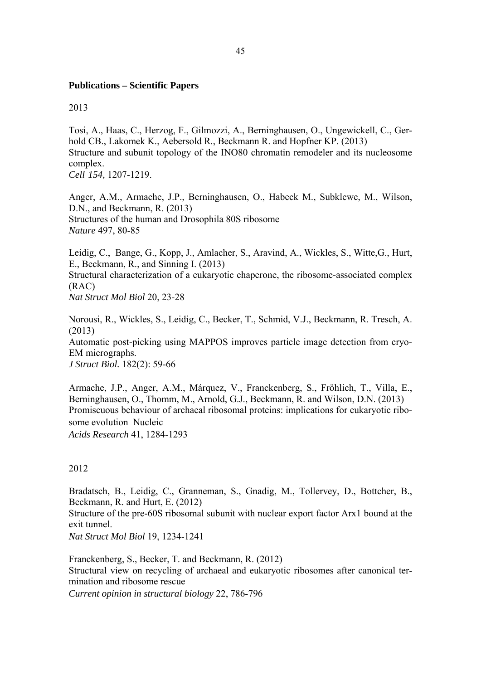## **Publications – Scientific Papers**

2013

Tosi, A., Haas, C., Herzog, F., Gilmozzi, A., Berninghausen, O., Ungewickell, C., Gerhold CB., Lakomek K., Aebersold R., Beckmann R. and Hopfner KP. (2013) Structure and subunit topology of the INO80 chromatin remodeler and its nucleosome complex. *Cell 154,* 1207-1219.

Anger, A.M., Armache, J.P., Berninghausen, O., Habeck M., Subklewe, M., Wilson, D.N., and Beckmann, R. (2013) Structures of the human and Drosophila 80S ribosome *Nature* 497, 80-85

Leidig, C., Bange, G., Kopp, J., Amlacher, S., Aravind, A., Wickles, S., Witte,G., Hurt, E., Beckmann, R., and Sinning I. (2013) Structural characterization of a eukaryotic chaperone, the ribosome-associated complex (RAC) *Nat Struct Mol Biol* 20, 23-28

Norousi, R., Wickles, S., Leidig, C., Becker, T., Schmid, V.J., Beckmann, R. Tresch, A. (2013) Automatic post-picking using MAPPOS improves particle image detection from cryo-EM micrographs. *J Struct Biol.* 182(2): 59-66

Armache, J.P., Anger, A.M., Márquez, V., Franckenberg, S., Fröhlich, T., Villa, E., Berninghausen, O., Thomm, M., Arnold, G.J., Beckmann, R. and Wilson, D.N. (2013) Promiscuous behaviour of archaeal ribosomal proteins: implications for eukaryotic ribosome evolution Nucleic

*Acids Research* 41, 1284-1293

## 2012

Bradatsch, B., Leidig, C., Granneman, S., Gnadig, M., Tollervey, D., Bottcher, B., Beckmann, R. and Hurt, E. (2012)

Structure of the pre-60S ribosomal subunit with nuclear export factor Arx1 bound at the exit tunnel.

*Nat Struct Mol Biol* 19, 1234-1241

Franckenberg, S., Becker, T. and Beckmann, R. (2012) Structural view on recycling of archaeal and eukaryotic ribosomes after canonical termination and ribosome rescue *Current opinion in structural biology* 22, 786-796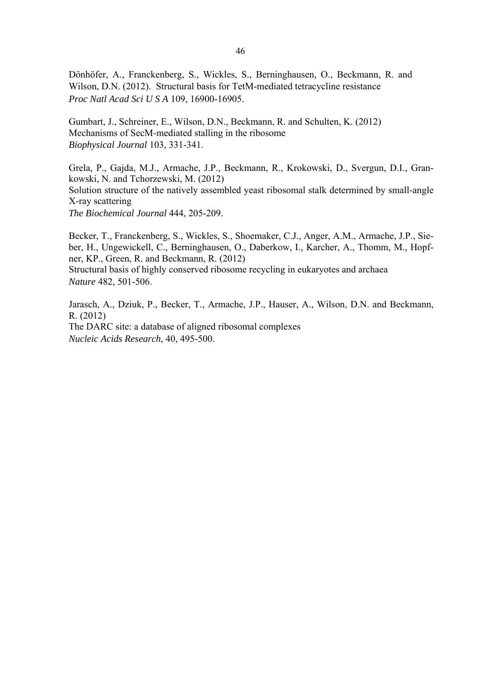Dönhöfer, A., Franckenberg, S., Wickles, S., Berninghausen, O., Beckmann, R. and Wilson, D.N. (2012). Structural basis for TetM-mediated tetracycline resistance *Proc Natl Acad Sci U S A* 109, 16900-16905.

Gumbart, J., Schreiner, E., Wilson, D.N., Beckmann, R. and Schulten, K. (2012) Mechanisms of SecM-mediated stalling in the ribosome *Biophysical Journal* 103, 331-341.

Grela, P., Gajda, M.J., Armache, J.P., Beckmann, R., Krokowski, D., Svergun, D.I., Grankowski, N. and Tchorzewski, M. (2012) Solution structure of the natively assembled yeast ribosomal stalk determined by small-angle X-ray scattering *The Biochemical Journal* 444, 205-209.

Becker, T., Franckenberg, S., Wickles, S., Shoemaker, C.J., Anger, A.M., Armache, J.P., Sieber, H., Ungewickell, C., Berninghausen, O., Daberkow, I., Karcher, A., Thomm, M., Hopfner, KP., Green, R. and Beckmann, R. (2012)

Structural basis of highly conserved ribosome recycling in eukaryotes and archaea *Nature* 482, 501-506.

Jarasch, A., Dziuk, P., Becker, T., Armache, J.P., Hauser, A., Wilson, D.N. and Beckmann, R. (2012) The DARC site: a database of aligned ribosomal complexes *Nucleic Acids Research*, 40, 495-500.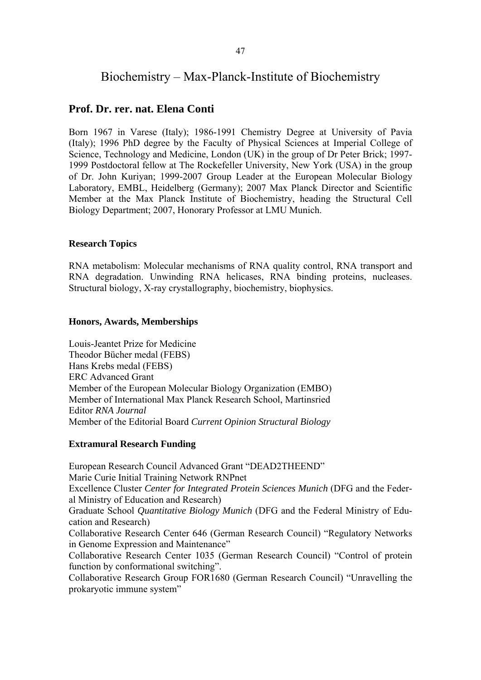# Biochemistry – Max-Planck-Institute of Biochemistry

# **Prof. Dr. rer. nat. Elena Conti**

Born 1967 in Varese (Italy); 1986-1991 Chemistry Degree at University of Pavia (Italy); 1996 PhD degree by the Faculty of Physical Sciences at Imperial College of Science, Technology and Medicine, London (UK) in the group of Dr Peter Brick; 1997- 1999 Postdoctoral fellow at The Rockefeller University, New York (USA) in the group of Dr. John Kuriyan; 1999-2007 Group Leader at the European Molecular Biology Laboratory, EMBL, Heidelberg (Germany); 2007 Max Planck Director and Scientific Member at the Max Planck Institute of Biochemistry, heading the Structural Cell Biology Department; 2007, Honorary Professor at LMU Munich.

## **Research Topics**

RNA metabolism: Molecular mechanisms of RNA quality control, RNA transport and RNA degradation. Unwinding RNA helicases, RNA binding proteins, nucleases. Structural biology, X-ray crystallography, biochemistry, biophysics.

### **Honors, Awards, Memberships**

Louis-Jeantet Prize for Medicine Theodor Bücher medal (FEBS) Hans Krebs medal (FEBS) ERC Advanced Grant Member of the European Molecular Biology Organization (EMBO) Member of International Max Planck Research School, Martinsried Editor *RNA Journal*  Member of the Editorial Board *Current Opinion Structural Biology*

## **Extramural Research Funding**

European Research Council Advanced Grant "DEAD2THEEND" Marie Curie Initial Training Network RNPnet Excellence Cluster *Center for Integrated Protein Sciences Munich* (DFG and the Federal Ministry of Education and Research) Graduate School *Quantitative Biology Munich* (DFG and the Federal Ministry of Education and Research) Collaborative Research Center 646 (German Research Council) "Regulatory Networks in Genome Expression and Maintenance" Collaborative Research Center 1035 (German Research Council) "Control of protein function by conformational switching". Collaborative Research Group FOR1680 (German Research Council) "Unravelling the prokaryotic immune system"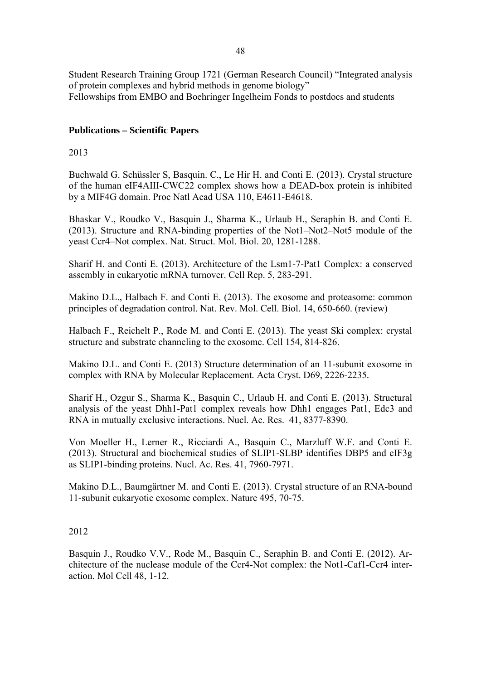Student Research Training Group 1721 (German Research Council) "Integrated analysis of protein complexes and hybrid methods in genome biology" Fellowships from EMBO and Boehringer Ingelheim Fonds to postdocs and students

# **Publications – Scientific Papers**

# 2013

Buchwald G. Schüssler S, Basquin. C., Le Hir H. and Conti E. (2013). Crystal structure of the human eIF4AIII-CWC22 complex shows how a DEAD-box protein is inhibited by a MIF4G domain. Proc Natl Acad USA 110, E4611-E4618.

Bhaskar V., Roudko V., Basquin J., Sharma K., Urlaub H., Seraphin B. and Conti E. (2013). Structure and RNA-binding properties of the Not1–Not2–Not5 module of the yeast Ccr4–Not complex. Nat. Struct. Mol. Biol. 20, 1281-1288.

Sharif H. and Conti E. (2013). Architecture of the Lsm1-7-Pat1 Complex: a conserved assembly in eukaryotic mRNA turnover. Cell Rep. 5, 283-291.

Makino D.L., Halbach F. and Conti E. (2013). The exosome and proteasome: common principles of degradation control. Nat. Rev. Mol. Cell. Biol. 14, 650-660. (review)

Halbach F., Reichelt P., Rode M. and Conti E. (2013). The yeast Ski complex: crystal structure and substrate channeling to the exosome. Cell 154, 814-826.

Makino D.L. and Conti E. (2013) Structure determination of an 11-subunit exosome in complex with RNA by Molecular Replacement*.* Acta Cryst. D69, 2226-2235*.* 

Sharif H., Ozgur S., Sharma K., Basquin C., Urlaub H. and Conti E. (2013). Structural analysis of the yeast Dhh1-Pat1 complex reveals how Dhh1 engages Pat1, Edc3 and RNA in mutually exclusive interactions. Nucl. Ac. Res. 41, 8377-8390.

Von Moeller H., Lerner R., Ricciardi A., Basquin C., Marzluff W.F. and Conti E. (2013). Structural and biochemical studies of SLIP1-SLBP identifies DBP5 and eIF3g as SLIP1-binding proteins. Nucl. Ac. Res. 41, 7960-7971.

Makino D.L., Baumgärtner M. and Conti E. (2013). Crystal structure of an RNA-bound 11-subunit eukaryotic exosome complex. Nature 495, 70-75.

## 2012

Basquin J., Roudko V.V., Rode M., Basquin C., Seraphin B. and Conti E. (2012). Architecture of the nuclease module of the Ccr4-Not complex: the Not1-Caf1-Ccr4 interaction. Mol Cell 48, 1-12.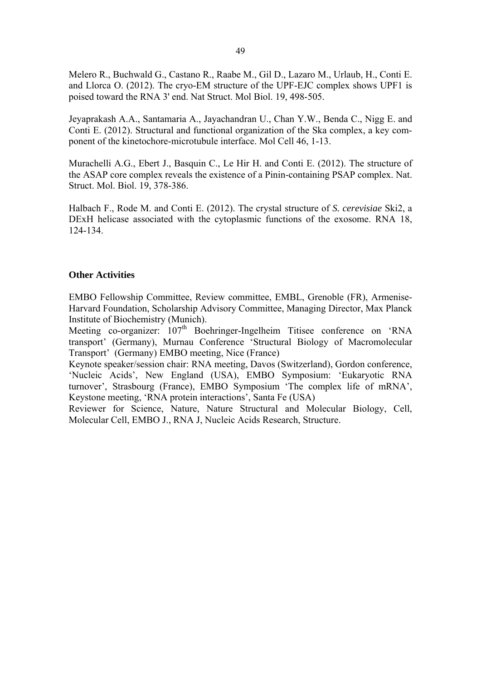Melero R., Buchwald G., Castano R., Raabe M., Gil D., Lazaro M., Urlaub, H., Conti E. and Llorca O. (2012). The cryo-EM structure of the UPF-EJC complex shows UPF1 is poised toward the RNA 3' end. Nat Struct. Mol Biol. 19, 498-505.

Jeyaprakash A.A., Santamaria A., Jayachandran U., Chan Y.W., Benda C., Nigg E. and Conti E. (2012). Structural and functional organization of the Ska complex, a key component of the kinetochore-microtubule interface. Mol Cell 46, 1-13.

Murachelli A.G., Ebert J., Basquin C., Le Hir H. and Conti E. (2012). The structure of the ASAP core complex reveals the existence of a Pinin-containing PSAP complex. Nat. Struct. Mol. Biol. 19, 378-386.

Halbach F., Rode M. and Conti E. (2012). The crystal structure of *S. cerevisiae* Ski2, a DExH helicase associated with the cytoplasmic functions of the exosome. RNA 18, 124-134.

## **Other Activities**

EMBO Fellowship Committee, Review committee, EMBL, Grenoble (FR), Armenise-Harvard Foundation, Scholarship Advisory Committee, Managing Director, Max Planck Institute of Biochemistry (Munich).

Meeting co-organizer:  $107<sup>th</sup>$  Boehringer-Ingelheim Titisee conference on 'RNA transport' (Germany), Murnau Conference 'Structural Biology of Macromolecular Transport' (Germany) EMBO meeting, Nice (France)

Keynote speaker/session chair: RNA meeting, Davos (Switzerland), Gordon conference, 'Nucleic Acids', New England (USA), EMBO Symposium: 'Eukaryotic RNA turnover', Strasbourg (France), EMBO Symposium 'The complex life of mRNA', Keystone meeting, 'RNA protein interactions', Santa Fe (USA)

Reviewer for Science, Nature, Nature Structural and Molecular Biology, Cell, Molecular Cell, EMBO J., RNA J, Nucleic Acids Research, Structure.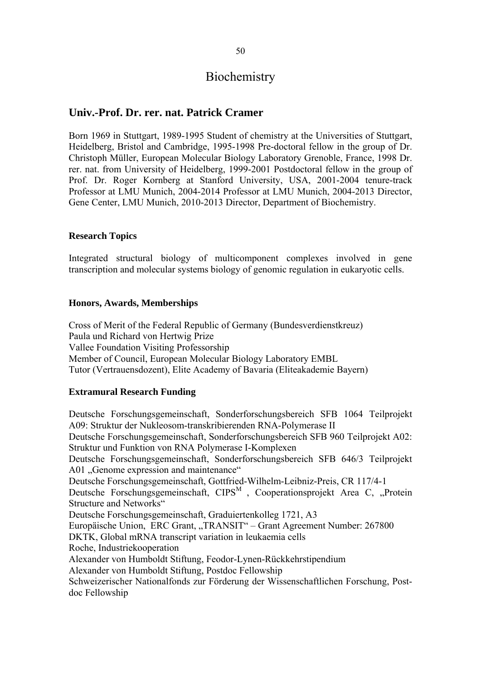# **Biochemistry**

# **Univ.-Prof. Dr. rer. nat. Patrick Cramer**

Born 1969 in Stuttgart, 1989-1995 Student of chemistry at the Universities of Stuttgart, Heidelberg, Bristol and Cambridge, 1995-1998 Pre-doctoral fellow in the group of Dr. Christoph Müller, European Molecular Biology Laboratory Grenoble, France, 1998 Dr. rer. nat. from University of Heidelberg, 1999-2001 Postdoctoral fellow in the group of Prof. Dr. Roger Kornberg at Stanford University, USA, 2001-2004 tenure-track Professor at LMU Munich, 2004-2014 Professor at LMU Munich, 2004-2013 Director, Gene Center, LMU Munich, 2010-2013 Director, Department of Biochemistry.

## **Research Topics**

Integrated structural biology of multicomponent complexes involved in gene transcription and molecular systems biology of genomic regulation in eukaryotic cells.

## **Honors, Awards, Memberships**

Cross of Merit of the Federal Republic of Germany (Bundesverdienstkreuz) Paula und Richard von Hertwig Prize Vallee Foundation Visiting Professorship Member of Council, European Molecular Biology Laboratory EMBL Tutor (Vertrauensdozent), Elite Academy of Bavaria (Eliteakademie Bayern)

## **Extramural Research Funding**

Deutsche Forschungsgemeinschaft, Sonderforschungsbereich SFB 1064 Teilprojekt A09: Struktur der Nukleosom-transkribierenden RNA-Polymerase II Deutsche Forschungsgemeinschaft, Sonderforschungsbereich SFB 960 Teilprojekt A02: Struktur und Funktion von RNA Polymerase I-Komplexen Deutsche Forschungsgemeinschaft, Sonderforschungsbereich SFB 646/3 Teilprojekt A01 "Genome expression and maintenance" Deutsche Forschungsgemeinschaft, Gottfried-Wilhelm-Leibniz-Preis, CR 117/4-1 Deutsche Forschungsgemeinschaft,  $CIPS^{M}$ , Cooperationsprojekt Area C, "Protein Structure and Networks" Deutsche Forschungsgemeinschaft, Graduiertenkolleg 1721, A3 Europäische Union, ERC Grant, "TRANSIT" – Grant Agreement Number: 267800 DKTK, Global mRNA transcript variation in leukaemia cells Roche, Industriekooperation Alexander von Humboldt Stiftung, Feodor-Lynen-Rückkehrstipendium Alexander von Humboldt Stiftung, Postdoc Fellowship Schweizerischer Nationalfonds zur Förderung der Wissenschaftlichen Forschung, Postdoc Fellowship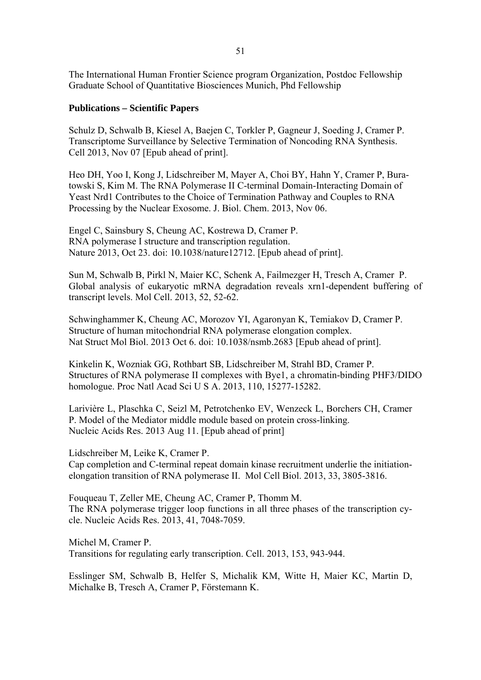The International Human Frontier Science program Organization, Postdoc Fellowship Graduate School of Quantitative Biosciences Munich, Phd Fellowship

### **Publications – Scientific Papers**

Schulz D, Schwalb B, Kiesel A, Baejen C, Torkler P, Gagneur J, Soeding J, Cramer P. Transcriptome Surveillance by Selective Termination of Noncoding RNA Synthesis. Cell 2013, Nov 07 [Epub ahead of print].

Heo DH, Yoo I, Kong J, Lidschreiber M, Mayer A, Choi BY, Hahn Y, Cramer P, Buratowski S, Kim M. The RNA Polymerase II C-terminal Domain-Interacting Domain of Yeast Nrd1 Contributes to the Choice of Termination Pathway and Couples to RNA Processing by the Nuclear Exosome. J. Biol. Chem. 2013, Nov 06.

Engel C, Sainsbury S, Cheung AC, Kostrewa D, Cramer P. RNA polymerase I structure and transcription regulation. Nature 2013, Oct 23. doi: 10.1038/nature12712. [Epub ahead of print].

Sun M, Schwalb B, Pirkl N, Maier KC, Schenk A, Failmezger H, Tresch A, Cramer P. Global analysis of eukaryotic mRNA degradation reveals xrn1-dependent buffering of transcript levels. Mol Cell. 2013, 52, 52-62.

Schwinghammer K, Cheung AC, Morozov YI, Agaronyan K, Temiakov D, Cramer P. Structure of human mitochondrial RNA polymerase elongation complex. Nat Struct Mol Biol. 2013 Oct 6. doi: 10.1038/nsmb.2683 [Epub ahead of print].

Kinkelin K, Wozniak GG, Rothbart SB, Lidschreiber M, Strahl BD, Cramer P. Structures of RNA polymerase II complexes with Bye1, a chromatin-binding PHF3/DIDO homologue. Proc Natl Acad Sci U S A. 2013, 110, 15277-15282.

Larivière L, Plaschka C, Seizl M, Petrotchenko EV, Wenzeck L, Borchers CH, Cramer P. Model of the Mediator middle module based on protein cross-linking. Nucleic Acids Res. 2013 Aug 11. [Epub ahead of print]

Lidschreiber M, Leike K, Cramer P. Cap completion and C-terminal repeat domain kinase recruitment underlie the initiationelongation transition of RNA polymerase II. Mol Cell Biol. 2013, 33, 3805-3816.

Fouqueau T, Zeller ME, Cheung AC, Cramer P, Thomm M. The RNA polymerase trigger loop functions in all three phases of the transcription cycle. Nucleic Acids Res. 2013, 41, 7048-7059.

Michel M, Cramer P. Transitions for regulating early transcription. Cell. 2013, 153, 943-944.

Esslinger SM, Schwalb B, Helfer S, Michalik KM, Witte H, Maier KC, Martin D, Michalke B, Tresch A, Cramer P, Förstemann K.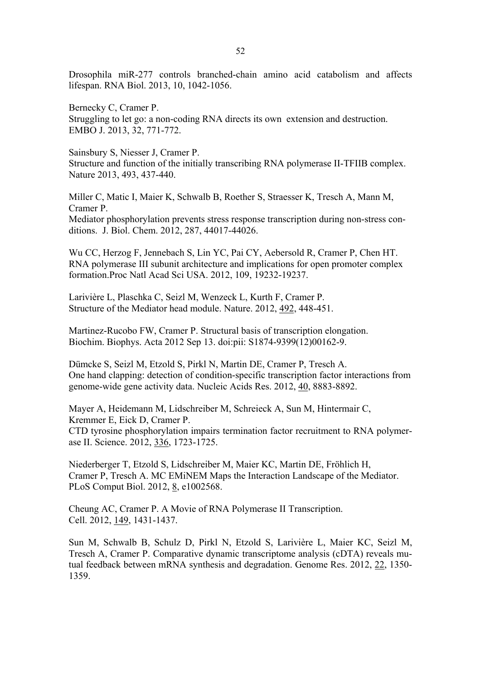Drosophila miR-277 controls branched-chain amino acid catabolism and affects lifespan. RNA Biol. 2013, 10, 1042-1056.

Bernecky C, Cramer P. Struggling to let go: a non-coding RNA directs its own extension and destruction. EMBO J. 2013, 32, 771-772.

Sainsbury S, Niesser J, Cramer P. Structure and function of the initially transcribing RNA polymerase II-TFIIB complex. Nature 2013, 493, 437-440.

Miller C, Matic I, Maier K, Schwalb B, Roether S, Straesser K, Tresch A, Mann M, Cramer P.

Mediator phosphorylation prevents stress response transcription during non-stress conditions. J. Biol. Chem. 2012, 287, 44017-44026.

Wu CC, Herzog F, Jennebach S, Lin YC, Pai CY, Aebersold R, Cramer P, Chen HT. RNA polymerase III subunit architecture and implications for open promoter complex formation.Proc Natl Acad Sci USA. 2012, 109, 19232-19237.

Larivière L, Plaschka C, Seizl M, Wenzeck L, Kurth F, Cramer P. Structure of the Mediator head module. Nature. 2012, 492, 448-451.

Martinez-Rucobo FW, Cramer P. Structural basis of transcription elongation. Biochim. Biophys. Acta 2012 Sep 13. doi:pii: S1874-9399(12)00162-9.

Dümcke S, Seizl M, Etzold S, Pirkl N, Martin DE, Cramer P, Tresch A. One hand clapping: detection of condition-specific transcription factor interactions from genome-wide gene activity data. Nucleic Acids Res. 2012, 40, 8883-8892.

Mayer A, Heidemann M, Lidschreiber M, Schreieck A, Sun M, Hintermair C, Kremmer E, Eick D, Cramer P. CTD tyrosine phosphorylation impairs termination factor recruitment to RNA polymerase II. Science. 2012, 336, 1723-1725.

Niederberger T, Etzold S, Lidschreiber M, Maier KC, Martin DE, Fröhlich H, Cramer P, Tresch A. MC EMiNEM Maps the Interaction Landscape of the Mediator. PLoS Comput Biol. 2012, 8, e1002568.

Cheung AC, Cramer P. A Movie of RNA Polymerase II Transcription. Cell. 2012, 149, 1431-1437.

Sun M, Schwalb B, Schulz D, Pirkl N, Etzold S, Larivière L, Maier KC, Seizl M, Tresch A, Cramer P. Comparative dynamic transcriptome analysis (cDTA) reveals mutual feedback between mRNA synthesis and degradation. Genome Res. 2012, 22, 1350- 1359.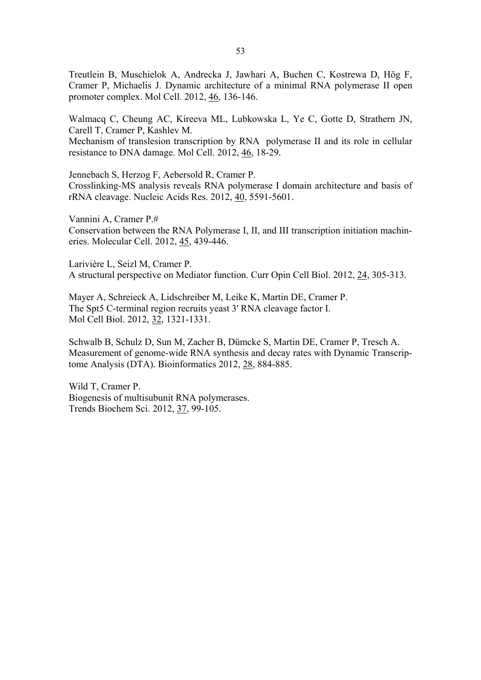Treutlein B, Muschielok A, Andrecka J, Jawhari A, Buchen C, Kostrewa D, Hög F, Cramer P, Michaelis J. Dynamic architecture of a minimal RNA polymerase II open promoter complex. Mol Cell. 2012, 46, 136-146.

Walmacq C, Cheung AC, Kireeva ML, Lubkowska L, Ye C, Gotte D, Strathern JN, Carell T, Cramer P, Kashlev M. Mechanism of translesion transcription by RNA polymerase II and its role in cellular resistance to DNA damage. Mol Cell. 2012, 46, 18-29.

Jennebach S, Herzog F, Aebersold R, Cramer P. Crosslinking-MS analysis reveals RNA polymerase I domain architecture and basis of rRNA cleavage. Nucleic Acids Res. 2012, 40, 5591-5601.

Vannini A, Cramer P.# Conservation between the RNA Polymerase I, II, and III transcription initiation machineries. Molecular Cell. 2012, 45, 439-446.

Larivière L, Seizl M, Cramer P. A structural perspective on Mediator function. Curr Opin Cell Biol. 2012, 24, 305-313.

Mayer A, Schreieck A, Lidschreiber M, Leike K, Martin DE, Cramer P. The Spt5 C-terminal region recruits yeast 3' RNA cleavage factor I. Mol Cell Biol. 2012, 32, 1321-1331.

Schwalb B, Schulz D, Sun M, Zacher B, Dümcke S, Martin DE, Cramer P, Tresch A. Measurement of genome-wide RNA synthesis and decay rates with Dynamic Transcriptome Analysis (DTA). Bioinformatics 2012, 28, 884-885.

Wild T, Cramer P. Biogenesis of multisubunit RNA polymerases. Trends Biochem Sci. 2012, 37, 99-105.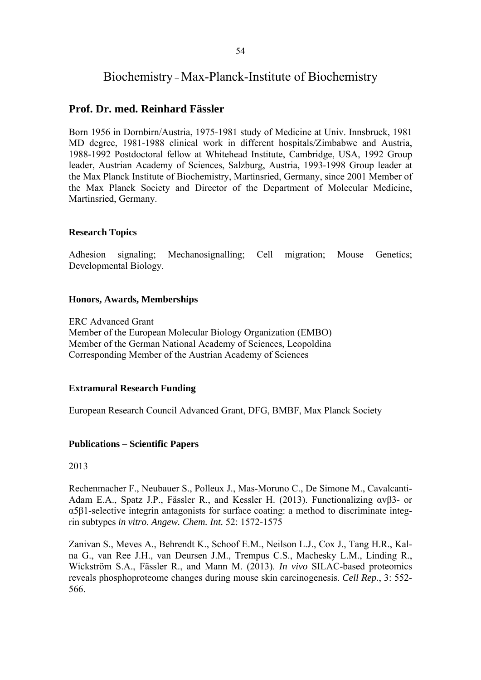# Biochemistry – Max-Planck-Institute of Biochemistry

# **Prof. Dr. med. Reinhard Fässler**

Born 1956 in Dornbirn/Austria, 1975-1981 study of Medicine at Univ. Innsbruck, 1981 MD degree, 1981-1988 clinical work in different hospitals/Zimbabwe and Austria, 1988-1992 Postdoctoral fellow at Whitehead Institute, Cambridge, USA, 1992 Group leader, Austrian Academy of Sciences, Salzburg, Austria, 1993-1998 Group leader at the Max Planck Institute of Biochemistry, Martinsried, Germany, since 2001 Member of the Max Planck Society and Director of the Department of Molecular Medicine, Martinsried, Germany.

### **Research Topics**

Adhesion signaling; Mechanosignalling; Cell migration; Mouse Genetics; Developmental Biology.

#### **Honors, Awards, Memberships**

ERC Advanced Grant Member of the European Molecular Biology Organization (EMBO) Member of the German National Academy of Sciences, Leopoldina Corresponding Member of the Austrian Academy of Sciences

#### **Extramural Research Funding**

European Research Council Advanced Grant, DFG, BMBF, Max Planck Society

#### **Publications – Scientific Papers**

2013

Rechenmacher F., Neubauer S., Polleux J., Mas-Moruno C., De Simone M., Cavalcanti-Adam E.A., Spatz J.P., Fässler R., and Kessler H. (2013). Functionalizing αvβ3- or α5β1-selective integrin antagonists for surface coating: a method to discriminate integrin subtypes *in vitro*. *Angew. Chem. Int.* 52: 1572-1575

Zanivan S., Meves A., Behrendt K., Schoof E.M., Neilson L.J., Cox J., Tang H.R., Kalna G., van Ree J.H., van Deursen J.M., Trempus C.S., Machesky L.M., Linding R., Wickström S.A., Fässler R., and Mann M. (2013). *In vivo* SILAC-based proteomics reveals phosphoproteome changes during mouse skin carcinogenesis. *Cell Rep.*, 3: 552- 566.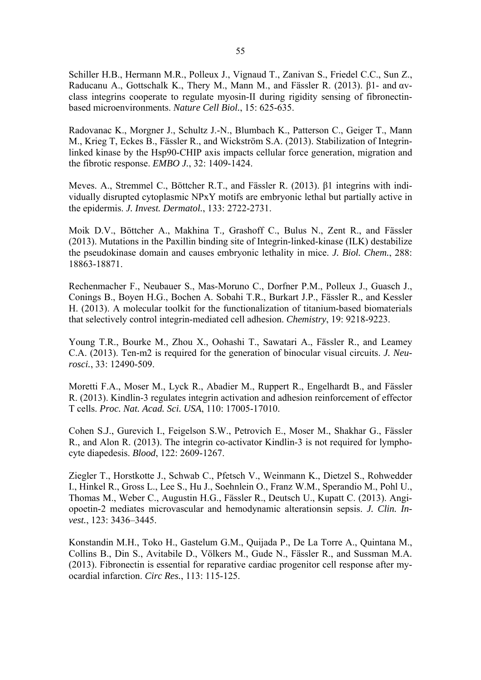Schiller H.B., Hermann M.R., Polleux J., Vignaud T., Zanivan S., Friedel C.C., Sun Z., Raducanu A., Gottschalk K., Thery M., Mann M., and Fässler R. (2013). β1- and αvclass integrins cooperate to regulate myosin-II during rigidity sensing of fibronectinbased microenvironments. *Nature Cell Biol.*, 15: 625-635.

Radovanac K., Morgner J., Schultz J.-N., Blumbach K., Patterson C., Geiger T., Mann M., Krieg T, Eckes B., Fässler R., and Wickström S.A. (2013). Stabilization of Integrinlinked kinase by the Hsp90-CHIP axis impacts cellular force generation, migration and the fibrotic response. *EMBO J.*, 32: 1409-1424.

Meves. A., Stremmel C., Böttcher R.T., and Fässler R. (2013). β1 integrins with individually disrupted cytoplasmic NPxY motifs are embryonic lethal but partially active in the epidermis. *J. Invest. Dermatol.*, 133: 2722-2731.

Moik D.V., Böttcher A., Makhina T.*,* Grashoff C., Bulus N., Zent R., and Fässler (2013). Mutations in the Paxillin binding site of Integrin-linked-kinase (ILK) destabilize the pseudokinase domain and causes embryonic lethality in mice. *J. Biol. Chem.*, 288: 18863-18871.

Rechenmacher F., Neubauer S., Mas-Moruno C., Dorfner P.M., Polleux J., Guasch J., Conings B., Boyen H.G., Bochen A. Sobahi T.R., Burkart J.P., Fässler R., and Kessler H. (2013). A molecular toolkit for the functionalization of titanium-based biomaterials that selectively control integrin-mediated cell adhesion. *Chemistry*, 19: 9218-9223.

Young T.R., Bourke M., Zhou X., Oohashi T., Sawatari A., Fässler R., and Leamey C.A. (2013). Ten-m2 is required for the generation of binocular visual circuits. *J. Neurosci.*, 33: 12490-509.

Moretti F.A., Moser M., Lyck R., Abadier M., Ruppert R., Engelhardt B., and Fässler R. (2013). Kindlin-3 regulates integrin activation and adhesion reinforcement of effector T cells. *Proc. Nat. Acad. Sci. USA*, 110: 17005-17010.

Cohen S.J., Gurevich I., Feigelson S.W., Petrovich E., Moser M., Shakhar G., Fässler R., and Alon R. (2013). The integrin co-activator Kindlin-3 is not required for lymphocyte diapedesis. *Blood*, 122: 2609-1267.

Ziegler T., Horstkotte J., Schwab C., Pfetsch V., Weinmann K., Dietzel S., Rohwedder I., Hinkel R., Gross L., Lee S., Hu J., Soehnlein O., Franz W.M., Sperandio M., Pohl U., Thomas M., Weber C., Augustin H.G., Fässler R., Deutsch U., Kupatt C. (2013). Angiopoetin-2 mediates microvascular and hemodynamic alterationsin sepsis. *J. Clin. Invest.*, 123: 3436–3445.

Konstandin M.H., Toko H., Gastelum G.M., Quijada P., De La Torre A., Quintana M., Collins B., Din S., Avitabile D., Völkers M., Gude N., Fässler R., and Sussman M.A. (2013). Fibronectin is essential for reparative cardiac progenitor cell response after myocardial infarction. *Circ Res.*, 113: 115-125.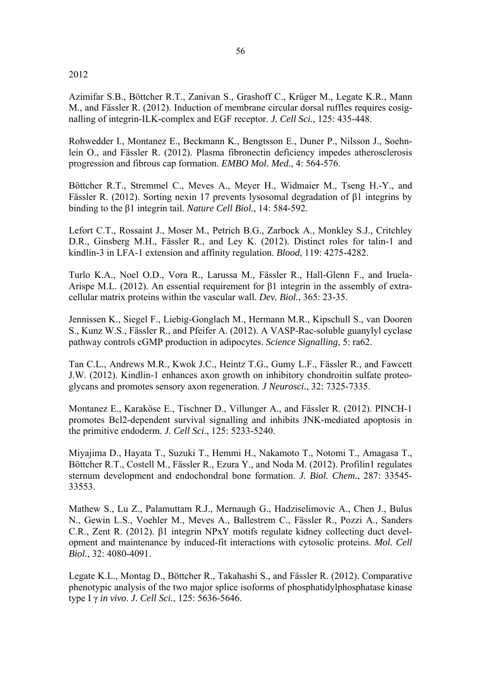### 2012

Azimifar S.B., Böttcher R.T., Zanivan S., Grashoff C., Krüger M., Legate K.R., Mann M., and Fässler R. (2012). Induction of membrane circular dorsal ruffles requires cosignalling of integrin-ILK-complex and EGF receptor. *J. Cell Sci.*, 125: 435-448.

Rohwedder I., Montanez E., Beckmann K., Bengtsson E., Duner P., Nilsson J., Soehnlein O., and Fässler R. (2012). Plasma fibronectin deficiency impedes atherosclerosis progression and fibrous cap formation. *EMBO Mol. Med.*, 4: 564-576.

Böttcher R.T., Stremmel C., Meves A., Meyer H., Widmaier M., Tseng H.-Y., and Fässler R. (2012). Sorting nexin 17 prevents lysosomal degradation of β1 integrins by binding to the β1 integrin tail. *Nature Cell Biol.*, 14: 584-592.

Lefort C.T., Rossaint J., Moser M., Petrich B.G., Zarbock A., Monkley S.J., Critchley D.R., Ginsberg M.H., Fässler R., and Ley K. (2012). Distinct roles for talin-1 and kindlin-3 in LFA-1 extension and affinity regulation. *Blood*, 119: 4275-4282.

Turlo K.A., Noel O.D., Vora R., Larussa M., Fässler R., Hall-Glenn F., and Iruela-Arispe M.L. (2012). An essential requirement for β1 integrin in the assembly of extracellular matrix proteins within the vascular wall. *Dev. Biol.*, 365: 23-35.

Jennissen K., Siegel F., Liebig-Gonglach M., Hermann M.R., Kipschull S., van Dooren S., Kunz W.S., Fässler R., and Pfeifer A. (2012). A VASP-Rac-soluble guanylyl cyclase pathway controls cGMP production in adipocytes. *Science Signalling*, 5: ra62.

Tan C.L., Andrews M.R., Kwok J.C., Heintz T.G., Gumy L.F., Fässler R., and Fawcett J.W. (2012). Kindlin-1 enhances axon growth on inhibitory chondroitin sulfate proteoglycans and promotes sensory axon regeneration. *J Neurosci.*, 32: 7325-7335.

Montanez E., Karaköse E., Tischner D., Villunger A., and Fässler R. (2012). PINCH-1 promotes Bcl2-dependent survival signalling and inhibits JNK-mediated apoptosis in the primitive endoderm. *J. Cell Sci.*, 125: 5233-5240.

Miyajima D., Hayata T., Suzuki T., Hemmi H., Nakamoto T., Notomi T., Amagasa T., Böttcher R.T., Costell M., Fässler R., Ezura Y., and Noda M. (2012). Profilin1 regulates sternum development and endochondral bone formation. *J. Biol. Chem.*, 287: 33545- 33553.

Mathew S., Lu Z., Palamuttam R.J., Mernaugh G., Hadziselimovic A., Chen J., Bulus N., Gewin L.S., Voehler M., Meves A., Ballestrem C., Fässler R., Pozzi A., Sanders C.R., Zent R. (2012). β1 integrin NPxY motifs regulate kidney collecting duct development and maintenance by induced-fit interactions with cytosolic proteins. *Mol. Cell Biol.*, 32: 4080-4091.

Legate K.L., Montag D., Böttcher R., Takahashi S., and Fässler R. (2012). Comparative phenotypic analysis of the two major splice isoforms of phosphatidylphosphatase kinase type I γ *in vivo*. *J. Cell Sci.*, 125: 5636-5646.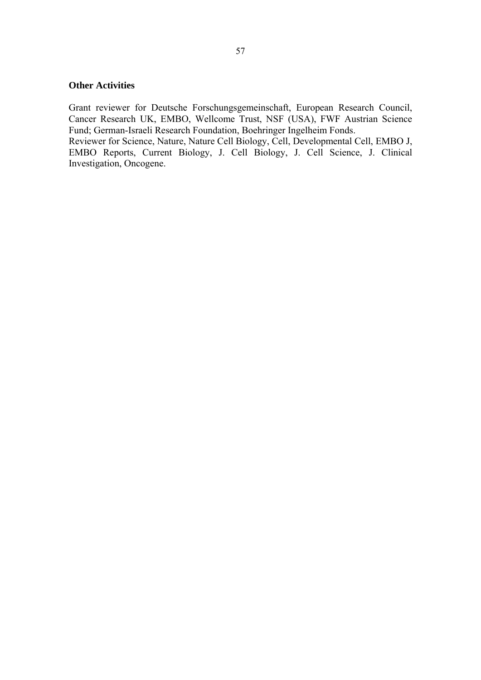# **Other Activities**

Grant reviewer for Deutsche Forschungsgemeinschaft, European Research Council, Cancer Research UK, EMBO, Wellcome Trust, NSF (USA), FWF Austrian Science Fund; German-Israeli Research Foundation, Boehringer Ingelheim Fonds.

Reviewer for Science, Nature, Nature Cell Biology, Cell, Developmental Cell, EMBO J, EMBO Reports, Current Biology, J. Cell Biology, J. Cell Science, J. Clinical Investigation, Oncogene.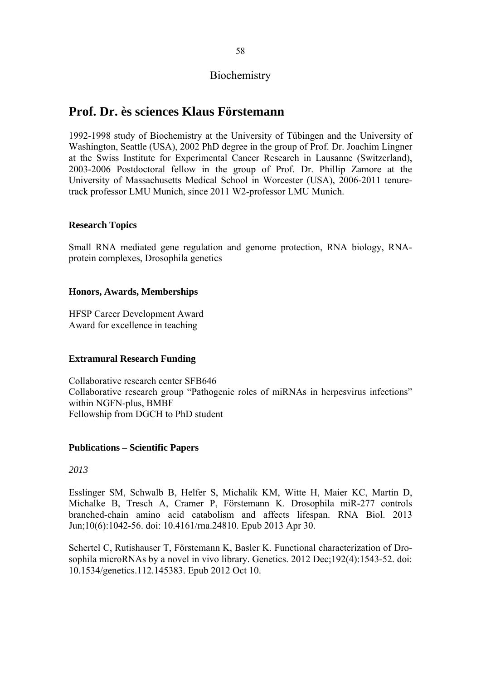# **Biochemistry**

# **Prof. Dr. ès sciences Klaus Förstemann**

1992-1998 study of Biochemistry at the University of Tübingen and the University of Washington, Seattle (USA), 2002 PhD degree in the group of Prof. Dr. Joachim Lingner at the Swiss Institute for Experimental Cancer Research in Lausanne (Switzerland), 2003-2006 Postdoctoral fellow in the group of Prof. Dr. Phillip Zamore at the University of Massachusetts Medical School in Worcester (USA), 2006-2011 tenuretrack professor LMU Munich, since 2011 W2-professor LMU Munich.

# **Research Topics**

Small RNA mediated gene regulation and genome protection, RNA biology, RNAprotein complexes, Drosophila genetics

# **Honors, Awards, Memberships**

HFSP Career Development Award Award for excellence in teaching

# **Extramural Research Funding**

Collaborative research center SFB646 Collaborative research group "Pathogenic roles of miRNAs in herpesvirus infections" within NGFN-plus, BMBF Fellowship from DGCH to PhD student

## **Publications – Scientific Papers**

## *2013*

Esslinger SM, Schwalb B, Helfer S, Michalik KM, Witte H, Maier KC, Martin D, Michalke B, Tresch A, Cramer P, Förstemann K. Drosophila miR-277 controls branched-chain amino acid catabolism and affects lifespan. RNA Biol. 2013 Jun;10(6):1042-56. doi: 10.4161/rna.24810. Epub 2013 Apr 30.

Schertel C, Rutishauser T, Förstemann K, Basler K. Functional characterization of Drosophila microRNAs by a novel in vivo library. Genetics. 2012 Dec;192(4):1543-52. doi: 10.1534/genetics.112.145383. Epub 2012 Oct 10.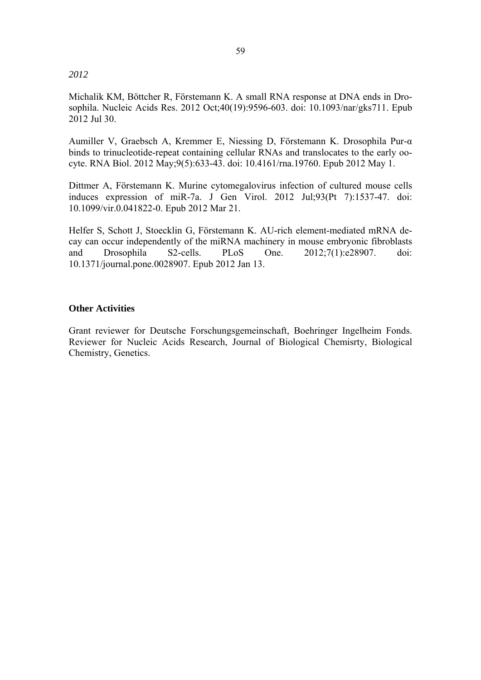#### *2012*

Michalik KM, Böttcher R, Förstemann K. A small RNA response at DNA ends in Drosophila. Nucleic Acids Res. 2012 Oct;40(19):9596-603. doi: 10.1093/nar/gks711. Epub 2012 Jul 30.

Aumiller V, Graebsch A, Kremmer E, Niessing D, Förstemann K. Drosophila Pur-α binds to trinucleotide-repeat containing cellular RNAs and translocates to the early oocyte. RNA Biol. 2012 May;9(5):633-43. doi: 10.4161/rna.19760. Epub 2012 May 1.

Dittmer A, Förstemann K. Murine cytomegalovirus infection of cultured mouse cells induces expression of miR-7a. J Gen Virol. 2012 Jul;93(Pt 7):1537-47. doi: 10.1099/vir.0.041822-0. Epub 2012 Mar 21.

Helfer S, Schott J, Stoecklin G, Förstemann K. AU-rich element-mediated mRNA decay can occur independently of the miRNA machinery in mouse embryonic fibroblasts and Drosophila S2-cells. PLoS One. 2012;7(1):e28907. doi: 10.1371/journal.pone.0028907. Epub 2012 Jan 13.

## **Other Activities**

Grant reviewer for Deutsche Forschungsgemeinschaft, Boehringer Ingelheim Fonds. Reviewer for Nucleic Acids Research, Journal of Biological Chemisrty, Biological Chemistry, Genetics.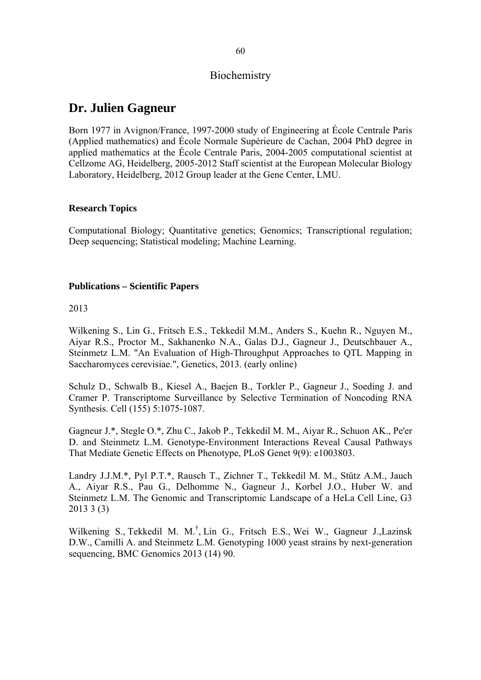# **Biochemistry**

# **Dr. Julien Gagneur**

Born 1977 in Avignon/France, 1997-2000 study of Engineering at École Centrale Paris (Applied mathematics) and École Normale Supérieure de Cachan, 2004 PhD degree in applied mathematics at the École Centrale Paris, 2004-2005 computational scientist at Cellzome AG, Heidelberg, 2005-2012 Staff scientist at the European Molecular Biology Laboratory, Heidelberg, 2012 Group leader at the Gene Center, LMU.

## **Research Topics**

Computational Biology; Quantitative genetics; Genomics; Transcriptional regulation; Deep sequencing; Statistical modeling; Machine Learning.

### **Publications – Scientific Papers**

2013

Wilkening S., Lin G., Fritsch E.S., Tekkedil M.M., Anders S., Kuehn R., Nguyen M., Aiyar R.S., Proctor M., Sakhanenko N.A., Galas D.J., Gagneur J., Deutschbauer A., Steinmetz L.M. "An Evaluation of High-Throughput Approaches to QTL Mapping in Saccharomyces cerevisiae.", Genetics, 2013. (early online)

Schulz D., Schwalb B., Kiesel A., Baejen B., Torkler P., Gagneur J., Soeding J. and Cramer P. Transcriptome Surveillance by Selective Termination of Noncoding RNA Synthesis. Cell (155) 5:1075-1087.

Gagneur J.\*, Stegle O.\*, Zhu C., Jakob P., Tekkedil M. M., Aiyar R., Schuon AK., Pe'er D. and Steinmetz L.M. Genotype-Environment Interactions Reveal Causal Pathways That Mediate Genetic Effects on Phenotype, PLoS Genet 9(9): e1003803.

Landry J.J.M.\*, Pyl P.T.\*, Rausch T., Zichner T., Tekkedil M. M., Stütz A.M., Jauch A., Aiyar R.S., Pau G., Delhomme N., Gagneur J., Korbel J.O., Huber W. and Steinmetz L.M. The Genomic and Transcriptomic Landscape of a HeLa Cell Line, G3 2013 3 (3)

Wilkening S., Tekkedil M. M.<sup>†</sup>, Lin G., Fritsch E.S., Wei W., Gagneur J.,Lazinsk D.W., Camilli A. and Steinmetz L.M. Genotyping 1000 yeast strains by next-generation sequencing, BMC Genomics 2013 (14) 90.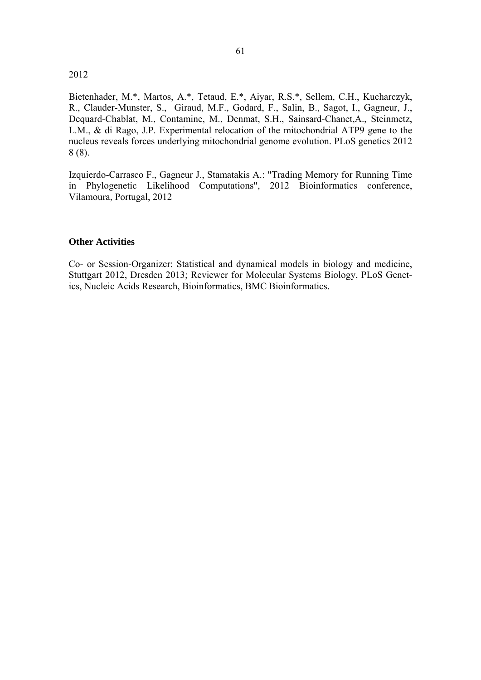#### 2012

Bietenhader, M.\*, Martos, A.\*, Tetaud, E.\*, Aiyar, R.S.\*, Sellem, C.H., Kucharczyk, R., Clauder-Munster, S., Giraud, M.F., Godard, F., Salin, B., Sagot, I., Gagneur, J., Dequard-Chablat, M., Contamine, M., Denmat, S.H., Sainsard-Chanet,A., Steinmetz, L.M., & di Rago, J.P. Experimental relocation of the mitochondrial ATP9 gene to the nucleus reveals forces underlying mitochondrial genome evolution. PLoS genetics 2012 8 (8).

Izquierdo-Carrasco F., Gagneur J., Stamatakis A.: "Trading Memory for Running Time in Phylogenetic Likelihood Computations", 2012 Bioinformatics conference, Vilamoura, Portugal, 2012

### **Other Activities**

Co- or Session-Organizer: Statistical and dynamical models in biology and medicine, Stuttgart 2012, Dresden 2013; Reviewer for Molecular Systems Biology, PLoS Genetics, Nucleic Acids Research, Bioinformatics, BMC Bioinformatics.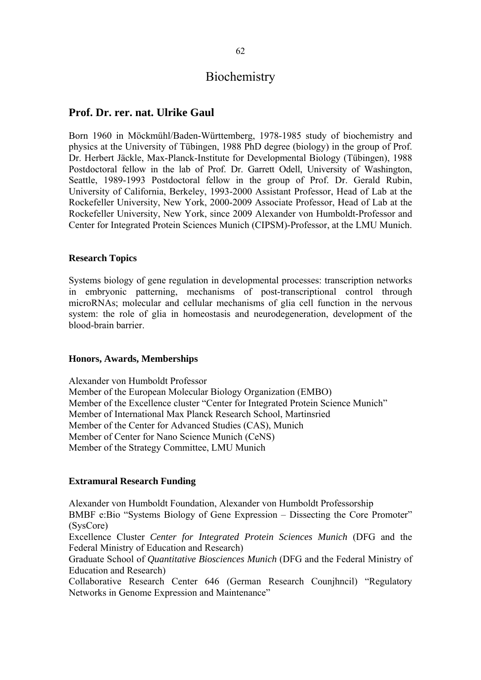# Biochemistry

# **Prof. Dr. rer. nat. Ulrike Gaul**

Born 1960 in Möckmühl/Baden-Württemberg, 1978-1985 study of biochemistry and physics at the University of Tübingen, 1988 PhD degree (biology) in the group of Prof. Dr. Herbert Jäckle, Max-Planck-Institute for Developmental Biology (Tübingen), 1988 Postdoctoral fellow in the lab of Prof. Dr. Garrett Odell, University of Washington, Seattle, 1989-1993 Postdoctoral fellow in the group of Prof. Dr. Gerald Rubin, University of California, Berkeley, 1993-2000 Assistant Professor, Head of Lab at the Rockefeller University, New York, 2000-2009 Associate Professor, Head of Lab at the Rockefeller University, New York, since 2009 Alexander von Humboldt-Professor and Center for Integrated Protein Sciences Munich (CIPSM)-Professor, at the LMU Munich.

#### **Research Topics**

Systems biology of gene regulation in developmental processes: transcription networks in embryonic patterning, mechanisms of post-transcriptional control through microRNAs; molecular and cellular mechanisms of glia cell function in the nervous system: the role of glia in homeostasis and neurodegeneration, development of the blood-brain barrier.

### **Honors, Awards, Memberships**

Alexander von Humboldt Professor Member of the European Molecular Biology Organization (EMBO) Member of the Excellence cluster "Center for Integrated Protein Science Munich" Member of International Max Planck Research School, Martinsried Member of the Center for Advanced Studies (CAS), Munich Member of Center for Nano Science Munich (CeNS) Member of the Strategy Committee, LMU Munich

# **Extramural Research Funding**

Alexander von Humboldt Foundation, Alexander von Humboldt Professorship BMBF e:Bio "Systems Biology of Gene Expression – Dissecting the Core Promoter" (SysCore)

Excellence Cluster *Center for Integrated Protein Sciences Munich* (DFG and the Federal Ministry of Education and Research)

Graduate School of *Quantitative Biosciences Munich* (DFG and the Federal Ministry of Education and Research)

Collaborative Research Center 646 (German Research Counjhncil) "Regulatory Networks in Genome Expression and Maintenance"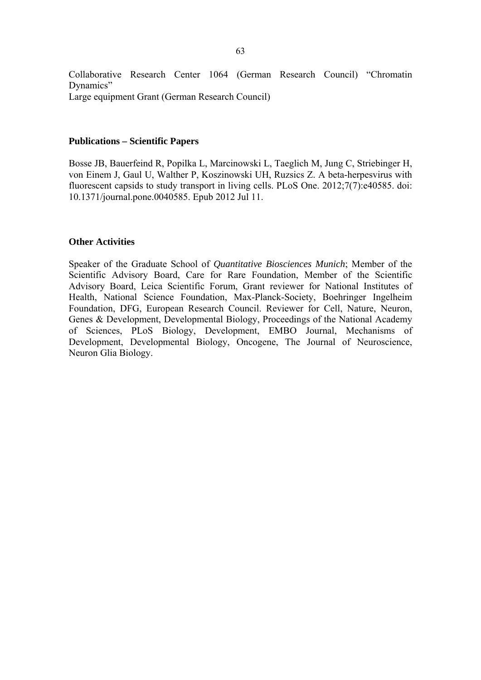Collaborative Research Center 1064 (German Research Council) "Chromatin Dynamics" Large equipment Grant (German Research Council)

#### **Publications – Scientific Papers**

Bosse JB, Bauerfeind R, Popilka L, Marcinowski L, Taeglich M, Jung C, Striebinger H, von Einem J, Gaul U, Walther P, Koszinowski UH, Ruzsics Z. A beta-herpesvirus with fluorescent capsids to study transport in living cells. PLoS One. 2012;7(7):e40585. doi: 10.1371/journal.pone.0040585. Epub 2012 Jul 11.

### **Other Activities**

Speaker of the Graduate School of *Quantitative Biosciences Munich*; Member of the Scientific Advisory Board, Care for Rare Foundation, Member of the Scientific Advisory Board, Leica Scientific Forum, Grant reviewer for National Institutes of Health, National Science Foundation, Max-Planck-Society, Boehringer Ingelheim Foundation, DFG, European Research Council. Reviewer for Cell, Nature, Neuron, Genes & Development, Developmental Biology, Proceedings of the National Academy of Sciences, PLoS Biology, Development, EMBO Journal, Mechanisms of Development, Developmental Biology, Oncogene, The Journal of Neuroscience, Neuron Glia Biology.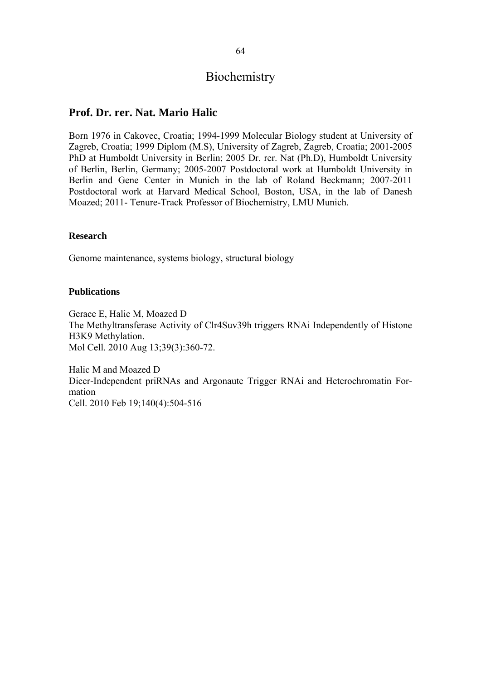# Biochemistry

# **Prof. Dr. rer. Nat. Mario Halic**

Born 1976 in Cakovec, Croatia; 1994-1999 Molecular Biology student at University of Zagreb, Croatia; 1999 Diplom (M.S), University of Zagreb, Zagreb, Croatia; 2001-2005 PhD at Humboldt University in Berlin; 2005 Dr. rer. Nat (Ph.D), Humboldt University of Berlin, Berlin, Germany; 2005-2007 Postdoctoral work at Humboldt University in Berlin and Gene Center in Munich in the lab of Roland Beckmann; 2007-2011 Postdoctoral work at Harvard Medical School, Boston, USA, in the lab of Danesh Moazed; 2011- Tenure-Track Professor of Biochemistry, LMU Munich.

### **Research**

Genome maintenance, systems biology, structural biology

### **Publications**

Gerace E, Halic M, Moazed D The Methyltransferase Activity of Clr4Suv39h triggers RNAi Independently of Histone H3K9 Methylation. Mol Cell. 2010 Aug 13;39(3):360-72.

Halic M and Moazed D Dicer-Independent priRNAs and Argonaute Trigger RNAi and Heterochromatin Formation Cell. 2010 Feb 19;140(4):504-516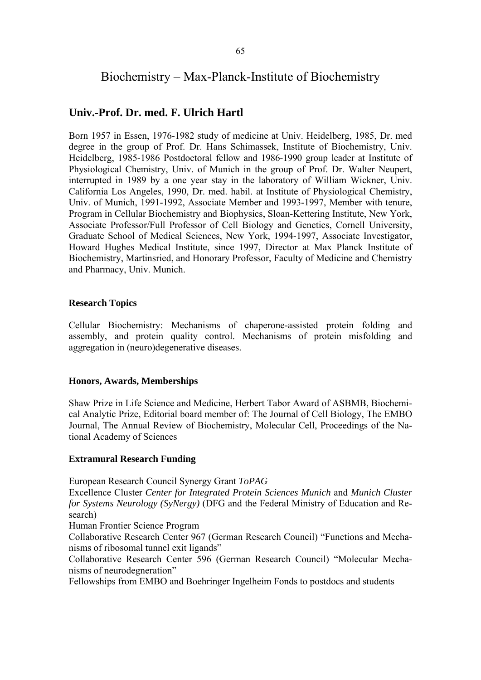# Biochemistry – Max-Planck-Institute of Biochemistry

## **Univ.-Prof. Dr. med. F. Ulrich Hartl**

Born 1957 in Essen, 1976-1982 study of medicine at Univ. Heidelberg, 1985, Dr. med degree in the group of Prof. Dr. Hans Schimassek, Institute of Biochemistry, Univ. Heidelberg, 1985-1986 Postdoctoral fellow and 1986-1990 group leader at Institute of Physiological Chemistry, Univ. of Munich in the group of Prof. Dr. Walter Neupert, interrupted in 1989 by a one year stay in the laboratory of William Wickner, Univ. California Los Angeles, 1990, Dr. med. habil. at Institute of Physiological Chemistry, Univ. of Munich, 1991-1992, Associate Member and 1993-1997, Member with tenure, Program in Cellular Biochemistry and Biophysics, Sloan-Kettering Institute, New York, Associate Professor/Full Professor of Cell Biology and Genetics, Cornell University, Graduate School of Medical Sciences, New York, 1994-1997, Associate Investigator, Howard Hughes Medical Institute, since 1997, Director at Max Planck Institute of Biochemistry, Martinsried, and Honorary Professor, Faculty of Medicine and Chemistry and Pharmacy, Univ. Munich.

### **Research Topics**

Cellular Biochemistry: Mechanisms of chaperone-assisted protein folding and assembly, and protein quality control. Mechanisms of protein misfolding and aggregation in (neuro)degenerative diseases.

#### **Honors, Awards, Memberships**

Shaw Prize in Life Science and Medicine, Herbert Tabor Award of ASBMB, Biochemical Analytic Prize, Editorial board member of: The Journal of Cell Biology, The EMBO Journal, The Annual Review of Biochemistry, Molecular Cell, Proceedings of the National Academy of Sciences

#### **Extramural Research Funding**

European Research Council Synergy Grant *ToPAG*

Excellence Cluster *Center for Integrated Protein Sciences Munich* and *Munich Cluster for Systems Neurology (SyNergy)* (DFG and the Federal Ministry of Education and Research)

Human Frontier Science Program

Collaborative Research Center 967 (German Research Council) "Functions and Mechanisms of ribosomal tunnel exit ligands"

Collaborative Research Center 596 (German Research Council) "Molecular Mechanisms of neurodegneration"

Fellowships from EMBO and Boehringer Ingelheim Fonds to postdocs and students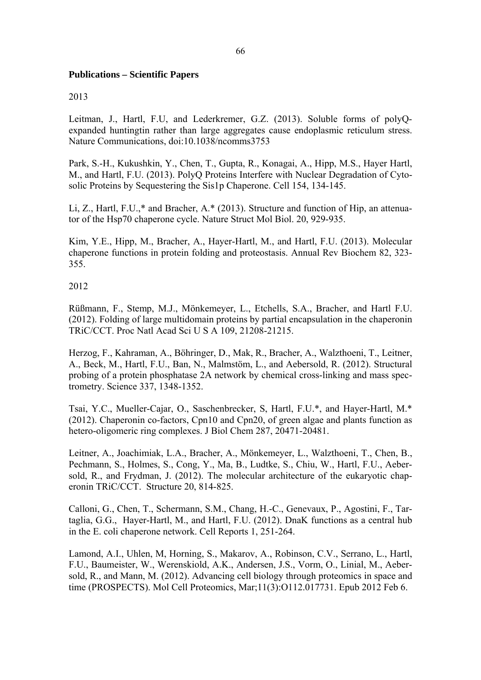### **Publications – Scientific Papers**

#### 2013

Leitman, J., Hartl, F.U, and Lederkremer, G.Z. (2013). Soluble forms of polyQexpanded huntingtin rather than large aggregates cause endoplasmic reticulum stress. Nature Communications, doi:10.1038/ncomms3753

Park, S.-H., Kukushkin, Y., Chen, T., Gupta, R., Konagai, A., Hipp, M.S., Hayer Hartl, M., and Hartl, F.U. (2013). PolyQ Proteins Interfere with Nuclear Degradation of Cytosolic Proteins by Sequestering the Sis1p Chaperone. Cell 154, 134-145.

Li, Z., Hartl, F.U.,\* and Bracher, A.\* (2013). Structure and function of Hip, an attenuator of the Hsp70 chaperone cycle. Nature Struct Mol Biol. 20, 929-935.

Kim, Y.E., Hipp, M., Bracher, A., Hayer-Hartl, M., and Hartl, F.U. (2013). Molecular chaperone functions in protein folding and proteostasis. Annual Rev Biochem 82, 323- 355.

### 2012

Rüßmann, F., Stemp, M.J., Mönkemeyer, L., Etchells, S.A., Bracher, and Hartl F.U. (2012). Folding of large multidomain proteins by partial encapsulation in the chaperonin TRiC/CCT. Proc Natl Acad Sci U S A 109, 21208-21215.

Herzog, F., Kahraman, A., Böhringer, D., Mak, R., Bracher, A., Walzthoeni, T., Leitner, A., Beck, M., Hartl, F.U., Ban, N., Malmstöm, L., and Aebersold, R. (2012). Structural probing of a protein phosphatase 2A network by chemical cross-linking and mass spectrometry. Science 337, 1348-1352.

Tsai, Y.C., Mueller-Cajar, O., Saschenbrecker, S, Hartl, F.U.\*, and Hayer-Hartl, M.\* (2012). Chaperonin co-factors, Cpn10 and Cpn20, of green algae and plants function as hetero-oligomeric ring complexes. J Biol Chem 287, 20471-20481.

Leitner, A., Joachimiak, L.A., Bracher, A., Mönkemeyer, L., Walzthoeni, T., Chen, B., Pechmann, S., Holmes, S., Cong, Y., Ma, B., Ludtke, S., Chiu, W., Hartl, F.U., Aebersold, R., and Frydman, J. (2012). The molecular architecture of the eukaryotic chaperonin TRiC/CCT. Structure 20, 814-825.

Calloni, G., Chen, T., Schermann, S.M., Chang, H.-C., Genevaux, P., Agostini, F., Tartaglia, G.G., Hayer-Hartl, M., and Hartl, F.U. (2012). DnaK functions as a central hub in the E. coli chaperone network. Cell Reports 1, 251-264.

Lamond, A.I., Uhlen, M, Horning, S., Makarov, A., Robinson, C.V., Serrano, L., Hartl, F.U., Baumeister, W., Werenskiold, A.K., Andersen, J.S., Vorm, O., Linial, M., Aebersold, R., and Mann, M. (2012). Advancing cell biology through proteomics in space and time (PROSPECTS). Mol Cell Proteomics, Mar;11(3):O112.017731. Epub 2012 Feb 6.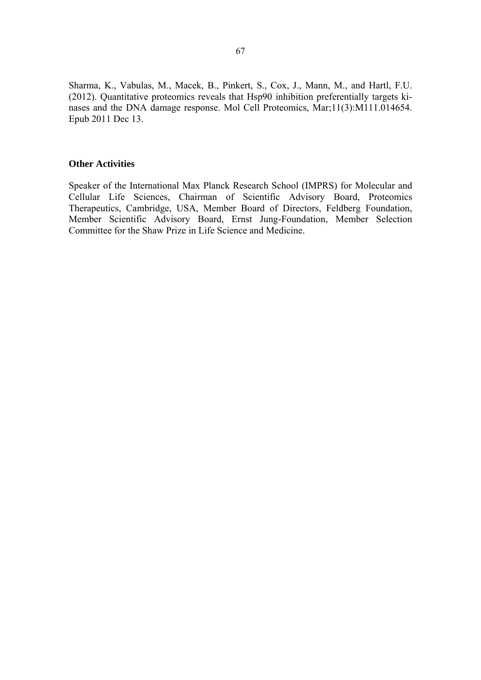Sharma, K., Vabulas, M., Macek, B., Pinkert, S., Cox, J., Mann, M., and Hartl, F.U. (2012). Quantitative proteomics reveals that Hsp90 inhibition preferentially targets kinases and the DNA damage response. Mol Cell Proteomics, Mar;11(3):M111.014654. Epub 2011 Dec 13.

#### **Other Activities**

Speaker of the International Max Planck Research School (IMPRS) for Molecular and Cellular Life Sciences, Chairman of Scientific Advisory Board, Proteomics Therapeutics, Cambridge, USA, Member Board of Directors, Feldberg Foundation, Member Scientific Advisory Board, Ernst Jung-Foundation, Member Selection Committee for the Shaw Prize in Life Science and Medicine.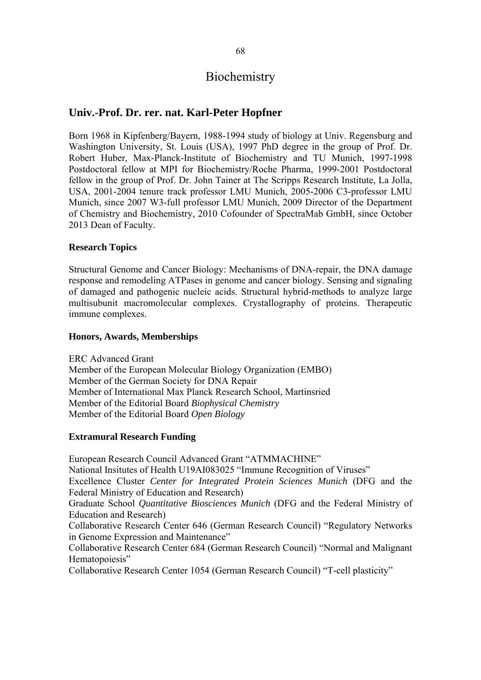# Biochemistry

## **Univ.-Prof. Dr. rer. nat. Karl-Peter Hopfner**

Born 1968 in Kipfenberg/Bayern, 1988-1994 study of biology at Univ. Regensburg and Washington University, St. Louis (USA), 1997 PhD degree in the group of Prof. Dr. Robert Huber, Max-Planck-Institute of Biochemistry and TU Munich, 1997-1998 Postdoctoral fellow at MPI for Biochemistry/Roche Pharma, 1999-2001 Postdoctoral fellow in the group of Prof. Dr. John Tainer at The Scripps Research Institute, La Jolla, USA, 2001-2004 tenure track professor LMU Munich, 2005-2006 C3-professor LMU Munich, since 2007 W3-full professor LMU Munich, 2009 Director of the Department of Chemistry and Biochemistry, 2010 Cofounder of SpectraMab GmbH, since October 2013 Dean of Faculty.

#### **Research Topics**

Structural Genome and Cancer Biology: Mechanisms of DNA-repair, the DNA damage response and remodeling ATPases in genome and cancer biology. Sensing and signaling of damaged and pathogenic nucleic acids. Structural hybrid-methods to analyze large multisubunit macromolecular complexes. Crystallography of proteins. Therapeutic immune complexes.

#### **Honors, Awards, Memberships**

ERC Advanced Grant Member of the European Molecular Biology Organization (EMBO) Member of the German Society for DNA Repair Member of International Max Planck Research School, Martinsried Member of the Editorial Board *Biophysical Chemistry*  Member of the Editorial Board *Open Biology*

#### **Extramural Research Funding**

European Research Council Advanced Grant "ATMMACHINE" National Insitutes of Health U19AI083025 "Immune Recognition of Viruses" Excellence Cluster *Center for Integrated Protein Sciences Munich* (DFG and the Federal Ministry of Education and Research) Graduate School *Quantitative Biosciences Munich* (DFG and the Federal Ministry of Education and Research) Collaborative Research Center 646 (German Research Council) "Regulatory Networks in Genome Expression and Maintenance" Collaborative Research Center 684 (German Research Council) "Normal and Malignant Hematopoiesis" Collaborative Research Center 1054 (German Research Council) "T-cell plasticity"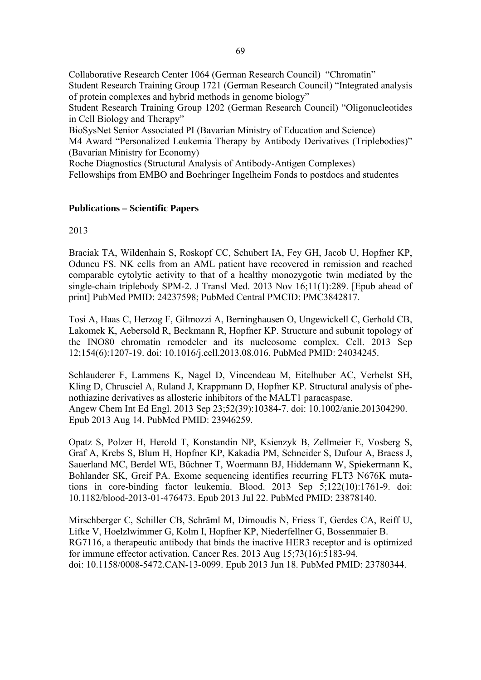Collaborative Research Center 1064 (German Research Council) "Chromatin" Student Research Training Group 1721 (German Research Council) "Integrated analysis of protein complexes and hybrid methods in genome biology"

Student Research Training Group 1202 (German Research Council) "Oligonucleotides in Cell Biology and Therapy"

BioSysNet Senior Associated PI (Bavarian Ministry of Education and Science)

M4 Award "Personalized Leukemia Therapy by Antibody Derivatives (Triplebodies)" (Bavarian Ministry for Economy)

Roche Diagnostics (Structural Analysis of Antibody-Antigen Complexes)

Fellowships from EMBO and Boehringer Ingelheim Fonds to postdocs and studentes

#### **Publications – Scientific Papers**

2013

Braciak TA, Wildenhain S, Roskopf CC, Schubert IA, Fey GH, Jacob U, Hopfner KP, Oduncu FS. NK cells from an AML patient have recovered in remission and reached comparable cytolytic activity to that of a healthy monozygotic twin mediated by the single-chain triplebody SPM-2. J Transl Med. 2013 Nov 16;11(1):289. [Epub ahead of print] PubMed PMID: 24237598; PubMed Central PMCID: PMC3842817.

Tosi A, Haas C, Herzog F, Gilmozzi A, Berninghausen O, Ungewickell C, Gerhold CB, Lakomek K, Aebersold R, Beckmann R, Hopfner KP. Structure and subunit topology of the INO80 chromatin remodeler and its nucleosome complex. Cell. 2013 Sep 12;154(6):1207-19. doi: 10.1016/j.cell.2013.08.016. PubMed PMID: 24034245.

Schlauderer F, Lammens K, Nagel D, Vincendeau M, Eitelhuber AC, Verhelst SH, Kling D, Chrusciel A, Ruland J, Krappmann D, Hopfner KP. Structural analysis of phenothiazine derivatives as allosteric inhibitors of the MALT1 paracaspase. Angew Chem Int Ed Engl. 2013 Sep 23;52(39):10384-7. doi: 10.1002/anie.201304290. Epub 2013 Aug 14. PubMed PMID: 23946259.

Opatz S, Polzer H, Herold T, Konstandin NP, Ksienzyk B, Zellmeier E, Vosberg S, Graf A, Krebs S, Blum H, Hopfner KP, Kakadia PM, Schneider S, Dufour A, Braess J, Sauerland MC, Berdel WE, Büchner T, Woermann BJ, Hiddemann W, Spiekermann K, Bohlander SK, Greif PA. Exome sequencing identifies recurring FLT3 N676K mutations in core-binding factor leukemia. Blood. 2013 Sep 5;122(10):1761-9. doi: 10.1182/blood-2013-01-476473. Epub 2013 Jul 22. PubMed PMID: 23878140.

Mirschberger C, Schiller CB, Schräml M, Dimoudis N, Friess T, Gerdes CA, Reiff U, Lifke V, Hoelzlwimmer G, Kolm I, Hopfner KP, Niederfellner G, Bossenmaier B. RG7116, a therapeutic antibody that binds the inactive HER3 receptor and is optimized for immune effector activation. Cancer Res. 2013 Aug 15;73(16):5183-94. doi: 10.1158/0008-5472.CAN-13-0099. Epub 2013 Jun 18. PubMed PMID: 23780344.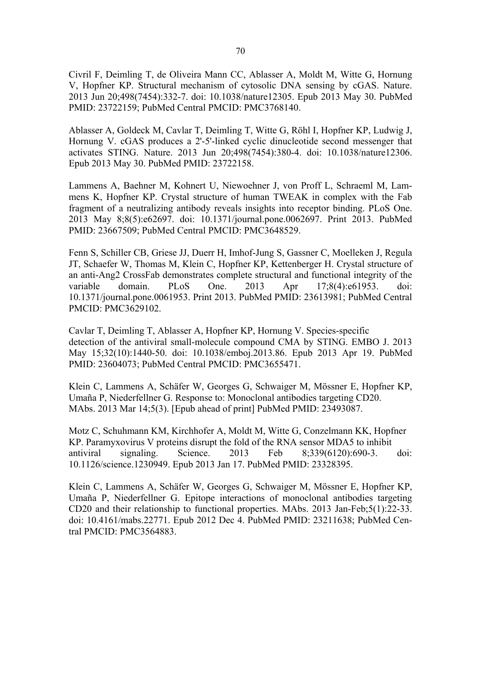Civril F, Deimling T, de Oliveira Mann CC, Ablasser A, Moldt M, Witte G, Hornung V, Hopfner KP. Structural mechanism of cytosolic DNA sensing by cGAS. Nature. 2013 Jun 20;498(7454):332-7. doi: 10.1038/nature12305. Epub 2013 May 30. PubMed PMID: 23722159; PubMed Central PMCID: PMC3768140.

Ablasser A, Goldeck M, Cavlar T, Deimling T, Witte G, Röhl I, Hopfner KP, Ludwig J, Hornung V. cGAS produces a 2'-5'-linked cyclic dinucleotide second messenger that activates STING. Nature. 2013 Jun 20;498(7454):380-4. doi: 10.1038/nature12306. Epub 2013 May 30. PubMed PMID: 23722158.

Lammens A, Baehner M, Kohnert U, Niewoehner J, von Proff L, Schraeml M, Lammens K, Hopfner KP. Crystal structure of human TWEAK in complex with the Fab fragment of a neutralizing antibody reveals insights into receptor binding. PLoS One. 2013 May 8;8(5):e62697. doi: 10.1371/journal.pone.0062697. Print 2013. PubMed PMID: 23667509; PubMed Central PMCID: PMC3648529.

Fenn S, Schiller CB, Griese JJ, Duerr H, Imhof-Jung S, Gassner C, Moelleken J, Regula JT, Schaefer W, Thomas M, Klein C, Hopfner KP, Kettenberger H. Crystal structure of an anti-Ang2 CrossFab demonstrates complete structural and functional integrity of the variable domain. PLoS One. 2013 Apr 17;8(4):e61953. doi: 10.1371/journal.pone.0061953. Print 2013. PubMed PMID: 23613981; PubMed Central PMCID: PMC3629102.

Cavlar T, Deimling T, Ablasser A, Hopfner KP, Hornung V. Species-specific detection of the antiviral small-molecule compound CMA by STING. EMBO J. 2013 May 15;32(10):1440-50. doi: 10.1038/emboj.2013.86. Epub 2013 Apr 19. PubMed PMID: 23604073; PubMed Central PMCID: PMC3655471.

Klein C, Lammens A, Schäfer W, Georges G, Schwaiger M, Mössner E, Hopfner KP, Umaña P, Niederfellner G. Response to: Monoclonal antibodies targeting CD20. MAbs. 2013 Mar 14;5(3). [Epub ahead of print] PubMed PMID: 23493087.

Motz C, Schuhmann KM, Kirchhofer A, Moldt M, Witte G, Conzelmann KK, Hopfner KP. Paramyxovirus V proteins disrupt the fold of the RNA sensor MDA5 to inhibit antiviral signaling. Science. 2013 Feb 8;339(6120):690-3. doi: 10.1126/science.1230949. Epub 2013 Jan 17. PubMed PMID: 23328395.

Klein C, Lammens A, Schäfer W, Georges G, Schwaiger M, Mössner E, Hopfner KP, Umaña P, Niederfellner G. Epitope interactions of monoclonal antibodies targeting CD20 and their relationship to functional properties. MAbs. 2013 Jan-Feb;5(1):22-33. doi: 10.4161/mabs.22771. Epub 2012 Dec 4. PubMed PMID: 23211638; PubMed Central PMCID: PMC3564883.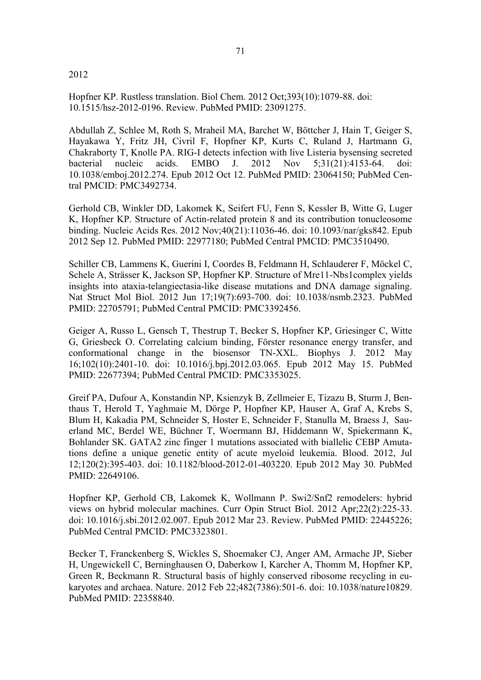#### 2012

Hopfner KP. Rustless translation. Biol Chem. 2012 Oct;393(10):1079-88. doi: 10.1515/hsz-2012-0196. Review. PubMed PMID: 23091275.

Abdullah Z, Schlee M, Roth S, Mraheil MA, Barchet W, Böttcher J, Hain T, Geiger S, Hayakawa Y, Fritz JH, Civril F, Hopfner KP, Kurts C, Ruland J, Hartmann G, Chakraborty T, Knolle PA. RIG-I detects infection with live Listeria bysensing secreted bacterial nucleic acids. EMBO J. 2012 Nov 5;31(21):4153-64. doi: 10.1038/emboj.2012.274. Epub 2012 Oct 12. PubMed PMID: 23064150; PubMed Central PMCID: PMC3492734.

Gerhold CB, Winkler DD, Lakomek K, Seifert FU, Fenn S, Kessler B, Witte G, Luger K, Hopfner KP. Structure of Actin-related protein 8 and its contribution tonucleosome binding. Nucleic Acids Res. 2012 Nov;40(21):11036-46. doi: 10.1093/nar/gks842. Epub 2012 Sep 12. PubMed PMID: 22977180; PubMed Central PMCID: PMC3510490.

Schiller CB, Lammens K, Guerini I, Coordes B, Feldmann H, Schlauderer F, Möckel C, Schele A, Strässer K, Jackson SP, Hopfner KP. Structure of Mre11-Nbs1complex yields insights into ataxia-telangiectasia-like disease mutations and DNA damage signaling. Nat Struct Mol Biol. 2012 Jun 17;19(7):693-700. doi: 10.1038/nsmb.2323. PubMed PMID: 22705791; PubMed Central PMCID: PMC3392456.

Geiger A, Russo L, Gensch T, Thestrup T, Becker S, Hopfner KP, Griesinger C, Witte G, Griesbeck O. Correlating calcium binding, Förster resonance energy transfer, and conformational change in the biosensor TN-XXL. Biophys J. 2012 May 16;102(10):2401-10. doi: 10.1016/j.bpj.2012.03.065. Epub 2012 May 15. PubMed PMID: 22677394; PubMed Central PMCID: PMC3353025.

Greif PA, Dufour A, Konstandin NP, Ksienzyk B, Zellmeier E, Tizazu B, Sturm J, Benthaus T, Herold T, Yaghmaie M, Dörge P, Hopfner KP, Hauser A, Graf A, Krebs S, Blum H, Kakadia PM, Schneider S, Hoster E, Schneider F, Stanulla M, Braess J, Sauerland MC, Berdel WE, Büchner T, Woermann BJ, Hiddemann W, Spiekermann K, Bohlander SK. GATA2 zinc finger 1 mutations associated with biallelic CEBP Amutations define a unique genetic entity of acute myeloid leukemia. Blood. 2012, Jul 12;120(2):395-403. doi: 10.1182/blood-2012-01-403220. Epub 2012 May 30. PubMed PMID: 22649106.

Hopfner KP, Gerhold CB, Lakomek K, Wollmann P. Swi2/Snf2 remodelers: hybrid views on hybrid molecular machines. Curr Opin Struct Biol. 2012 Apr;22(2):225-33. doi: 10.1016/j.sbi.2012.02.007. Epub 2012 Mar 23. Review. PubMed PMID: 22445226; PubMed Central PMCID: PMC3323801.

Becker T, Franckenberg S, Wickles S, Shoemaker CJ, Anger AM, Armache JP, Sieber H, Ungewickell C, Berninghausen O, Daberkow I, Karcher A, Thomm M, Hopfner KP, Green R, Beckmann R. Structural basis of highly conserved ribosome recycling in eukaryotes and archaea. Nature. 2012 Feb 22;482(7386):501-6. doi: 10.1038/nature10829. PubMed PMID: 22358840.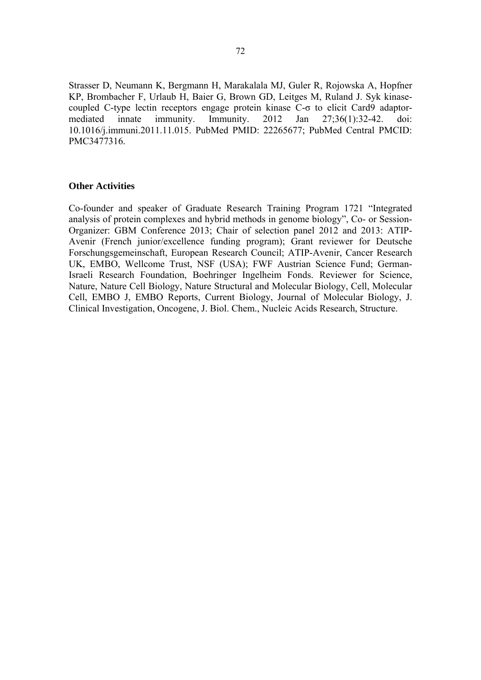Strasser D, Neumann K, Bergmann H, Marakalala MJ, Guler R, Rojowska A, Hopfner KP, Brombacher F, Urlaub H, Baier G, Brown GD, Leitges M, Ruland J. Syk kinasecoupled C-type lectin receptors engage protein kinase C-σ to elicit Card9 adaptormediated innate immunity. Immunity. 2012 Jan 27;36(1):32-42. doi: 10.1016/j.immuni.2011.11.015. PubMed PMID: 22265677; PubMed Central PMCID: PMC3477316.

#### **Other Activities**

Co-founder and speaker of Graduate Research Training Program 1721 "Integrated analysis of protein complexes and hybrid methods in genome biology", Co- or Session-Organizer: GBM Conference 2013; Chair of selection panel 2012 and 2013: ATIP-Avenir (French junior/excellence funding program); Grant reviewer for Deutsche Forschungsgemeinschaft, European Research Council; ATIP-Avenir, Cancer Research UK, EMBO, Wellcome Trust, NSF (USA); FWF Austrian Science Fund; German-Israeli Research Foundation, Boehringer Ingelheim Fonds. Reviewer for Science, Nature, Nature Cell Biology, Nature Structural and Molecular Biology, Cell, Molecular Cell, EMBO J, EMBO Reports, Current Biology, Journal of Molecular Biology, J. Clinical Investigation, Oncogene, J. Biol. Chem., Nucleic Acids Research, Structure.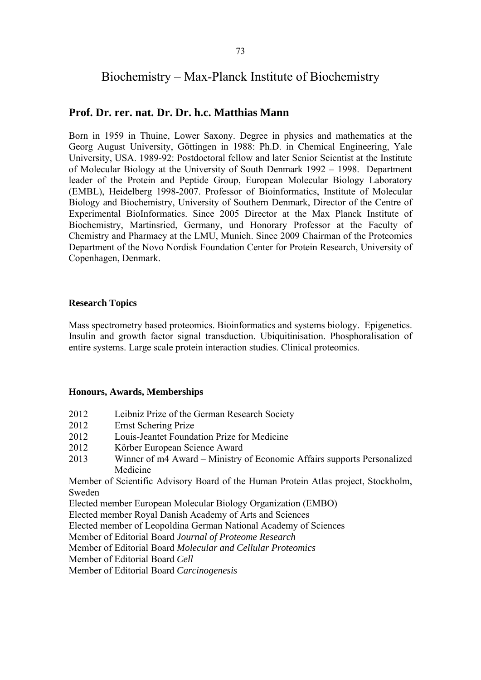# Biochemistry – Max-Planck Institute of Biochemistry

## **Prof. Dr. rer. nat. Dr. Dr. h.c. Matthias Mann**

Born in 1959 in Thuine, Lower Saxony. Degree in physics and mathematics at the Georg August University, Göttingen in 1988: Ph.D. in Chemical Engineering, Yale University, USA. 1989-92: Postdoctoral fellow and later Senior Scientist at the Institute of Molecular Biology at the University of South Denmark 1992 – 1998. Department leader of the Protein and Peptide Group, European Molecular Biology Laboratory (EMBL), Heidelberg 1998-2007. Professor of Bioinformatics, Institute of Molecular Biology and Biochemistry, University of Southern Denmark, Director of the Centre of Experimental BioInformatics. Since 2005 Director at the Max Planck Institute of Biochemistry, Martinsried, Germany, und Honorary Professor at the Faculty of Chemistry and Pharmacy at the LMU, Munich. Since 2009 Chairman of the Proteomics Department of the Novo Nordisk Foundation Center for Protein Research, University of Copenhagen, Denmark.

#### **Research Topics**

Mass spectrometry based proteomics. Bioinformatics and systems biology. Epigenetics. Insulin and growth factor signal transduction. Ubiquitinisation. Phosphoralisation of entire systems. Large scale protein interaction studies. Clinical proteomics.

#### **Honours, Awards, Memberships**

- 2012 Leibniz Prize of the German Research Society
- 2012 Ernst Schering Prize
- 2012 Louis-Jeantet Foundation Prize for Medicine
- 2012 Körber European Science Award
- 2013 Winner of m4 Award Ministry of Economic Affairs supports Personalized Medicine

Member of Scientific Advisory Board of the Human Protein Atlas project, Stockholm, Sweden

Elected member European Molecular Biology Organization (EMBO)

Elected member Royal Danish Academy of Arts and Sciences

Elected member of Leopoldina German National Academy of Sciences

Member of Editorial Board *Journal of Proteome Research*

Member of Editorial Board *Molecular and Cellular Proteomics*

Member of Editorial Board *Cell*

Member of Editorial Board *Carcinogenesis*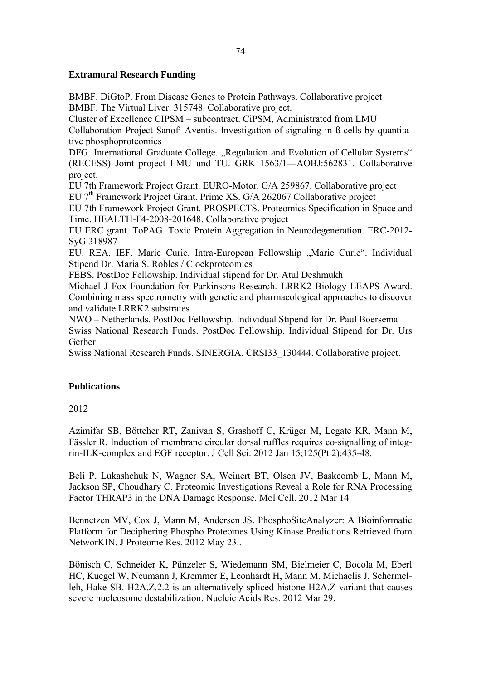### **Extramural Research Funding**

BMBF. DiGtoP. From Disease Genes to Protein Pathways. Collaborative project BMBF. The Virtual Liver. 315748. Collaborative project.

Cluster of Excellence CIPSM – subcontract. CiPSM, Administrated from LMU Collaboration Project Sanofi-Aventis. Investigation of signaling in ß-cells by quantita-

tive phosphoproteomics DFG. International Graduate College. "Regulation and Evolution of Cellular Systems" (RECESS) Joint project LMU und TU. GRK 1563/1—AOBJ:562831. Collaborative project.

EU 7th Framework Project Grant. EURO-Motor. G/A 259867. Collaborative project

EU 7<sup>th</sup> Framework Project Grant. Prime XS. G/A 262067 Collaborative project

EU 7th Framework Project Grant. PROSPECTS. Proteomics Specification in Space and Time. HEALTH-F4-2008-201648. Collaborative project

EU ERC grant. ToPAG. Toxic Protein Aggregation in Neurodegeneration. ERC-2012- SyG 318987

EU. REA. IEF. Marie Curie. Intra-European Fellowship "Marie Curie". Individual Stipend Dr. Maria S. Robles / Clockproteomics

FEBS. PostDoc Fellowship. Individual stipend for Dr. Atul Deshmukh

Michael J Fox Foundation for Parkinsons Research. LRRK2 Biology LEAPS Award. Combining mass spectrometry with genetic and pharmacological approaches to discover and validate LRRK2 substrates

NWO – Netherlands. PostDoc Fellowship. Individual Stipend for Dr. Paul Boersema Swiss National Research Funds. PostDoc Fellowship. Individual Stipend for Dr. Urs Gerber

Swiss National Research Funds. SINERGIA. CRSI33\_130444. Collaborative project.

## **Publications**

2012

Azimifar SB, Böttcher RT, Zanivan S, Grashoff C, Krüger M, Legate KR, Mann M, Fässler R. Induction of membrane circular dorsal ruffles requires co-signalling of integrin-ILK-complex and EGF receptor. J Cell Sci. 2012 Jan 15;125(Pt 2):435-48.

Beli P, Lukashchuk N, Wagner SA, Weinert BT, Olsen JV, Baskcomb L, Mann M, Jackson SP, Choudhary C. Proteomic Investigations Reveal a Role for RNA Processing Factor THRAP3 in the DNA Damage Response. Mol Cell. 2012 Mar 14

Bennetzen MV, Cox J, Mann M, Andersen JS. PhosphoSiteAnalyzer: A Bioinformatic Platform for Deciphering Phospho Proteomes Using Kinase Predictions Retrieved from NetworKIN. J Proteome Res. 2012 May 23..

Bönisch C, Schneider K, Pünzeler S, Wiedemann SM, Bielmeier C, Bocola M, Eberl HC, Kuegel W, Neumann J, Kremmer E, Leonhardt H, Mann M, Michaelis J, Schermelleh, Hake SB. H2A.Z.2.2 is an alternatively spliced histone H2A.Z variant that causes severe nucleosome destabilization. Nucleic Acids Res. 2012 Mar 29.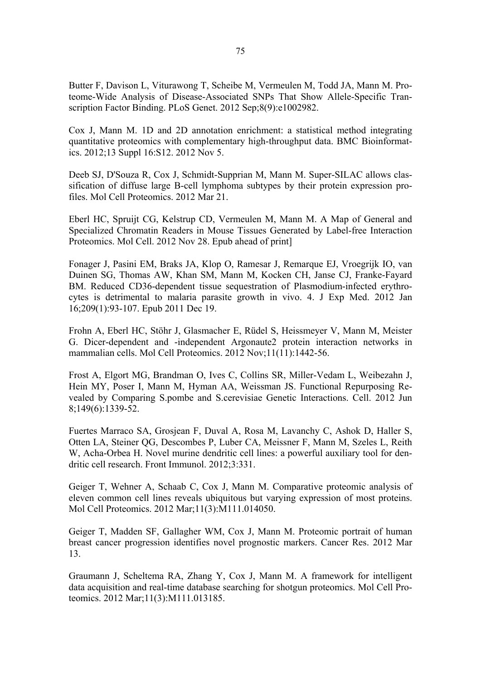Butter F, Davison L, Viturawong T, Scheibe M, Vermeulen M, Todd JA, Mann M. Proteome-Wide Analysis of Disease-Associated SNPs That Show Allele-Specific Transcription Factor Binding. PLoS Genet. 2012 Sep;8(9):e1002982.

Cox J, Mann M. 1D and 2D annotation enrichment: a statistical method integrating quantitative proteomics with complementary high-throughput data. BMC Bioinformatics. 2012;13 Suppl 16:S12. 2012 Nov 5.

Deeb SJ, D'Souza R, Cox J, Schmidt-Supprian M, Mann M. Super-SILAC allows classification of diffuse large B-cell lymphoma subtypes by their protein expression profiles. Mol Cell Proteomics. 2012 Mar 21.

Eberl HC, Spruijt CG, Kelstrup CD, Vermeulen M, Mann M. A Map of General and Specialized Chromatin Readers in Mouse Tissues Generated by Label-free Interaction Proteomics. Mol Cell. 2012 Nov 28. Epub ahead of print]

Fonager J, Pasini EM, Braks JA, Klop O, Ramesar J, Remarque EJ, Vroegrijk IO, van Duinen SG, Thomas AW, Khan SM, Mann M, Kocken CH, Janse CJ, Franke-Fayard BM. Reduced CD36-dependent tissue sequestration of Plasmodium-infected erythrocytes is detrimental to malaria parasite growth in vivo. 4. J Exp Med. 2012 Jan 16;209(1):93-107. Epub 2011 Dec 19.

Frohn A, Eberl HC, Stöhr J, Glasmacher E, Rüdel S, Heissmeyer V, Mann M, Meister G. Dicer-dependent and -independent Argonaute2 protein interaction networks in mammalian cells. Mol Cell Proteomics. 2012 Nov;11(11):1442-56.

Frost A, Elgort MG, Brandman O, Ives C, Collins SR, Miller-Vedam L, Weibezahn J, Hein MY, Poser I, Mann M, Hyman AA, Weissman JS. Functional Repurposing Revealed by Comparing S.pombe and S.cerevisiae Genetic Interactions. Cell. 2012 Jun 8;149(6):1339-52.

Fuertes Marraco SA, Grosjean F, Duval A, Rosa M, Lavanchy C, Ashok D, Haller S, Otten LA, Steiner QG, Descombes P, Luber CA, Meissner F, Mann M, Szeles L, Reith W, Acha-Orbea H. Novel murine dendritic cell lines: a powerful auxiliary tool for dendritic cell research. Front Immunol. 2012;3:331.

Geiger T, Wehner A, Schaab C, Cox J, Mann M. Comparative proteomic analysis of eleven common cell lines reveals ubiquitous but varying expression of most proteins. Mol Cell Proteomics. 2012 Mar;11(3):M111.014050.

Geiger T, Madden SF, Gallagher WM, Cox J, Mann M. Proteomic portrait of human breast cancer progression identifies novel prognostic markers. Cancer Res. 2012 Mar 13.

Graumann J, Scheltema RA, Zhang Y, Cox J, Mann M. A framework for intelligent data acquisition and real-time database searching for shotgun proteomics. Mol Cell Proteomics. 2012 Mar;11(3):M111.013185.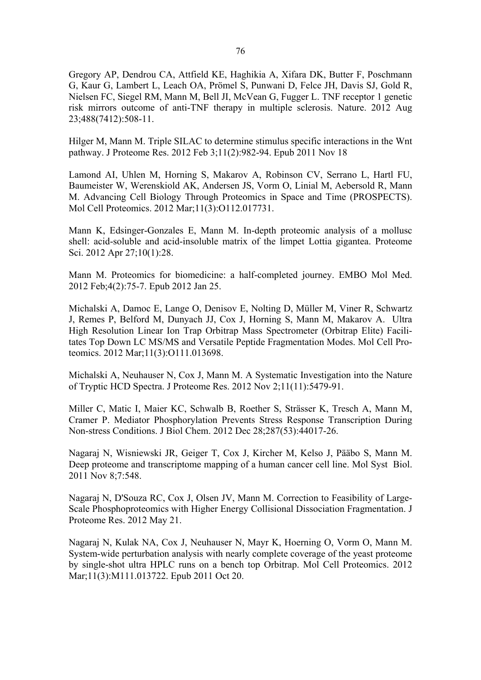Gregory AP, Dendrou CA, Attfield KE, Haghikia A, Xifara DK, Butter F, Poschmann G, Kaur G, Lambert L, Leach OA, Prömel S, Punwani D, Felce JH, Davis SJ, Gold R, Nielsen FC, Siegel RM, Mann M, Bell JI, McVean G, Fugger L. TNF receptor 1 genetic risk mirrors outcome of anti-TNF therapy in multiple sclerosis. Nature. 2012 Aug 23;488(7412):508-11.

Hilger M, Mann M. Triple SILAC to determine stimulus specific interactions in the Wnt pathway. J Proteome Res. 2012 Feb 3;11(2):982-94. Epub 2011 Nov 18

Lamond AI, Uhlen M, Horning S, Makarov A, Robinson CV, Serrano L, Hartl FU, Baumeister W, Werenskiold AK, Andersen JS, Vorm O, Linial M, Aebersold R, Mann M. Advancing Cell Biology Through Proteomics in Space and Time (PROSPECTS). Mol Cell Proteomics. 2012 Mar;11(3):O112.017731.

Mann K, Edsinger-Gonzales E, Mann M. In-depth proteomic analysis of a mollusc shell: acid-soluble and acid-insoluble matrix of the limpet Lottia gigantea. Proteome Sci. 2012 Apr 27;10(1):28.

Mann M. Proteomics for biomedicine: a half-completed journey. EMBO Mol Med. 2012 Feb;4(2):75-7. Epub 2012 Jan 25.

Michalski A, Damoc E, Lange O, Denisov E, Nolting D, Müller M, Viner R, Schwartz J, Remes P, Belford M, Dunyach JJ, Cox J, Horning S, Mann M, Makarov A. Ultra High Resolution Linear Ion Trap Orbitrap Mass Spectrometer (Orbitrap Elite) Facilitates Top Down LC MS/MS and Versatile Peptide Fragmentation Modes. Mol Cell Proteomics. 2012 Mar;11(3):O111.013698.

Michalski A, Neuhauser N, Cox J, Mann M. A Systematic Investigation into the Nature of Tryptic HCD Spectra. J Proteome Res. 2012 Nov 2;11(11):5479-91.

Miller C, Matic I, Maier KC, Schwalb B, Roether S, Strässer K, Tresch A, Mann M, Cramer P. Mediator Phosphorylation Prevents Stress Response Transcription During Non-stress Conditions. J Biol Chem. 2012 Dec 28;287(53):44017-26.

Nagaraj N, Wisniewski JR, Geiger T, Cox J, Kircher M, Kelso J, Pääbo S, Mann M. Deep proteome and transcriptome mapping of a human cancer cell line. Mol Syst Biol. 2011 Nov 8;7:548.

Nagaraj N, D'Souza RC, Cox J, Olsen JV, Mann M. Correction to Feasibility of Large-Scale Phosphoproteomics with Higher Energy Collisional Dissociation Fragmentation. J Proteome Res. 2012 May 21.

Nagaraj N, Kulak NA, Cox J, Neuhauser N, Mayr K, Hoerning O, Vorm O, Mann M. System-wide perturbation analysis with nearly complete coverage of the yeast proteome by single-shot ultra HPLC runs on a bench top Orbitrap. Mol Cell Proteomics. 2012 Mar;11(3):M111.013722. Epub 2011 Oct 20.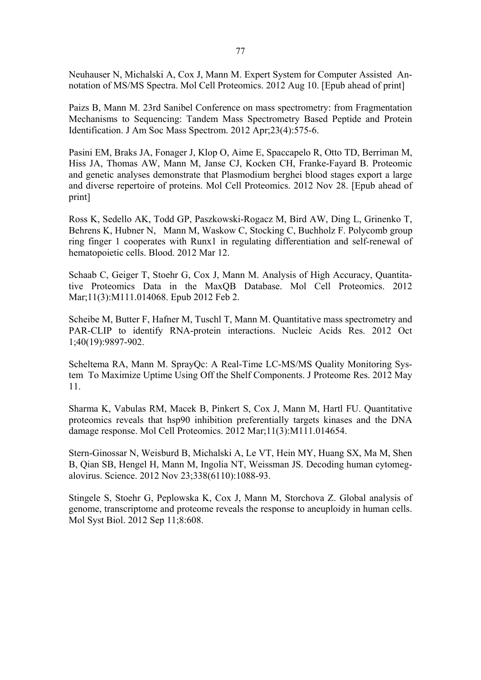Neuhauser N, Michalski A, Cox J, Mann M. Expert System for Computer Assisted Annotation of MS/MS Spectra. Mol Cell Proteomics. 2012 Aug 10. [Epub ahead of print]

Paizs B, Mann M. 23rd Sanibel Conference on mass spectrometry: from Fragmentation Mechanisms to Sequencing: Tandem Mass Spectrometry Based Peptide and Protein Identification. J Am Soc Mass Spectrom. 2012 Apr;23(4):575-6.

Pasini EM, Braks JA, Fonager J, Klop O, Aime E, Spaccapelo R, Otto TD, Berriman M, Hiss JA, Thomas AW, Mann M, Janse CJ, Kocken CH, Franke-Fayard B. Proteomic and genetic analyses demonstrate that Plasmodium berghei blood stages export a large and diverse repertoire of proteins. Mol Cell Proteomics. 2012 Nov 28. [Epub ahead of print]

Ross K, Sedello AK, Todd GP, Paszkowski-Rogacz M, Bird AW, Ding L, Grinenko T, Behrens K, Hubner N, Mann M, Waskow C, Stocking C, Buchholz F. Polycomb group ring finger 1 cooperates with Runx1 in regulating differentiation and self-renewal of hematopoietic cells. Blood. 2012 Mar 12.

Schaab C, Geiger T, Stoehr G, Cox J, Mann M. Analysis of High Accuracy, Quantitative Proteomics Data in the MaxQB Database. Mol Cell Proteomics. 2012 Mar;11(3):M111.014068. Epub 2012 Feb 2.

Scheibe M, Butter F, Hafner M, Tuschl T, Mann M. Quantitative mass spectrometry and PAR-CLIP to identify RNA-protein interactions. Nucleic Acids Res. 2012 Oct 1;40(19):9897-902.

Scheltema RA, Mann M. SprayQc: A Real-Time LC-MS/MS Quality Monitoring System To Maximize Uptime Using Off the Shelf Components. J Proteome Res. 2012 May 11.

Sharma K, Vabulas RM, Macek B, Pinkert S, Cox J, Mann M, Hartl FU. Quantitative proteomics reveals that hsp90 inhibition preferentially targets kinases and the DNA damage response. Mol Cell Proteomics. 2012 Mar;11(3):M111.014654.

Stern-Ginossar N, Weisburd B, Michalski A, Le VT, Hein MY, Huang SX, Ma M, Shen B, Qian SB, Hengel H, Mann M, Ingolia NT, Weissman JS. Decoding human cytomegalovirus. Science. 2012 Nov 23;338(6110):1088-93.

Stingele S, Stoehr G, Peplowska K, Cox J, Mann M, Storchova Z. Global analysis of genome, transcriptome and proteome reveals the response to aneuploidy in human cells. Mol Syst Biol. 2012 Sep 11;8:608.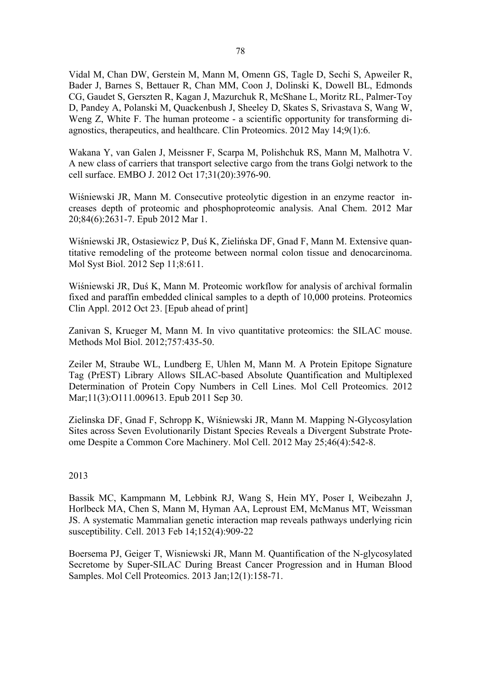Vidal M, Chan DW, Gerstein M, Mann M, Omenn GS, Tagle D, Sechi S, Apweiler R, Bader J, Barnes S, Bettauer R, Chan MM, Coon J, Dolinski K, Dowell BL, Edmonds CG, Gaudet S, Gerszten R, Kagan J, Mazurchuk R, McShane L, Moritz RL, Palmer-Toy D, Pandey A, Polanski M, Quackenbush J, Sheeley D, Skates S, Srivastava S, Wang W, Weng Z, White F. The human proteome - a scientific opportunity for transforming diagnostics, therapeutics, and healthcare. Clin Proteomics. 2012 May 14;9(1):6.

Wakana Y, van Galen J, Meissner F, Scarpa M, Polishchuk RS, Mann M, Malhotra V. A new class of carriers that transport selective cargo from the trans Golgi network to the cell surface. EMBO J. 2012 Oct 17;31(20):3976-90.

Wiśniewski JR, Mann M. Consecutive proteolytic digestion in an enzyme reactor increases depth of proteomic and phosphoproteomic analysis. Anal Chem. 2012 Mar 20;84(6):2631-7. Epub 2012 Mar 1.

Wiśniewski JR, Ostasiewicz P, Duś K, Zielińska DF, Gnad F, Mann M. Extensive quantitative remodeling of the proteome between normal colon tissue and denocarcinoma. Mol Syst Biol. 2012 Sep 11;8:611.

Wiśniewski JR, Duś K, Mann M. Proteomic workflow for analysis of archival formalin fixed and paraffin embedded clinical samples to a depth of 10,000 proteins. Proteomics Clin Appl. 2012 Oct 23. [Epub ahead of print]

Zanivan S, Krueger M, Mann M. In vivo quantitative proteomics: the SILAC mouse. Methods Mol Biol. 2012;757:435-50.

Zeiler M, Straube WL, Lundberg E, Uhlen M, Mann M. A Protein Epitope Signature Tag (PrEST) Library Allows SILAC-based Absolute Quantification and Multiplexed Determination of Protein Copy Numbers in Cell Lines. Mol Cell Proteomics. 2012 Mar;11(3):O111.009613. Epub 2011 Sep 30.

Zielinska DF, Gnad F, Schropp K, Wiśniewski JR, Mann M. Mapping N-Glycosylation Sites across Seven Evolutionarily Distant Species Reveals a Divergent Substrate Proteome Despite a Common Core Machinery. Mol Cell. 2012 May 25;46(4):542-8.

#### 2013

Bassik MC, Kampmann M, Lebbink RJ, Wang S, Hein MY, Poser I, Weibezahn J, Horlbeck MA, Chen S, Mann M, Hyman AA, Leproust EM, McManus MT, Weissman JS. A systematic Mammalian genetic interaction map reveals pathways underlying ricin susceptibility. Cell. 2013 Feb 14;152(4):909-22

Boersema PJ, Geiger T, Wisniewski JR, Mann M. Quantification of the N-glycosylated Secretome by Super-SILAC During Breast Cancer Progression and in Human Blood Samples. Mol Cell Proteomics. 2013 Jan;12(1):158-71.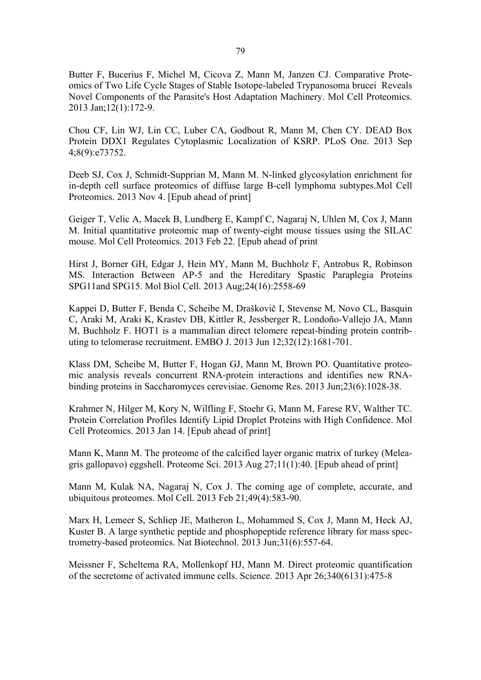Butter F, Bucerius F, Michel M, Cicova Z, Mann M, Janzen CJ. Comparative Proteomics of Two Life Cycle Stages of Stable Isotope-labeled Trypanosoma brucei Reveals Novel Components of the Parasite's Host Adaptation Machinery. Mol Cell Proteomics. 2013 Jan;12(1):172-9.

Chou CF, Lin WJ, Lin CC, Luber CA, Godbout R, Mann M, Chen CY. DEAD Box Protein DDX1 Regulates Cytoplasmic Localization of KSRP. PLoS One. 2013 Sep 4;8(9):e73752.

Deeb SJ, Cox J, Schmidt-Supprian M, Mann M. N-linked glycosylation enrichment for in-depth cell surface proteomics of diffuse large B-cell lymphoma subtypes.Mol Cell Proteomics. 2013 Nov 4. [Epub ahead of print]

Geiger T, Velic A, Macek B, Lundberg E, Kampf C, Nagaraj N, Uhlen M, Cox J, Mann M. Initial quantitative proteomic map of twenty-eight mouse tissues using the SILAC mouse. Mol Cell Proteomics. 2013 Feb 22. [Epub ahead of print

Hirst J, Borner GH, Edgar J, Hein MY, Mann M, Buchholz F, Antrobus R, Robinson MS. Interaction Between AP-5 and the Hereditary Spastic Paraplegia Proteins SPG11and SPG15. Mol Biol Cell. 2013 Aug;24(16):2558-69

Kappei D, Butter F, Benda C, Scheibe M, Draškovič I, Stevense M, Novo CL, Basquin C, Araki M, Araki K, Krastev DB, Kittler R, Jessberger R, Londoño-Vallejo JA, Mann M, Buchholz F. HOT1 is a mammalian direct telomere repeat-binding protein contributing to telomerase recruitment. EMBO J. 2013 Jun 12;32(12):1681-701.

Klass DM, Scheibe M, Butter F, Hogan GJ, Mann M, Brown PO. Quantitative proteomic analysis reveals concurrent RNA-protein interactions and identifies new RNAbinding proteins in Saccharomyces cerevisiae. Genome Res. 2013 Jun;23(6):1028-38.

Krahmer N, Hilger M, Kory N, Wilfling F, Stoehr G, Mann M, Farese RV, Walther TC. Protein Correlation Profiles Identify Lipid Droplet Proteins with High Confidence. Mol Cell Proteomics. 2013 Jan 14. [Epub ahead of print]

Mann K, Mann M. The proteome of the calcified layer organic matrix of turkey (Meleagris gallopavo) eggshell. Proteome Sci. 2013 Aug 27;11(1):40. [Epub ahead of print]

Mann M, Kulak NA, Nagaraj N, Cox J. The coming age of complete, accurate, and ubiquitous proteomes. Mol Cell. 2013 Feb 21;49(4):583-90.

Marx H, Lemeer S, Schliep JE, Matheron L, Mohammed S, Cox J, Mann M, Heck AJ, Kuster B. A large synthetic peptide and phosphopeptide reference library for mass spectrometry-based proteomics. Nat Biotechnol. 2013 Jun;31(6):557-64.

Meissner F, Scheltema RA, Mollenkopf HJ, Mann M. Direct proteomic quantification of the secretome of activated immune cells. Science. 2013 Apr 26;340(6131):475-8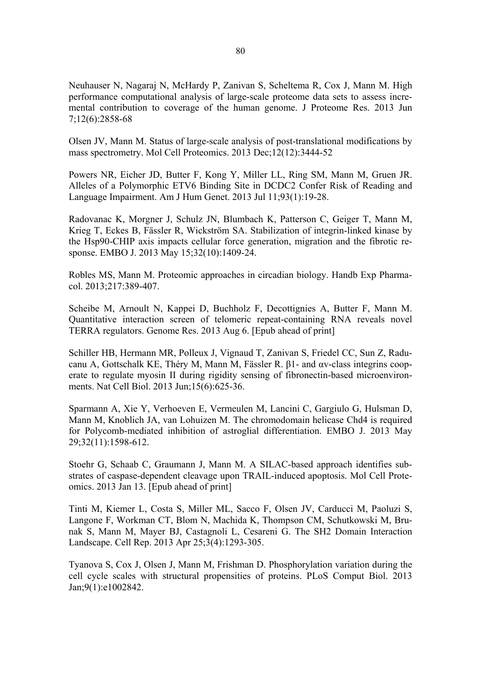Neuhauser N, Nagaraj N, McHardy P, Zanivan S, Scheltema R, Cox J, Mann M. High performance computational analysis of large-scale proteome data sets to assess incremental contribution to coverage of the human genome. J Proteome Res. 2013 Jun 7;12(6):2858-68

Olsen JV, Mann M. Status of large-scale analysis of post-translational modifications by mass spectrometry. Mol Cell Proteomics. 2013 Dec;12(12):3444-52

Powers NR, Eicher JD, Butter F, Kong Y, Miller LL, Ring SM, Mann M, Gruen JR. Alleles of a Polymorphic ETV6 Binding Site in DCDC2 Confer Risk of Reading and Language Impairment. Am J Hum Genet. 2013 Jul 11;93(1):19-28.

Radovanac K, Morgner J, Schulz JN, Blumbach K, Patterson C, Geiger T, Mann M, Krieg T, Eckes B, Fässler R, Wickström SA. Stabilization of integrin-linked kinase by the Hsp90-CHIP axis impacts cellular force generation, migration and the fibrotic response. EMBO J. 2013 May 15;32(10):1409-24.

Robles MS, Mann M. Proteomic approaches in circadian biology. Handb Exp Pharmacol. 2013;217:389-407.

Scheibe M, Arnoult N, Kappei D, Buchholz F, Decottignies A, Butter F, Mann M. Quantitative interaction screen of telomeric repeat-containing RNA reveals novel TERRA regulators. Genome Res. 2013 Aug 6. [Epub ahead of print]

Schiller HB, Hermann MR, Polleux J, Vignaud T, Zanivan S, Friedel CC, Sun Z, Raducanu A, Gottschalk KE, Théry M, Mann M, Fässler R. β1- and αv-class integrins cooperate to regulate myosin II during rigidity sensing of fibronectin-based microenvironments. Nat Cell Biol. 2013 Jun;15(6):625-36.

Sparmann A, Xie Y, Verhoeven E, Vermeulen M, Lancini C, Gargiulo G, Hulsman D, Mann M, Knoblich JA, van Lohuizen M. The chromodomain helicase Chd4 is required for Polycomb-mediated inhibition of astroglial differentiation. EMBO J. 2013 May 29;32(11):1598-612.

Stoehr G, Schaab C, Graumann J, Mann M. A SILAC-based approach identifies substrates of caspase-dependent cleavage upon TRAIL-induced apoptosis. Mol Cell Proteomics. 2013 Jan 13. [Epub ahead of print]

Tinti M, Kiemer L, Costa S, Miller ML, Sacco F, Olsen JV, Carducci M, Paoluzi S, Langone F, Workman CT, Blom N, Machida K, Thompson CM, Schutkowski M, Brunak S, Mann M, Mayer BJ, Castagnoli L, Cesareni G. The SH2 Domain Interaction Landscape. Cell Rep. 2013 Apr 25;3(4):1293-305.

Tyanova S, Cox J, Olsen J, Mann M, Frishman D. Phosphorylation variation during the cell cycle scales with structural propensities of proteins. PLoS Comput Biol. 2013 Jan;9(1):e1002842.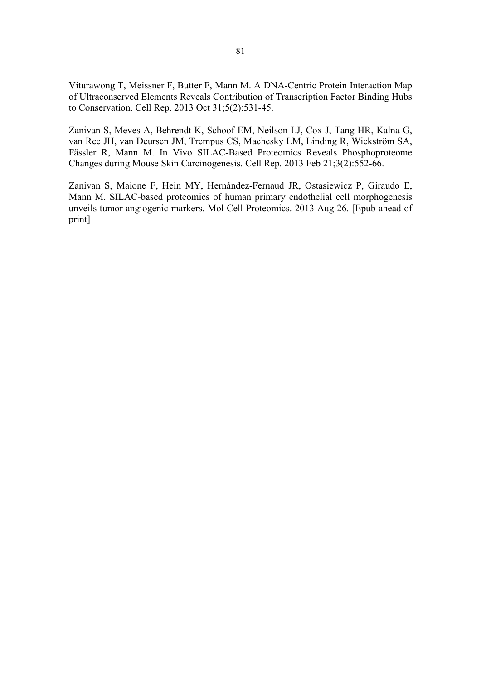Viturawong T, Meissner F, Butter F, Mann M. A DNA-Centric Protein Interaction Map of Ultraconserved Elements Reveals Contribution of Transcription Factor Binding Hubs to Conservation. Cell Rep. 2013 Oct 31;5(2):531-45.

Zanivan S, Meves A, Behrendt K, Schoof EM, Neilson LJ, Cox J, Tang HR, Kalna G, van Ree JH, van Deursen JM, Trempus CS, Machesky LM, Linding R, Wickström SA, Fässler R, Mann M. In Vivo SILAC-Based Proteomics Reveals Phosphoproteome Changes during Mouse Skin Carcinogenesis. Cell Rep. 2013 Feb 21;3(2):552-66.

Zanivan S, Maione F, Hein MY, Hernández-Fernaud JR, Ostasiewicz P, Giraudo E, Mann M. SILAC-based proteomics of human primary endothelial cell morphogenesis unveils tumor angiogenic markers. Mol Cell Proteomics. 2013 Aug 26. [Epub ahead of print]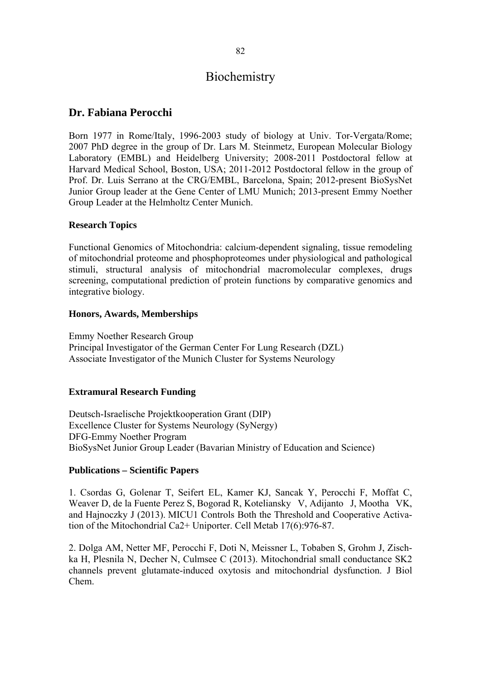# **Biochemistry**

## **Dr. Fabiana Perocchi**

Born 1977 in Rome/Italy, 1996-2003 study of biology at Univ. Tor-Vergata/Rome; 2007 PhD degree in the group of Dr. Lars M. Steinmetz, European Molecular Biology Laboratory (EMBL) and Heidelberg University; 2008-2011 Postdoctoral fellow at Harvard Medical School, Boston, USA; 2011-2012 Postdoctoral fellow in the group of Prof. Dr. Luis Serrano at the CRG/EMBL, Barcelona, Spain; 2012-present BioSysNet Junior Group leader at the Gene Center of LMU Munich; 2013-present Emmy Noether Group Leader at the Helmholtz Center Munich.

### **Research Topics**

Functional Genomics of Mitochondria: calcium-dependent signaling, tissue remodeling of mitochondrial proteome and phosphoproteomes under physiological and pathological stimuli, structural analysis of mitochondrial macromolecular complexes, drugs screening, computational prediction of protein functions by comparative genomics and integrative biology.

#### **Honors, Awards, Memberships**

Emmy Noether Research Group Principal Investigator of the German Center For Lung Research (DZL) Associate Investigator of the Munich Cluster for Systems Neurology

#### **Extramural Research Funding**

Deutsch-Israelische Projektkooperation Grant (DIP) Excellence Cluster for Systems Neurology (SyNergy) DFG-Emmy Noether Program BioSysNet Junior Group Leader (Bavarian Ministry of Education and Science)

#### **Publications – Scientific Papers**

1. Csordas G, Golenar T, Seifert EL, Kamer KJ, Sancak Y, Perocchi F, Moffat C, Weaver D, de la Fuente Perez S, Bogorad R, Koteliansky V, Adijanto J, Mootha VK, and Hajnoczky J (2013). MICU1 Controls Both the Threshold and Cooperative Activation of the Mitochondrial Ca2+ Uniporter. Cell Metab 17(6):976-87.

2. Dolga AM, Netter MF, Perocchi F, Doti N, Meissner L, Tobaben S, Grohm J, Zischka H, Plesnila N, Decher N, Culmsee C (2013). Mitochondrial small conductance SK2 channels prevent glutamate-induced oxytosis and mitochondrial dysfunction. J Biol Chem.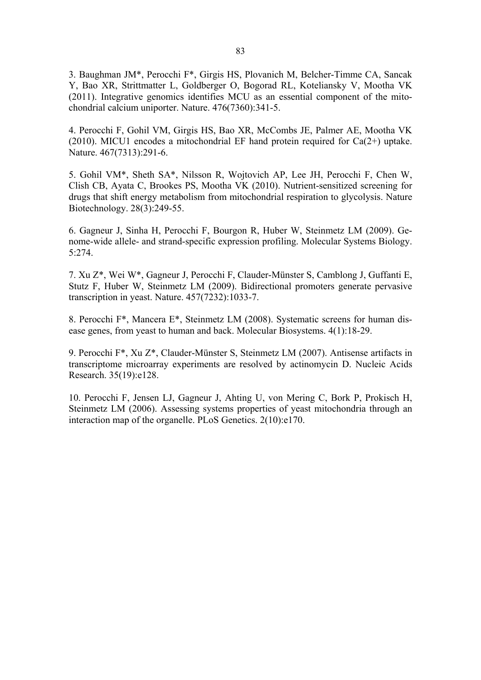3. Baughman JM\*, Perocchi F\*, Girgis HS, Plovanich M, Belcher-Timme CA, Sancak Y, Bao XR, Strittmatter L, Goldberger O, Bogorad RL, Koteliansky V, Mootha VK (2011). Integrative genomics identifies MCU as an essential component of the mitochondrial calcium uniporter. Nature. 476(7360):341-5.

4. Perocchi F, Gohil VM, Girgis HS, Bao XR, McCombs JE, Palmer AE, Mootha VK (2010). MICU1 encodes a mitochondrial EF hand protein required for  $Ca(2+)$  uptake. Nature. 467(7313):291-6.

5. Gohil VM\*, Sheth SA\*, Nilsson R, Wojtovich AP, Lee JH, Perocchi F, Chen W, Clish CB, Ayata C, Brookes PS, Mootha VK (2010). Nutrient-sensitized screening for drugs that shift energy metabolism from mitochondrial respiration to glycolysis. Nature Biotechnology. 28(3):249-55.

6. Gagneur J, Sinha H, Perocchi F, Bourgon R, Huber W, Steinmetz LM (2009). Genome-wide allele- and strand-specific expression profiling. Molecular Systems Biology. 5:274.

7. Xu Z\*, Wei W\*, Gagneur J, Perocchi F, Clauder-Münster S, Camblong J, Guffanti E, Stutz F, Huber W, Steinmetz LM (2009). Bidirectional promoters generate pervasive transcription in yeast. Nature. 457(7232):1033-7.

8. Perocchi F\*, Mancera E\*, Steinmetz LM (2008). Systematic screens for human disease genes, from yeast to human and back. Molecular Biosystems. 4(1):18-29.

9. Perocchi F\*, Xu Z\*, Clauder-Münster S, Steinmetz LM (2007). Antisense artifacts in transcriptome microarray experiments are resolved by actinomycin D. Nucleic Acids Research. 35(19):e128.

10. Perocchi F, Jensen LJ, Gagneur J, Ahting U, von Mering C, Bork P, Prokisch H, Steinmetz LM (2006). Assessing systems properties of yeast mitochondria through an interaction map of the organelle. PLoS Genetics. 2(10):e170.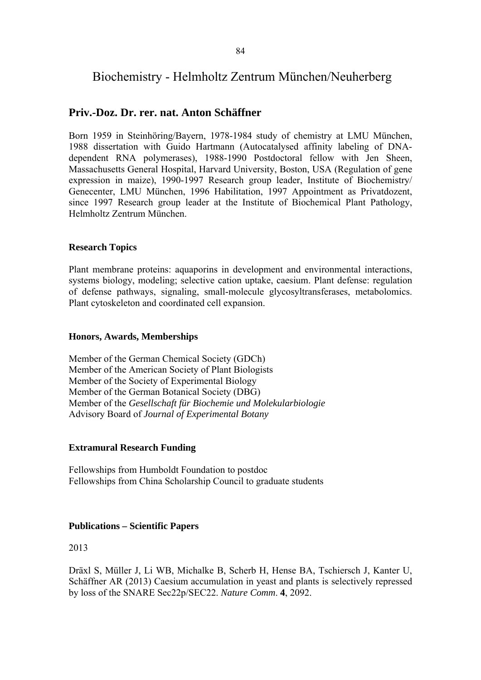# Biochemistry - Helmholtz Zentrum München/Neuherberg

## **Priv.-Doz. Dr. rer. nat. Anton Schäffner**

Born 1959 in Steinhöring/Bayern, 1978-1984 study of chemistry at LMU München, 1988 dissertation with Guido Hartmann (Autocatalysed affinity labeling of DNAdependent RNA polymerases), 1988-1990 Postdoctoral fellow with Jen Sheen, Massachusetts General Hospital, Harvard University, Boston, USA (Regulation of gene expression in maize), 1990-1997 Research group leader, Institute of Biochemistry/ Genecenter, LMU München, 1996 Habilitation, 1997 Appointment as Privatdozent, since 1997 Research group leader at the Institute of Biochemical Plant Pathology, Helmholtz Zentrum München.

#### **Research Topics**

Plant membrane proteins: aquaporins in development and environmental interactions, systems biology, modeling; selective cation uptake, caesium. Plant defense: regulation of defense pathways, signaling, small-molecule glycosyltransferases, metabolomics. Plant cytoskeleton and coordinated cell expansion.

#### **Honors, Awards, Memberships**

Member of the German Chemical Society (GDCh) Member of the American Society of Plant Biologists Member of the Society of Experimental Biology Member of the German Botanical Society (DBG) Member of the *Gesellschaft für Biochemie und Molekularbiologie*  Advisory Board of *Journal of Experimental Botany*

#### **Extramural Research Funding**

Fellowships from Humboldt Foundation to postdoc Fellowships from China Scholarship Council to graduate students

## **Publications – Scientific Papers**

#### 2013

Dräxl S, Müller J, Li WB, Michalke B, Scherb H, Hense BA, Tschiersch J, Kanter U, Schäffner AR (2013) Caesium accumulation in yeast and plants is selectively repressed by loss of the SNARE Sec22p/SEC22. *Nature Comm*. **4**, 2092.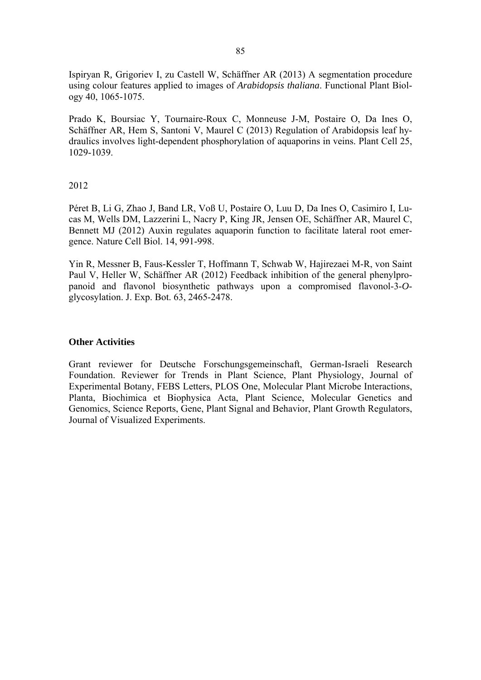Ispiryan R*,* Grigoriev I, zu Castell W, Schäffner AR (2013) A segmentation procedure using colour features applied to images of *Arabidopsis thaliana*. Functional Plant Biology 40, 1065-1075.

Prado K, Boursiac Y, Tournaire-Roux C, Monneuse J-M, Postaire O, Da Ines O, Schäffner AR, Hem S, Santoni V, Maurel C (2013) Regulation of Arabidopsis leaf hydraulics involves light-dependent phosphorylation of aquaporins in veins. Plant Cell 25, 1029-1039.

#### 2012

Péret B, Li G, Zhao J, Band LR, Voß U, Postaire O, Luu D, Da Ines O, Casimiro I, Lucas M, Wells DM, Lazzerini L, Nacry P, King JR, Jensen OE, Schäffner AR, Maurel C, Bennett MJ (2012) Auxin regulates aquaporin function to facilitate lateral root emergence. Nature Cell Biol. 14, 991-998.

Yin R, Messner B, Faus-Kessler T, Hoffmann T, Schwab W, Hajirezaei M-R, von Saint Paul V, Heller W, Schäffner AR (2012) Feedback inhibition of the general phenylpropanoid and flavonol biosynthetic pathways upon a compromised flavonol-3-*O*glycosylation. J. Exp. Bot. 63, 2465-2478.

#### **Other Activities**

Grant reviewer for Deutsche Forschungsgemeinschaft, German-Israeli Research Foundation. Reviewer for Trends in Plant Science, Plant Physiology, Journal of Experimental Botany, FEBS Letters, PLOS One, Molecular Plant Microbe Interactions, Planta, Biochimica et Biophysica Acta, Plant Science, Molecular Genetics and Genomics, Science Reports, Gene, Plant Signal and Behavior, Plant Growth Regulators, Journal of Visualized Experiments.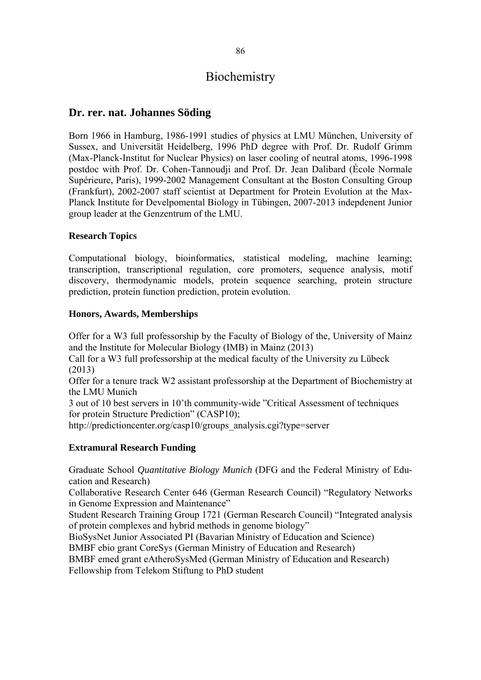# Biochemistry

## **Dr. rer. nat. Johannes Söding**

Born 1966 in Hamburg, 1986-1991 studies of physics at LMU München, University of Sussex, and Universität Heidelberg, 1996 PhD degree with Prof. Dr. Rudolf Grimm (Max-Planck-Institut for Nuclear Physics) on laser cooling of neutral atoms, 1996-1998 postdoc with Prof. Dr. Cohen-Tannoudji and Prof. Dr. Jean Dalibard (École Normale Supérieure, Paris), 1999-2002 Management Consultant at the Boston Consulting Group (Frankfurt), 2002-2007 staff scientist at Department for Protein Evolution at the Max-Planck Institute for Develpomental Biology in Tübingen, 2007-2013 indepdenent Junior group leader at the Genzentrum of the LMU.

### **Research Topics**

Computational biology, bioinformatics, statistical modeling, machine learning; transcription, transcriptional regulation, core promoters, sequence analysis, motif discovery, thermodynamic models, protein sequence searching, protein structure prediction, protein function prediction, protein evolution.

#### **Honors, Awards, Memberships**

Offer for a W3 full professorship by the Faculty of Biology of the, University of Mainz and the Institute for Molecular Biology (IMB) in Mainz (2013)

Call for a W3 full professorship at the medical faculty of the University zu Lübeck (2013)

Offer for a tenure track W2 assistant professorship at the Department of Biochemistry at the LMU Munich

3 out of 10 best servers in 10'th community-wide "Critical Assessment of techniques for protein Structure Prediction" (CASP10);

http://predictioncenter.org/casp10/groups\_analysis.cgi?type=server

## **Extramural Research Funding**

Graduate School *Quantitative Biology Munich* (DFG and the Federal Ministry of Education and Research)

Collaborative Research Center 646 (German Research Council) "Regulatory Networks in Genome Expression and Maintenance"

Student Research Training Group 1721 (German Research Council) "Integrated analysis of protein complexes and hybrid methods in genome biology"

BioSysNet Junior Associated PI (Bavarian Ministry of Education and Science)

BMBF ebio grant CoreSys (German Ministry of Education and Research)

BMBF emed grant eAtheroSysMed (German Ministry of Education and Research) Fellowship from Telekom Stiftung to PhD student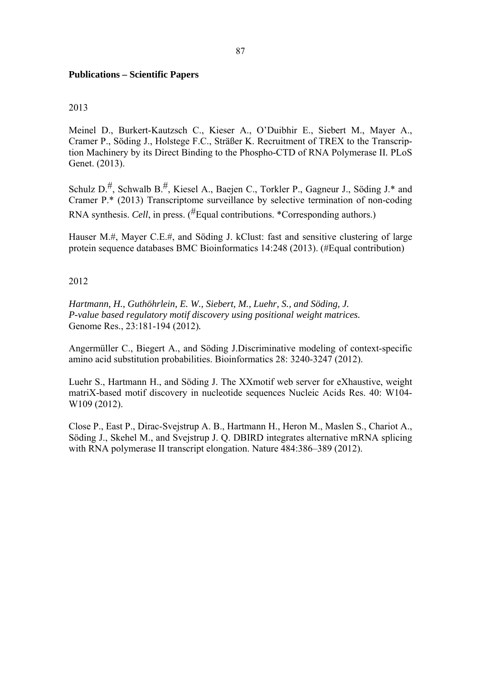### **Publications – Scientific Papers**

#### 2013

Meinel D., Burkert-Kautzsch C., Kieser A., O'Duibhir E., Siebert M., Mayer A., Cramer P., Söding J., Holstege F.C., Sträßer K. Recruitment of TREX to the Transcription Machinery by its Direct Binding to the Phospho-CTD of RNA Polymerase II*.* PLoS Genet. (2013).

Schulz  $D<sup>#</sup>$ , Schwalb  $B<sup>#</sup>$ , Kiesel A., Baejen C., Torkler P., Gagneur J., Söding J.\* and Cramer P.\* (2013) Transcriptome surveillance by selective termination of non-coding RNA synthesis. *Cell*, in press. (#Equal contributions. \*Corresponding authors.)

Hauser M.#, Mayer C.E.#, and Söding J. kClust: fast and sensitive clustering of large protein sequence databases BMC Bioinformatics 14:248 (2013). (#Equal contribution)

#### 2012

*Hartmann, H., Guthöhrlein, E. W., Siebert, M., Luehr, S., and Söding, J. P-value based regulatory motif discovery using positional weight matrices.*  Genome Res., 23:181-194 (2012)*.* 

Angermüller C., Biegert A., and Söding J.Discriminative modeling of context-specific amino acid substitution probabilities. Bioinformatics 28: 3240-3247 (2012).

Luehr S., Hartmann H., and Söding J. The XXmotif web server for eXhaustive, weight matriX-based motif discovery in nucleotide sequences Nucleic Acids Res. 40: W104- W109 (2012).

Close P., East P., Dirac-Svejstrup A. B., Hartmann H., Heron M., Maslen S., Chariot A., Söding J., Skehel M., and Svejstrup J. Q. DBIRD integrates alternative mRNA splicing with RNA polymerase II transcript elongation. Nature 484:386–389 (2012).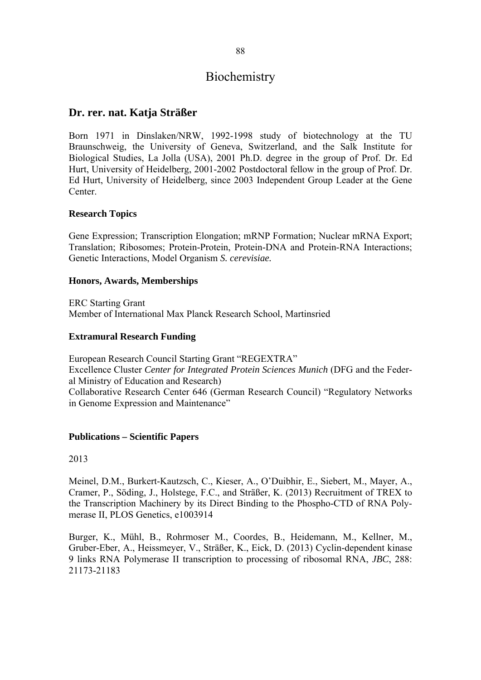# Biochemistry

## **Dr. rer. nat. Katja Sträßer**

Born 1971 in Dinslaken/NRW, 1992-1998 study of biotechnology at the TU Braunschweig, the University of Geneva, Switzerland, and the Salk Institute for Biological Studies, La Jolla (USA), 2001 Ph.D. degree in the group of Prof. Dr. Ed Hurt, University of Heidelberg, 2001-2002 Postdoctoral fellow in the group of Prof. Dr. Ed Hurt, University of Heidelberg, since 2003 Independent Group Leader at the Gene Center.

#### **Research Topics**

Gene Expression; Transcription Elongation; mRNP Formation; Nuclear mRNA Export; Translation; Ribosomes; Protein-Protein, Protein-DNA and Protein-RNA Interactions; Genetic Interactions, Model Organism *S. cerevisiae.*

#### **Honors, Awards, Memberships**

ERC Starting Grant Member of International Max Planck Research School, Martinsried

### **Extramural Research Funding**

European Research Council Starting Grant "REGEXTRA" Excellence Cluster *Center for Integrated Protein Sciences Munich* (DFG and the Federal Ministry of Education and Research) Collaborative Research Center 646 (German Research Council) "Regulatory Networks in Genome Expression and Maintenance"

#### **Publications – Scientific Papers**

2013

Meinel, D.M., Burkert-Kautzsch, C., Kieser, A., O'Duibhir, E., Siebert, M., Mayer, A., Cramer, P., Söding, J., Holstege, F.C., and Sträßer, K. (2013) Recruitment of TREX to the Transcription Machinery by its Direct Binding to the Phospho-CTD of RNA Polymerase II, PLOS Genetics, e1003914

Burger, K., Mühl, B., Rohrmoser M., Coordes, B., Heidemann, M., Kellner, M., Gruber-Eber, A., Heissmeyer, V., Sträßer, K., Eick, D. (2013) Cyclin-dependent kinase 9 links RNA Polymerase II transcription to processing of ribosomal RNA, *JBC*, 288: 21173-21183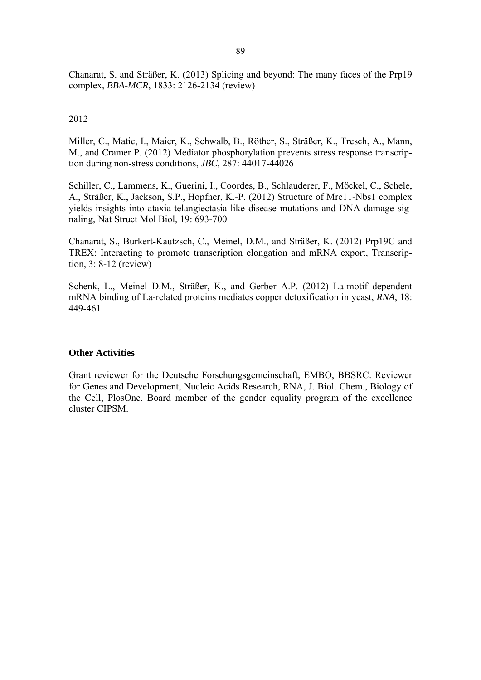Chanarat, S. and Sträßer, K. (2013) Splicing and beyond: The many faces of the Prp19 complex, *BBA-MCR*, 1833: 2126-2134 (review)

#### 2012

Miller, C., Matic, I., Maier, K., Schwalb, B., Röther, S., Sträßer, K., Tresch, A., Mann, M., and Cramer P. (2012) Mediator phosphorylation prevents stress response transcription during non-stress conditions, *JBC*, 287: 44017-44026

Schiller, C., Lammens, K., Guerini, I., Coordes, B., Schlauderer, F., Möckel, C., Schele, A., Sträßer, K., Jackson, S.P., Hopfner, K.-P. (2012) Structure of Mre11-Nbs1 complex yields insights into ataxia-telangiectasia-like disease mutations and DNA damage signaling, Nat Struct Mol Biol, 19: 693-700

Chanarat, S., Burkert-Kautzsch, C., Meinel, D.M., and Sträßer, K. (2012) Prp19C and TREX: Interacting to promote transcription elongation and mRNA export, Transcription, 3: 8-12 (review)

Schenk, L., Meinel D.M., Sträßer, K., and Gerber A.P. (2012) La-motif dependent mRNA binding of La-related proteins mediates copper detoxification in yeast, *RNA*, 18: 449-461

#### **Other Activities**

Grant reviewer for the Deutsche Forschungsgemeinschaft, EMBO, BBSRC. Reviewer for Genes and Development, Nucleic Acids Research, RNA, J. Biol. Chem., Biology of the Cell, PlosOne. Board member of the gender equality program of the excellence cluster CIPSM.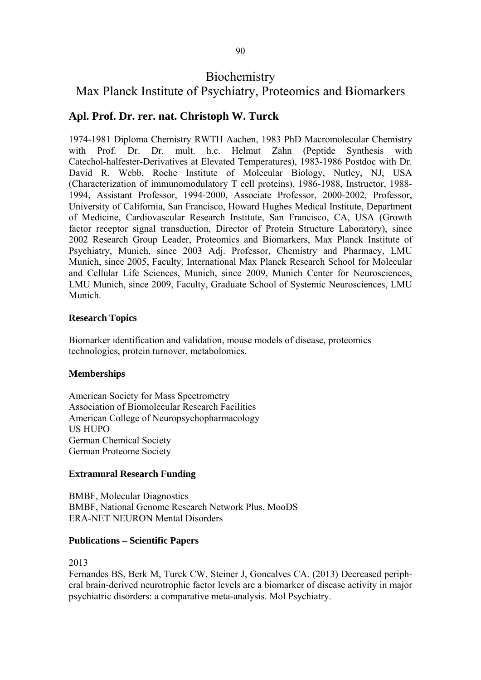# **Biochemistry**

# Max Planck Institute of Psychiatry, Proteomics and Biomarkers

# **Apl. Prof. Dr. rer. nat. Christoph W. Turck**

1974-1981 Diploma Chemistry RWTH Aachen, 1983 PhD Macromolecular Chemistry with Prof. Dr. Dr. mult. h.c. Helmut Zahn (Peptide Synthesis with Catechol-halfester-Derivatives at Elevated Temperatures), 1983-1986 Postdoc with Dr. David R. Webb, Roche Institute of Molecular Biology, Nutley, NJ, USA (Characterization of immunomodulatory T cell proteins), 1986-1988, Instructor, 1988- 1994, Assistant Professor, 1994-2000, Associate Professor, 2000-2002, Professor, University of California, San Francisco, Howard Hughes Medical Institute, Department of Medicine, Cardiovascular Research Institute, San Francisco, CA, USA (Growth factor receptor signal transduction, Director of Protein Structure Laboratory), since 2002 Research Group Leader, Proteomics and Biomarkers, Max Planck Institute of Psychiatry, Munich, since 2003 Adj. Professor, Chemistry and Pharmacy, LMU Munich, since 2005, Faculty, International Max Planck Research School for Molecular and Cellular Life Sciences, Munich, since 2009, Munich Center for Neurosciences, LMU Munich, since 2009, Faculty, Graduate School of Systemic Neurosciences, LMU Munich.

### **Research Topics**

Biomarker identification and validation, mouse models of disease, proteomics technologies, protein turnover, metabolomics.

#### **Memberships**

American Society for Mass Spectrometry Association of Biomolecular Research Facilities American College of Neuropsychopharmacology US HUPO German Chemical Society German Proteome Society

## **Extramural Research Funding**

BMBF, Molecular Diagnostics BMBF, National Genome Research Network Plus, MooDS ERA-NET NEURON Mental Disorders

#### **Publications – Scientific Papers**

2013

Fernandes BS, Berk M, Turck CW, Steiner J, Goncalves CA. (2013) Decreased peripheral brain-derived neurotrophic factor levels are a biomarker of disease activity in major psychiatric disorders: a comparative meta-analysis. Mol Psychiatry.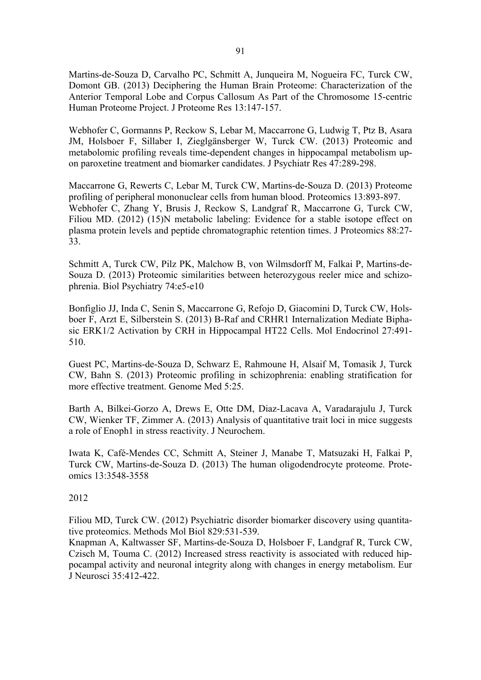Martins-de-Souza D, Carvalho PC, Schmitt A, Junqueira M, Nogueira FC, Turck CW, Domont GB. (2013) Deciphering the Human Brain Proteome: Characterization of the Anterior Temporal Lobe and Corpus Callosum As Part of the Chromosome 15-centric Human Proteome Project. J Proteome Res 13:147-157.

Webhofer C, Gormanns P, Reckow S, Lebar M, Maccarrone G, Ludwig T, Ptz B, Asara JM, Holsboer F, Sillaber I, Zieglgänsberger W, Turck CW. (2013) Proteomic and metabolomic profiling reveals time-dependent changes in hippocampal metabolism upon paroxetine treatment and biomarker candidates. J Psychiatr Res 47:289-298.

Maccarrone G, Rewerts C, Lebar M, Turck CW, Martins-de-Souza D. (2013) Proteome profiling of peripheral mononuclear cells from human blood. Proteomics 13:893-897. Webhofer C, Zhang Y, Brusis J, Reckow S, Landgraf R, Maccarrone G, Turck CW, Filiou MD. (2012) (15)N metabolic labeling: Evidence for a stable isotope effect on plasma protein levels and peptide chromatographic retention times. J Proteomics 88:27- 33.

Schmitt A, Turck CW, Pilz PK, Malchow B, von Wilmsdorff M, Falkai P, Martins-de-Souza D. (2013) Proteomic similarities between heterozygous reeler mice and schizophrenia. Biol Psychiatry 74:e5-e10

Bonfiglio JJ, Inda C, Senin S, Maccarrone G, Refojo D, Giacomini D, Turck CW, Holsboer F, Arzt E, Silberstein S. (2013) B-Raf and CRHR1 Internalization Mediate Biphasic ERK1/2 Activation by CRH in Hippocampal HT22 Cells. Mol Endocrinol 27:491- 510.

Guest PC, Martins-de-Souza D, Schwarz E, Rahmoune H, Alsaif M, Tomasik J, Turck CW, Bahn S. (2013) Proteomic profiling in schizophrenia: enabling stratification for more effective treatment. Genome Med 5:25.

Barth A, Bilkei-Gorzo A, Drews E, Otte DM, Diaz-Lacava A, Varadarajulu J, Turck CW, Wienker TF, Zimmer A. (2013) Analysis of quantitative trait loci in mice suggests a role of Enoph1 in stress reactivity. J Neurochem.

Iwata K, Café-Mendes CC, Schmitt A, Steiner J, Manabe T, Matsuzaki H, Falkai P, Turck CW, Martins-de-Souza D. (2013) The human oligodendrocyte proteome. Proteomics 13:3548-3558

2012

Filiou MD, Turck CW. (2012) Psychiatric disorder biomarker discovery using quantitative proteomics. Methods Mol Biol 829:531-539.

Knapman A, Kaltwasser SF, Martins-de-Souza D, Holsboer F, Landgraf R, Turck CW, Czisch M, Touma C. (2012) Increased stress reactivity is associated with reduced hippocampal activity and neuronal integrity along with changes in energy metabolism. Eur J Neurosci 35:412-422.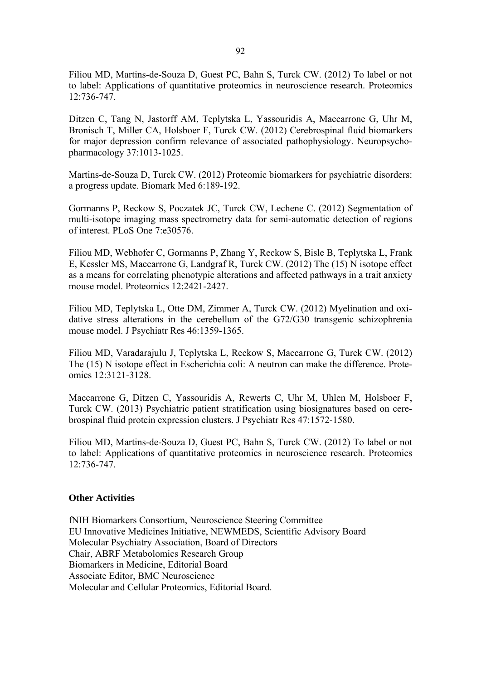Filiou MD, Martins-de-Souza D, Guest PC, Bahn S, Turck CW. (2012) To label or not to label: Applications of quantitative proteomics in neuroscience research. Proteomics 12:736-747.

Ditzen C, Tang N, Jastorff AM, Teplytska L, Yassouridis A, Maccarrone G, Uhr M, Bronisch T, Miller CA, Holsboer F, Turck CW. (2012) Cerebrospinal fluid biomarkers for major depression confirm relevance of associated pathophysiology. Neuropsychopharmacology 37:1013-1025.

Martins-de-Souza D, Turck CW. (2012) Proteomic biomarkers for psychiatric disorders: a progress update. Biomark Med 6:189-192.

Gormanns P, Reckow S, Poczatek JC, Turck CW, Lechene C. (2012) Segmentation of multi-isotope imaging mass spectrometry data for semi-automatic detection of regions of interest. PLoS One 7:e30576.

Filiou MD, Webhofer C, Gormanns P, Zhang Y, Reckow S, Bisle B, Teplytska L, Frank E, Kessler MS, Maccarrone G, Landgraf R, Turck CW. (2012) The (15) N isotope effect as a means for correlating phenotypic alterations and affected pathways in a trait anxiety mouse model. Proteomics 12:2421-2427.

Filiou MD, Teplytska L, Otte DM, Zimmer A, Turck CW. (2012) Myelination and oxidative stress alterations in the cerebellum of the G72/G30 transgenic schizophrenia mouse model. J Psychiatr Res 46:1359-1365.

Filiou MD, Varadarajulu J, Teplytska L, Reckow S, Maccarrone G, Turck CW. (2012) The (15) N isotope effect in Escherichia coli: A neutron can make the difference. Proteomics 12:3121-3128.

Maccarrone G, Ditzen C, Yassouridis A, Rewerts C, Uhr M, Uhlen M, Holsboer F, Turck CW. (2013) Psychiatric patient stratification using biosignatures based on cerebrospinal fluid protein expression clusters. J Psychiatr Res 47:1572-1580.

Filiou MD, Martins-de-Souza D, Guest PC, Bahn S, Turck CW. (2012) To label or not to label: Applications of quantitative proteomics in neuroscience research. Proteomics 12:736-747.

#### **Other Activities**

fNIH Biomarkers Consortium, Neuroscience Steering Committee EU Innovative Medicines Initiative, NEWMEDS, Scientific Advisory Board Molecular Psychiatry Association, Board of Directors Chair, ABRF Metabolomics Research Group Biomarkers in Medicine, Editorial Board Associate Editor, BMC Neuroscience Molecular and Cellular Proteomics, Editorial Board.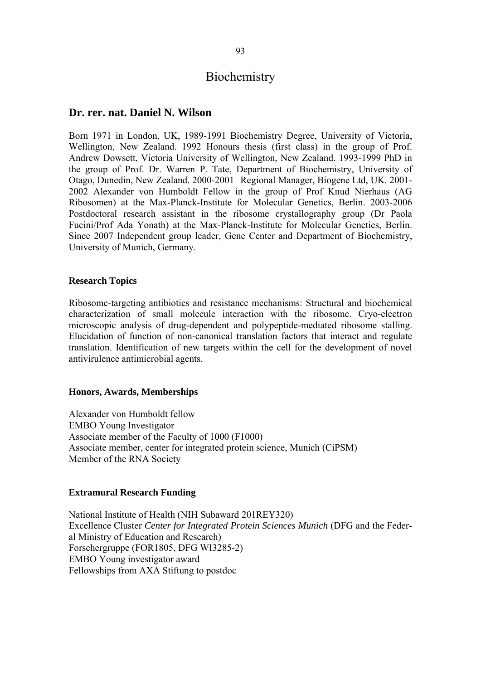## **Biochemistry**

### **Dr. rer. nat. Daniel N. Wilson**

Born 1971 in London, UK, 1989-1991 Biochemistry Degree, University of Victoria, Wellington, New Zealand. 1992 Honours thesis (first class) in the group of Prof. Andrew Dowsett, Victoria University of Wellington, New Zealand. 1993-1999 PhD in the group of Prof. Dr. Warren P. Tate, Department of Biochemistry, University of Otago, Dunedin, New Zealand. 2000-2001 Regional Manager, Biogene Ltd, UK. 2001- 2002 Alexander von Humboldt Fellow in the group of Prof Knud Nierhaus (AG Ribosomen) at the Max-Planck-Institute for Molecular Genetics, Berlin. 2003-2006 Postdoctoral research assistant in the ribosome crystallography group (Dr Paola Fucini/Prof Ada Yonath) at the Max-Planck-Institute for Molecular Genetics, Berlin. Since 2007 Independent group leader, Gene Center and Department of Biochemistry, University of Munich, Germany.

#### **Research Topics**

Ribosome-targeting antibiotics and resistance mechanisms: Structural and biochemical characterization of small molecule interaction with the ribosome. Cryo-electron microscopic analysis of drug-dependent and polypeptide-mediated ribosome stalling. Elucidation of function of non-canonical translation factors that interact and regulate translation. Identification of new targets within the cell for the development of novel antivirulence antimicrobial agents.

#### **Honors, Awards, Memberships**

Alexander von Humboldt fellow EMBO Young Investigator Associate member of the Faculty of 1000 (F1000) Associate member, center for integrated protein science, Munich (CiPSM) Member of the RNA Society

#### **Extramural Research Funding**

National Institute of Health (NIH Subaward 201REY320) Excellence Cluster *Center for Integrated Protein Sciences Munich* (DFG and the Federal Ministry of Education and Research) Forschergruppe (FOR1805, DFG WI3285-2) EMBO Young investigator award Fellowships from AXA Stiftung to postdoc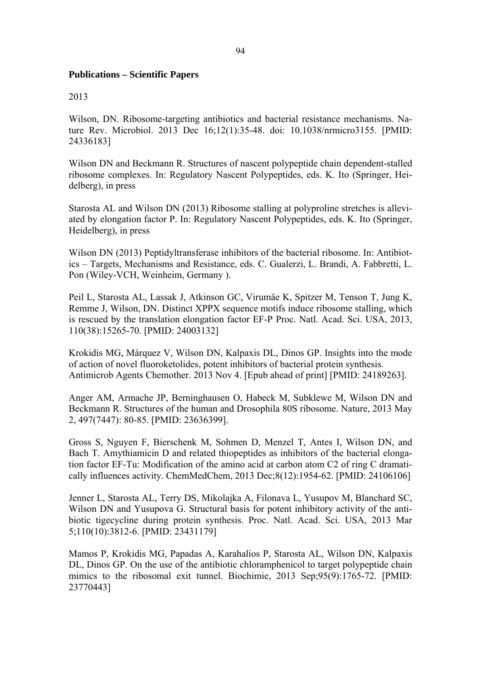#### **Publications – Scientific Papers**

#### 2013

Wilson, DN. Ribosome-targeting antibiotics and bacterial resistance mechanisms. Nature Rev. Microbiol. 2013 Dec 16;12(1):35-48. doi: 10.1038/nrmicro3155. [PMID: 24336183]

Wilson DN and Beckmann R. Structures of nascent polypeptide chain dependent-stalled ribosome complexes. In: Regulatory Nascent Polypeptides, eds. K. Ito (Springer, Heidelberg), in press

Starosta AL and Wilson DN (2013) Ribosome stalling at polyproline stretches is alleviated by elongation factor P. In: Regulatory Nascent Polypeptides, eds. K. Ito (Springer, Heidelberg), in press

Wilson DN (2013) Peptidyltransferase inhibitors of the bacterial ribosome. In: Antibiotics – Targets, Mechanisms and Resistance, eds. C. Gualerzi, L. Brandi, A. Fabbretti, L. Pon (Wiley-VCH, Weinheim, Germany ).

Peil L, Starosta AL, Lassak J, Atkinson GC, Virumäe K, Spitzer M, Tenson T, Jung K, Remme J, Wilson, DN. Distinct XPPX sequence motifs induce ribosome stalling, which is rescued by the translation elongation factor EF-P Proc. Natl. Acad. Sci. USA, 2013, 110(38):15265-70. [PMID: 24003132]

Krokidis MG, Márquez V, Wilson DN, Kalpaxis DL, Dinos GP. Insights into the mode of action of novel fluoroketolides, potent inhibitors of bacterial protein synthesis. Antimicrob Agents Chemother. 2013 Nov 4. [Epub ahead of print] [PMID: 24189263].

Anger AM, Armache JP, Berninghausen O, Habeck M, Subklewe M, Wilson DN and Beckmann R. Structures of the human and Drosophila 80S ribosome. Nature, 2013 May 2, 497(7447): 80-85. [PMID: 23636399].

Gross S, Nguyen F, Bierschenk M, Sohmen D, Menzel T, Antes I, Wilson DN, and Bach T. Amythiamicin D and related thiopeptides as inhibitors of the bacterial elongation factor EF-Tu: Modification of the amino acid at carbon atom C2 of ring C dramatically influences activity. ChemMedChem, 2013 Dec;8(12):1954-62. [PMID: 24106106]

Jenner L, Starosta AL, Terry DS, Mikolajka A, Filonava L, Yusupov M, Blanchard SC, Wilson DN and Yusupova G. Structural basis for potent inhibitory activity of the antibiotic tigecycline during protein synthesis. Proc. Natl. Acad. Sci. USA, 2013 Mar 5;110(10):3812-6. [PMID: 23431179]

Mamos P, Krokidis MG, Papadas A, Karahalios P, Starosta AL, Wilson DN, Kalpaxis DL, Dinos GP. On the use of the antibiotic chloramphenicol to target polypeptide chain mimics to the ribosomal exit tunnel. Biochimie, 2013 Sep;95(9):1765-72. [PMID: 23770443]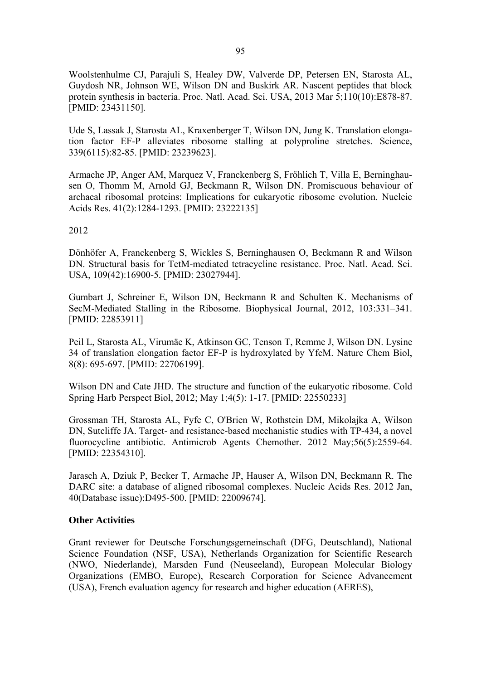Woolstenhulme CJ, Parajuli S, Healey DW, Valverde DP, Petersen EN, Starosta AL, Guydosh NR, Johnson WE, Wilson DN and Buskirk AR. Nascent peptides that block protein synthesis in bacteria. Proc. Natl. Acad. Sci. USA, 2013 Mar 5;110(10):E878-87. [PMID: 23431150].

Ude S, Lassak J, Starosta AL, Kraxenberger T, Wilson DN, Jung K. Translation elongation factor EF-P alleviates ribosome stalling at polyproline stretches. Science, 339(6115):82-85. [PMID: 23239623].

Armache JP, Anger AM, Marquez V, Franckenberg S, Fröhlich T, Villa E, Berninghausen O, Thomm M, Arnold GJ, Beckmann R, Wilson DN. Promiscuous behaviour of archaeal ribosomal proteins: Implications for eukaryotic ribosome evolution. Nucleic Acids Res. 41(2):1284-1293. [PMID: 23222135]

2012

Dönhöfer A, Franckenberg S, Wickles S, Berninghausen O, Beckmann R and Wilson DN. Structural basis for TetM-mediated tetracycline resistance. Proc. Natl. Acad. Sci. USA, 109(42):16900-5. [PMID: 23027944].

Gumbart J, Schreiner E, Wilson DN, Beckmann R and Schulten K. Mechanisms of SecM-Mediated Stalling in the Ribosome. Biophysical Journal, 2012, 103:331–341. [PMID: 22853911]

Peil L, Starosta AL, Virumäe K, Atkinson GC, Tenson T, Remme J, Wilson DN. Lysine 34 of translation elongation factor EF-P is hydroxylated by YfcM. Nature Chem Biol, 8(8): 695-697. [PMID: 22706199].

Wilson DN and Cate JHD. The structure and function of the eukaryotic ribosome. Cold Spring Harb Perspect Biol, 2012; May 1;4(5): 1-17. [PMID: 22550233]

Grossman TH, Starosta AL, Fyfe C, O'Brien W, Rothstein DM, Mikolajka A, Wilson DN, Sutcliffe JA. Target- and resistance-based mechanistic studies with TP-434, a novel fluorocycline antibiotic. Antimicrob Agents Chemother. 2012 May;56(5):2559-64. [PMID: 22354310].

Jarasch A, Dziuk P, Becker T, Armache JP, Hauser A, Wilson DN, Beckmann R. The DARC site: a database of aligned ribosomal complexes. Nucleic Acids Res. 2012 Jan, 40(Database issue):D495-500. [PMID: 22009674].

#### **Other Activities**

Grant reviewer for Deutsche Forschungsgemeinschaft (DFG, Deutschland), National Science Foundation (NSF, USA), Netherlands Organization for Scientific Research (NWO, Niederlande), Marsden Fund (Neuseeland), European Molecular Biology Organizations (EMBO, Europe), Research Corporation for Science Advancement (USA), French evaluation agency for research and higher education (AERES),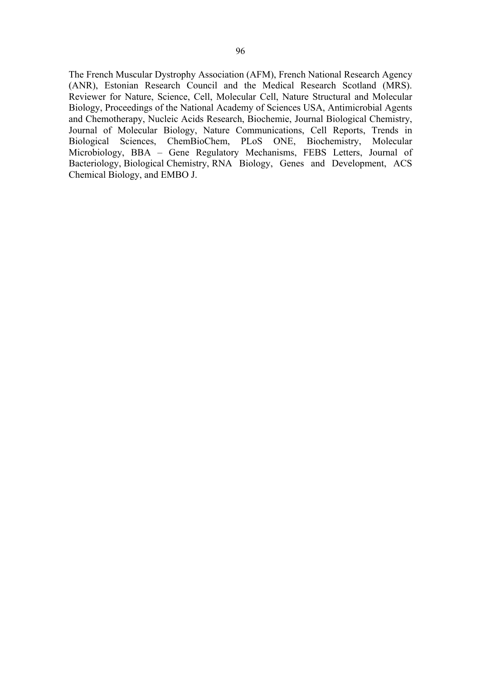The French Muscular Dystrophy Association (AFM), French National Research Agency (ANR), Estonian Research Council and the Medical Research Scotland (MRS). Reviewer for Nature, Science, Cell, Molecular Cell, Nature Structural and Molecular Biology, Proceedings of the National Academy of Sciences USA, Antimicrobial Agents and Chemotherapy, Nucleic Acids Research, Biochemie, Journal Biological Chemistry, Journal of Molecular Biology, Nature Communications, Cell Reports, Trends in Biological Sciences, ChemBioChem, PLoS ONE, Biochemistry, Molecular Microbiology, BBA – Gene Regulatory Mechanisms, FEBS Letters, Journal of Bacteriology, Biological Chemistry, RNA Biology, Genes and Development, ACS Chemical Biology, and EMBO J.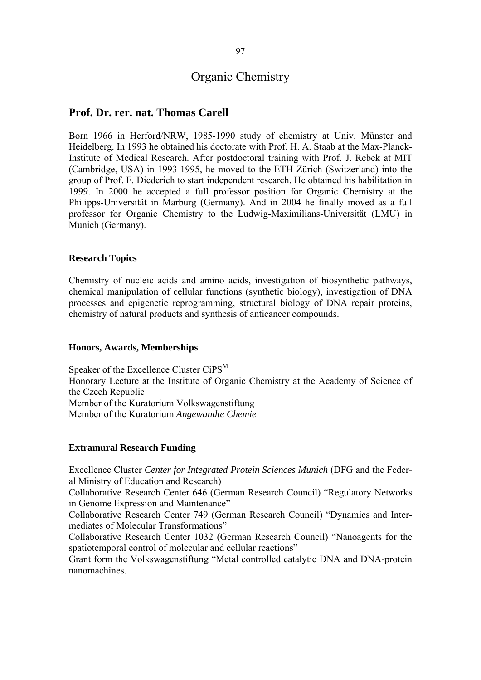# Organic Chemistry

### **Prof. Dr. rer. nat. Thomas Carell**

Born 1966 in Herford/NRW, 1985-1990 study of chemistry at Univ. Münster and Heidelberg. In 1993 he obtained his doctorate with Prof. H. A. Staab at the Max-Planck-Institute of Medical Research. After postdoctoral training with Prof. J. Rebek at MIT (Cambridge, USA) in 1993-1995, he moved to the ETH Zürich (Switzerland) into the group of Prof. F. Diederich to start independent research. He obtained his habilitation in 1999. In 2000 he accepted a full professor position for Organic Chemistry at the Philipps-Universität in Marburg (Germany). And in 2004 he finally moved as a full professor for Organic Chemistry to the Ludwig-Maximilians-Universität (LMU) in Munich (Germany).

#### **Research Topics**

Chemistry of nucleic acids and amino acids, investigation of biosynthetic pathways, chemical manipulation of cellular functions (synthetic biology), investigation of DNA processes and epigenetic reprogramming, structural biology of DNA repair proteins, chemistry of natural products and synthesis of anticancer compounds.

#### **Honors, Awards, Memberships**

Speaker of the Excellence Cluster CiPS<sup>M</sup> Honorary Lecture at the Institute of Organic Chemistry at the Academy of Science of the Czech Republic Member of the Kuratorium Volkswagenstiftung Member of the Kuratorium *Angewandte Chemie*

#### **Extramural Research Funding**

Excellence Cluster *Center for Integrated Protein Sciences Munich* (DFG and the Federal Ministry of Education and Research)

Collaborative Research Center 646 (German Research Council) "Regulatory Networks in Genome Expression and Maintenance"

Collaborative Research Center 749 (German Research Council) "Dynamics and Intermediates of Molecular Transformations"

Collaborative Research Center 1032 (German Research Council) "Nanoagents for the spatiotemporal control of molecular and cellular reactions"

Grant form the Volkswagenstiftung "Metal controlled catalytic DNA and DNA-protein nanomachines.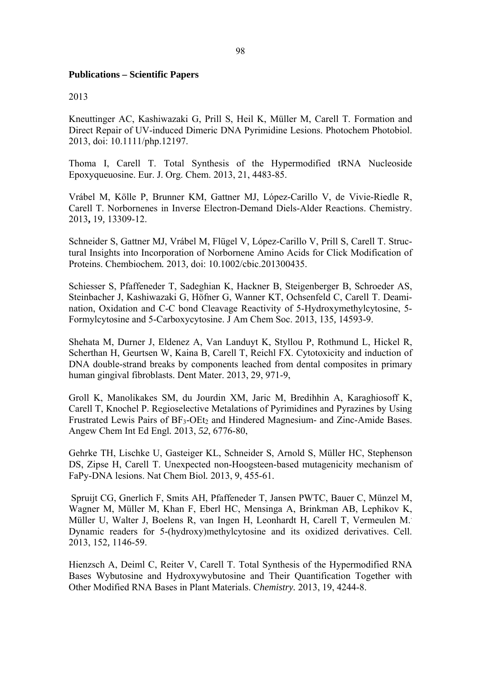#### **Publications – Scientific Papers**

#### 2013

Kneuttinger AC, Kashiwazaki G, Prill S, Heil K, Müller M, Carell T. Formation and Direct Repair of UV-induced Dimeric DNA Pyrimidine Lesions. Photochem Photobiol. 2013, doi: 10.1111/php.12197.

Thoma I, Carell T. Total Synthesis of the Hypermodified tRNA Nucleoside Epoxyqueuosine. Eur. J. Org. Chem. 2013, 21, 4483-85.

Vrábel M, Kölle P, Brunner KM, Gattner MJ, López-Carillo V, de Vivie-Riedle R, Carell T. Norbornenes in Inverse Electron-Demand Diels-Alder Reactions. Chemistry. 2013**,** 19*,* 13309-12.

Schneider S, Gattner MJ, Vrábel M, Flügel V, López-Carillo V, Prill S, Carell T. Structural Insights into Incorporation of Norbornene Amino Acids for Click Modification of Proteins. Chembiochem*.* 2013*,* doi: 10.1002/cbic.201300435.

Schiesser S, Pfaffeneder T, Sadeghian K, Hackner B, Steigenberger B, Schroeder AS, Steinbacher J, Kashiwazaki G, Höfner G, Wanner KT, Ochsenfeld C, Carell T. Deamination, Oxidation and C-C bond Cleavage Reactivity of 5-Hydroxymethylcytosine, 5- Formylcytosine and 5-Carboxycytosine. J Am Chem Soc. 2013, 135*,* 14593-9.

Shehata M, Durner J, Eldenez A, Van Landuyt K, Styllou P, Rothmund L, Hickel R, Scherthan H, Geurtsen W, Kaina B, Carell T, Reichl FX. Cytotoxicity and induction of DNA double-strand breaks by components leached from dental composites in primary human gingival fibroblasts. Dent Mater. 2013, 29, 971-9,

Groll K, Manolikakes SM, du Jourdin XM, Jaric M, Bredihhin A, Karaghiosoff K, Carell T, Knochel P. Regioselective Metalations of Pyrimidines and Pyrazines by Using Frustrated Lewis Pairs of  $BF_3-OEt_2$  and Hindered Magnesium- and Zinc-Amide Bases. Angew Chem Int Ed Engl*.* 2013, *52*, 6776-80,

Gehrke TH, Lischke U, Gasteiger KL, Schneider S, Arnold S, Müller HC, Stephenson DS, Zipse H, Carell T. Unexpected non-Hoogsteen-based mutagenicity mechanism of FaPy-DNA lesions. Nat Chem Biol*.* 2013, 9, 455-61.

 Spruijt CG, Gnerlich F, Smits AH, Pfaffeneder T, Jansen PWTC, Bauer C, Münzel M, Wagner M, Müller M, Khan F, Eberl HC, Mensinga A, Brinkman AB, Lephikov K, Müller U, Walter J, Boelens R, van Ingen H, Leonhardt H, Carell T, Vermeulen M.. Dynamic readers for 5-(hydroxy)methylcytosine and its oxidized derivatives. Cell. 2013, 152*,* 1146-59.

Hienzsch A, Deiml C, Reiter V, Carell T. Total Synthesis of the Hypermodified RNA Bases Wybutosine and Hydroxywybutosine and Their Quantification Together with Other Modified RNA Bases in Plant Materials. C*hemistry.* 2013, 19, 4244-8.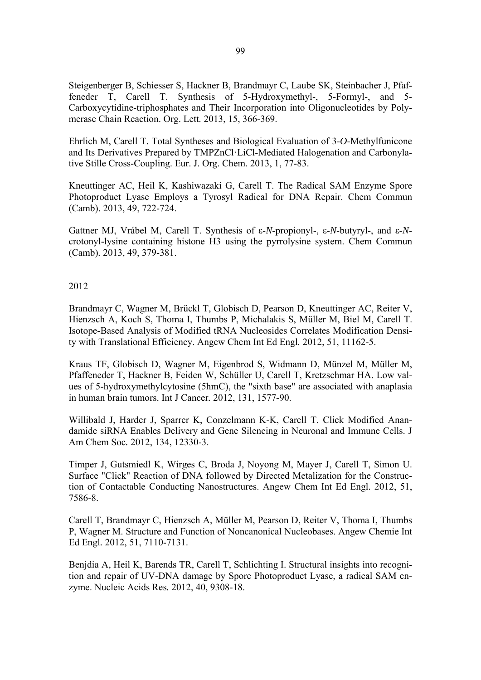Steigenberger B, Schiesser S, Hackner B, Brandmayr C, Laube SK, Steinbacher J, Pfaffeneder T, Carell T. Synthesis of 5-Hydroxymethyl-, 5-Formyl-, and 5- Carboxycytidine-triphosphates and Their Incorporation into Oligonucleotides by Polymerase Chain Reaction. Org. Lett*.* 2013, 15, 366-369.

Ehrlich M, Carell T. Total Syntheses and Biological Evaluation of 3-*O*-Methylfunicone and Its Derivatives Prepared by TMPZnCl·LiCl-Mediated Halogenation and Carbonylative Stille Cross-Coupling. Eur. J. Org. Chem*.* 2013, 1, 77-83.

Kneuttinger AC, Heil K, Kashiwazaki G, Carell T. The Radical SAM Enzyme Spore Photoproduct Lyase Employs a Tyrosyl Radical for DNA Repair. Chem Commun (Camb). 2013, 49, 722-724.

Gattner MJ, Vrábel M, Carell T. Synthesis of ε-*N*-propionyl-, ε-*N*-butyryl-, and ε-*N*crotonyl-lysine containing histone H3 using the pyrrolysine system. Chem Commun (Camb)*.* 2013, 49, 379-381.

2012

Brandmayr C, Wagner M, Brückl T, Globisch D, Pearson D, Kneuttinger AC, Reiter V, Hienzsch A, Koch S, Thoma I, Thumbs P, Michalakis S, Müller M, Biel M, Carell T. Isotope-Based Analysis of Modified tRNA Nucleosides Correlates Modification Density with Translational Efficiency. Angew Chem Int Ed Engl*.* 2012, 51, 11162-5.

Kraus TF, Globisch D, Wagner M, Eigenbrod S, Widmann D, Münzel M, Müller M, Pfaffeneder T, Hackner B, Feiden W, Schüller U, Carell T, Kretzschmar HA. Low values of 5-hydroxymethylcytosine (5hmC), the "sixth base" are associated with anaplasia in human brain tumors. Int J Cancer*.* 2012, 131, 1577-90.

Willibald J, Harder J, Sparrer K, Conzelmann K-K, Carell T. Click Modified Anandamide siRNA Enables Delivery and Gene Silencing in Neuronal and Immune Cells. J Am Chem Soc*.* 2012, 134, 12330-3.

Timper J, Gutsmiedl K, Wirges C, Broda J, Noyong M, Mayer J, Carell T, Simon U. Surface "Click" Reaction of DNA followed by Directed Metalization for the Construction of Contactable Conducting Nanostructures. Angew Chem Int Ed Engl*.* 2012, 51, 7586-8.

Carell T, Brandmayr C, Hienzsch A, Müller M, Pearson D, Reiter V, Thoma I, Thumbs P, Wagner M. Structure and Function of Noncanonical Nucleobases. Angew Chemie Int Ed Engl*.* 2012, 51, 7110-7131.

Benjdia A, Heil K, Barends TR, Carell T, Schlichting I. Structural insights into recognition and repair of UV-DNA damage by Spore Photoproduct Lyase, a radical SAM enzyme. Nucleic Acids Res*.* 2012, 40, 9308-18.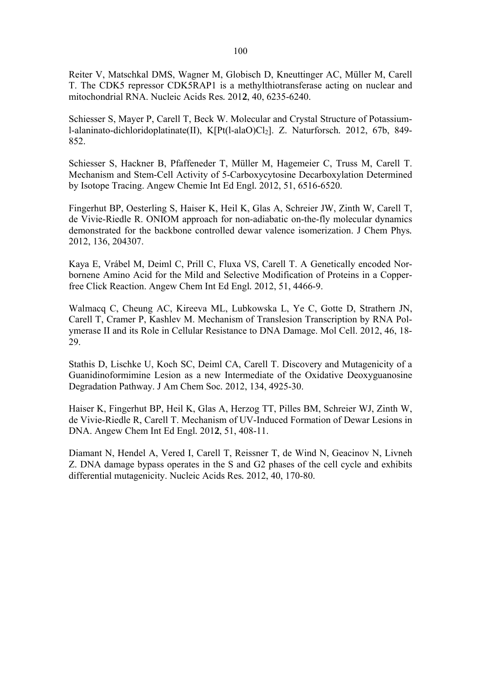Reiter V, Matschkal DMS, Wagner M, Globisch D, Kneuttinger AC, Müller M, Carell T. The CDK5 repressor CDK5RAP1 is a methylthiotransferase acting on nuclear and mitochondrial RNA. Nucleic Acids Res*.* 201**2**, 40, 6235-6240.

Schiesser S, Mayer P, Carell T, Beck W. Molecular and Crystal Structure of Potassiuml-alaninato-dichloridoplatinate(II), K[Pt(l-alaO)Cl<sub>2</sub>]. Z. Naturforsch. 2012, 67b, 849-852.

Schiesser S, Hackner B, Pfaffeneder T, Müller M, Hagemeier C, Truss M, Carell T. Mechanism and Stem-Cell Activity of 5-Carboxycytosine Decarboxylation Determined by Isotope Tracing. Angew Chemie Int Ed Engl*.* 2012, 51, 6516-6520.

Fingerhut BP, Oesterling S, Haiser K, Heil K, Glas A, Schreier JW, Zinth W, Carell T, de Vivie-Riedle R. ONIOM approach for non-adiabatic on-the-fly molecular dynamics demonstrated for the backbone controlled dewar valence isomerization. J Chem Phys*.* 2012, 136, 204307.

Kaya E, Vrábel M, Deiml C, Prill C, Fluxa VS, Carell T. A Genetically encoded Norbornene Amino Acid for the Mild and Selective Modification of Proteins in a Copperfree Click Reaction. Angew Chem Int Ed Engl*.* 2012, 51, 4466-9.

Walmacq C, Cheung AC, Kireeva ML, Lubkowska L, Ye C, Gotte D, Strathern JN, Carell T, Cramer P, Kashlev M. Mechanism of Translesion Transcription by RNA Polymerase II and its Role in Cellular Resistance to DNA Damage. Mol Cell. 2012, 46, 18- 29.

Stathis D, Lischke U, Koch SC, Deiml CA, Carell T. Discovery and Mutagenicity of a Guanidinoformimine Lesion as a new Intermediate of the Oxidative Deoxyguanosine Degradation Pathway. J Am Chem Soc*.* 2012, 134, 4925-30.

Haiser K, Fingerhut BP, Heil K, Glas A, Herzog TT, Pilles BM, Schreier WJ, Zinth W, de Vivie-Riedle R, Carell T. Mechanism of UV-Induced Formation of Dewar Lesions in DNA. Angew Chem Int Ed Engl*.* 201**2**, 51, 408-11.

Diamant N, Hendel A, Vered I, Carell T, Reissner T, de Wind N, Geacinov N, Livneh Z. DNA damage bypass operates in the S and G2 phases of the cell cycle and exhibits differential mutagenicity. Nucleic Acids Res*.* 2012, 40, 170-80.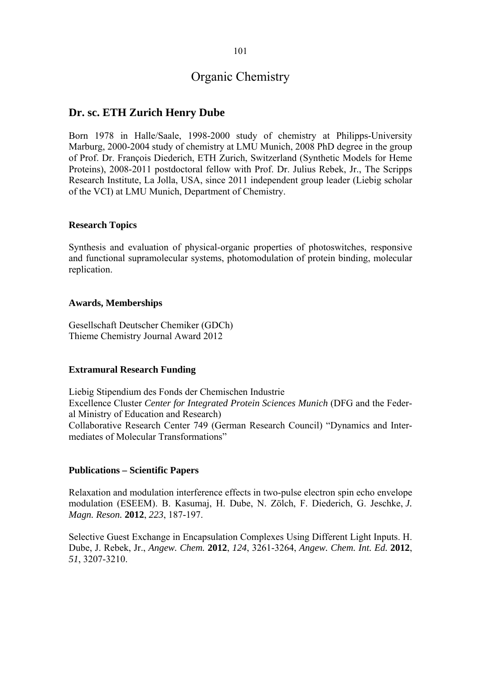## **Dr. sc. ETH Zurich Henry Dube**

Born 1978 in Halle/Saale, 1998-2000 study of chemistry at Philipps-University Marburg, 2000-2004 study of chemistry at LMU Munich, 2008 PhD degree in the group of Prof. Dr. François Diederich, ETH Zurich, Switzerland (Synthetic Models for Heme Proteins), 2008-2011 postdoctoral fellow with Prof. Dr. Julius Rebek, Jr., The Scripps Research Institute, La Jolla, USA, since 2011 independent group leader (Liebig scholar of the VCI) at LMU Munich, Department of Chemistry.

## **Research Topics**

Synthesis and evaluation of physical-organic properties of photoswitches, responsive and functional supramolecular systems, photomodulation of protein binding, molecular replication.

## **Awards, Memberships**

Gesellschaft Deutscher Chemiker (GDCh) Thieme Chemistry Journal Award 2012

## **Extramural Research Funding**

Liebig Stipendium des Fonds der Chemischen Industrie Excellence Cluster *Center for Integrated Protein Sciences Munich* (DFG and the Federal Ministry of Education and Research) Collaborative Research Center 749 (German Research Council) "Dynamics and Intermediates of Molecular Transformations"

## **Publications – Scientific Papers**

Relaxation and modulation interference effects in two-pulse electron spin echo envelope modulation (ESEEM). B. Kasumaj, H. Dube, N. Zölch, F. Diederich, G. Jeschke, *J. Magn. Reson.* **2012**, *223*, 187-197.

Selective Guest Exchange in Encapsulation Complexes Using Different Light Inputs. H. Dube, J. Rebek, Jr., *Angew. Chem.* **2012**, *124*, 3261-3264, *Angew. Chem. Int. Ed.* **2012**, *51*, 3207-3210.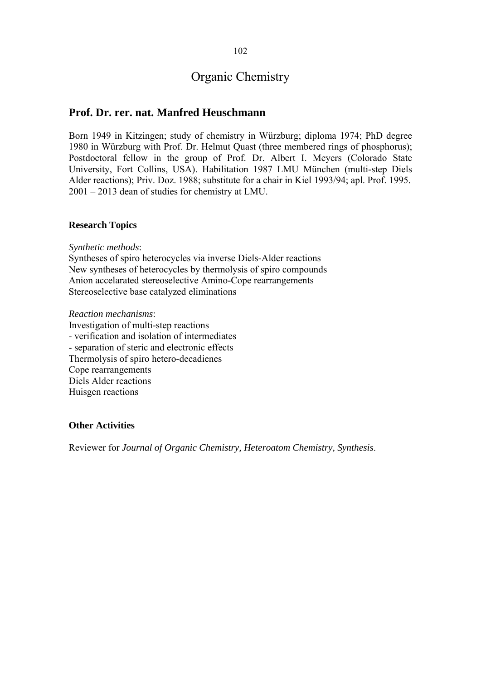## **Prof. Dr. rer. nat. Manfred Heuschmann**

Born 1949 in Kitzingen; study of chemistry in Würzburg; diploma 1974; PhD degree 1980 in Würzburg with Prof. Dr. Helmut Quast (three membered rings of phosphorus); Postdoctoral fellow in the group of Prof. Dr. Albert I. Meyers (Colorado State University, Fort Collins, USA). Habilitation 1987 LMU München (multi-step Diels Alder reactions); Priv. Doz. 1988; substitute for a chair in Kiel 1993/94; apl. Prof. 1995. 2001 – 2013 dean of studies for chemistry at LMU.

### **Research Topics**

*Synthetic methods*:

Syntheses of spiro heterocycles via inverse Diels-Alder reactions New syntheses of heterocycles by thermolysis of spiro compounds Anion accelarated stereoselective Amino-Cope rearrangements Stereoselective base catalyzed eliminations

*Reaction mechanisms*:

Investigation of multi-step reactions - verification and isolation of intermediates - separation of steric and electronic effects Thermolysis of spiro hetero-decadienes Cope rearrangements Diels Alder reactions Huisgen reactions

#### **Other Activities**

Reviewer for *Journal of Organic Chemistry, Heteroatom Chemistry, Synthesis*.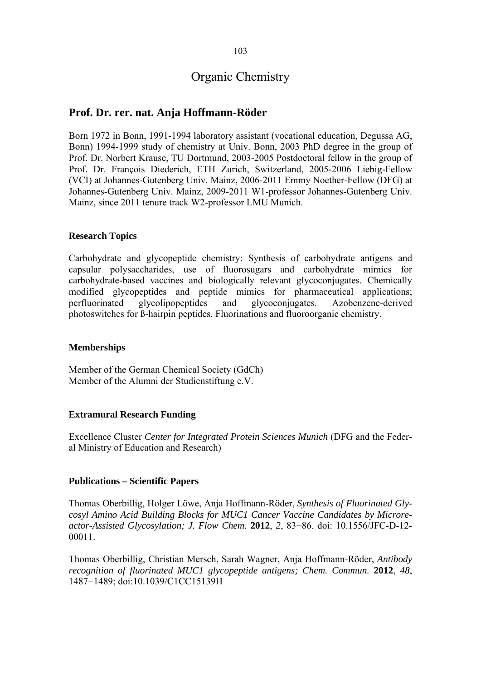## **Prof. Dr. rer. nat. Anja Hoffmann-Röder**

Born 1972 in Bonn, 1991-1994 laboratory assistant (vocational education, Degussa AG, Bonn) 1994-1999 study of chemistry at Univ. Bonn, 2003 PhD degree in the group of Prof. Dr. Norbert Krause, TU Dortmund, 2003-2005 Postdoctoral fellow in the group of Prof. Dr. François Diederich, ETH Zurich, Switzerland, 2005-2006 Liebig-Fellow (VCI) at Johannes-Gutenberg Univ. Mainz, 2006-2011 Emmy Noether-Fellow (DFG) at Johannes-Gutenberg Univ. Mainz, 2009-2011 W1-professor Johannes-Gutenberg Univ. Mainz, since 2011 tenure track W2-professor LMU Munich.

### **Research Topics**

Carbohydrate and glycopeptide chemistry: Synthesis of carbohydrate antigens and capsular polysaccharides, use of fluorosugars and carbohydrate mimics for carbohydrate-based vaccines and biologically relevant glycoconjugates. Chemically modified glycopeptides and peptide mimics for pharmaceutical applications; perfluorinated glycolipopeptides and glycoconjugates. Azobenzene-derived photoswitches for ß-hairpin peptides. Fluorinations and fluoroorganic chemistry.

#### **Memberships**

Member of the German Chemical Society (GdCh) Member of the Alumni der Studienstiftung e.V.

#### **Extramural Research Funding**

Excellence Cluster *Center for Integrated Protein Sciences Munich* (DFG and the Federal Ministry of Education and Research)

#### **Publications – Scientific Papers**

Thomas Oberbillig, Holger Löwe, Anja Hoffmann-Röder, *Synthesis of Fluorinated Glycosyl Amino Acid Building Blocks for MUC1 Cancer Vaccine Candidates by Microreactor-Assisted Glycosylation; J. Flow Chem.* **2012**, *2*, 83−86. doi: 10.1556/JFC-D-12- 00011.

Thomas Oberbillig, Christian Mersch, Sarah Wagner, Anja Hoffmann-Röder, *Antibody recognition of fluorinated MUC1 glycopeptide antigens; Chem. Commun.* **2012**, *48*, 1487−1489; doi:10.1039/C1CC15139H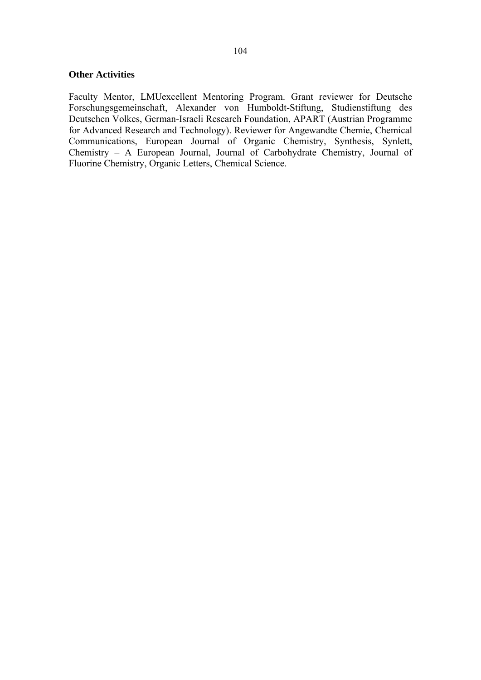### **Other Activities**

Faculty Mentor, LMUexcellent Mentoring Program. Grant reviewer for Deutsche Forschungsgemeinschaft, Alexander von Humboldt-Stiftung, Studienstiftung des Deutschen Volkes, German-Israeli Research Foundation, APART (Austrian Programme for Advanced Research and Technology). Reviewer for Angewandte Chemie, Chemical Communications, European Journal of Organic Chemistry, Synthesis, Synlett, Chemistry – A European Journal, Journal of Carbohydrate Chemistry, Journal of Fluorine Chemistry, Organic Letters, Chemical Science.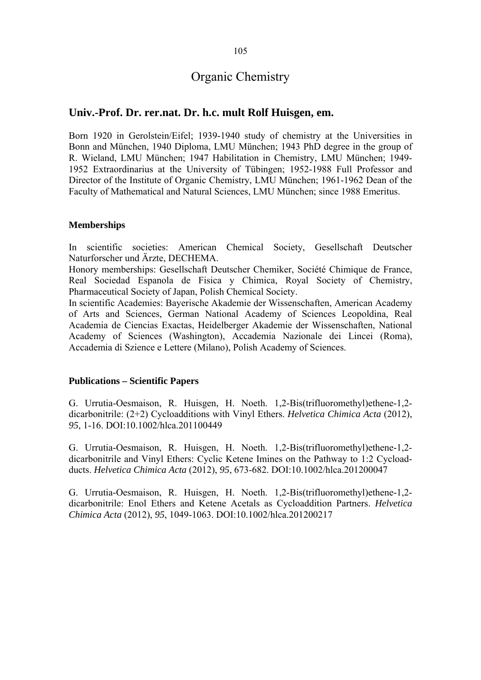## **Univ.-Prof. Dr. rer.nat. Dr. h.c. mult Rolf Huisgen, em.**

Born 1920 in Gerolstein/Eifel; 1939-1940 study of chemistry at the Universities in Bonn and München, 1940 Diploma, LMU München; 1943 PhD degree in the group of R. Wieland, LMU München; 1947 Habilitation in Chemistry, LMU München; 1949- 1952 Extraordinarius at the University of Tübingen; 1952-1988 Full Professor and Director of the Institute of Organic Chemistry, LMU München; 1961-1962 Dean of the Faculty of Mathematical and Natural Sciences, LMU München; since 1988 Emeritus.

## **Memberships**

In scientific societies: American Chemical Society, Gesellschaft Deutscher Naturforscher und Ärzte, DECHEMA.

Honory memberships: Gesellschaft Deutscher Chemiker, Société Chimique de France, Real Sociedad Espanola de Fisica y Chimica, Royal Society of Chemistry, Pharmaceutical Society of Japan, Polish Chemical Society.

In scientific Academies: Bayerische Akademie der Wissenschaften, American Academy of Arts and Sciences, German National Academy of Sciences Leopoldina, Real Academia de Ciencias Exactas, Heidelberger Akademie der Wissenschaften, National Academy of Sciences (Washington), Accademia Nazionale dei Lincei (Roma), Accademia di Szience e Lettere (Milano), Polish Academy of Sciences.

#### **Publications – Scientific Papers**

G. Urrutia-Oesmaison, R. Huisgen, H. Noeth. 1,2-Bis(trifluoromethyl)ethene-1,2 dicarbonitrile: (2+2) Cycloadditions with Vinyl Ethers. *Helvetica Chimica Acta* (2012), *95*, 1-16. DOI:10.1002/hlca.201100449

G. Urrutia-Oesmaison, R. Huisgen, H. Noeth. 1,2-Bis(trifluoromethyl)ethene-1,2 dicarbonitrile and Vinyl Ethers: Cyclic Ketene Imines on the Pathway to 1:2 Cycloadducts. *Helvetica Chimica Acta* (2012), *95*, 673-682. DOI:10.1002/hlca.201200047

G. Urrutia-Oesmaison, R. Huisgen, H. Noeth. 1,2-Bis(trifluoromethyl)ethene-1,2 dicarbonitrile: Enol Ethers and Ketene Acetals as Cycloaddition Partners. *Helvetica Chimica Acta* (2012), *95*, 1049-1063. DOI:10.1002/hlca.201200217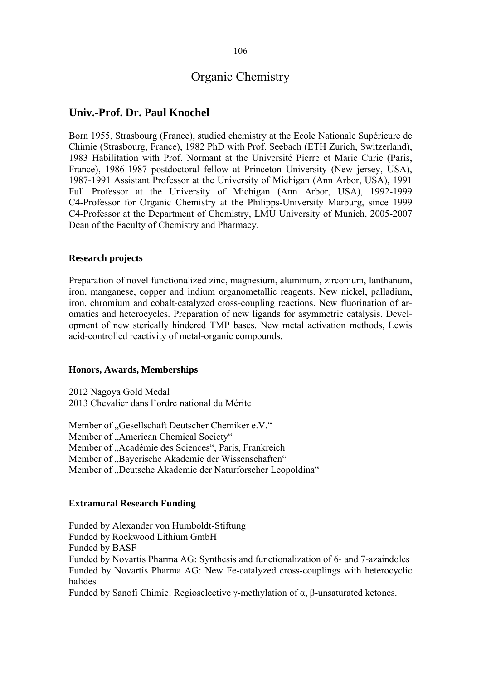## **Univ.-Prof. Dr. Paul Knochel**

Born 1955, Strasbourg (France), studied chemistry at the Ecole Nationale Supérieure de Chimie (Strasbourg, France), 1982 PhD with Prof. Seebach (ETH Zurich, Switzerland), 1983 Habilitation with Prof. Normant at the Université Pierre et Marie Curie (Paris, France), 1986-1987 postdoctoral fellow at Princeton University (New jersey, USA), 1987-1991 Assistant Professor at the University of Michigan (Ann Arbor, USA), 1991 Full Professor at the University of Michigan (Ann Arbor, USA), 1992-1999 C4-Professor for Organic Chemistry at the Philipps-University Marburg, since 1999 C4-Professor at the Department of Chemistry, LMU University of Munich, 2005-2007 Dean of the Faculty of Chemistry and Pharmacy.

### **Research projects**

Preparation of novel functionalized zinc, magnesium, aluminum, zirconium, lanthanum, iron, manganese, copper and indium organometallic reagents. New nickel, palladium, iron, chromium and cobalt-catalyzed cross-coupling reactions. New fluorination of aromatics and heterocycles. Preparation of new ligands for asymmetric catalysis. Development of new sterically hindered TMP bases. New metal activation methods, Lewis acid-controlled reactivity of metal-organic compounds.

#### **Honors, Awards, Memberships**

2012 Nagoya Gold Medal 2013 Chevalier dans l'ordre national du Mérite

Member of "Gesellschaft Deutscher Chemiker e.V." Member of "American Chemical Society" Member of "Académie des Sciences", Paris, Frankreich Member of "Bayerische Akademie der Wissenschaften" Member of "Deutsche Akademie der Naturforscher Leopoldina"

## **Extramural Research Funding**

Funded by Alexander von Humboldt-Stiftung Funded by Rockwood Lithium GmbH Funded by BASF Funded by Novartis Pharma AG: Synthesis and functionalization of 6- and 7-azaindoles Funded by Novartis Pharma AG: New Fe-catalyzed cross-couplings with heterocyclic halides Funded by Sanofi Chimie: Regioselective γ-methylation of α, β-unsaturated ketones.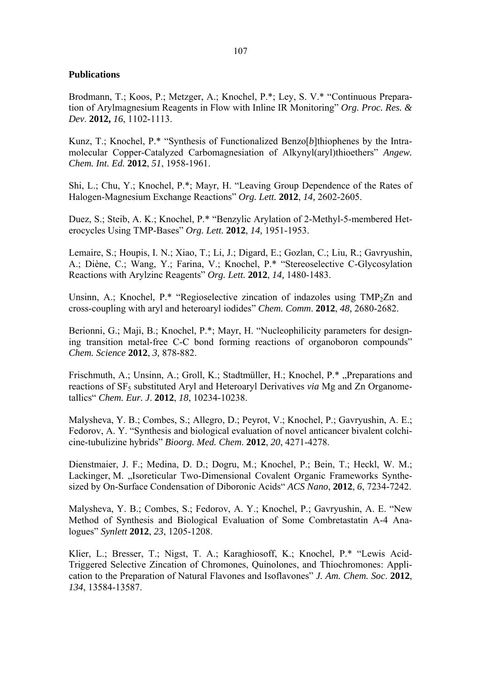### **Publications**

Brodmann, T.; Koos, P.; Metzger, A.; Knochel, P.\*; Ley, S. V.\* "Continuous Preparation of Arylmagnesium Reagents in Flow with Inline IR Monitoring" *Org. Proc. Res. & Dev*. **2012,** *16*, 1102-1113.

Kunz, T.; Knochel, P.\* "Synthesis of Functionalized Benzo[*b*]thiophenes by the Intramolecular Copper-Catalyzed Carbomagnesiation of Alkynyl(aryl)thioethers" *Angew. Chem. Int. Ed.* **2012**, *51*, 1958-1961.

Shi, L.; Chu, Y.; Knochel, P.\*; Mayr, H. "Leaving Group Dependence of the Rates of Halogen-Magnesium Exchange Reactions" *Org. Lett.* **2012**, *14,* 2602-2605.

Duez, S.; Steib, A. K.; Knochel, P.\* "Benzylic Arylation of 2-Methyl-5-membered Heterocycles Using TMP-Bases" *Org. Lett.* **2012**, *14,* 1951-1953.

Lemaire, S.; Houpis, I. N.; Xiao, T.; Li, J.; Digard, E.; Gozlan, C.; Liu, R.; Gavryushin, A.; Diène, C.; Wang, Y.; Farina, V.; Knochel, P.\* "Stereoselective C-Glycosylation Reactions with Arylzinc Reagents" *Org. Lett.* **2012**, *14,* 1480-1483.

Unsinn, A.; Knochel, P.\* "Regioselective zincation of indazoles using TMP<sub>2</sub>Zn and cross-coupling with aryl and heteroaryl iodides" *Chem. Comm*. **2012**, *48,* 2680-2682.

Berionni, G.; Maji, B.; Knochel, P.\*; Mayr, H. "Nucleophilicity parameters for designing transition metal-free C-C bond forming reactions of organoboron compounds" *Chem. Science* **2012**, *3,* 878-882.

Frischmuth, A.; Unsinn, A.; Groll, K.; Stadtmüller, H.; Knochel, P.\* "Preparations and reactions of SF<sub>5</sub> substituted Aryl and Heteroaryl Derivatives *via* Mg and Zn Organometallics" *Chem. Eur. J*. **2012**, *18*, 10234-10238.

Malysheva, Y. B.; Combes, S.; Allegro, D.; Peyrot, V.; Knochel, P.; Gavryushin, A. E.; Fedorov, A. Y. "Synthesis and biological evaluation of novel anticancer bivalent colchicine-tubulizine hybrids" *Bioorg. Med. Chem*. **2012**, *20*, 4271-4278.

Dienstmaier, J. F.; Medina, D. D.; Dogru, M.; Knochel, P.; Bein, T.; Heckl, W. M.; Lackinger, M. "Isoreticular Two-Dimensional Covalent Organic Frameworks Synthesized by On-Surface Condensation of Diboronic Acids" *ACS Nano*, **2012**, *6*, 7234-7242.

Malysheva, Y. B.; Combes, S.; Fedorov, A. Y.; Knochel, P.; Gavryushin, A. E. "New Method of Synthesis and Biological Evaluation of Some Combretastatin A-4 Analogues" *Synlett* **2012**, *23*, 1205-1208.

Klier, L.; Bresser, T.; Nigst, T. A.; Karaghiosoff, K.; Knochel, P.\* "Lewis Acid-Triggered Selective Zincation of Chromones, Quinolones, and Thiochromones: Application to the Preparation of Natural Flavones and Isoflavones" *J. Am. Chem. Soc*. **2012**, *134*, 13584-13587.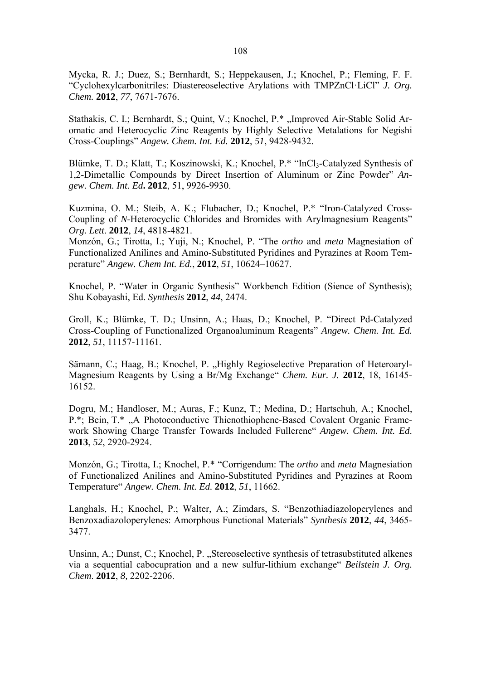Mycka, R. J.; Duez, S.; Bernhardt, S.; Heppekausen, J.; Knochel, P.; Fleming, F. F. "Cyclohexylcarbonitriles: Diastereoselective Arylations with TMPZnCl·LiCl" *J. Org. Chem.* **2012**, *77*, 7671-7676.

Stathakis, C. I.; Bernhardt, S.; Quint, V.; Knochel, P.\*, Improved Air-Stable Solid Aromatic and Heterocyclic Zinc Reagents by Highly Selective Metalations for Negishi Cross-Couplings" *Angew. Chem. Int. Ed.* **2012**, *51*, 9428-9432.

Blümke, T. D.; Klatt, T.; Koszinowski, K.; Knochel, P.\* "InCl<sub>3</sub>-Catalyzed Synthesis of 1,2-Dimetallic Compounds by Direct Insertion of Aluminum or Zinc Powder" *Angew. Chem. Int. Ed***. 2012**, 51, 9926-9930.

Kuzmina, O. M.; Steib, A. K.; Flubacher, D.; Knochel, P.\* "Iron-Catalyzed Cross-Coupling of *N*-Heterocyclic Chlorides and Bromides with Arylmagnesium Reagents" *Org. Lett*. **2012**, *14*, 4818-4821.

Monzón, G.; Tirotta, I.; Yuji, N.; Knochel, P. "The *ortho* and *meta* Magnesiation of Functionalized Anilines and Amino-Substituted Pyridines and Pyrazines at Room Temperature" *Angew. Chem Int. Ed.*, **2012**, *51*, 10624–10627.

Knochel, P. "Water in Organic Synthesis" Workbench Edition (Sience of Synthesis); Shu Kobayashi, Ed. *Synthesis* **2012**, *44*, 2474.

Groll, K.; Blümke, T. D.; Unsinn, A.; Haas, D.; Knochel, P. "Direct Pd-Catalyzed Cross-Coupling of Functionalized Organoaluminum Reagents" *Angew. Chem. Int. Ed.* **2012**, *51*, 11157-11161.

Sämann, C.; Haag, B.; Knochel, P. "Highly Regioselective Preparation of Heteroaryl-Magnesium Reagents by Using a Br/Mg Exchange" *Chem. Eur. J.* **2012**, 18, 16145- 16152.

Dogru, M.; Handloser, M.; Auras, F.; Kunz, T.; Medina, D.; Hartschuh, A.; Knochel, P.\*; Bein, T.\* "A Photoconductive Thienothiophene-Based Covalent Organic Framework Showing Charge Transfer Towards Included Fullerene" *Angew. Chem. Int. Ed*. **2013**, *52*, 2920-2924.

Monzón, G.; Tirotta, I.; Knochel, P.\* "Corrigendum: The *ortho* and *meta* Magnesiation of Functionalized Anilines and Amino-Substituted Pyridines and Pyrazines at Room Temperature" *Angew. Chem. Int. Ed.* **2012**, *51*, 11662.

Langhals, H.; Knochel, P.; Walter, A.; Zimdars, S. "Benzothiadiazoloperylenes and Benzoxadiazoloperylenes: Amorphous Functional Materials" *Synthesis* **2012**, *44*, 3465- 3477.

Unsinn, A.; Dunst, C.; Knochel, P. "Stereoselective synthesis of tetrasubstituted alkenes via a sequential cabocupration and a new sulfur-lithium exchange" *Beilstein J. Org. Chem*. **2012**, *8,* 2202-2206.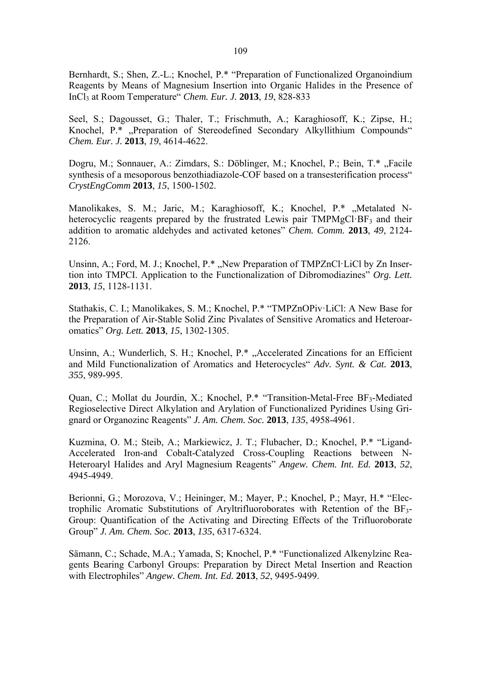Bernhardt, S.; Shen, Z.-L.; Knochel, P.\* "Preparation of Functionalized Organoindium Reagents by Means of Magnesium Insertion into Organic Halides in the Presence of InCl3 at Room Temperature" *Chem. Eur. J.* **2013**, *19*, 828-833

Seel, S.; Dagousset, G.; Thaler, T.; Frischmuth, A.; Karaghiosoff, K.; Zipse, H.; Knochel, P.\* "Preparation of Stereodefined Secondary Alkyllithium Compounds" *Chem. Eur. J.* **2013**, *19*, 4614-4622.

Dogru, M.; Sonnauer, A.: Zimdars, S.: Döblinger, M.; Knochel, P.; Bein, T.\* "Facile synthesis of a mesoporous benzothiadiazole-COF based on a transesterification process" *CrystEngComm* **2013**, *15*, 1500-1502.

Manolikakes, S. M.; Jaric, M.; Karaghiosoff, K.; Knochel, P.\* "Metalated Nheterocyclic reagents prepared by the frustrated Lewis pair  $TMP\text{MeCl-BF}_3$  and their addition to aromatic aldehydes and activated ketones" *Chem. Comm.* **2013**, *49*, 2124- 2126.

Unsinn, A.; Ford, M. J.; Knochel, P.\*, New Preparation of TMPZnCl·LiCl by Zn Insertion into TMPCI. Application to the Functionalization of Dibromodiazines" *Org. Lett.* **2013**, *15*, 1128-1131.

Stathakis, C. I.; Manolikakes, S. M.; Knochel, P.\* "TMPZnOPiv·LiCl: A New Base for the Preparation of Air-Stable Solid Zinc Pivalates of Sensitive Aromatics and Heteroaromatics" *Org. Lett.* **2013**, *15*, 1302-1305.

Unsinn, A.; Wunderlich, S. H.; Knochel, P.\*, Accelerated Zincations for an Efficient and Mild Functionalization of Aromatics and Heterocycles" *Adv. Synt. & Cat.* **2013**, *355*, 989-995.

Quan, C.; Mollat du Jourdin, X.; Knochel, P.\* "Transition-Metal-Free BF<sub>3</sub>-Mediated Regioselective Direct Alkylation and Arylation of Functionalized Pyridines Using Grignard or Organozinc Reagents" *J. Am. Chem. Soc.* **2013**, *135*, 4958-4961.

Kuzmina, O. M.; Steib, A.; Markiewicz, J. T.; Flubacher, D.; Knochel, P.\* "Ligand-Accelerated Iron-and Cobalt-Catalyzed Cross-Coupling Reactions between N-Heteroaryl Halides and Aryl Magnesium Reagents" *Angew. Chem. Int. Ed.* **2013**, *52*, 4945-4949.

Berionni, G.; Morozova, V.; Heininger, M.; Mayer, P.; Knochel, P.; Mayr, H.\* "Electrophilic Aromatic Substitutions of Aryltrifluoroborates with Retention of the BF3- Group: Quantification of the Activating and Directing Effects of the Trifluoroborate Group" *J. Am. Chem. Soc.* **2013**, *135*, 6317-6324.

Sämann, C.; Schade, M.A.; Yamada, S; Knochel, P.\* "Functionalized Alkenylzinc Reagents Bearing Carbonyl Groups: Preparation by Direct Metal Insertion and Reaction with Electrophiles" *Angew. Chem. Int. Ed.* **2013**, *52*, 9495-9499.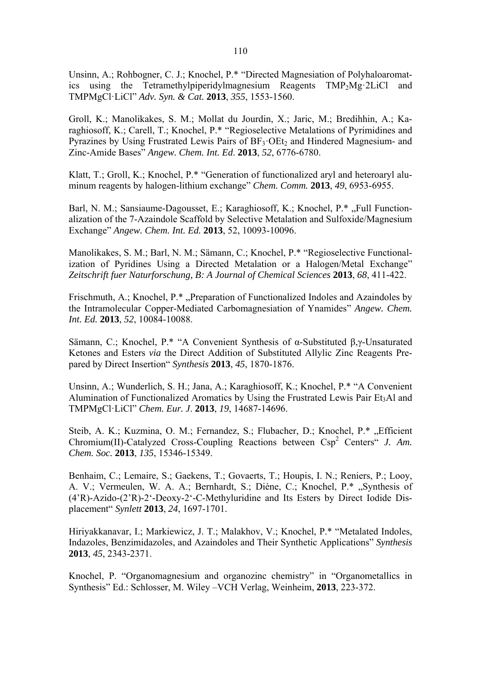Unsinn, A.; Rohbogner, C. J.; Knochel, P.\* "Directed Magnesiation of Polyhaloaromatics using the Tetramethylpiperidylmagnesium Reagents TMP<sub>2</sub>Mg·2LiCl and TMPMgCl·LiCl" *Adv. Syn. & Cat.* **2013**, *355*, 1553-1560.

Groll, K.; Manolikakes, S. M.; Mollat du Jourdin, X.; Jaric, M.; Bredihhin, A.; Karaghiosoff, K.; Carell, T.; Knochel, P.\* "Regioselective Metalations of Pyrimidines and Pyrazines by Using Frustrated Lewis Pairs of  $BF_3$  OEt<sub>2</sub> and Hindered Magnesium- and Zinc-Amide Bases" *Angew. Chem. Int. Ed*. **2013**, *52*, 6776-6780.

Klatt, T.; Groll, K.; Knochel, P.\* "Generation of functionalized aryl and heteroaryl aluminum reagents by halogen-lithium exchange" *Chem. Comm.* **2013**, *49*, 6953-6955.

Barl, N. M.; Sansiaume-Dagousset, E.; Karaghiosoff, K.; Knochel, P.\* "Full Functionalization of the 7-Azaindole Scaffold by Selective Metalation and Sulfoxide/Magnesium Exchange" *Angew. Chem. Int. Ed.* **2013**, 52, 10093-10096.

Manolikakes, S. M.; Barl, N. M.; Sämann, C.; Knochel, P.\* "Regioselective Functionalization of Pyridines Using a Directed Metalation or a Halogen/Metal Exchange" *Zeitschrift fuer Naturforschung, B: A Journal of Chemical Sciences* **2013**, *68*, 411-422.

Frischmuth, A.; Knochel, P.\*, Preparation of Functionalized Indoles and Azaindoles by the Intramolecular Copper-Mediated Carbomagnesiation of Ynamides" *Angew. Chem. Int. Ed.* **2013**, *52*, 10084-10088.

Sämann, C.; Knochel, P.\* "A Convenient Synthesis of α-Substituted β,γ-Unsaturated Ketones and Esters *via* the Direct Addition of Substituted Allylic Zinc Reagents Prepared by Direct Insertion" *Synthesis* **2013**, *45*, 1870-1876.

Unsinn, A.; Wunderlich, S. H.; Jana, A.; Karaghiosoff, K.; Knochel, P.\* "A Convenient Alumination of Functionalized Aromatics by Using the Frustrated Lewis Pair  $Et<sub>3</sub>Al$  and TMPMgCl·LiCl" *Chem. Eur. J*. **2013**, *19*, 14687-14696.

Steib, A. K.; Kuzmina, O. M.; Fernandez, S.; Flubacher, D.; Knochel, P.\* "Efficient Chromium(II)-Catalyzed Cross-Coupling Reactions between Csp<sup>2</sup> Centers" *J. Am. Chem. Soc.* **2013**, *135*, 15346-15349.

Benhaim, C.; Lemaire, S.; Gaekens, T.; Govaerts, T.; Houpis, I. N.; Reniers, P.; Looy, A. V.; Vermeulen, W. A. A.; Bernhardt, S.; Diène, C.; Knochel, P.\* "Synthesis of (4'R)-Azido-(2'R)-2'-Deoxy-2'-C-Methyluridine and Its Esters by Direct Iodide Displacement" *Synlett* **2013**, *24*, 1697-1701.

Hiriyakkanavar, I.; Markiewicz, J. T.; Malakhov, V.; Knochel, P.\* "Metalated Indoles, Indazoles, Benzimidazoles, and Azaindoles and Their Synthetic Applications" *Synthesis* **2013**, *45*, 2343-2371.

Knochel, P. "Organomagnesium and organozinc chemistry" in "Organometallics in Synthesis" Ed.: Schlosser, M. Wiley –VCH Verlag, Weinheim, **2013**, 223-372.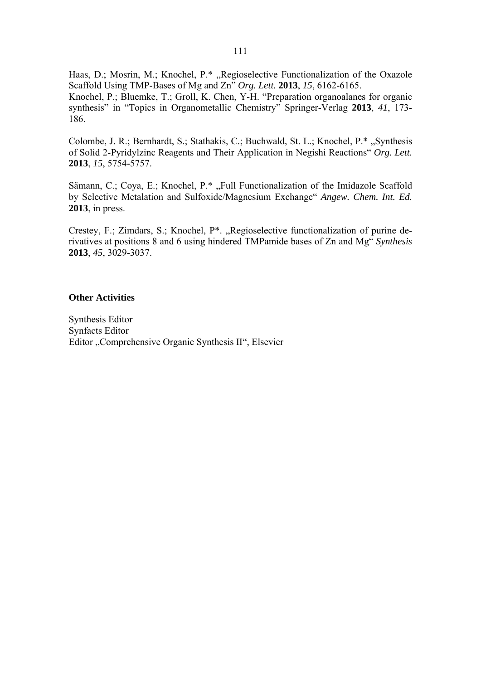Haas, D.; Mosrin, M.; Knochel, P.\* "Regioselective Functionalization of the Oxazole Scaffold Using TMP-Bases of Mg and Zn" *Org. Lett.* **2013**, *15*, 6162-6165. Knochel, P.; Bluemke, T.; Groll, K. Chen, Y-H. "Preparation organoalanes for organic synthesis" in "Topics in Organometallic Chemistry" Springer-Verlag **2013**, *41*, 173- 186.

Colombe, J. R.; Bernhardt, S.; Stathakis, C.; Buchwald, St. L.; Knochel, P.\*, Synthesis of Solid 2-Pyridylzinc Reagents and Their Application in Negishi Reactions" *Org. Lett.*  **2013**, *15*, 5754-5757.

Sämann, C.; Coya, E.; Knochel, P.\*, Full Functionalization of the Imidazole Scaffold by Selective Metalation and Sulfoxide/Magnesium Exchange" *Angew. Chem. Int. Ed.* **2013**, in press.

Crestey, F.; Zimdars, S.; Knochel, P\*. "Regioselective functionalization of purine derivatives at positions 8 and 6 using hindered TMPamide bases of Zn and Mg" *Synthesis* **2013**, *45*, 3029-3037.

#### **Other Activities**

Synthesis Editor Synfacts Editor Editor "Comprehensive Organic Synthesis II", Elsevier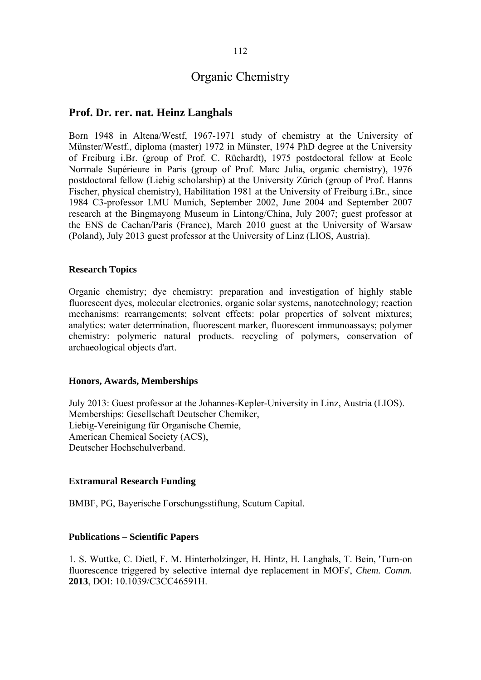## **Prof. Dr. rer. nat. Heinz Langhals**

Born 1948 in Altena/Westf, 1967-1971 study of chemistry at the University of Münster/Westf., diploma (master) 1972 in Münster, 1974 PhD degree at the University of Freiburg i.Br. (group of Prof. C. Rüchardt), 1975 postdoctoral fellow at Ecole Normale Supérieure in Paris (group of Prof. Marc Julia, organic chemistry), 1976 postdoctoral fellow (Liebig scholarship) at the University Zürich (group of Prof. Hanns Fischer, physical chemistry), Habilitation 1981 at the University of Freiburg i.Br., since 1984 C3-professor LMU Munich, September 2002, June 2004 and September 2007 research at the Bingmayong Museum in Lintong/China, July 2007; guest professor at the ENS de Cachan/Paris (France), March 2010 guest at the University of Warsaw (Poland), July 2013 guest professor at the University of Linz (LIOS, Austria).

### **Research Topics**

Organic chemistry; dye chemistry: preparation and investigation of highly stable fluorescent dyes, molecular electronics, organic solar systems, nanotechnology; reaction mechanisms: rearrangements; solvent effects: polar properties of solvent mixtures; analytics: water determination, fluorescent marker, fluorescent immunoassays; polymer chemistry: polymeric natural products. recycling of polymers, conservation of archaeological objects d'art.

#### **Honors, Awards, Memberships**

July 2013: Guest professor at the Johannes-Kepler-University in Linz, Austria (LIOS). Memberships: Gesellschaft Deutscher Chemiker, Liebig-Vereinigung für Organische Chemie, American Chemical Society (ACS), Deutscher Hochschulverband.

### **Extramural Research Funding**

BMBF, PG, Bayerische Forschungsstiftung, Scutum Capital.

#### **Publications – Scientific Papers**

1. S. Wuttke, C. Dietl, F. M. Hinterholzinger, H. Hintz, H. Langhals, T. Bein, 'Turn-on fluorescence triggered by selective internal dye replacement in MOFs', *Chem. Comm.* **2013**, DOI: 10.1039/C3CC46591H.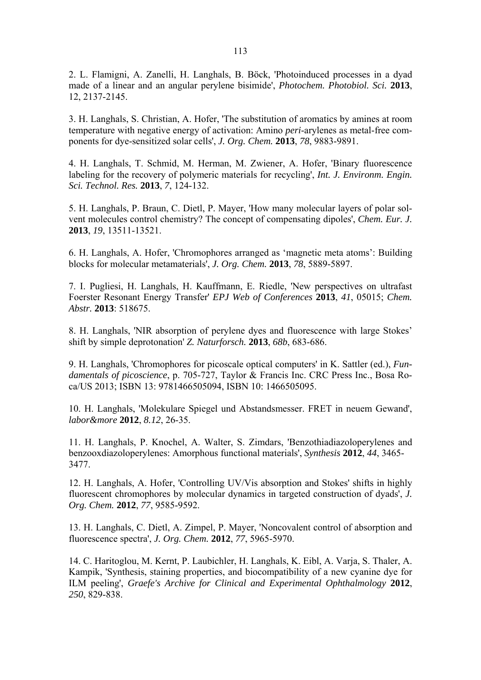2. L. Flamigni, A. Zanelli, H. Langhals, B. Böck, 'Photoinduced processes in a dyad made of a linear and an angular perylene bisimide', *Photochem. Photobiol. Sci.* **2013**, 12, 2137-2145.

3. H. Langhals, S. Christian, A. Hofer, 'The substitution of aromatics by amines at room temperature with negative energy of activation: Amino *peri*-arylenes as metal-free components for dye-sensitized solar cells', *J. Org. Chem.* **2013**, *78*, 9883-9891.

4. H. Langhals, T. Schmid, M. Herman, M. Zwiener, A. Hofer, 'Binary fluorescence labeling for the recovery of polymeric materials for recycling', *Int. J. Environm. Engin. Sci. Technol. Res.* **2013**, *7*, 124-132.

5. H. Langhals, P. Braun, C. Dietl, P. Mayer, 'How many molecular layers of polar solvent molecules control chemistry? The concept of compensating dipoles', *Chem. Eur. J.* **2013**, *19*, 13511-13521.

6. H. Langhals, A. Hofer, 'Chromophores arranged as 'magnetic meta atoms': Building blocks for molecular metamaterials', *J. Org. Chem.* **2013**, *78*, 5889-5897.

7. I. Pugliesi, H. Langhals, H. Kauffmann, E. Riedle, 'New perspectives on ultrafast Foerster Resonant Energy Transfer' *EPJ Web of Conferences* **2013**, *41*, 05015; *Chem. Abstr.* **2013**: 518675.

8. H. Langhals, 'NIR absorption of perylene dyes and fluorescence with large Stokes' shift by simple deprotonation' *Z. Naturforsch.* **2013**, *68b*, 683-686.

9. H. Langhals, 'Chromophores for picoscale optical computers' in K. Sattler (ed.), *Fundamentals of picoscience*, p. 705-727, Taylor & Francis Inc. CRC Press Inc., Bosa Roca/US 2013; ISBN 13: 9781466505094, ISBN 10: 1466505095.

10. H. Langhals, 'Molekulare Spiegel und Abstandsmesser. FRET in neuem Gewand', *labor&more* **2012**, *8.12*, 26-35.

11. H. Langhals, P. Knochel, A. Walter, S. Zimdars, 'Benzothiadiazoloperylenes and benzooxdiazoloperylenes: Amorphous functional materials', *Synthesis* **2012**, *44*, 3465- 3477.

12. H. Langhals, A. Hofer, 'Controlling UV/Vis absorption and Stokes' shifts in highly fluorescent chromophores by molecular dynamics in targeted construction of dyads', *J. Org. Chem.* **2012**, *77*, 9585-9592.

13. H. Langhals, C. Dietl, A. Zimpel, P. Mayer, 'Noncovalent control of absorption and fluorescence spectra', *J. Org. Chem.* **2012**, *77*, 5965-5970.

14. C. Haritoglou, M. Kernt, P. Laubichler, H. Langhals, K. Eibl, A. Varja, S. Thaler, A. Kampik, 'Synthesis, staining properties, and biocompatibility of a new cyanine dye for ILM peeling', *Graefe's Archive for Clinical and Experimental Ophthalmology* **2012**, *250*, 829-838.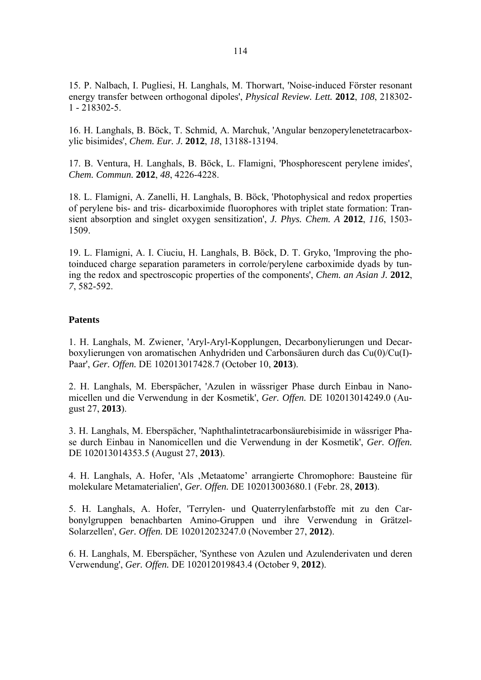15. P. Nalbach, I. Pugliesi, H. Langhals, M. Thorwart, 'Noise-induced Förster resonant energy transfer between orthogonal dipoles', *Physical Review. Lett.* **2012**, *108*, 218302- 1 - 218302-5.

16. H. Langhals, B. Böck, T. Schmid, A. Marchuk, 'Angular benzoperylenetetracarboxylic bisimides', *Chem. Eur. J.* **2012**, *18*, 13188-13194.

17. B. Ventura, H. Langhals, B. Böck, L. Flamigni, 'Phosphorescent perylene imides', *Chem. Commun.* **2012**, *48*, 4226-4228.

18. L. Flamigni, A. Zanelli, H. Langhals, B. Böck, 'Photophysical and redox properties of perylene bis- and tris- dicarboximide fluorophores with triplet state formation: Transient absorption and singlet oxygen sensitization', *J. Phys. Chem. A* **2012**, *116*, 1503- 1509.

19. L. Flamigni, A. I. Ciuciu, H. Langhals, B. Böck, D. T. Gryko, 'Improving the photoinduced charge separation parameters in corrole/perylene carboximide dyads by tuning the redox and spectroscopic properties of the components', *Chem. an Asian J.* **2012**, *7*, 582-592.

## **Patents**

1. H. Langhals, M. Zwiener, 'Aryl-Aryl-Kopplungen, Decarbonylierungen und Decarboxylierungen von aromatischen Anhydriden und Carbonsäuren durch das Cu(0)/Cu(I)- Paar', *Ger. Offen.* DE 102013017428.7 (October 10, **2013**).

2. H. Langhals, M. Eberspächer, 'Azulen in wässriger Phase durch Einbau in Nanomicellen und die Verwendung in der Kosmetik', *Ger. Offen.* DE 102013014249.0 (August 27, **2013**).

3. H. Langhals, M. Eberspächer, 'Naphthalintetracarbonsäurebisimide in wässriger Phase durch Einbau in Nanomicellen und die Verwendung in der Kosmetik', *Ger. Offen.* DE 102013014353.5 (August 27, **2013**).

4. H. Langhals, A. Hofer, 'Als 'Metaatome' arrangierte Chromophore: Bausteine für molekulare Metamaterialien', *Ger. Offen.* DE 102013003680.1 (Febr. 28, **2013**).

5. H. Langhals, A. Hofer, 'Terrylen- und Quaterrylenfarbstoffe mit zu den Carbonylgruppen benachbarten Amino-Gruppen und ihre Verwendung in Grätzel-Solarzellen', *Ger. Offen.* DE 102012023247.0 (November 27, **2012**).

6. H. Langhals, M. Eberspächer, 'Synthese von Azulen und Azulenderivaten und deren Verwendung', *Ger. Offen.* DE 102012019843.4 (October 9, **2012**).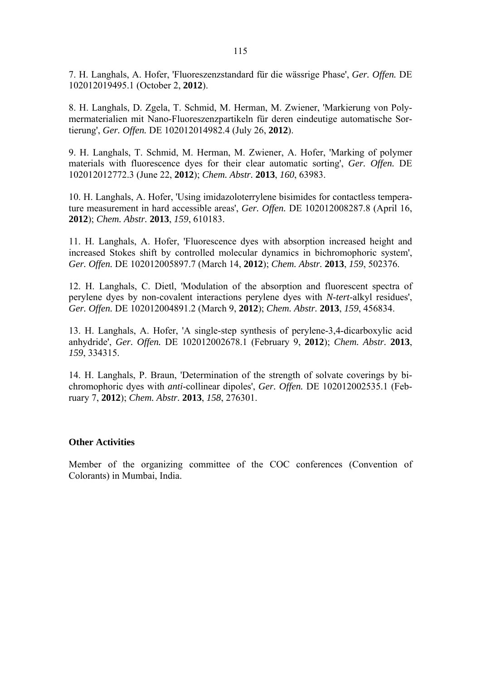7. H. Langhals, A. Hofer, 'Fluoreszenzstandard für die wässrige Phase', *Ger. Offen.* DE 102012019495.1 (October 2, **2012**).

8. H. Langhals, D. Zgela, T. Schmid, M. Herman, M. Zwiener, 'Markierung von Polymermaterialien mit Nano-Fluoreszenzpartikeln für deren eindeutige automatische Sortierung', *Ger. Offen.* DE 102012014982.4 (July 26, **2012**).

9. H. Langhals, T. Schmid, M. Herman, M. Zwiener, A. Hofer, 'Marking of polymer materials with fluorescence dyes for their clear automatic sorting', *Ger. Offen.* DE 102012012772.3 (June 22, **2012**); *Chem. Abstr.* **2013**, *160*, 63983.

10. H. Langhals, A. Hofer, 'Using imidazoloterrylene bisimides for contactless temperature measurement in hard accessible areas', *Ger. Offen.* DE 102012008287.8 (April 16, **2012**); *Chem. Abstr.* **2013**, *159*, 610183.

11. H. Langhals, A. Hofer, 'Fluorescence dyes with absorption increased height and increased Stokes shift by controlled molecular dynamics in bichromophoric system', *Ger. Offen.* DE 102012005897.7 (March 14, **2012**); *Chem. Abstr.* **2013**, *159*, 502376.

12. H. Langhals, C. Dietl, 'Modulation of the absorption and fluorescent spectra of perylene dyes by non-covalent interactions perylene dyes with *N*-*tert*-alkyl residues', *Ger. Offen.* DE 102012004891.2 (March 9, **2012**); *Chem. Abstr.* **2013**, *159*, 456834.

13. H. Langhals, A. Hofer, 'A single-step synthesis of perylene-3,4-dicarboxylic acid anhydride', *Ger. Offen.* DE 102012002678.1 (February 9, **2012**); *Chem. Abstr.* **2013**, *159*, 334315.

14. H. Langhals, P. Braun, 'Determination of the strength of solvate coverings by bichromophoric dyes with *anti*-collinear dipoles', *Ger. Offen.* DE 102012002535.1 (February 7, **2012**); *Chem. Abstr.* **2013**, *158*, 276301.

#### **Other Activities**

Member of the organizing committee of the COC conferences (Convention of Colorants) in Mumbai, India.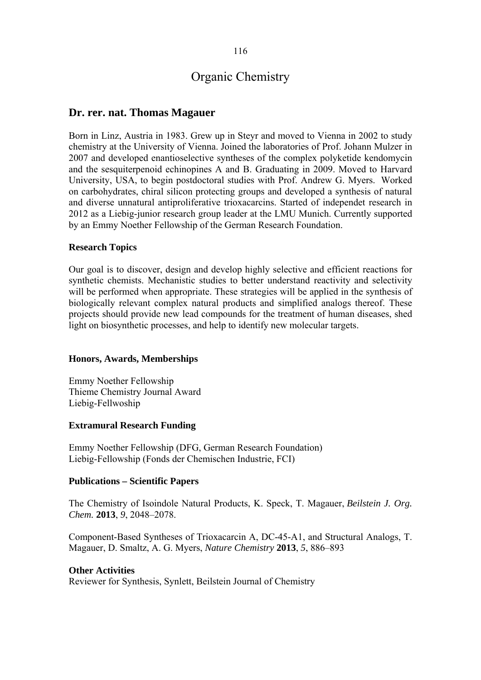## **Dr. rer. nat. Thomas Magauer**

Born in Linz, Austria in 1983. Grew up in Steyr and moved to Vienna in 2002 to study chemistry at the University of Vienna. Joined the laboratories of Prof. Johann Mulzer in 2007 and developed enantioselective syntheses of the complex polyketide kendomycin and the sesquiterpenoid echinopines A and B. Graduating in 2009. Moved to Harvard University, USA, to begin postdoctoral studies with Prof. Andrew G. Myers. Worked on carbohydrates, chiral silicon protecting groups and developed a synthesis of natural and diverse unnatural antiproliferative trioxacarcins. Started of independet research in 2012 as a Liebig-junior research group leader at the LMU Munich. Currently supported by an Emmy Noether Fellowship of the German Research Foundation.

#### **Research Topics**

Our goal is to discover, design and develop highly selective and efficient reactions for synthetic chemists. Mechanistic studies to better understand reactivity and selectivity will be performed when appropriate. These strategies will be applied in the synthesis of biologically relevant complex natural products and simplified analogs thereof. These projects should provide new lead compounds for the treatment of human diseases, shed light on biosynthetic processes, and help to identify new molecular targets.

### **Honors, Awards, Memberships**

Emmy Noether Fellowship Thieme Chemistry Journal Award Liebig-Fellwoship

#### **Extramural Research Funding**

Emmy Noether Fellowship (DFG, German Research Foundation) Liebig-Fellowship (Fonds der Chemischen Industrie, FCI)

#### **Publications – Scientific Papers**

The Chemistry of Isoindole Natural Products, K. Speck, T. Magauer, *Beilstein J. Org. Chem.* **2013**, *9*, 2048–2078.

Component-Based Syntheses of Trioxacarcin A, DC-45-A1, and Structural Analogs, T. Magauer, D. Smaltz, A. G. Myers, *Nature Chemistry* **2013**, *5*, 886–893

### **Other Activities**

Reviewer for Synthesis, Synlett, Beilstein Journal of Chemistry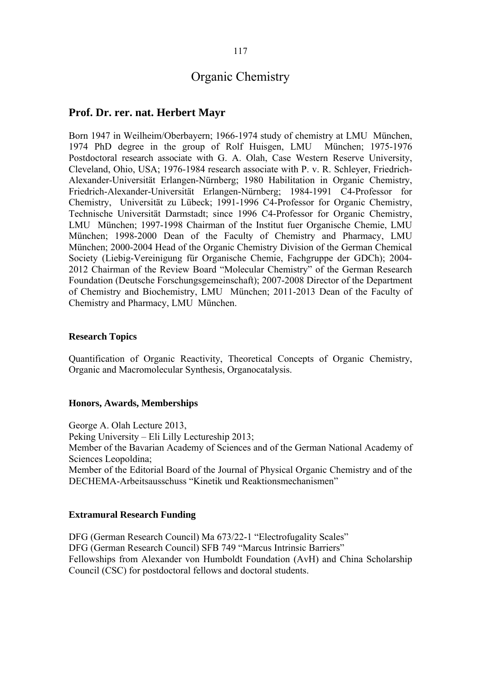## **Prof. Dr. rer. nat. Herbert Mayr**

Born 1947 in Weilheim/Oberbayern; 1966-1974 study of chemistry at LMU München, 1974 PhD degree in the group of Rolf Huisgen, LMU München; 1975-1976 Postdoctoral research associate with G. A. Olah, Case Western Reserve University, Cleveland, Ohio, USA; 1976-1984 research associate with P. v. R. Schleyer, Friedrich-Alexander-Universität Erlangen-Nürnberg; 1980 Habilitation in Organic Chemistry, Friedrich-Alexander-Universität Erlangen-Nürnberg; 1984-1991 C4-Professor for Chemistry, Universität zu Lübeck; 1991-1996 C4-Professor for Organic Chemistry, Technische Universität Darmstadt; since 1996 C4-Professor for Organic Chemistry, LMU München; 1997-1998 Chairman of the Institut fuer Organische Chemie, LMU München; 1998-2000 Dean of the Faculty of Chemistry and Pharmacy, LMU München; 2000-2004 Head of the Organic Chemistry Division of the German Chemical Society (Liebig-Vereinigung für Organische Chemie, Fachgruppe der GDCh); 2004- 2012 Chairman of the Review Board "Molecular Chemistry" of the German Research Foundation (Deutsche Forschungsgemeinschaft); 2007-2008 Director of the Department of Chemistry and Biochemistry, LMU München; 2011-2013 Dean of the Faculty of Chemistry and Pharmacy, LMU München.

#### **Research Topics**

Quantification of Organic Reactivity, Theoretical Concepts of Organic Chemistry, Organic and Macromolecular Synthesis, Organocatalysis.

#### **Honors, Awards, Memberships**

George A. Olah Lecture 2013, Peking University – Eli Lilly Lectureship 2013; Member of the Bavarian Academy of Sciences and of the German National Academy of Sciences Leopoldina; Member of the Editorial Board of the Journal of Physical Organic Chemistry and of the DECHEMA-Arbeitsausschuss "Kinetik und Reaktionsmechanismen"

## **Extramural Research Funding**

DFG (German Research Council) Ma 673/22-1 "Electrofugality Scales" DFG (German Research Council) SFB 749 "Marcus Intrinsic Barriers" Fellowships from Alexander von Humboldt Foundation (AvH) and China Scholarship Council (CSC) for postdoctoral fellows and doctoral students.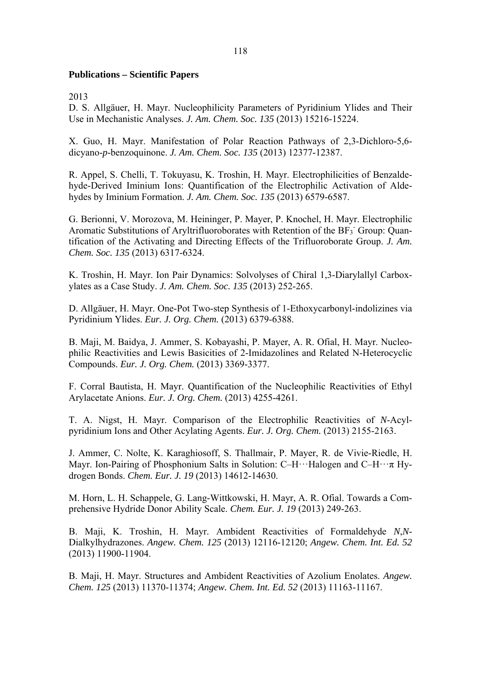## **Publications – Scientific Papers**

2013

D. S. Allgäuer, H. Mayr. Nucleophilicity Parameters of Pyridinium Ylides and Their Use in Mechanistic Analyses. *J. Am. Chem. Soc. 135* (2013) 15216-15224.

X. Guo, H. Mayr. Manifestation of Polar Reaction Pathways of 2,3-Dichloro-5,6 dicyano-*p*-benzoquinone. *J. Am. Chem. Soc. 135* (2013) 12377-12387.

R. Appel, S. Chelli, T. Tokuyasu, K. Troshin, H. Mayr. Electrophilicities of Benzaldehyde-Derived Iminium Ions: Quantification of the Electrophilic Activation of Aldehydes by Iminium Formation. *J. Am. Chem. Soc. 135* (2013) 6579-6587.

G. Berionni, V. Morozova, M. Heininger, P. Mayer, P. Knochel, H. Mayr. Electrophilic Aromatic Substitutions of Aryltrifluoroborates with Retention of the  $BF_3$  Group: Quantification of the Activating and Directing Effects of the Trifluoroborate Group. *J. Am. Chem. Soc. 135* (2013) 6317-6324.

K. Troshin, H. Mayr. Ion Pair Dynamics: Solvolyses of Chiral 1,3-Diarylallyl Carboxylates as a Case Study. *J. Am. Chem. Soc. 135* (2013) 252-265.

D. Allgäuer, H. Mayr. One-Pot Two-step Synthesis of 1-Ethoxycarbonyl-indolizines via Pyridinium Ylides. *Eur. J. Org. Chem.* (2013) 6379-6388.

B. Maji, M. Baidya, J. Ammer, S. Kobayashi, P. Mayer, A. R. Ofial, H. Mayr. Nucleophilic Reactivities and Lewis Basicities of 2-Imidazolines and Related N-Heterocyclic Compounds. *Eur. J. Org. Chem.* (2013) 3369-3377.

F. Corral Bautista, H. Mayr. Quantification of the Nucleophilic Reactivities of Ethyl Arylacetate Anions. *Eur. J. Org. Chem.* (2013) 4255-4261.

T. A. Nigst, H. Mayr. Comparison of the Electrophilic Reactivities of *N*-Acylpyridinium Ions and Other Acylating Agents. *Eur. J. Org. Chem.* (2013) 2155-2163.

J. Ammer, C. Nolte, K. Karaghiosoff, S. Thallmair, P. Mayer, R. de Vivie-Riedle, H. Mayr. Ion-Pairing of Phosphonium Salts in Solution: C–H···Halogen and C–H··· $\pi$  Hydrogen Bonds. *Chem. Eur. J. 19* (2013) 14612-14630.

M. Horn, L. H. Schappele, G. Lang-Wittkowski, H. Mayr, A. R. Ofial. Towards a Comprehensive Hydride Donor Ability Scale. *Chem. Eur. J. 19* (2013) 249-263.

B. Maji, K. Troshin, H. Mayr. Ambident Reactivities of Formaldehyde *N*,*N*-Dialkylhydrazones. *Angew. Chem. 125* (2013) 12116-12120; *Angew. Chem. Int. Ed. 52* (2013) 11900-11904.

B. Maji, H. Mayr. Structures and Ambident Reactivities of Azolium Enolates. *Angew. Chem. 125* (2013) 11370-11374; *Angew. Chem. Int. Ed. 52* (2013) 11163-11167.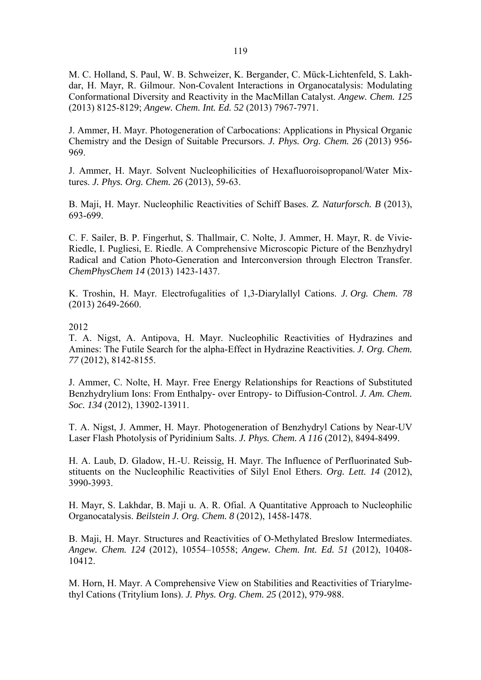M. C. Holland, S. Paul, W. B. Schweizer, K. Bergander, C. Mück-Lichtenfeld, S. Lakhdar, H. Mayr, R. Gilmour. Non-Covalent Interactions in Organocatalysis: Modulating Conformational Diversity and Reactivity in the MacMillan Catalyst. *Angew. Chem. 125*  (2013) 8125-8129; *Angew. Chem. Int. Ed. 52* (2013) 7967-7971.

J. Ammer, H. Mayr. Photogeneration of Carbocations: Applications in Physical Organic Chemistry and the Design of Suitable Precursors. *J. Phys. Org. Chem. 26* (2013) 956- 969.

J. Ammer, H. Mayr. Solvent Nucleophilicities of Hexafluoroisopropanol/Water Mixtures. *J. Phys. Org. Chem. 26* (2013), 59-63.

B. Maji, H. Mayr. Nucleophilic Reactivities of Schiff Bases. *Z. Naturforsch. B* (2013), 693-699.

C. F. Sailer, B. P. Fingerhut, S. Thallmair, C. Nolte, J. Ammer, H. Mayr, R. de Vivie-Riedle, I. Pugliesi, E. Riedle. A Comprehensive Microscopic Picture of the Benzhydryl Radical and Cation Photo-Generation and Interconversion through Electron Transfer. *ChemPhysChem 14* (2013) 1423-1437.

K. Troshin, H. Mayr. Electrofugalities of 1,3-Diarylallyl Cations. *J. Org. Chem. 78* (2013) 2649-2660.

### 2012

T. A. Nigst, A. Antipova, H. Mayr. Nucleophilic Reactivities of Hydrazines and Amines: The Futile Search for the alpha-Effect in Hydrazine Reactivities. *J. Org. Chem. 77* (2012), 8142-8155.

J. Ammer, C. Nolte, H. Mayr. Free Energy Relationships for Reactions of Substituted Benzhydrylium Ions: From Enthalpy- over Entropy- to Diffusion-Control. *J. Am. Chem. Soc. 134* (2012), 13902-13911.

T. A. Nigst, J. Ammer, H. Mayr. Photogeneration of Benzhydryl Cations by Near-UV Laser Flash Photolysis of Pyridinium Salts. *J. Phys. Chem. A 116* (2012), 8494-8499.

H. A. Laub, D. Gladow, H.-U. Reissig, H. Mayr. The Influence of Perfluorinated Substituents on the Nucleophilic Reactivities of Silyl Enol Ethers. *Org. Lett. 14* (2012), 3990-3993.

H. Mayr, S. Lakhdar, B. Maji u. A. R. Ofial. A Quantitative Approach to Nucleophilic Organocatalysis. *Beilstein J. Org. Chem. 8* (2012), 1458-1478.

B. Maji, H. Mayr. Structures and Reactivities of O-Methylated Breslow Intermediates. *Angew. Chem. 124* (2012), 10554–10558; *Angew. Chem. Int. Ed. 51* (2012), 10408- 10412.

M. Horn, H. Mayr. A Comprehensive View on Stabilities and Reactivities of Triarylmethyl Cations (Tritylium Ions). *J. Phys. Org. Chem. 25* (2012), 979-988.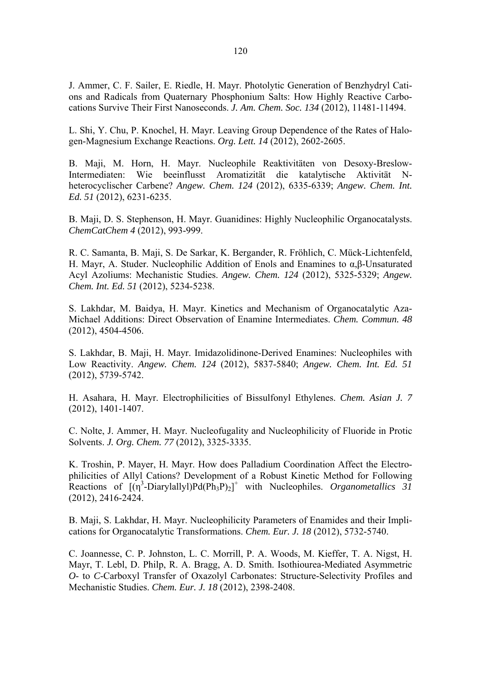J. Ammer, C. F. Sailer, E. Riedle, H. Mayr. Photolytic Generation of Benzhydryl Cations and Radicals from Quaternary Phosphonium Salts: How Highly Reactive Carbocations Survive Their First Nanoseconds. *J. Am. Chem. Soc. 134* (2012), 11481-11494.

L. Shi, Y. Chu, P. Knochel, H. Mayr. Leaving Group Dependence of the Rates of Halogen-Magnesium Exchange Reactions. *Org. Lett. 14* (2012), 2602-2605.

B. Maji, M. Horn, H. Mayr. Nucleophile Reaktivitäten von Desoxy-Breslow-Intermediaten: Wie beeinflusst Aromatizität die katalytische Aktivität Nheterocyclischer Carbene? *Angew. Chem. 124* (2012), 6335-6339; *Angew. Chem. Int. Ed. 51* (2012), 6231-6235.

B. Maji, D. S. Stephenson, H. Mayr. Guanidines: Highly Nucleophilic Organocatalysts. *ChemCatChem 4* (2012), 993-999.

R. C. Samanta, B. Maji, S. De Sarkar, K. Bergander, R. Fröhlich, C. Mück-Lichtenfeld, H. Mayr, A. Studer. Nucleophilic Addition of Enols and Enamines to α,β-Unsaturated Acyl Azoliums: Mechanistic Studies. *Angew. Chem. 124* (2012), 5325-5329; *Angew. Chem. Int. Ed. 51* (2012), 5234-5238.

S. Lakhdar, M. Baidya, H. Mayr. Kinetics and Mechanism of Organocatalytic Aza-Michael Additions: Direct Observation of Enamine Intermediates. *Chem. Commun. 48* (2012), 4504-4506.

S. Lakhdar, B. Maji, H. Mayr. Imidazolidinone-Derived Enamines: Nucleophiles with Low Reactivity. *Angew. Chem. 124* (2012), 5837-5840; *Angew. Chem. Int. Ed. 51* (2012), 5739-5742.

H. Asahara, H. Mayr. Electrophilicities of Bissulfonyl Ethylenes. *Chem. Asian J. 7* (2012), 1401-1407.

C. Nolte, J. Ammer, H. Mayr. Nucleofugality and Nucleophilicity of Fluoride in Protic Solvents. *J. Org. Chem. 77* (2012), 3325-3335.

K. Troshin, P. Mayer, H. Mayr. How does Palladium Coordination Affect the Electrophilicities of Allyl Cations? Development of a Robust Kinetic Method for Following Reactions of  $[(\eta^3$ -Diarylallyl)Pd(Ph<sub>3</sub>P)<sub>2</sub>]<sup>+</sup> with Nucleophiles. *Organometallics* 31 (2012), 2416-2424.

B. Maji, S. Lakhdar, H. Mayr. Nucleophilicity Parameters of Enamides and their Implications for Organocatalytic Transformations. *Chem. Eur. J. 18* (2012), 5732-5740.

C. Joannesse, C. P. Johnston, L. C. Morrill, P. A. Woods, M. Kieffer, T. A. Nigst, H. Mayr, T. Lebl, D. Philp, R. A. Bragg, A. D. Smith. Isothiourea-Mediated Asymmetric *O*- to *C*-Carboxyl Transfer of Oxazolyl Carbonates: Structure-Selectivity Profiles and Mechanistic Studies. *Chem. Eur. J. 18* (2012), 2398-2408.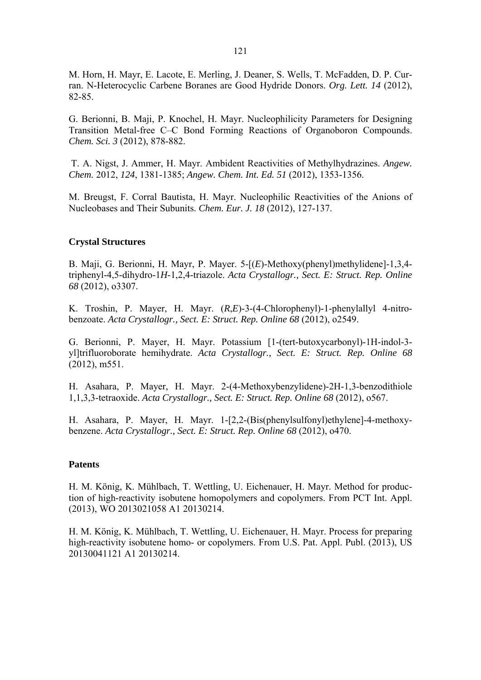M. Horn, H. Mayr, E. Lacote, E. Merling, J. Deaner, S. Wells, T. McFadden, D. P. Curran. N-Heterocyclic Carbene Boranes are Good Hydride Donors. *Org. Lett. 14* (2012), 82-85.

G. Berionni, B. Maji, P. Knochel, H. Mayr. Nucleophilicity Parameters for Designing Transition Metal-free C–C Bond Forming Reactions of Organoboron Compounds. *Chem. Sci. 3* (2012), 878-882.

 T. A. Nigst, J. Ammer, H. Mayr. Ambident Reactivities of Methylhydrazines. *Angew. Chem.* 2012, *124*, 1381-1385; *Angew. Chem. Int. Ed. 51* (2012), 1353-1356.

M. Breugst, F. Corral Bautista, H. Mayr. Nucleophilic Reactivities of the Anions of Nucleobases and Their Subunits. *Chem. Eur. J. 18* (2012), 127-137.

#### **Crystal Structures**

B. Maji, G. Berionni, H. Mayr, P. Mayer. 5-[(*E*)-Methoxy(phenyl)methylidene]-1,3,4 triphenyl-4,5-dihydro-1*H*-1,2,4-triazole. *Acta Crystallogr., Sect. E: Struct. Rep. Online 68* (2012), o3307.

K. Troshin, P. Mayer, H. Mayr. (*R*,*E*)-3-(4-Chlorophenyl)-1-phenylallyl 4-nitrobenzoate. *Acta Crystallogr., Sect. E: Struct. Rep. Online 68* (2012), o2549.

G. Berionni, P. Mayer, H. Mayr. Potassium [1-(tert-butoxycarbonyl)-1H-indol-3 yl]trifluoroborate hemihydrate. *Acta Crystallogr., Sect. E: Struct. Rep. Online 68* (2012), m551.

H. Asahara, P. Mayer, H. Mayr. 2-(4-Methoxybenzylidene)-2H-1,3-benzodithiole 1,1,3,3-tetraoxide. *Acta Crystallogr., Sect. E: Struct. Rep. Online 68* (2012), o567.

H. Asahara, P. Mayer, H. Mayr. 1-[2,2-(Bis(phenylsulfonyl)ethylene]-4-methoxybenzene. *Acta Crystallogr., Sect. E: Struct. Rep. Online 68* (2012), o470.

#### **Patents**

H. M. König, K. Mühlbach, T. Wettling, U. Eichenauer, H. Mayr. Method for production of high-reactivity isobutene homopolymers and copolymers. From PCT Int. Appl. (2013), WO 2013021058 A1 20130214.

H. M. König, K. Mühlbach, T. Wettling, U. Eichenauer, H. Mayr. Process for preparing high-reactivity isobutene homo- or copolymers. From U.S. Pat. Appl. Publ. (2013), US 20130041121 A1 20130214.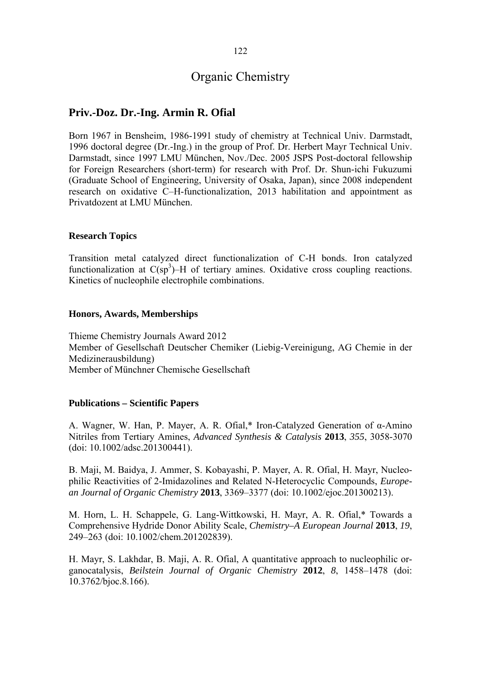## **Priv.-Doz. Dr.-Ing. Armin R. Ofial**

Born 1967 in Bensheim, 1986-1991 study of chemistry at Technical Univ. Darmstadt, 1996 doctoral degree (Dr.-Ing.) in the group of Prof. Dr. Herbert Mayr Technical Univ. Darmstadt, since 1997 LMU München, Nov./Dec. 2005 JSPS Post-doctoral fellowship for Foreign Researchers (short-term) for research with Prof. Dr. Shun-ichi Fukuzumi (Graduate School of Engineering, University of Osaka, Japan), since 2008 independent research on oxidative C–H-functionalization, 2013 habilitation and appointment as Privatdozent at LMU München.

## **Research Topics**

Transition metal catalyzed direct functionalization of C-H bonds. Iron catalyzed functionalization at  $C(sp^3)$ –H of tertiary amines. Oxidative cross coupling reactions. Kinetics of nucleophile electrophile combinations.

#### **Honors, Awards, Memberships**

Thieme Chemistry Journals Award 2012 Member of Gesellschaft Deutscher Chemiker (Liebig-Vereinigung, AG Chemie in der Medizinerausbildung) Member of Münchner Chemische Gesellschaft

## **Publications – Scientific Papers**

A. Wagner, W. Han, P. Mayer, A. R. Ofial,\* Iron-Catalyzed Generation of α-Amino Nitriles from Tertiary Amines, *Advanced Synthesis & Catalysis* **2013**, *355*, 3058-3070 (doi: 10.1002/adsc.201300441).

B. Maji, M. Baidya, J. Ammer, S. Kobayashi, P. Mayer, A. R. Ofial, H. Mayr, Nucleophilic Reactivities of 2-Imidazolines and Related N-Heterocyclic Compounds, *European Journal of Organic Chemistry* **2013**, 3369–3377 (doi: 10.1002/ejoc.201300213).

M. Horn, L. H. Schappele, G. Lang-Wittkowski, H. Mayr, A. R. Ofial,\* Towards a Comprehensive Hydride Donor Ability Scale, *Chemistry–A European Journal* **2013**, *19*, 249–263 (doi: 10.1002/chem.201202839).

H. Mayr, S. Lakhdar, B. Maji, A. R. Ofial, A quantitative approach to nucleophilic organocatalysis, *Beilstein Journal of Organic Chemistry* **2012**, *8*, 1458–1478 (doi: 10.3762/bjoc.8.166).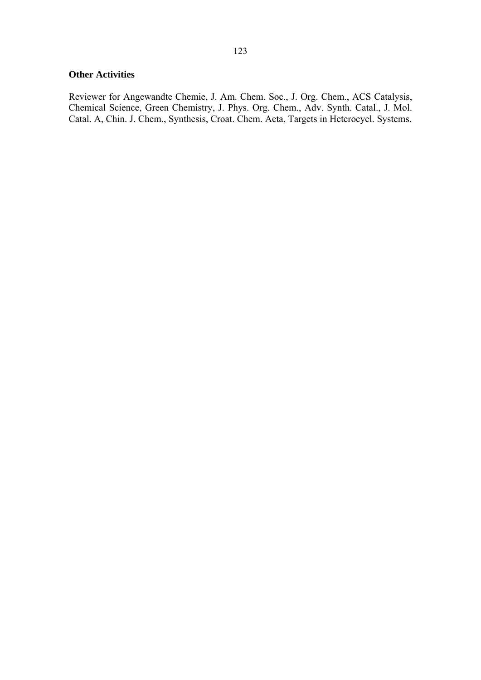## **Other Activities**

Reviewer for Angewandte Chemie, J. Am. Chem. Soc., J. Org. Chem., ACS Catalysis, Chemical Science, Green Chemistry, J. Phys. Org. Chem., Adv. Synth. Catal., J. Mol. Catal. A, Chin. J. Chem., Synthesis, Croat. Chem. Acta, Targets in Heterocycl. Systems.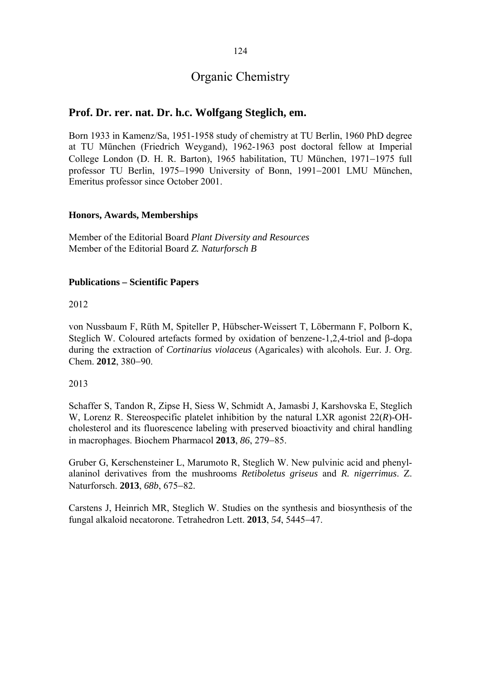124

# Organic Chemistry

## **Prof. Dr. rer. nat. Dr. h.c. Wolfgang Steglich, em.**

Born 1933 in Kamenz/Sa, 1951-1958 study of chemistry at TU Berlin, 1960 PhD degree at TU München (Friedrich Weygand), 1962-1963 post doctoral fellow at Imperial College London (D. H. R. Barton), 1965 habilitation, TU München, 1971–1975 full professor TU Berlin, 1975-1990 University of Bonn, 1991-2001 LMU München, Emeritus professor since October 2001.

## **Honors, Awards, Memberships**

Member of the Editorial Board *Plant Diversity and Resources* Member of the Editorial Board *Z. Naturforsch B*

## **Publications – Scientific Papers**

2012

von Nussbaum F, Rüth M, Spiteller P, Hübscher-Weissert T, Löbermann F, Polborn K, Steglich W. Coloured artefacts formed by oxidation of benzene-1,2,4-triol and  $\beta$ -dopa during the extraction of *Cortinarius violaceus* (Agaricales) with alcohols. Eur. J. Org. Chem. 2012, 380-90.

2013

Schaffer S, Tandon R, Zipse H, Siess W, Schmidt A, Jamasbi J, Karshovska E, Steglich W, Lorenz R. Stereospecific platelet inhibition by the natural LXR agonist 22(*R*)-OHcholesterol and its fluorescence labeling with preserved bioactivity and chiral handling in macrophages. Biochem Pharmacol 2013, 86, 279–85.

Gruber G, Kerschensteiner L, Marumoto R, Steglich W. New pulvinic acid and phenylalaninol derivatives from the mushrooms *Retiboletus griseus* and *R. nigerrimus*. Z. Naturforsch. 2013, 68b, 675-82.

Carstens J, Heinrich MR, Steglich W. Studies on the synthesis and biosynthesis of the fungal alkaloid necatorone. Tetrahedron Lett. 2013, 54, 5445-47.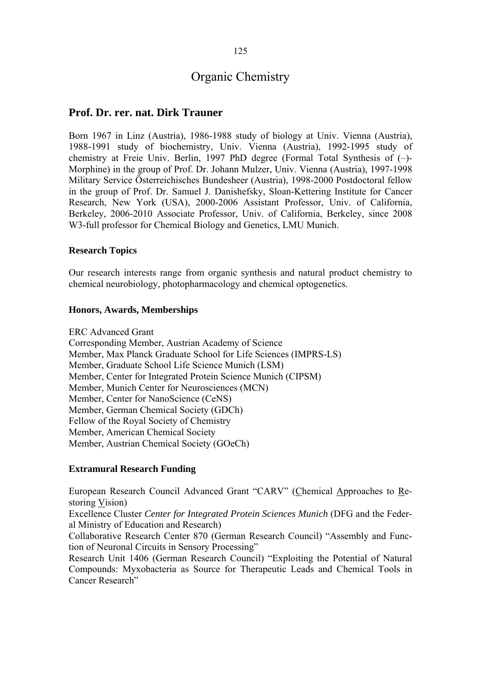## **Prof. Dr. rer. nat. Dirk Trauner**

Born 1967 in Linz (Austria), 1986-1988 study of biology at Univ. Vienna (Austria), 1988-1991 study of biochemistry, Univ. Vienna (Austria), 1992-1995 study of chemistry at Freie Univ. Berlin, 1997 PhD degree (Formal Total Synthesis of (–)- Morphine) in the group of Prof. Dr. Johann Mulzer, Univ. Vienna (Austria), 1997-1998 Military Service Österreichisches Bundesheer (Austria), 1998-2000 Postdoctoral fellow in the group of Prof. Dr. Samuel J. Danishefsky, Sloan-Kettering Institute for Cancer Research, New York (USA), 2000-2006 Assistant Professor, Univ. of California, Berkeley, 2006-2010 Associate Professor, Univ. of California, Berkeley, since 2008 W3-full professor for Chemical Biology and Genetics, LMU Munich.

### **Research Topics**

Our research interests range from organic synthesis and natural product chemistry to chemical neurobiology, photopharmacology and chemical optogenetics.

#### **Honors, Awards, Memberships**

ERC Advanced Grant

Corresponding Member, Austrian Academy of Science Member, Max Planck Graduate School for Life Sciences (IMPRS-LS) Member, Graduate School Life Science Munich (LSM) Member, Center for Integrated Protein Science Munich (CIPSM) Member, Munich Center for Neurosciences (MCN) Member, Center for NanoScience (CeNS) Member, German Chemical Society (GDCh) Fellow of the Royal Society of Chemistry Member, American Chemical Society Member, Austrian Chemical Society (GOeCh)

#### **Extramural Research Funding**

European Research Council Advanced Grant "CARV" (Chemical Approaches to Restoring Vision)

Excellence Cluster *Center for Integrated Protein Sciences Munich* (DFG and the Federal Ministry of Education and Research)

Collaborative Research Center 870 (German Research Council) "Assembly and Function of Neuronal Circuits in Sensory Processing"

Research Unit 1406 (German Research Council) "Exploiting the Potential of Natural Compounds: Myxobacteria as Source for Therapeutic Leads and Chemical Tools in Cancer Research"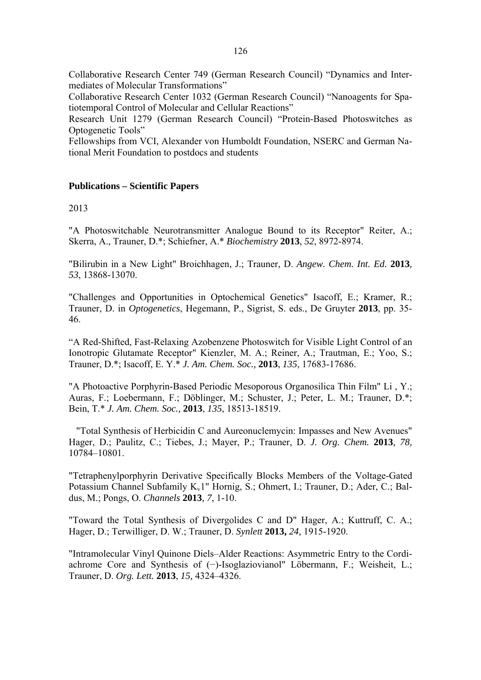Collaborative Research Center 749 (German Research Council) "Dynamics and Intermediates of Molecular Transformations"

Collaborative Research Center 1032 (German Research Council) "Nanoagents for Spatiotemporal Control of Molecular and Cellular Reactions"

Research Unit 1279 (German Research Council) "Protein-Based Photoswitches as Optogenetic Tools"

Fellowships from VCI, Alexander von Humboldt Foundation, NSERC and German National Merit Foundation to postdocs and students

### **Publications – Scientific Papers**

#### 2013

"A Photoswitchable Neurotransmitter Analogue Bound to its Receptor" Reiter, A.; Skerra, A., Trauner, D.\*; Schiefner, A.\* *Biochemistry* **2013**, *52*, 8972-8974.

"Bilirubin in a New Light" Broichhagen, J.; Trauner, D. *Angew. Chem. Int. Ed.* **2013***, 53*, 13868-13070.

"Challenges and Opportunities in Optochemical Genetics" Isacoff, E.; Kramer, R.; Trauner, D. in *Optogenetics*, Hegemann, P., Sigrist, S. eds., De Gruyter **2013**, pp. 35- 46.

"A Red-Shifted, Fast-Relaxing Azobenzene Photoswitch for Visible Light Control of an Ionotropic Glutamate Receptor" Kienzler, M. A.; Reiner, A.; Trautman, E.; Yoo, S.; Trauner, D.\*; Isacoff, E. Y.\* *J. Am. Chem. Soc.,* **2013**, *135*, 17683-17686.

"A Photoactive Porphyrin-Based Periodic Mesoporous Organosilica Thin Film" Li , Y.; Auras, F.; Loebermann, F.; Döblinger, M.; Schuster, J.; Peter, L. M.; Trauner, D.\*; Bein, T.\* *J. Am. Chem. Soc.,* **2013**, *135*, 18513-18519.

"Total Synthesis of Herbicidin C and Aureonuclemycin: Impasses and New Avenues" Hager, D.; Paulitz, C.; Tiebes, J.; Mayer, P.; Trauner, D. *J. Org. Chem.* **2013***, 78,*  10784–10801.

"Tetraphenylporphyrin Derivative Specifically Blocks Members of the Voltage-Gated Potassium Channel Subfamily K<sub>v</sub>1" Hornig, S.; Ohmert, I.; Trauner, D.; Ader, C.; Baldus, M.; Pongs, O. *Channels* **2013***, 7*, 1-10.

"Toward the Total Synthesis of Divergolides C and D" Hager, A.; Kuttruff, C. A.; Hager, D.; Terwilliger, D. W.; Trauner, D. *Synlett* **2013,** *24,* 1915-1920.

"Intramolecular Vinyl Quinone Diels–Alder Reactions: Asymmetric Entry to the Cordiachrome Core and Synthesis of (−)-Isoglaziovianol" Löbermann, F.; Weisheit, L.; Trauner, D. *Org. Lett.* **2013**, *15,* 4324–4326.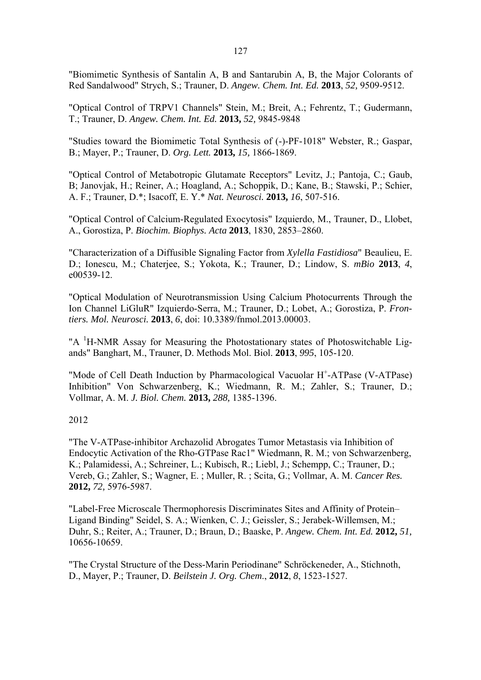"Biomimetic Synthesis of Santalin A, B and Santarubin A, B, the Major Colorants of Red Sandalwood" Strych, S.; Trauner, D. *Angew. Chem. Int. Ed.* **2013**, *52,* 9509-9512.

"Optical Control of TRPV1 Channels" Stein, M.; Breit, A.; Fehrentz, T.; Gudermann, T.; Trauner, D. *Angew. Chem. Int. Ed.* **2013,** *52,* 9845-9848

"Studies toward the Biomimetic Total Synthesis of (-)-PF-1018" Webster, R.; Gaspar, B.; Mayer, P.; Trauner, D. *Org. Lett.* **2013,** *15,* 1866-1869.

"Optical Control of Metabotropic Glutamate Receptors" Levitz, J.; Pantoja, C.; Gaub, B; Janovjak, H.; Reiner, A.; Hoagland, A.; Schoppik, D.; Kane, B.; Stawski, P.; Schier, A. F.; Trauner, D.\*; Isacoff, E. Y.\* *Nat. Neurosci.* **2013,** *16*, 507-516.

"Optical Control of Calcium-Regulated Exocytosis" Izquierdo, M., Trauner, D., Llobet, A., Gorostiza, P. *Biochim. Biophys. Acta* **2013**, 1830, 2853–2860.

"Characterization of a Diffusible Signaling Factor from *Xylella Fastidiosa*" Beaulieu, E. D.; Ionescu, M.; Chaterjee, S.; Yokota, K.; Trauner, D.; Lindow, S. *mBio* **2013**, *4*, e00539-12.

"Optical Modulation of Neurotransmission Using Calcium Photocurrents Through the Ion Channel LiGluR" Izquierdo-Serra, M.; Trauner, D.; Lobet, A.; Gorostiza, P. *Frontiers. Mol. Neurosci.* **2013**, *6*, doi: 10.3389/fnmol.2013.00003.

"A <sup>1</sup>H-NMR Assay for Measuring the Photostationary states of Photoswitchable Ligands" Banghart, M., Trauner, D. Methods Mol. Biol. **2013**, *995*, 105-120.

"Mode of Cell Death Induction by Pharmacological Vacuolar H<sup>+</sup>-ATPase (V-ATPase) Inhibition" Von Schwarzenberg, K.; Wiedmann, R. M.; Zahler, S.; Trauner, D.; Vollmar, A. M. *J. Biol. Chem.* **2013,** *288,* 1385-1396.

## 2012

"The V-ATPase-inhibitor Archazolid Abrogates Tumor Metastasis via Inhibition of Endocytic Activation of the Rho-GTPase Rac1" Wiedmann, R. M.; von Schwarzenberg, K.; Palamidessi, A.; Schreiner, L.; Kubisch, R.; Liebl, J.; Schempp, C.; Trauner, D.; Vereb, G.; Zahler, S.; Wagner, E. ; Muller, R. ; Scita, G.; Vollmar, A. M. *Cancer Res.*  **2012,** *72,* 5976-5987.

"Label-Free Microscale Thermophoresis Discriminates Sites and Affinity of Protein– Ligand Binding" Seidel, S. A.; Wienken, C. J.; Geissler, S.; Jerabek-Willemsen, M.; Duhr, S.; Reiter, A.; Trauner, D.; Braun, D.; Baaske, P. *Angew. Chem. Int. Ed.* **2012,** *51,* 10656-10659.

"The Crystal Structure of the Dess-Marin Periodinane" Schröckeneder, A., Stichnoth, D., Mayer, P.; Trauner, D. *Beilstein J. Org. Chem*., **2012**, *8*, 1523-1527.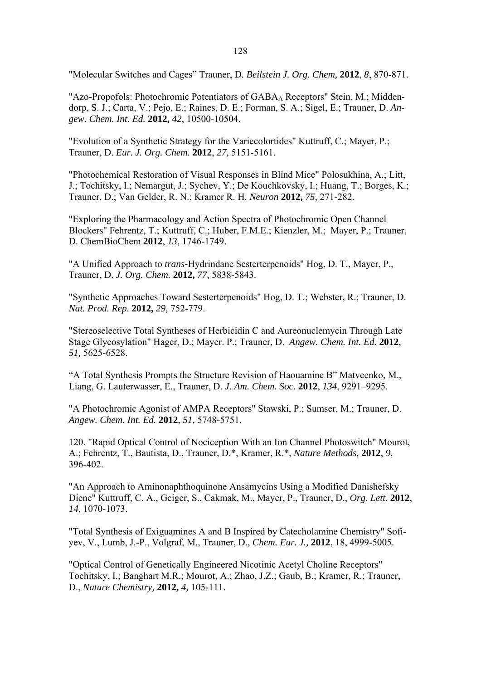"Molecular Switches and Cages" Trauner, D*. Beilstein J. Org. Chem,* **2012**, *8*, 870-871.

"Azo-Propofols: Photochromic Potentiators of GABA<sub>A</sub> Receptors" Stein, M.; Middendorp, S. J.; Carta, V.; Pejo, E.; Raines, D. E.; Forman, S. A.; Sigel, E.; Trauner, D. *Angew. Chem. Int. Ed.* **2012,** *42*, 10500-10504.

"Evolution of a Synthetic Strategy for the Variecolortides" Kuttruff, C.; Mayer, P.; Trauner, D. *Eur. J. Org. Chem.* **2012**, *27*, 5151-5161.

"Photochemical Restoration of Visual Responses in Blind Mice" Polosukhina, A.; Litt, J.; Tochitsky, I.; Nemargut, J.; Sychev, Y.; De Kouchkovsky, I.; Huang, T.; Borges, K.; Trauner, D.; Van Gelder, R. N.; Kramer R. H. *Neuron* **2012,** *75,* 271-282.

"Exploring the Pharmacology and Action Spectra of Photochromic Open Channel Blockers" Fehrentz, T.; Kuttruff, C.; Huber, F.M.E.; Kienzler, M.; Mayer, P.; Trauner, D. ChemBioChem **2012**, *13*, 1746-1749.

"A Unified Approach to *trans-*Hydrindane Sesterterpenoids" Hog, D. T., Mayer, P., Trauner, D. *J. Org. Chem.* **2012,** *77,* 5838-5843.

"Synthetic Approaches Toward Sesterterpenoids" Hog, D. T.; Webster, R.; Trauner, D. *Nat. Prod. Rep.* **2012,** *29,* 752-779.

"Stereoselective Total Syntheses of Herbicidin C and Aureonuclemycin Through Late Stage Glycosylation" Hager, D.; Mayer. P.; Trauner, D. *Angew. Chem. Int. Ed.* **2012**, *51,* 5625-6528.

"A Total Synthesis Prompts the Structure Revision of Haouamine B" Matveenko, M., Liang, G. Lauterwasser, E., Trauner, D. *J. Am. Chem. Soc.* **2012**, *134*, 9291–9295.

"A Photochromic Agonist of AMPA Receptors" Stawski, P.; Sumser, M.; Trauner, D. *Angew. Chem. Int. Ed.* **2012**, *51,* 5748-5751.

120. "Rapid Optical Control of Nociception With an Ion Channel Photoswitch" Mourot, A.; Fehrentz, T., Bautista, D., Trauner, D.\*, Kramer, R.\*, *Nature Methods,* **2012**, *9*, 396-402.

"An Approach to Aminonaphthoquinone Ansamycins Using a Modified Danishefsky Diene" Kuttruff, C. A., Geiger, S., Cakmak, M., Mayer, P., Trauner, D., *Org. Lett.* **2012**, *14*, 1070-1073.

"Total Synthesis of Exiguamines A and B Inspired by Catecholamine Chemistry" Sofiyev, V., Lumb, J.-P., Volgraf, M., Trauner, D., *Chem. Eur. J.,* **2012**, 18, 4999-5005.

"Optical Control of Genetically Engineered Nicotinic Acetyl Choline Receptors" Tochitsky, I.; Banghart M.R.; Mourot, A.; Zhao, J.Z.; Gaub, B.; Kramer, R.; Trauner, D., *Nature Chemistry,* **2012,** *4,* 105-111.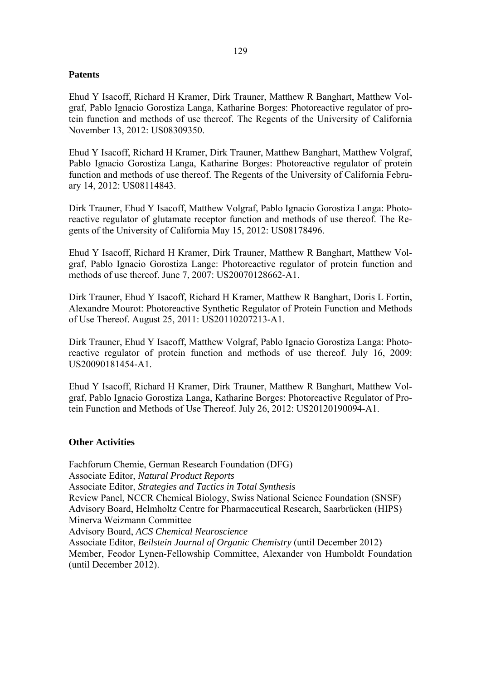## **Patents**

Ehud Y Isacoff, Richard H Kramer, Dirk Trauner, Matthew R Banghart, Matthew Volgraf, Pablo Ignacio Gorostiza Langa, Katharine Borges: Photoreactive regulator of protein function and methods of use thereof. The Regents of the University of California November 13, 2012: US08309350.

Ehud Y Isacoff, Richard H Kramer, Dirk Trauner, Matthew Banghart, Matthew Volgraf, Pablo Ignacio Gorostiza Langa, Katharine Borges: Photoreactive regulator of protein function and methods of use thereof. The Regents of the University of California February 14, 2012: US08114843.

Dirk Trauner, Ehud Y Isacoff, Matthew Volgraf, Pablo Ignacio Gorostiza Langa: Photoreactive regulator of glutamate receptor function and methods of use thereof. The Regents of the University of California May 15, 2012: US08178496.

Ehud Y Isacoff, Richard H Kramer, Dirk Trauner, Matthew R Banghart, Matthew Volgraf, Pablo Ignacio Gorostiza Lange: Photoreactive regulator of protein function and methods of use thereof. June 7, 2007: US20070128662-A1.

Dirk Trauner, Ehud Y Isacoff, Richard H Kramer, Matthew R Banghart, Doris L Fortin, Alexandre Mourot: Photoreactive Synthetic Regulator of Protein Function and Methods of Use Thereof. August 25, 2011: US20110207213-A1.

Dirk Trauner, Ehud Y Isacoff, Matthew Volgraf, Pablo Ignacio Gorostiza Langa: Photoreactive regulator of protein function and methods of use thereof. July 16, 2009: US20090181454-A1.

Ehud Y Isacoff, Richard H Kramer, Dirk Trauner, Matthew R Banghart, Matthew Volgraf, Pablo Ignacio Gorostiza Langa, Katharine Borges: Photoreactive Regulator of Protein Function and Methods of Use Thereof. July 26, 2012: US20120190094-A1.

## **Other Activities**

Fachforum Chemie, German Research Foundation (DFG) Associate Editor, *Natural Product Reports* Associate Editor, *Strategies and Tactics in Total Synthesis*  Review Panel, NCCR Chemical Biology, Swiss National Science Foundation (SNSF) Advisory Board, Helmholtz Centre for Pharmaceutical Research, Saarbrücken (HIPS) Minerva Weizmann Committee Advisory Board, *ACS Chemical Neuroscience*  Associate Editor, *Beilstein Journal of Organic Chemistry* (until December 2012) Member, Feodor Lynen-Fellowship Committee, Alexander von Humboldt Foundation (until December 2012).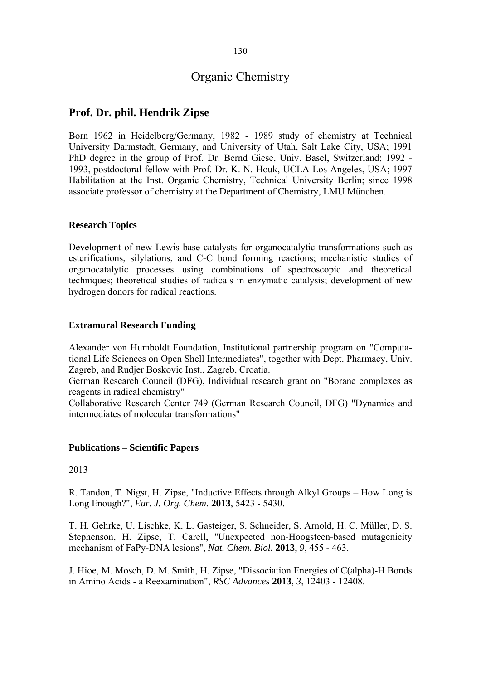## **Prof. Dr. phil. Hendrik Zipse**

Born 1962 in Heidelberg/Germany, 1982 - 1989 study of chemistry at Technical University Darmstadt, Germany, and University of Utah, Salt Lake City, USA; 1991 PhD degree in the group of Prof. Dr. Bernd Giese, Univ. Basel, Switzerland; 1992 - 1993, postdoctoral fellow with Prof. Dr. K. N. Houk, UCLA Los Angeles, USA; 1997 Habilitation at the Inst. Organic Chemistry, Technical University Berlin; since 1998 associate professor of chemistry at the Department of Chemistry, LMU München.

## **Research Topics**

Development of new Lewis base catalysts for organocatalytic transformations such as esterifications, silylations, and C-C bond forming reactions; mechanistic studies of organocatalytic processes using combinations of spectroscopic and theoretical techniques; theoretical studies of radicals in enzymatic catalysis; development of new hydrogen donors for radical reactions.

## **Extramural Research Funding**

Alexander von Humboldt Foundation, Institutional partnership program on "Computational Life Sciences on Open Shell Intermediates", together with Dept. Pharmacy, Univ. Zagreb, and Rudjer Boskovic Inst., Zagreb, Croatia.

German Research Council (DFG), Individual research grant on "Borane complexes as reagents in radical chemistry"

Collaborative Research Center 749 (German Research Council, DFG) "Dynamics and intermediates of molecular transformations"

## **Publications – Scientific Papers**

#### 2013

R. Tandon, T. Nigst, H. Zipse, "Inductive Effects through Alkyl Groups – How Long is Long Enough?", *Eur. J. Org. Chem.* **2013**, 5423 - 5430.

T. H. Gehrke, U. Lischke, K. L. Gasteiger, S. Schneider, S. Arnold, H. C. Müller, D. S. Stephenson, H. Zipse, T. Carell, "Unexpected non-Hoogsteen-based mutagenicity mechanism of FaPy-DNA lesions", *Nat. Chem. Biol.* **2013**, *9*, 455 - 463.

J. Hioe, M. Mosch, D. M. Smith, H. Zipse, "Dissociation Energies of C(alpha)-H Bonds in Amino Acids - a Reexamination", *RSC Advances* **2013**, *3*, 12403 - 12408.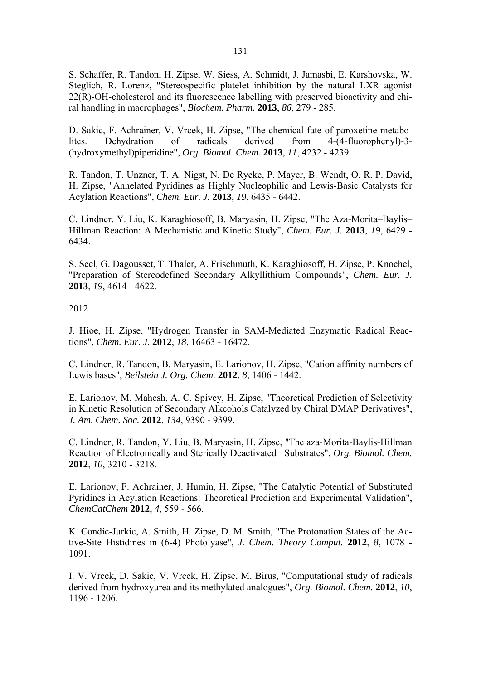S. Schaffer, R. Tandon, H. Zipse, W. Siess, A. Schmidt, J. Jamasbi, E. Karshovska, W. Steglich, R. Lorenz, "Stereospecific platelet inhibition by the natural LXR agonist 22(R)-OH-cholesterol and its fluorescence labelling with preserved bioactivity and chiral handling in macrophages", *Biochem. Pharm.* **2013**, *86*, 279 - 285.

D. Sakic, F. Achrainer, V. Vrcek, H. Zipse, "The chemical fate of paroxetine metabolites. Dehydration of radicals derived from 4-(4-fluorophenyl)-3- (hydroxymethyl)piperidine", *Org. Biomol. Chem.* **2013**, *11*, 4232 - 4239.

R. Tandon, T. Unzner, T. A. Nigst, N. De Rycke, P. Mayer, B. Wendt, O. R. P. David, H. Zipse, "Annelated Pyridines as Highly Nucleophilic and Lewis-Basic Catalysts for Acylation Reactions", *Chem. Eur. J.* **2013**, *19*, 6435 - 6442.

C. Lindner, Y. Liu, K. Karaghiosoff, B. Maryasin, H. Zipse, "The Aza-Morita–Baylis– Hillman Reaction: A Mechanistic and Kinetic Study", *Chem. Eur. J.* **2013**, *19*, 6429 - 6434.

S. Seel, G. Dagousset, T. Thaler, A. Frischmuth, K. Karaghiosoff, H. Zipse, P. Knochel, "Preparation of Stereodefined Secondary Alkyllithium Compounds", *Chem. Eur. J.* **2013**, *19*, 4614 - 4622.

2012

J. Hioe, H. Zipse, "Hydrogen Transfer in SAM-Mediated Enzymatic Radical Reactions", *Chem. Eur. J.* **2012**, *18*, 16463 - 16472.

C. Lindner, R. Tandon, B. Maryasin, E. Larionov, H. Zipse, "Cation affinity numbers of Lewis bases", *Beilstein J. Org. Chem.* **2012**, *8*, 1406 - 1442.

E. Larionov, M. Mahesh, A. C. Spivey, H. Zipse, "Theoretical Prediction of Selectivity in Kinetic Resolution of Secondary Alkcohols Catalyzed by Chiral DMAP Derivatives", *J. Am. Chem. Soc.* **2012**, *134*, 9390 - 9399.

C. Lindner, R. Tandon, Y. Liu, B. Maryasin, H. Zipse, "The aza-Morita-Baylis-Hillman Reaction of Electronically and Sterically Deactivated Substrates", *Org. Biomol. Chem.* **2012**, *10*, 3210 - 3218.

E. Larionov, F. Achrainer, J. Humin, H. Zipse, "The Catalytic Potential of Substituted Pyridines in Acylation Reactions: Theoretical Prediction and Experimental Validation", *ChemCatChem* **2012**, *4*, 559 - 566.

K. Condic-Jurkic, A. Smith, H. Zipse, D. M. Smith, "The Protonation States of the Active-Site Histidines in (6-4) Photolyase", *J. Chem. Theory Comput.* **2012**, *8*, 1078 - 1091.

I. V. Vrcek, D. Sakic, V. Vrcek, H. Zipse, M. Birus, "Computational study of radicals derived from hydroxyurea and its methylated analogues", *Org. Biomol. Chem.* **2012**, *10*, 1196 - 1206.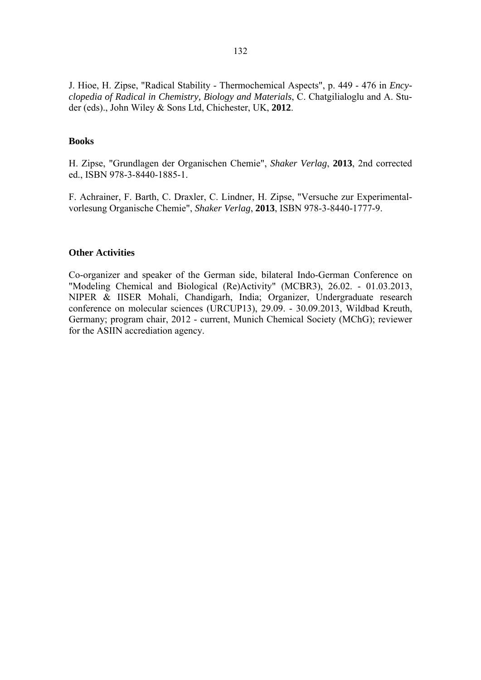J. Hioe, H. Zipse, "Radical Stability - Thermochemical Aspects", p. 449 - 476 in *Encyclopedia of Radical in Chemistry, Biology and Materials*, C. Chatgilialoglu and A. Studer (eds)., John Wiley & Sons Ltd, Chichester, UK, **2012**.

## **Books**

H. Zipse, "Grundlagen der Organischen Chemie", *Shaker Verlag*, **2013**, 2nd corrected ed., ISBN 978-3-8440-1885-1.

F. Achrainer, F. Barth, C. Draxler, C. Lindner, H. Zipse, "Versuche zur Experimentalvorlesung Organische Chemie", *Shaker Verlag*, **2013**, ISBN 978-3-8440-1777-9.

#### **Other Activities**

Co-organizer and speaker of the German side, bilateral Indo-German Conference on "Modeling Chemical and Biological (Re)Activity" (MCBR3), 26.02. - 01.03.2013, NIPER & IISER Mohali, Chandigarh, India; Organizer, Undergraduate research conference on molecular sciences (URCUP13), 29.09. - 30.09.2013, Wildbad Kreuth, Germany; program chair, 2012 - current, Munich Chemical Society (MChG); reviewer for the ASIIN accrediation agency.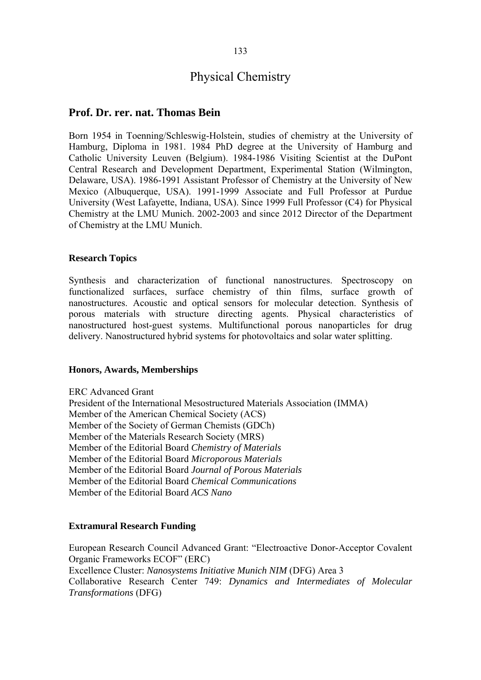# Physical Chemistry

## **Prof. Dr. rer. nat. Thomas Bein**

Born 1954 in Toenning/Schleswig-Holstein, studies of chemistry at the University of Hamburg, Diploma in 1981. 1984 PhD degree at the University of Hamburg and Catholic University Leuven (Belgium). 1984-1986 Visiting Scientist at the DuPont Central Research and Development Department, Experimental Station (Wilmington, Delaware, USA). 1986-1991 Assistant Professor of Chemistry at the University of New Mexico (Albuquerque, USA). 1991-1999 Associate and Full Professor at Purdue University (West Lafayette, Indiana, USA). Since 1999 Full Professor (C4) for Physical Chemistry at the LMU Munich. 2002-2003 and since 2012 Director of the Department of Chemistry at the LMU Munich.

#### **Research Topics**

Synthesis and characterization of functional nanostructures. Spectroscopy on functionalized surfaces, surface chemistry of thin films, surface growth of nanostructures. Acoustic and optical sensors for molecular detection. Synthesis of porous materials with structure directing agents. Physical characteristics of nanostructured host-guest systems. Multifunctional porous nanoparticles for drug delivery. Nanostructured hybrid systems for photovoltaics and solar water splitting.

#### **Honors, Awards, Memberships**

ERC Advanced Grant President of the International Mesostructured Materials Association (IMMA) Member of the American Chemical Society (ACS) Member of the Society of German Chemists (GDCh) Member of the Materials Research Society (MRS) Member of the Editorial Board *Chemistry of Materials*  Member of the Editorial Board *Microporous Materials*  Member of the Editorial Board *Journal of Porous Materials*  Member of the Editorial Board *Chemical Communications*  Member of the Editorial Board *ACS Nano* 

## **Extramural Research Funding**

European Research Council Advanced Grant: "Electroactive Donor-Acceptor Covalent Organic Frameworks ECOF" (ERC) Excellence Cluster: *Nanosystems Initiative Munich NIM* (DFG) Area 3 Collaborative Research Center 749: *Dynamics and Intermediates of Molecular Transformations* (DFG)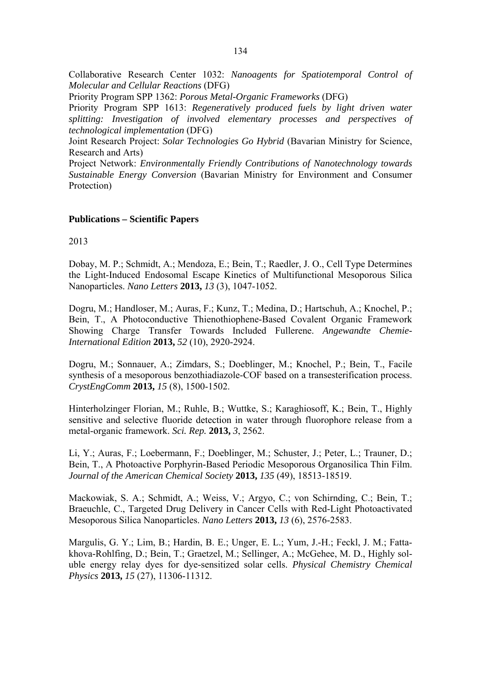Collaborative Research Center 1032: *Nanoagents for Spatiotemporal Control of Molecular and Cellular Reactions* (DFG)

Priority Program SPP 1362: *Porous Metal-Organic Frameworks* (DFG)

Priority Program SPP 1613: *Regeneratively produced fuels by light driven water splitting: Investigation of involved elementary processes and perspectives of technological implementation* (DFG)

Joint Research Project: *Solar Technologies Go Hybrid* (Bavarian Ministry for Science, Research and Arts)

Project Network: *Environmentally Friendly Contributions of Nanotechnology towards Sustainable Energy Conversion* (Bavarian Ministry for Environment and Consumer Protection)

## **Publications – Scientific Papers**

2013

Dobay, M. P.; Schmidt, A.; Mendoza, E.; Bein, T.; Raedler, J. O., Cell Type Determines the Light-Induced Endosomal Escape Kinetics of Multifunctional Mesoporous Silica Nanoparticles. *Nano Letters* **2013,** *13* (3), 1047-1052.

Dogru, M.; Handloser, M.; Auras, F.; Kunz, T.; Medina, D.; Hartschuh, A.; Knochel, P.; Bein, T., A Photoconductive Thienothiophene-Based Covalent Organic Framework Showing Charge Transfer Towards Included Fullerene. *Angewandte Chemie-International Edition* **2013,** *52* (10), 2920-2924.

Dogru, M.; Sonnauer, A.; Zimdars, S.; Doeblinger, M.; Knochel, P.; Bein, T., Facile synthesis of a mesoporous benzothiadiazole-COF based on a transesterification process. *CrystEngComm* **2013,** *15* (8), 1500-1502.

Hinterholzinger Florian, M.; Ruhle, B.; Wuttke, S.; Karaghiosoff, K.; Bein, T., Highly sensitive and selective fluoride detection in water through fluorophore release from a metal-organic framework. *Sci. Rep.* **2013,** *3*, 2562.

Li, Y.; Auras, F.; Loebermann, F.; Doeblinger, M.; Schuster, J.; Peter, L.; Trauner, D.; Bein, T., A Photoactive Porphyrin-Based Periodic Mesoporous Organosilica Thin Film. *Journal of the American Chemical Society* **2013,** *135* (49), 18513-18519.

Mackowiak, S. A.; Schmidt, A.; Weiss, V.; Argyo, C.; von Schirnding, C.; Bein, T.; Braeuchle, C., Targeted Drug Delivery in Cancer Cells with Red-Light Photoactivated Mesoporous Silica Nanoparticles. *Nano Letters* **2013,** *13* (6), 2576-2583.

Margulis, G. Y.; Lim, B.; Hardin, B. E.; Unger, E. L.; Yum, J.-H.; Feckl, J. M.; Fattakhova-Rohlfing, D.; Bein, T.; Graetzel, M.; Sellinger, A.; McGehee, M. D., Highly soluble energy relay dyes for dye-sensitized solar cells. *Physical Chemistry Chemical Physics* **2013,** *15* (27), 11306-11312.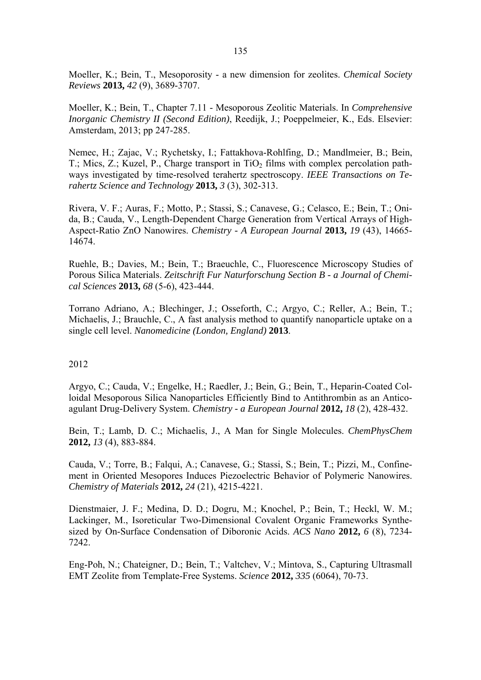Moeller, K.; Bein, T., Mesoporosity - a new dimension for zeolites. *Chemical Society Reviews* **2013,** *42* (9), 3689-3707.

Moeller, K.; Bein, T., Chapter 7.11 - Mesoporous Zeolitic Materials. In *Comprehensive Inorganic Chemistry II (Second Edition)*, Reedijk, J.; Poeppelmeier, K., Eds. Elsevier: Amsterdam, 2013; pp 247-285.

Nemec, H.; Zajac, V.; Rychetsky, I.; Fattakhova-Rohlfing, D.; Mandlmeier, B.; Bein, T.; Mics, Z.; Kuzel, P., Charge transport in  $TiO<sub>2</sub>$  films with complex percolation pathways investigated by time-resolved terahertz spectroscopy. *IEEE Transactions on Terahertz Science and Technology* **2013,** *3* (3), 302-313.

Rivera, V. F.; Auras, F.; Motto, P.; Stassi, S.; Canavese, G.; Celasco, E.; Bein, T.; Onida, B.; Cauda, V., Length-Dependent Charge Generation from Vertical Arrays of High-Aspect-Ratio ZnO Nanowires. *Chemistry - A European Journal* **2013,** *19* (43), 14665- 14674.

Ruehle, B.; Davies, M.; Bein, T.; Braeuchle, C., Fluorescence Microscopy Studies of Porous Silica Materials. *Zeitschrift Fur Naturforschung Section B - a Journal of Chemical Sciences* **2013,** *68* (5-6), 423-444.

Torrano Adriano, A.; Blechinger, J.; Osseforth, C.; Argyo, C.; Reller, A.; Bein, T.; Michaelis, J.; Brauchle, C., A fast analysis method to quantify nanoparticle uptake on a single cell level. *Nanomedicine (London, England)* **2013**.

## 2012

Argyo, C.; Cauda, V.; Engelke, H.; Raedler, J.; Bein, G.; Bein, T., Heparin-Coated Colloidal Mesoporous Silica Nanoparticles Efficiently Bind to Antithrombin as an Anticoagulant Drug-Delivery System. *Chemistry - a European Journal* **2012,** *18* (2), 428-432.

Bein, T.; Lamb, D. C.; Michaelis, J., A Man for Single Molecules. *ChemPhysChem*  **2012,** *13* (4), 883-884.

Cauda, V.; Torre, B.; Falqui, A.; Canavese, G.; Stassi, S.; Bein, T.; Pizzi, M., Confinement in Oriented Mesopores Induces Piezoelectric Behavior of Polymeric Nanowires. *Chemistry of Materials* **2012,** *24* (21), 4215-4221.

Dienstmaier, J. F.; Medina, D. D.; Dogru, M.; Knochel, P.; Bein, T.; Heckl, W. M.; Lackinger, M., Isoreticular Two-Dimensional Covalent Organic Frameworks Synthesized by On-Surface Condensation of Diboronic Acids. *ACS Nano* **2012,** *6* (8), 7234- 7242.

Eng-Poh, N.; Chateigner, D.; Bein, T.; Valtchev, V.; Mintova, S., Capturing Ultrasmall EMT Zeolite from Template-Free Systems. *Science* **2012,** *335* (6064), 70-73.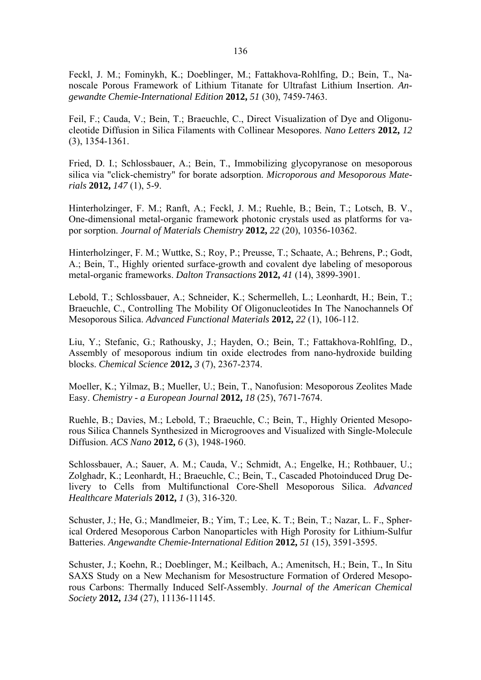Feckl, J. M.; Fominykh, K.; Doeblinger, M.; Fattakhova-Rohlfing, D.; Bein, T., Nanoscale Porous Framework of Lithium Titanate for Ultrafast Lithium Insertion. *Angewandte Chemie-International Edition* **2012,** *51* (30), 7459-7463.

Feil, F.; Cauda, V.; Bein, T.; Braeuchle, C., Direct Visualization of Dye and Oligonucleotide Diffusion in Silica Filaments with Collinear Mesopores. *Nano Letters* **2012,** *12* (3), 1354-1361.

Fried, D. I.; Schlossbauer, A.; Bein, T., Immobilizing glycopyranose on mesoporous silica via "click-chemistry" for borate adsorption. *Microporous and Mesoporous Materials* **2012,** *147* (1), 5-9.

Hinterholzinger, F. M.; Ranft, A.; Feckl, J. M.; Ruehle, B.; Bein, T.; Lotsch, B. V., One-dimensional metal-organic framework photonic crystals used as platforms for vapor sorption. *Journal of Materials Chemistry* **2012,** *22* (20), 10356-10362.

Hinterholzinger, F. M.; Wuttke, S.; Roy, P.; Preusse, T.; Schaate, A.; Behrens, P.; Godt, A.; Bein, T., Highly oriented surface-growth and covalent dye labeling of mesoporous metal-organic frameworks. *Dalton Transactions* **2012,** *41* (14), 3899-3901.

Lebold, T.; Schlossbauer, A.; Schneider, K.; Schermelleh, L.; Leonhardt, H.; Bein, T.; Braeuchle, C., Controlling The Mobility Of Oligonucleotides In The Nanochannels Of Mesoporous Silica. *Advanced Functional Materials* **2012,** *22* (1), 106-112.

Liu, Y.; Stefanic, G.; Rathousky, J.; Hayden, O.; Bein, T.; Fattakhova-Rohlfing, D., Assembly of mesoporous indium tin oxide electrodes from nano-hydroxide building blocks. *Chemical Science* **2012,** *3* (7), 2367-2374.

Moeller, K.; Yilmaz, B.; Mueller, U.; Bein, T., Nanofusion: Mesoporous Zeolites Made Easy. *Chemistry - a European Journal* **2012,** *18* (25), 7671-7674.

Ruehle, B.; Davies, M.; Lebold, T.; Braeuchle, C.; Bein, T., Highly Oriented Mesoporous Silica Channels Synthesized in Microgrooves and Visualized with Single-Molecule Diffusion. *ACS Nano* **2012,** *6* (3), 1948-1960.

Schlossbauer, A.; Sauer, A. M.; Cauda, V.; Schmidt, A.; Engelke, H.; Rothbauer, U.; Zolghadr, K.; Leonhardt, H.; Braeuchle, C.; Bein, T., Cascaded Photoinduced Drug Delivery to Cells from Multifunctional Core-Shell Mesoporous Silica. *Advanced Healthcare Materials* **2012,** *1* (3), 316-320.

Schuster, J.; He, G.; Mandlmeier, B.; Yim, T.; Lee, K. T.; Bein, T.; Nazar, L. F., Spherical Ordered Mesoporous Carbon Nanoparticles with High Porosity for Lithium-Sulfur Batteries. *Angewandte Chemie-International Edition* **2012,** *51* (15), 3591-3595.

Schuster, J.; Koehn, R.; Doeblinger, M.; Keilbach, A.; Amenitsch, H.; Bein, T., In Situ SAXS Study on a New Mechanism for Mesostructure Formation of Ordered Mesoporous Carbons: Thermally Induced Self-Assembly. *Journal of the American Chemical Society* **2012,** *134* (27), 11136-11145.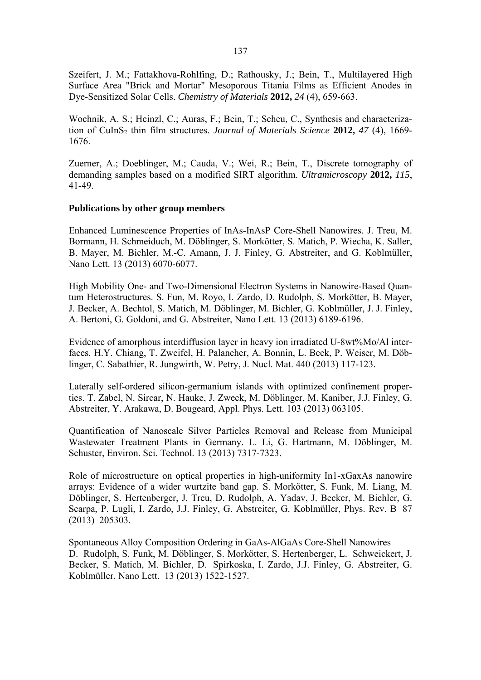Szeifert, J. M.; Fattakhova-Rohlfing, D.; Rathousky, J.; Bein, T., Multilayered High Surface Area "Brick and Mortar" Mesoporous Titania Films as Efficient Anodes in Dye-Sensitized Solar Cells. *Chemistry of Materials* **2012,** *24* (4), 659-663.

Wochnik, A. S.; Heinzl, C.; Auras, F.; Bein, T.; Scheu, C., Synthesis and characterization of CuInS<sub>2</sub> thin film structures. *Journal of Materials Science* 2012, 47 (4), 1669-1676.

Zuerner, A.; Doeblinger, M.; Cauda, V.; Wei, R.; Bein, T., Discrete tomography of demanding samples based on a modified SIRT algorithm. *Ultramicroscopy* **2012,** *115*, 41-49.

#### **Publications by other group members**

Enhanced Luminescence Properties of InAs-InAsP Core-Shell Nanowires. J. Treu, M. Bormann, H. Schmeiduch, M. Döblinger, S. Morkötter, S. Matich, P. Wiecha, K. Saller, B. Mayer, M. Bichler, M.-C. Amann, J. J. Finley, G. Abstreiter, and G. Koblmüller, Nano Lett. 13 (2013) 6070-6077.

High Mobility One- and Two-Dimensional Electron Systems in Nanowire-Based Quantum Heterostructures. S. Fun, M. Royo, I. Zardo, D. Rudolph, S. Morkötter, B. Mayer, J. Becker, A. Bechtol, S. Matich, M. Döblinger, M. Bichler, G. Koblmüller, J. J. Finley, A. Bertoni, G. Goldoni, and G. Abstreiter, Nano Lett. 13 (2013) 6189-6196.

Evidence of amorphous interdiffusion layer in heavy ion irradiated U-8wt%Mo/Al interfaces. H.Y. Chiang, T. Zweifel, H. Palancher, A. Bonnin, L. Beck, P. Weiser, M. Döblinger, C. Sabathier, R. Jungwirth, W. Petry, J. Nucl. Mat. 440 (2013) 117-123.

Laterally self-ordered silicon-germanium islands with optimized confinement properties. T. Zabel, N. Sircar, N. Hauke, J. Zweck, M. Döblinger, M. Kaniber, J.J. Finley, G. Abstreiter, Y. Arakawa, D. Bougeard, Appl. Phys. Lett. 103 (2013) 063105.

Quantification of Nanoscale Silver Particles Removal and Release from Municipal Wastewater Treatment Plants in Germany. L. Li, G. Hartmann, M. Döblinger, M. Schuster, Environ. Sci. Technol. 13 (2013) 7317-7323.

Role of microstructure on optical properties in high-uniformity In1-xGaxAs nanowire arrays: Evidence of a wider wurtzite band gap. S. Morkötter, S. Funk, M. Liang, M. Döblinger, S. Hertenberger, J. Treu, D. Rudolph, A. Yadav, J. Becker, M. Bichler, G. Scarpa, P. Lugli, I. Zardo, J.J. Finley, G. Abstreiter, G. Koblmüller, Phys. Rev. B 87 (2013) 205303.

Spontaneous Alloy Composition Ordering in GaAs-AlGaAs Core-Shell Nanowires D. Rudolph, S. Funk, M. Döblinger, S. Morkötter, S. Hertenberger, L. Schweickert, J. Becker, S. Matich, M. Bichler, D. Spirkoska, I. Zardo, J.J. Finley, G. Abstreiter, G. Koblmüller, Nano Lett. 13 (2013) 1522-1527.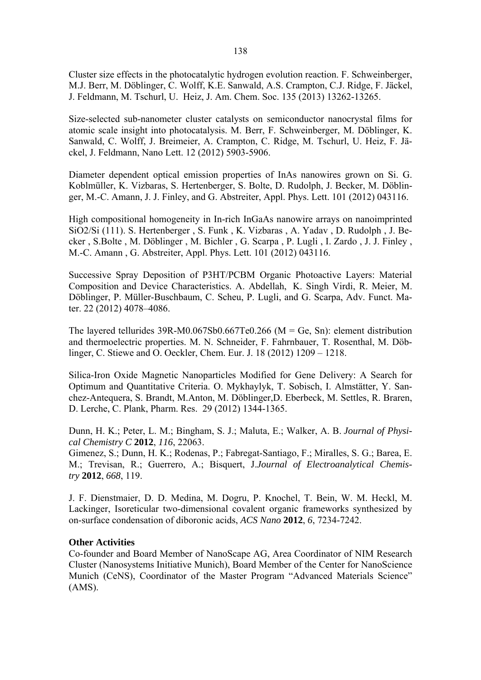Cluster size effects in the photocatalytic hydrogen evolution reaction. F. Schweinberger, M.J. Berr, M. Döblinger, C. Wolff, K.E. Sanwald, A.S. Crampton, C.J. Ridge, F. Jäckel, J. Feldmann, M. Tschurl, U. Heiz, J. Am. Chem. Soc. 135 (2013) 13262-13265.

Size-selected sub-nanometer cluster catalysts on semiconductor nanocrystal films for atomic scale insight into photocatalysis. M. Berr, F. Schweinberger, M. Döblinger, K. Sanwald, C. Wolff, J. Breimeier, A. Crampton, C. Ridge, M. Tschurl, U. Heiz, F. Jäckel, J. Feldmann, Nano Lett. 12 (2012) 5903-5906.

Diameter dependent optical emission properties of InAs nanowires grown on Si. G. Koblmüller, K. Vizbaras, S. Hertenberger, S. Bolte, D. Rudolph, J. Becker, M. Döblinger, M.-C. Amann, J. J. Finley, and G. Abstreiter, Appl. Phys. Lett. 101 (2012) 043116.

High compositional homogeneity in In-rich InGaAs nanowire arrays on nanoimprinted SiO2/Si (111). S. Hertenberger , S. Funk , K. Vizbaras , A. Yadav , D. Rudolph , J. Becker , S.Bolte , M. Döblinger , M. Bichler , G. Scarpa , P. Lugli , I. Zardo , J. J. Finley , M.-C. Amann , G. Abstreiter, Appl. Phys. Lett. 101 (2012) 043116.

Successive Spray Deposition of P3HT/PCBM Organic Photoactive Layers: Material Composition and Device Characteristics. A. Abdellah, K. Singh Virdi, R. Meier, M. Döblinger, P. Müller-Buschbaum, C. Scheu, P. Lugli, and G. Scarpa, Adv. Funct. Mater. 22 (2012) 4078–4086.

The layered tellurides  $39R-M0.067Sb0.667Te0.266$  (M = Ge, Sn): element distribution and thermoelectric properties. M. N. Schneider, F. Fahrnbauer, T. Rosenthal, M. Döblinger, C. Stiewe and O. Oeckler, Chem. Eur. J. 18 (2012) 1209 – 1218.

Silica-Iron Oxide Magnetic Nanoparticles Modified for Gene Delivery: A Search for Optimum and Quantitative Criteria. O. Mykhaylyk, T. Sobisch, I. Almstätter, Y. Sanchez-Antequera, S. Brandt, M.Anton, M. Döblinger,D. Eberbeck, M. Settles, R. Braren, D. Lerche, C. Plank, Pharm. Res. 29 (2012) 1344-1365.

Dunn, H. K.; Peter, L. M.; Bingham, S. J.; Maluta, E.; Walker, A. B. *Journal of Physical Chemistry C* **2012**, *116*, 22063.

Gimenez, S.; Dunn, H. K.; Rodenas, P.; Fabregat-Santiago, F.; Miralles, S. G.; Barea, E. M.; Trevisan, R.; Guerrero, A.; Bisquert, J.*Journal of Electroanalytical Chemistry* **2012**, *668*, 119.

J. F. Dienstmaier, D. D. Medina, M. Dogru, P. Knochel, T. Bein, W. M. Heckl, M. Lackinger, Isoreticular two-dimensional covalent organic frameworks synthesized by on-surface condensation of diboronic acids, *ACS Nano* **2012**, *6*, 7234-7242.

#### **Other Activities**

Co-founder and Board Member of NanoScape AG, Area Coordinator of NIM Research Cluster (Nanosystems Initiative Munich), Board Member of the Center for NanoScience Munich (CeNS), Coordinator of the Master Program "Advanced Materials Science" (AMS).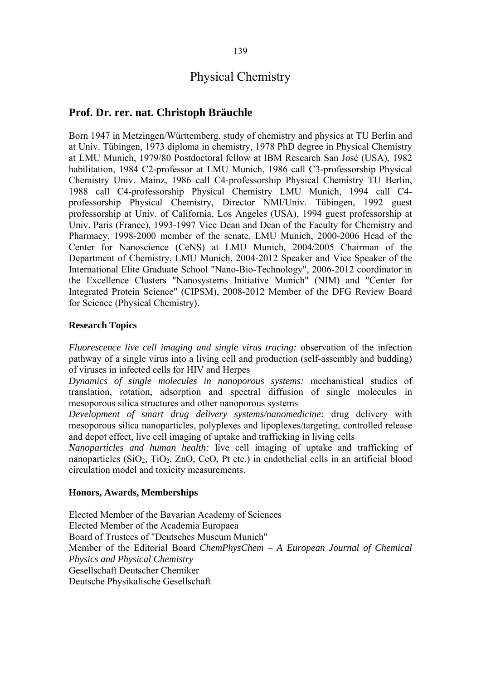## Physical Chemistry

## **Prof. Dr. rer. nat. Christoph Bräuchle**

Born 1947 in Metzingen/Württemberg, study of chemistry and physics at TU Berlin and at Univ. Tübingen, 1973 diploma in chemistry, 1978 PhD degree in Physical Chemistry at LMU Munich, 1979/80 Postdoctoral fellow at IBM Research San José (USA), 1982 habilitation, 1984 C2-professor at LMU Munich, 1986 call C3-professorship Physical Chemistry Univ. Mainz, 1986 call C4-professorship Physical Chemistry TU Berlin, 1988 call C4-professorship Physical Chemistry LMU Munich, 1994 call C4 professorship Physical Chemistry, Director NMI/Univ. Tübingen, 1992 guest professorship at Univ. of California, Los Angeles (USA), 1994 guest professorship at Univ. Paris (France), 1993-1997 Vice Dean and Dean of the Faculty for Chemistry and Pharmacy, 1998-2000 member of the senate, LMU Munich, 2000-2006 Head of the Center for Nanoscience (CeNS) at LMU Munich, 2004/2005 Chairman of the Department of Chemistry, LMU Munich, 2004-2012 Speaker and Vice Speaker of the International Elite Graduate School "Nano-Bio-Technology", 2006-2012 coordinator in the Excellence Clusters "Nanosystems Initiative Munich" (NIM) and "Center for Integrated Protein Science" (CIPSM), 2008-2012 Member of the DFG Review Board for Science (Physical Chemistry).

## **Research Topics**

*Fluorescence live cell imaging and single virus tracing:* observation of the infection pathway of a single virus into a living cell and production (self-assembly and budding) of viruses in infected cells for HIV and Herpes

*Dynamics of single molecules in nanoporous systems:* mechanistical studies of translation, rotation, adsorption and spectral diffusion of single molecules in mesoporous silica structures and other nanoporous systems

*Development of smart drug delivery systems/nanomedicine:* drug delivery with mesoporous silica nanoparticles, polyplexes and lipoplexes/targeting, controlled release and depot effect, live cell imaging of uptake and trafficking in living cells

*Nanoparticles and human health:* live cell imaging of uptake and trafficking of nanoparticles  $(SiO_2, TiO_2, ZnO, CeO, Pt$  etc.) in endothelial cells in an artificial blood circulation model and toxicity measurements.

#### **Honors, Awards, Memberships**

Elected Member of the Bavarian Academy of Sciences Elected Member of the Academia Europaea Board of Trustees of "Deutsches Museum Munich" Member of the Editorial Board *ChemPhysChem – A European Journal of Chemical Physics and Physical Chemistry* Gesellschaft Deutscher Chemiker Deutsche Physikalische Gesellschaft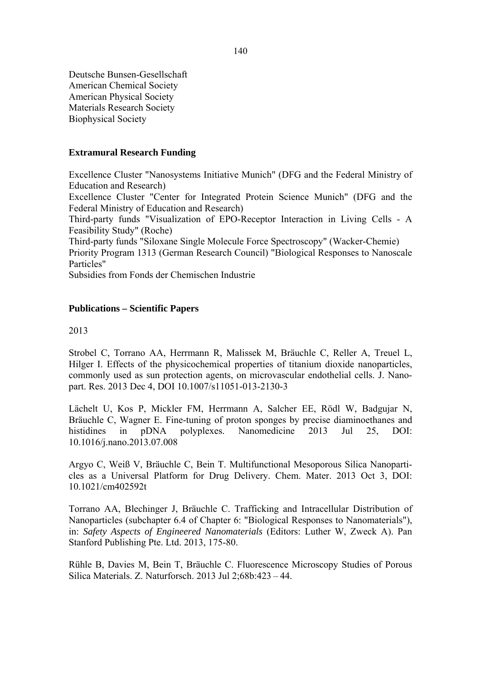Deutsche Bunsen-Gesellschaft American Chemical Society American Physical Society Materials Research Society Biophysical Society

### **Extramural Research Funding**

Excellence Cluster "Nanosystems Initiative Munich" (DFG and the Federal Ministry of Education and Research)

Excellence Cluster "Center for Integrated Protein Science Munich" (DFG and the Federal Ministry of Education and Research)

Third-party funds "Visualization of EPO-Receptor Interaction in Living Cells - A Feasibility Study" (Roche)

Third-party funds "Siloxane Single Molecule Force Spectroscopy" (Wacker-Chemie)

Priority Program 1313 (German Research Council) "Biological Responses to Nanoscale Particles"

Subsidies from Fonds der Chemischen Industrie

#### **Publications – Scientific Papers**

2013

Strobel C, Torrano AA, Herrmann R, Malissek M, Bräuchle C, Reller A, Treuel L, Hilger I. Effects of the physicochemical properties of titanium dioxide nanoparticles, commonly used as sun protection agents, on microvascular endothelial cells. J. Nanopart. Res. 2013 Dec 4, DOI 10.1007/s11051-013-2130-3

Lächelt U, Kos P, Mickler FM, Herrmann A, Salcher EE, Rödl W, Badgujar N, Bräuchle C, Wagner E. Fine-tuning of proton sponges by precise diaminoethanes and histidines in pDNA polyplexes. Nanomedicine 2013 Jul 25, DOI: 10.1016/j.nano.2013.07.008

Argyo C, Weiß V, Bräuchle C, Bein T. Multifunctional Mesoporous Silica Nanoparticles as a Universal Platform for Drug Delivery. Chem. Mater. 2013 Oct 3, DOI: 10.1021/cm402592t

Torrano AA, Blechinger J, Bräuchle C. Trafficking and Intracellular Distribution of Nanoparticles (subchapter 6.4 of Chapter 6: "Biological Responses to Nanomaterials"), in: *Safety Aspects of Engineered Nanomaterials* (Editors: Luther W, Zweck A). Pan Stanford Publishing Pte. Ltd. 2013, 175-80.

Rühle B, Davies M, Bein T, Bräuchle C. Fluorescence Microscopy Studies of Porous Silica Materials. Z. Naturforsch. 2013 Jul 2;68b:423 – 44.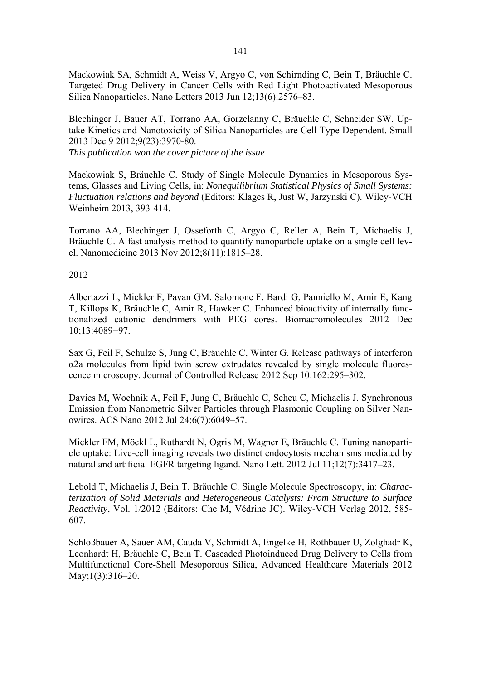Mackowiak SA, Schmidt A, Weiss V, Argyo C, von Schirnding C, Bein T, Bräuchle C. Targeted Drug Delivery in Cancer Cells with Red Light Photoactivated Mesoporous Silica Nanoparticles. Nano Letters 2013 Jun 12;13(6):2576–83.

Blechinger J, Bauer AT, Torrano AA, Gorzelanny C, Bräuchle C, Schneider SW. Uptake Kinetics and Nanotoxicity of Silica Nanoparticles are Cell Type Dependent. Small 2013 Dec 9 2012;9(23):3970-80. *This publication won the cover picture of the issue* 

Mackowiak S, Bräuchle C. Study of Single Molecule Dynamics in Mesoporous Systems, Glasses and Living Cells, in: *Nonequilibrium Statistical Physics of Small Systems: Fluctuation relations and beyond* (Editors: Klages R, Just W, Jarzynski C). Wiley-VCH Weinheim 2013, 393-414.

Torrano AA, Blechinger J, Osseforth C, Argyo C, Reller A, Bein T, Michaelis J, Bräuchle C. A fast analysis method to quantify nanoparticle uptake on a single cell level. Nanomedicine 2013 Nov 2012;8(11):1815–28.

2012

Albertazzi L, Mickler F, Pavan GM, Salomone F, Bardi G, Panniello M, Amir E, Kang T, Killops K, Bräuchle C, Amir R, Hawker C. Enhanced bioactivity of internally functionalized cationic dendrimers with PEG cores. Biomacromolecules 2012 Dec 10;13:4089−97.

Sax G, Feil F, Schulze S, Jung C, Bräuchle C, Winter G. Release pathways of interferon α2a molecules from lipid twin screw extrudates revealed by single molecule fluorescence microscopy. Journal of Controlled Release 2012 Sep 10:162:295–302.

Davies M, Wochnik A, Feil F, Jung C, Bräuchle C, Scheu C, Michaelis J. Synchronous Emission from Nanometric Silver Particles through Plasmonic Coupling on Silver Nanowires. ACS Nano 2012 Jul 24;6(7):6049–57.

Mickler FM, Möckl L, Ruthardt N, Ogris M, Wagner E, Bräuchle C. Tuning nanoparticle uptake: Live-cell imaging reveals two distinct endocytosis mechanisms mediated by natural and artificial EGFR targeting ligand. Nano Lett. 2012 Jul 11;12(7):3417–23.

Lebold T, Michaelis J, Bein T, Bräuchle C. Single Molecule Spectroscopy, in: *Characterization of Solid Materials and Heterogeneous Catalysts: From Structure to Surface Reactivity*, Vol. 1/2012 (Editors: Che M, Védrine JC). Wiley-VCH Verlag 2012, 585- 607.

Schloßbauer A, Sauer AM, Cauda V, Schmidt A, Engelke H, Rothbauer U, Zolghadr K, Leonhardt H, Bräuchle C, Bein T. Cascaded Photoinduced Drug Delivery to Cells from Multifunctional Core-Shell Mesoporous Silica, Advanced Healthcare Materials 2012 May;1(3):316–20.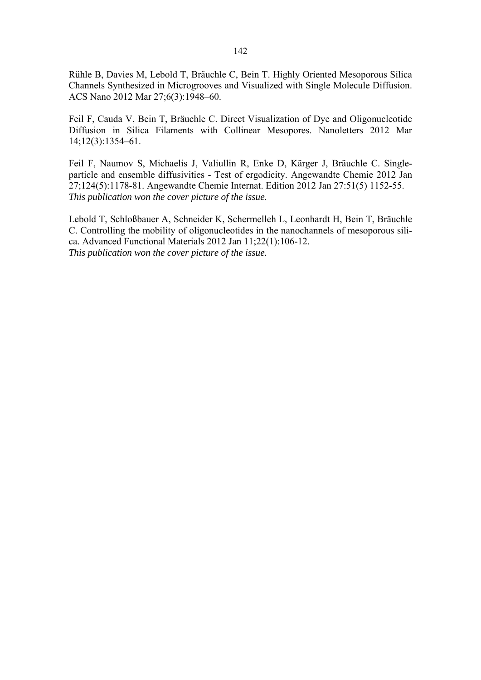Rühle B, Davies M, Lebold T, Bräuchle C, Bein T. Highly Oriented Mesoporous Silica Channels Synthesized in Microgrooves and Visualized with Single Molecule Diffusion. ACS Nano 2012 Mar 27;6(3):1948–60.

Feil F, Cauda V, Bein T, Bräuchle C. Direct Visualization of Dye and Oligonucleotide Diffusion in Silica Filaments with Collinear Mesopores. Nanoletters 2012 Mar 14;12(3):1354–61.

Feil F, Naumov S, Michaelis J, Valiullin R, Enke D, Kärger J, Bräuchle C. Singleparticle and ensemble diffusivities - Test of ergodicity. Angewandte Chemie 2012 Jan 27;124(5):1178-81. Angewandte Chemie Internat. Edition 2012 Jan 27:51(5) 1152-55. *This publication won the cover picture of the issue.* 

Lebold T, Schloßbauer A, Schneider K, Schermelleh L, Leonhardt H, Bein T, Bräuchle C. Controlling the mobility of oligonucleotides in the nanochannels of mesoporous silica. Advanced Functional Materials 2012 Jan 11;22(1):106-12. *This publication won the cover picture of the issue.*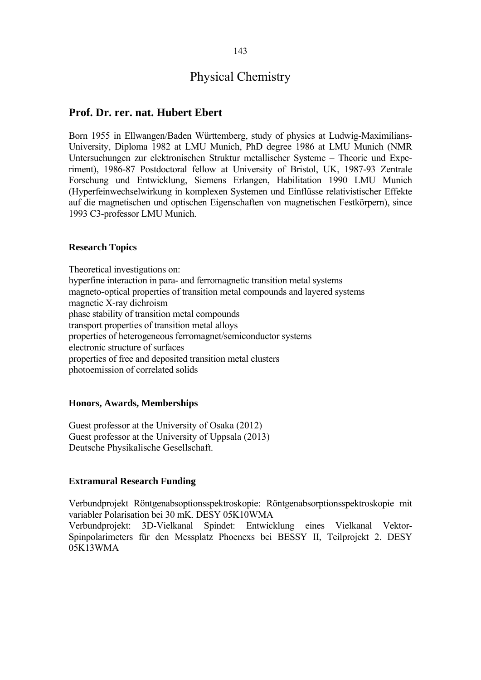## Physical Chemistry

## **Prof. Dr. rer. nat. Hubert Ebert**

Born 1955 in Ellwangen/Baden Württemberg, study of physics at Ludwig-Maximilians-University, Diploma 1982 at LMU Munich, PhD degree 1986 at LMU Munich (NMR Untersuchungen zur elektronischen Struktur metallischer Systeme – Theorie und Experiment), 1986-87 Postdoctoral fellow at University of Bristol, UK, 1987-93 Zentrale Forschung und Entwicklung, Siemens Erlangen, Habilitation 1990 LMU Munich (Hyperfeinwechselwirkung in komplexen Systemen und Einflüsse relativistischer Effekte auf die magnetischen und optischen Eigenschaften von magnetischen Festkörpern), since 1993 C3-professor LMU Munich.

#### **Research Topics**

Theoretical investigations on: hyperfine interaction in para- and ferromagnetic transition metal systems magneto-optical properties of transition metal compounds and layered systems magnetic X-ray dichroism phase stability of transition metal compounds transport properties of transition metal alloys properties of heterogeneous ferromagnet/semiconductor systems electronic structure of surfaces properties of free and deposited transition metal clusters photoemission of correlated solids

#### **Honors, Awards, Memberships**

Guest professor at the University of Osaka (2012) Guest professor at the University of Uppsala (2013) Deutsche Physikalische Gesellschaft.

#### **Extramural Research Funding**

Verbundprojekt Röntgenabsoptionsspektroskopie: Röntgenabsorptionsspektroskopie mit variabler Polarisation bei 30 mK. DESY 05K10WMA Verbundprojekt: 3D-Vielkanal Spindet: Entwicklung eines Vielkanal Vektor-

Spinpolarimeters für den Messplatz Phoenexs bei BESSY II, Teilprojekt 2. DESY 05K13WMA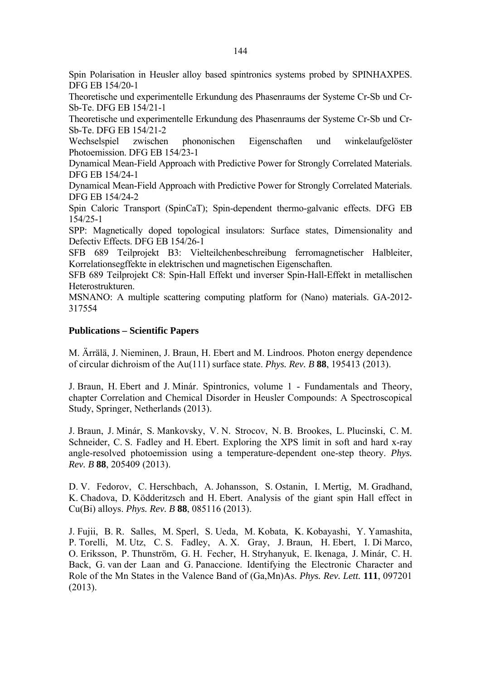Spin Polarisation in Heusler alloy based spintronics systems probed by SPINHAXPES. DFG EB 154/20-1

Theoretische und experimentelle Erkundung des Phasenraums der Systeme Cr-Sb und Cr-Sb-Te. DFG EB 154/21-1

Theoretische und experimentelle Erkundung des Phasenraums der Systeme Cr-Sb und Cr-Sb-Te. DFG EB 154/21-2

Wechselspiel zwischen phononischen Eigenschaften und winkelaufgelöster Photoemission. DFG EB 154/23-1

Dynamical Mean-Field Approach with Predictive Power for Strongly Correlated Materials. DFG EB 154/24-1

Dynamical Mean-Field Approach with Predictive Power for Strongly Correlated Materials. DFG EB 154/24-2

Spin Caloric Transport (SpinCaT); Spin-dependent thermo-galvanic effects. DFG EB 154/25-1

SPP: Magnetically doped topological insulators: Surface states, Dimensionality and Defectiv Effects. DFG EB 154/26-1

SFB 689 Teilprojekt B3: Vielteilchenbeschreibung ferromagnetischer Halbleiter, Korrelationsegffekte in elektrischen und magnetischen Eigenschaften.

SFB 689 Teilprojekt C8: Spin-Hall Effekt und inverser Spin-Hall-Effekt in metallischen Heterostrukturen.

MSNANO: A multiple scattering computing platform for (Nano) materials. GA-2012- 317554

## **Publications – Scientific Papers**

M. Ärrälä, J. Nieminen, J. Braun, H. Ebert and M. Lindroos. Photon energy dependence of circular dichroism of the Au(111) surface state. *Phys. Rev. B* **88**, 195413 (2013).

J. Braun, H. Ebert and J. Minár. Spintronics, volume 1 - Fundamentals and Theory, chapter Correlation and Chemical Disorder in Heusler Compounds: A Spectroscopical Study, Springer, Netherlands (2013).

J. Braun, J. Minár, S. Mankovsky, V. N. Strocov, N. B. Brookes, L. Plucinski, C. M. Schneider, C. S. Fadley and H. Ebert. Exploring the XPS limit in soft and hard x-ray angle-resolved photoemission using a temperature-dependent one-step theory. *Phys. Rev. B* **88**, 205409 (2013).

D. V. Fedorov, C. Herschbach, A. Johansson, S. Ostanin, I. Mertig, M. Gradhand, K. Chadova, D. Ködderitzsch and H. Ebert. Analysis of the giant spin Hall effect in Cu(Bi) alloys. *Phys. Rev. B* **88**, 085116 (2013).

J. Fujii, B. R. Salles, M. Sperl, S. Ueda, M. Kobata, K. Kobayashi, Y. Yamashita, P. Torelli, M. Utz, C. S. Fadley, A. X. Gray, J. Braun, H. Ebert, I. Di Marco, O. Eriksson, P. Thunström, G. H. Fecher, H. Stryhanyuk, E. Ikenaga, J. Minár, C. H. Back, G. van der Laan and G. Panaccione. Identifying the Electronic Character and Role of the Mn States in the Valence Band of (Ga,Mn)As. *Phys. Rev. Lett.* **111**, 097201 (2013).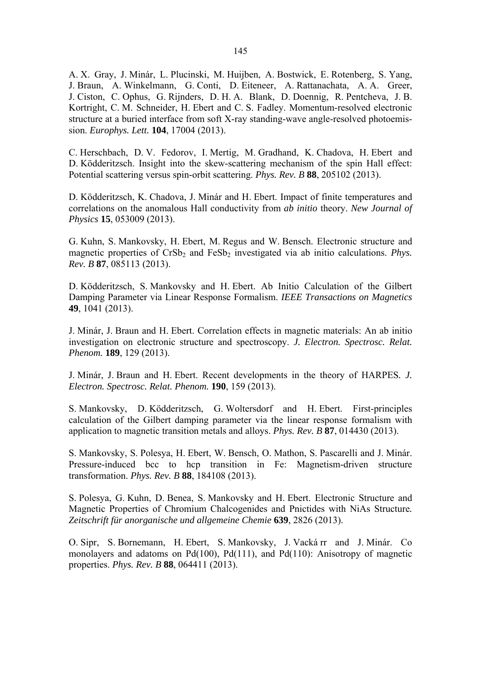A. X. Gray, J. Minár, L. Plucinski, M. Huijben, A. Bostwick, E. Rotenberg, S. Yang, J. Braun, A. Winkelmann, G. Conti, D. Eiteneer, A. Rattanachata, A. A. Greer, J. Ciston, C. Ophus, G. Rijnders, D. H. A. Blank, D. Doennig, R. Pentcheva, J. B. Kortright, C. M. Schneider, H. Ebert and C. S. Fadley. Momentum-resolved electronic structure at a buried interface from soft X-ray standing-wave angle-resolved photoemission. *Europhys. Lett.* **104**, 17004 (2013).

C. Herschbach, D. V. Fedorov, I. Mertig, M. Gradhand, K. Chadova, H. Ebert and D. Ködderitzsch. Insight into the skew-scattering mechanism of the spin Hall effect: Potential scattering versus spin-orbit scattering. *Phys. Rev. B* **88**, 205102 (2013).

D. Ködderitzsch, K. Chadova, J. Minár and H. Ebert. Impact of finite temperatures and correlations on the anomalous Hall conductivity from *ab initio* theory. *New Journal of Physics* **15**, 053009 (2013).

G. Kuhn, S. Mankovsky, H. Ebert, M. Regus and W. Bensch. Electronic structure and magnetic properties of CrSb<sub>2</sub> and FeSb<sub>2</sub> investigated via ab initio calculations. *Phys. Rev. B* **87**, 085113 (2013).

D. Ködderitzsch, S. Mankovsky and H. Ebert. Ab Initio Calculation of the Gilbert Damping Parameter via Linear Response Formalism. *IEEE Transactions on Magnetics* **49**, 1041 (2013).

J. Minár, J. Braun and H. Ebert. Correlation effects in magnetic materials: An ab initio investigation on electronic structure and spectroscopy. *J. Electron. Spectrosc. Relat. Phenom.* **189**, 129 (2013).

J. Minár, J. Braun and H. Ebert. Recent developments in the theory of HARPES*. J. Electron. Spectrosc. Relat. Phenom.* **190**, 159 (2013).

S. Mankovsky, D. Ködderitzsch, G. Woltersdorf and H. Ebert. First-principles calculation of the Gilbert damping parameter via the linear response formalism with application to magnetic transition metals and alloys. *Phys. Rev. B* **87**, 014430 (2013).

S. Mankovsky, S. Polesya, H. Ebert, W. Bensch, O. Mathon, S. Pascarelli and J. Minár. Pressure-induced bcc to hcp transition in Fe: Magnetism-driven structure transformation. *Phys. Rev. B* **88**, 184108 (2013).

S. Polesya, G. Kuhn, D. Benea, S. Mankovsky and H. Ebert. Electronic Structure and Magnetic Properties of Chromium Chalcogenides and Pnictides with NiAs Structure*. Zeitschrift für anorganische und allgemeine Chemie* **639**, 2826 (2013).

O. Sipr, S. Bornemann, H. Ebert, S. Mankovsky, J. Vacká rr and J. Minár. Co monolayers and adatoms on Pd(100), Pd(111), and Pd(110): Anisotropy of magnetic properties. *Phys. Rev. B* **88**, 064411 (2013).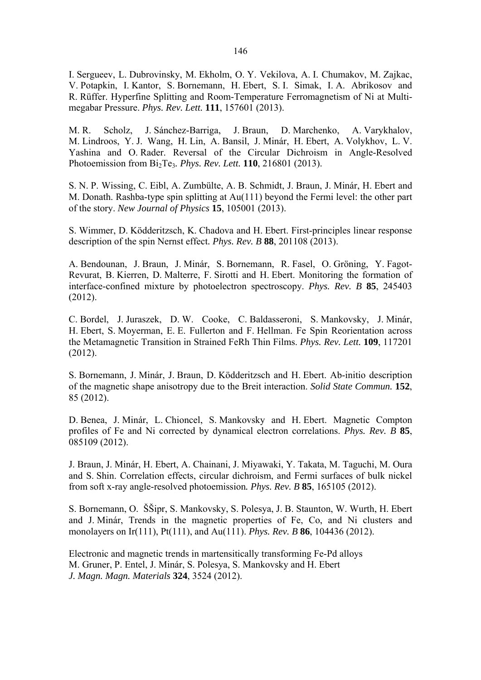I. Sergueev, L. Dubrovinsky, M. Ekholm, O. Y. Vekilova, A. I. Chumakov, M. Zajkac, V. Potapkin, I. Kantor, S. Bornemann, H. Ebert, S. I. Simak, I. A. Abrikosov and R. Rüffer. Hyperfine Splitting and Room-Temperature Ferromagnetism of Ni at Multimegabar Pressure. *Phys. Rev. Lett.* **111**, 157601 (2013).

M. R. Scholz, J. Sánchez-Barriga, J. Braun, D. Marchenko, A. Varykhalov, M. Lindroos, Y. J. Wang, H. Lin, A. Bansil, J. Minár, H. Ebert, A. Volykhov, L. V. Yashina and O. Rader. Reversal of the Circular Dichroism in Angle-Resolved Photoemission from Bi2Te3*. Phys. Rev. Lett.* **110**, 216801 (2013).

S. N. P. Wissing, C. Eibl, A. Zumbülte, A. B. Schmidt, J. Braun, J. Minár, H. Ebert and M. Donath. Rashba-type spin splitting at Au(111) beyond the Fermi level: the other part of the story. *New Journal of Physics* **15**, 105001 (2013).

S. Wimmer, D. Ködderitzsch, K. Chadova and H. Ebert. First-principles linear response description of the spin Nernst effect*. Phys. Rev. B* **88**, 201108 (2013).

A. Bendounan, J. Braun, J. Minár, S. Bornemann, R. Fasel, O. Gröning, Y. Fagot-Revurat, B. Kierren, D. Malterre, F. Sirotti and H. Ebert. Monitoring the formation of interface-confined mixture by photoelectron spectroscopy. *Phys. Rev. B* **85**, 245403 (2012).

C. Bordel, J. Juraszek, D. W. Cooke, C. Baldasseroni, S. Mankovsky, J. Minár, H. Ebert, S. Moyerman, E. E. Fullerton and F. Hellman. Fe Spin Reorientation across the Metamagnetic Transition in Strained FeRh Thin Films. *Phys. Rev. Lett.* **109**, 117201 (2012).

S. Bornemann, J. Minár, J. Braun, D. Ködderitzsch and H. Ebert. Ab-initio description of the magnetic shape anisotropy due to the Breit interaction. *Solid State Commun.* **152**, 85 (2012).

D. Benea, J. Minár, L. Chioncel, S. Mankovsky and H. Ebert. Magnetic Compton profiles of Fe and Ni corrected by dynamical electron correlations. *Phys. Rev. B* **85**, 085109 (2012).

J. Braun, J. Minár, H. Ebert, A. Chainani, J. Miyawaki, Y. Takata, M. Taguchi, M. Oura and S. Shin. Correlation effects, circular dichroism, and Fermi surfaces of bulk nickel from soft x-ray angle-resolved photoemission*. Phys. Rev. B* **85**, 165105 (2012).

S. Bornemann, O. ŠŠipr, S. Mankovsky, S. Polesya, J. B. Staunton, W. Wurth, H. Ebert and J. Minár, Trends in the magnetic properties of Fe, Co, and Ni clusters and monolayers on Ir(111), Pt(111), and Au(111). *Phys. Rev. B* **86**, 104436 (2012).

Electronic and magnetic trends in martensitically transforming Fe-Pd alloys M. Gruner, P. Entel, J. Minár, S. Polesya, S. Mankovsky and H. Ebert *J. Magn. Magn. Materials* **324**, 3524 (2012).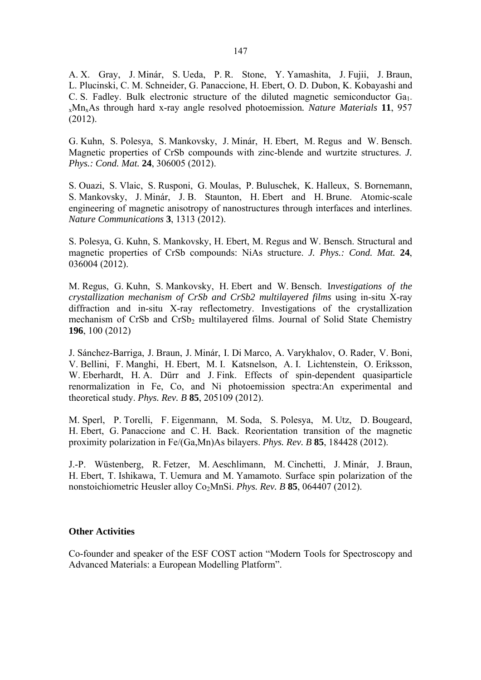A. X. Gray, J. Minár, S. Ueda, P. R. Stone, Y. Yamashita, J. Fujii, J. Braun, L. Plucinski, C. M. Schneider, G. Panaccione, H. Ebert, O. D. Dubon, K. Kobayashi and C. S. Fadley. Bulk electronic structure of the diluted magnetic semiconductor Ga<sub>1-</sub> xMnxAs through hard x-ray angle resolved photoemission*. Nature Materials* **11**, 957 (2012).

G. Kuhn, S. Polesya, S. Mankovsky, J. Minár, H. Ebert, M. Regus and W. Bensch. Magnetic properties of CrSb compounds with zinc-blende and wurtzite structures. *J. Phys.: Cond. Mat.* **24**, 306005 (2012).

S. Ouazi, S. Vlaic, S. Rusponi, G. Moulas, P. Buluschek, K. Halleux, S. Bornemann, S. Mankovsky, J. Minár, J. B. Staunton, H. Ebert and H. Brune. Atomic-scale engineering of magnetic anisotropy of nanostructures through interfaces and interlines. *Nature Communications* **3**, 1313 (2012).

S. Polesya, G. Kuhn, S. Mankovsky, H. Ebert, M. Regus and W. Bensch. Structural and magnetic properties of CrSb compounds: NiAs structure. *J. Phys.: Cond. Mat.* **24**, 036004 (2012).

M. Regus, G. Kuhn, S. Mankovsky, H. Ebert and W. Bensch. I*nvestigations of the crystallization mechanism of CrSb and CrSb2 multilayered films* using in-situ X-ray diffraction and in-situ X-ray reflectometry. Investigations of the crystallization mechanism of CrSb and CrSb<sub>2</sub> multilayered films. Journal of Solid State Chemistry **196**, 100 (2012)

J. Sánchez-Barriga, J. Braun, J. Minár, I. Di Marco, A. Varykhalov, O. Rader, V. Boni, V. Bellini, F. Manghi, H. Ebert, M. I. Katsnelson, A. I. Lichtenstein, O. Eriksson, W. Eberhardt, H. A. Dürr and J. Fink. Effects of spin-dependent quasiparticle renormalization in Fe, Co, and Ni photoemission spectra:An experimental and theoretical study. *Phys. Rev. B* **85**, 205109 (2012).

M. Sperl, P. Torelli, F. Eigenmann, M. Soda, S. Polesya, M. Utz, D. Bougeard, H. Ebert, G. Panaccione and C. H. Back. Reorientation transition of the magnetic proximity polarization in Fe/(Ga,Mn)As bilayers. *Phys. Rev. B* **85**, 184428 (2012).

J.-P. Wüstenberg, R. Fetzer, M. Aeschlimann, M. Cinchetti, J. Minár, J. Braun, H. Ebert, T. Ishikawa, T. Uemura and M. Yamamoto. Surface spin polarization of the nonstoichiometric Heusler alloy Co<sub>2</sub>MnSi. *Phys. Rev. B* 85, 064407 (2012).

## **Other Activities**

Co-founder and speaker of the ESF COST action "Modern Tools for Spectroscopy and Advanced Materials: a European Modelling Platform".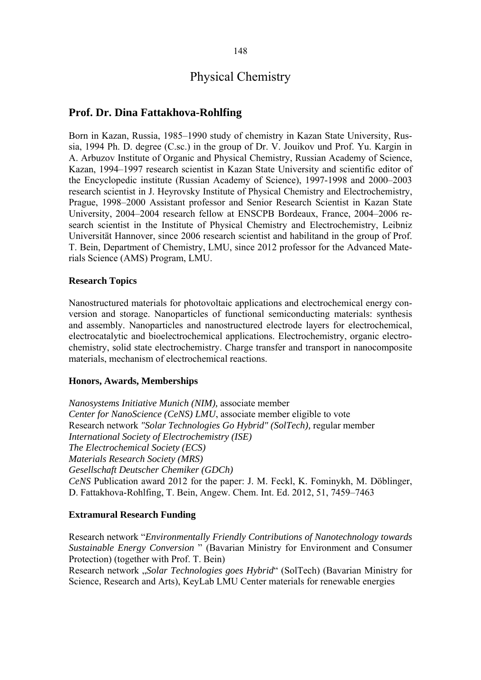# Physical Chemistry

## **Prof. Dr. Dina Fattakhova-Rohlfing**

Born in Kazan, Russia, 1985–1990 study of chemistry in Kazan State University, Russia, 1994 Ph. D. degree (C.sc.) in the group of Dr. V. Jouikov und Prof. Yu. Kargin in A. Arbuzov Institute of Organic and Physical Chemistry, Russian Academy of Science, Kazan, 1994–1997 research scientist in Kazan State University and scientific editor of the Encyclopedic institute (Russian Academy of Science), 1997-1998 and 2000–2003 research scientist in J. Heyrovsky Institute of Physical Chemistry and Electrochemistry, Prague, 1998–2000 Assistant professor and Senior Research Scientist in Kazan State University, 2004–2004 research fellow at ENSCPB Bordeaux, France, 2004–2006 research scientist in the Institute of Physical Chemistry and Electrochemistry, Leibniz Universität Hannover, since 2006 research scientist and habilitand in the group of Prof. T. Bein, Department of Chemistry, LMU, since 2012 professor for the Advanced Materials Science (AMS) Program, LMU.

## **Research Topics**

Nanostructured materials for photovoltaic applications and electrochemical energy conversion and storage. Nanoparticles of functional semiconducting materials: synthesis and assembly. Nanoparticles and nanostructured electrode layers for electrochemical, electrocatalytic and bioelectrochemical applications. Electrochemistry, organic electrochemistry, solid state electrochemistry. Charge transfer and transport in nanocomposite materials, mechanism of electrochemical reactions.

## **Honors, Awards, Memberships**

*Nanosystems Initiative Munich (NIM),* associate member *Center for NanoScience (CeNS) LMU*, associate member eligible to vote Research network *"Solar Technologies Go Hybrid" (SolTech),* regular member *International Society of Electrochemistry (ISE) The Electrochemical Society (ECS) Materials Research Society (MRS) Gesellschaft Deutscher Chemiker (GDCh) CeNS* Publication award 2012 for the paper: J. M. Feckl, K. Fominykh, M. Döblinger, D. Fattakhova-Rohlfing, T. Bein, Angew. Chem. Int. Ed. 2012, 51, 7459–7463

## **Extramural Research Funding**

Research network "*Environmentally Friendly Contributions of Nanotechnology towards Sustainable Energy Conversion* " (Bavarian Ministry for Environment and Consumer Protection) (together with Prof. T. Bein)

Research network "*Solar Technologies goes Hybrid*" (SolTech) (Bavarian Ministry for Science, Research and Arts), KeyLab LMU Center materials for renewable energies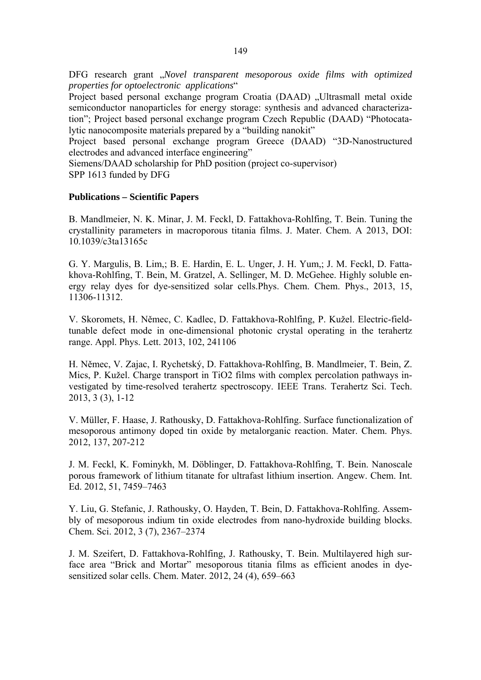DFG research grant "*Novel transparent mesoporous oxide films with optimized properties for optoelectronic applications*"

Project based personal exchange program Croatia (DAAD) "Ultrasmall metal oxide semiconductor nanoparticles for energy storage: synthesis and advanced characterization"; Project based personal exchange program Czech Republic (DAAD) "Photocatalytic nanocomposite materials prepared by a "building nanokit"

Project based personal exchange program Greece (DAAD) "3D-Nanostructured electrodes and advanced interface engineering"

Siemens/DAAD scholarship for PhD position (project co-supervisor)

SPP 1613 funded by DFG

#### **Publications – Scientific Papers**

B. Mandlmeier, N. K. Minar, J. M. Feckl, D. Fattakhova-Rohlfing, T. Bein. Tuning the crystallinity parameters in macroporous titania films. J. Mater. Chem. A 2013, DOI: 10.1039/c3ta13165c

G. Y. Margulis, B. Lim,; B. E. Hardin, E. L. Unger, J. H. Yum,; J. M. Feckl, D. Fattakhova-Rohlfing, T. Bein, M. Gratzel, A. Sellinger, M. D. McGehee. Highly soluble energy relay dyes for dye-sensitized solar cells.Phys. Chem. Chem. Phys., 2013, 15, 11306-11312.

V. Skoromets, H. Němec, C. Kadlec, D. Fattakhova-Rohlfing, P. Kužel. Electric-fieldtunable defect mode in one-dimensional photonic crystal operating in the terahertz range. Appl. Phys. Lett. 2013, 102, 241106

H. Němec, V. Zajac, I. Rychetský, D. Fattakhova-Rohlfing, B. Mandlmeier, T. Bein, Z. Mics, P. Kužel. Charge transport in TiO2 films with complex percolation pathways investigated by time-resolved terahertz spectroscopy. IEEE Trans. Terahertz Sci. Tech. 2013, 3 (3), 1-12

V. Müller, F. Haase, J. Rathousky, D. Fattakhova-Rohlfing. Surface functionalization of mesoporous antimony doped tin oxide by metalorganic reaction. Mater. Chem. Phys. 2012, 137, 207-212

J. M. Feckl, K. Fominykh, M. Döblinger, D. Fattakhova-Rohlfing, T. Bein. Nanoscale porous framework of lithium titanate for ultrafast lithium insertion. Angew. Chem. Int. Ed. 2012, 51, 7459–7463

Y. Liu, G. Stefanic, J. Rathousky, O. Hayden, T. Bein, D. Fattakhova-Rohlfing. Assembly of mesoporous indium tin oxide electrodes from nano-hydroxide building blocks. Chem. Sci. 2012, 3 (7), 2367–2374

J. M. Szeifert, D. Fattakhova-Rohlfing, J. Rathousky, T. Bein. Multilayered high surface area "Brick and Mortar" mesoporous titania films as efficient anodes in dyesensitized solar cells. Chem. Mater. 2012, 24 (4), 659–663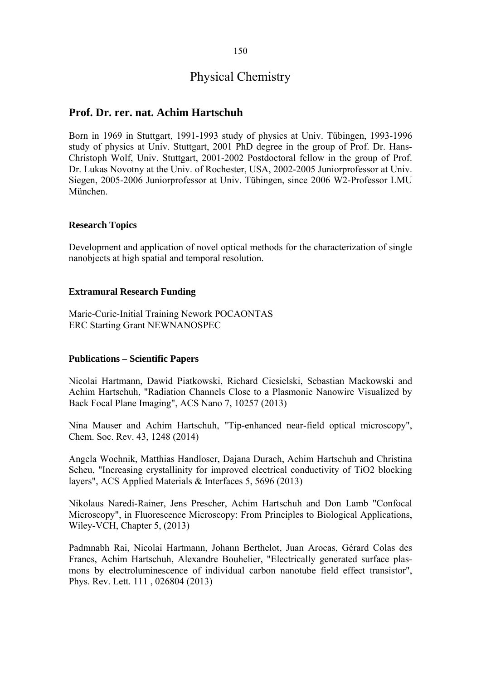## 150

## Physical Chemistry

## **Prof. Dr. rer. nat. Achim Hartschuh**

Born in 1969 in Stuttgart, 1991-1993 study of physics at Univ. Tübingen, 1993-1996 study of physics at Univ. Stuttgart, 2001 PhD degree in the group of Prof. Dr. Hans-Christoph Wolf, Univ. Stuttgart, 2001-2002 Postdoctoral fellow in the group of Prof. Dr. Lukas Novotny at the Univ. of Rochester, USA, 2002-2005 Juniorprofessor at Univ. Siegen, 2005-2006 Juniorprofessor at Univ. Tübingen, since 2006 W2-Professor LMU München.

### **Research Topics**

Development and application of novel optical methods for the characterization of single nanobjects at high spatial and temporal resolution.

#### **Extramural Research Funding**

Marie-Curie-Initial Training Nework POCAONTAS ERC Starting Grant NEWNANOSPEC

#### **Publications – Scientific Papers**

Nicolai Hartmann, Dawid Piatkowski, Richard Ciesielski, Sebastian Mackowski and Achim Hartschuh, "Radiation Channels Close to a Plasmonic Nanowire Visualized by Back Focal Plane Imaging", ACS Nano 7, 10257 (2013)

Nina Mauser and Achim Hartschuh, "Tip-enhanced near-field optical microscopy", Chem. Soc. Rev. 43, 1248 (2014)

Angela Wochnik, Matthias Handloser, Dajana Durach, Achim Hartschuh and Christina Scheu, "Increasing crystallinity for improved electrical conductivity of TiO2 blocking layers", ACS Applied Materials & Interfaces 5, 5696 (2013)

Nikolaus Naredi-Rainer, Jens Prescher, Achim Hartschuh and Don Lamb "Confocal Microscopy", in Fluorescence Microscopy: From Principles to Biological Applications, Wiley-VCH, Chapter 5, (2013)

Padmnabh Rai, Nicolai Hartmann, Johann Berthelot, Juan Arocas, Gérard Colas des Francs, Achim Hartschuh, Alexandre Bouhelier, "Electrically generated surface plasmons by electroluminescence of individual carbon nanotube field effect transistor", Phys. Rev. Lett. 111 , 026804 (2013)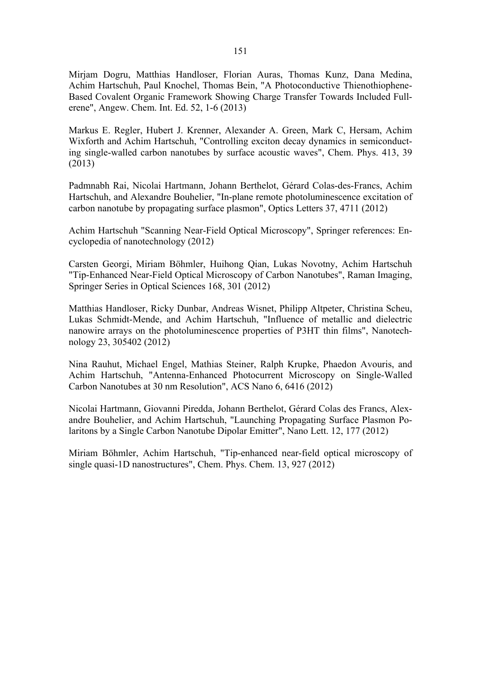Mirjam Dogru, Matthias Handloser, Florian Auras, Thomas Kunz, Dana Medina, Achim Hartschuh, Paul Knochel, Thomas Bein, "A Photoconductive Thienothiophene-Based Covalent Organic Framework Showing Charge Transfer Towards Included Fullerene", Angew. Chem. Int. Ed. 52, 1-6 (2013)

Markus E. Regler, Hubert J. Krenner, Alexander A. Green, Mark C, Hersam, Achim Wixforth and Achim Hartschuh, "Controlling exciton decay dynamics in semiconducting single-walled carbon nanotubes by surface acoustic waves", Chem. Phys. 413, 39 (2013)

Padmnabh Rai, Nicolai Hartmann, Johann Berthelot, Gérard Colas-des-Francs, Achim Hartschuh, and Alexandre Bouhelier, "In-plane remote photoluminescence excitation of carbon nanotube by propagating surface plasmon", Optics Letters 37, 4711 (2012)

Achim Hartschuh "Scanning Near-Field Optical Microscopy", Springer references: Encyclopedia of nanotechnology (2012)

Carsten Georgi, Miriam Böhmler, Huihong Qian, Lukas Novotny, Achim Hartschuh "Tip-Enhanced Near-Field Optical Microscopy of Carbon Nanotubes", Raman Imaging, Springer Series in Optical Sciences 168, 301 (2012)

Matthias Handloser, Ricky Dunbar, Andreas Wisnet, Philipp Altpeter, Christina Scheu, Lukas Schmidt-Mende, and Achim Hartschuh, "Influence of metallic and dielectric nanowire arrays on the photoluminescence properties of P3HT thin films", Nanotechnology 23, 305402 (2012)

Nina Rauhut, Michael Engel, Mathias Steiner, Ralph Krupke, Phaedon Avouris, and Achim Hartschuh, "Antenna-Enhanced Photocurrent Microscopy on Single-Walled Carbon Nanotubes at 30 nm Resolution", ACS Nano 6, 6416 (2012)

Nicolai Hartmann, Giovanni Piredda, Johann Berthelot, Gérard Colas des Francs, Alexandre Bouhelier, and Achim Hartschuh, "Launching Propagating Surface Plasmon Polaritons by a Single Carbon Nanotube Dipolar Emitter", Nano Lett. 12, 177 (2012)

Miriam Böhmler, Achim Hartschuh, "Tip-enhanced near-field optical microscopy of single quasi-1D nanostructures", Chem. Phys. Chem. 13, 927 (2012)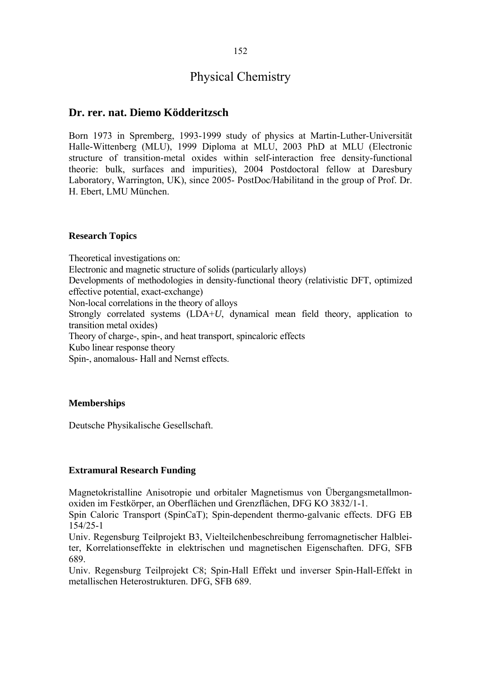# Physical Chemistry

## **Dr. rer. nat. Diemo Ködderitzsch**

Born 1973 in Spremberg, 1993-1999 study of physics at Martin-Luther-Universität Halle-Wittenberg (MLU), 1999 Diploma at MLU, 2003 PhD at MLU (Electronic structure of transition-metal oxides within self-interaction free density-functional theorie: bulk, surfaces and impurities), 2004 Postdoctoral fellow at Daresbury Laboratory, Warrington, UK), since 2005- PostDoc/Habilitand in the group of Prof. Dr. H. Ebert, LMU München.

## **Research Topics**

Theoretical investigations on: Electronic and magnetic structure of solids (particularly alloys) Developments of methodologies in density-functional theory (relativistic DFT, optimized effective potential, exact-exchange) Non-local correlations in the theory of alloys Strongly correlated systems (LDA+*U*, dynamical mean field theory, application to transition metal oxides) Theory of charge-, spin-, and heat transport, spincaloric effects Kubo linear response theory Spin-, anomalous- Hall and Nernst effects.

## **Memberships**

Deutsche Physikalische Gesellschaft.

## **Extramural Research Funding**

Magnetokristalline Anisotropie und orbitaler Magnetismus von Übergangsmetallmonoxiden im Festkörper, an Oberflächen und Grenzflächen, DFG KO 3832/1-1.

Spin Caloric Transport (SpinCaT); Spin-dependent thermo-galvanic effects. DFG EB 154/25-1

Univ. Regensburg Teilprojekt B3, Vielteilchenbeschreibung ferromagnetischer Halbleiter, Korrelationseffekte in elektrischen und magnetischen Eigenschaften. DFG, SFB 689.

Univ. Regensburg Teilprojekt C8; Spin-Hall Effekt und inverser Spin-Hall-Effekt in metallischen Heterostrukturen. DFG, SFB 689.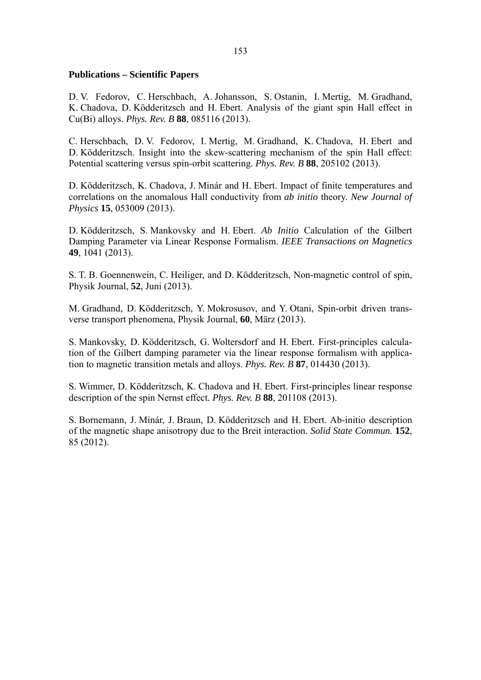#### **Publications – Scientific Papers**

D. V. Fedorov, C. Herschbach, A. Johansson, S. Ostanin, I. Mertig, M. Gradhand, K. Chadova, D. Ködderitzsch and H. Ebert. Analysis of the giant spin Hall effect in Cu(Bi) alloys. *Phys. Rev. B* **88**, 085116 (2013).

C. Herschbach, D. V. Fedorov, I. Mertig, M. Gradhand, K. Chadova, H. Ebert and D. Ködderitzsch. Insight into the skew-scattering mechanism of the spin Hall effect: Potential scattering versus spin-orbit scattering. *Phys. Rev. B* **88**, 205102 (2013).

D. Ködderitzsch, K. Chadova, J. Minár and H. Ebert. Impact of finite temperatures and correlations on the anomalous Hall conductivity from *ab initio* theory. *New Journal of Physics* **15**, 053009 (2013).

D. Ködderitzsch, S. Mankovsky and H. Ebert. *Ab Initio* Calculation of the Gilbert Damping Parameter via Linear Response Formalism. *IEEE Transactions on Magnetics* **49**, 1041 (2013).

S. T. B. Goennenwein, C. Heiliger, and D. Ködderitzsch, Non-magnetic control of spin, Physik Journal, **52**, Juni (2013).

M. Gradhand, D. Ködderitzsch, Y. Mokrosusov, and Y. Otani, Spin-orbit driven transverse transport phenomena, Physik Journal, **60**, März (2013).

S. Mankovsky, D. Ködderitzsch, G. Woltersdorf and H. Ebert. First-principles calculation of the Gilbert damping parameter via the linear response formalism with application to magnetic transition metals and alloys. *Phys. Rev. B* **87**, 014430 (2013).

S. Wimmer, D. Ködderitzsch, K. Chadova and H. Ebert. First-principles linear response description of the spin Nernst effect*. Phys. Rev. B* **88**, 201108 (2013).

S. Bornemann, J. Minár, J. Braun, D. Ködderitzsch and H. Ebert. Ab-initio description of the magnetic shape anisotropy due to the Breit interaction. *Solid State Commun.* **152**, 85 (2012).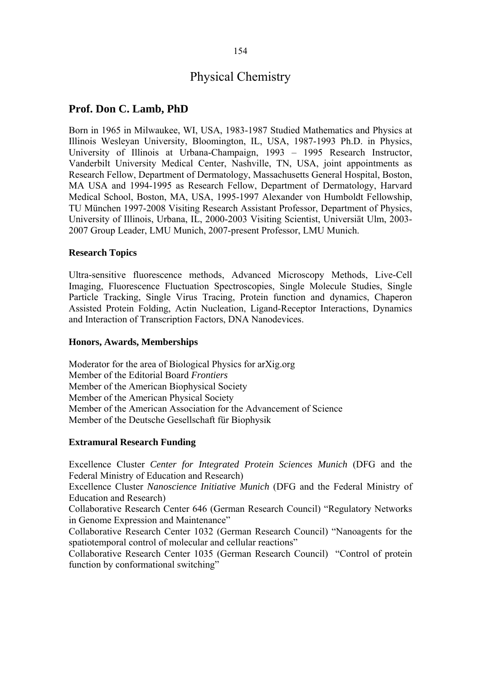# Physical Chemistry

## **Prof. Don C. Lamb, PhD**

Born in 1965 in Milwaukee, WI, USA, 1983-1987 Studied Mathematics and Physics at Illinois Wesleyan University, Bloomington, IL, USA, 1987-1993 Ph.D. in Physics, University of Illinois at Urbana-Champaign, 1993 – 1995 Research Instructor, Vanderbilt University Medical Center, Nashville, TN, USA, joint appointments as Research Fellow, Department of Dermatology, Massachusetts General Hospital, Boston, MA USA and 1994-1995 as Research Fellow, Department of Dermatology, Harvard Medical School, Boston, MA, USA, 1995-1997 Alexander von Humboldt Fellowship, TU München 1997-2008 Visiting Research Assistant Professor, Department of Physics, University of Illinois, Urbana, IL, 2000-2003 Visiting Scientist, Universiät Ulm, 2003- 2007 Group Leader, LMU Munich, 2007-present Professor, LMU Munich.

#### **Research Topics**

Ultra-sensitive fluorescence methods, Advanced Microscopy Methods, Live-Cell Imaging, Fluorescence Fluctuation Spectroscopies, Single Molecule Studies, Single Particle Tracking, Single Virus Tracing, Protein function and dynamics, Chaperon Assisted Protein Folding, Actin Nucleation, Ligand-Receptor Interactions, Dynamics and Interaction of Transcription Factors, DNA Nanodevices.

#### **Honors, Awards, Memberships**

Moderator for the area of Biological Physics for arXig.org Member of the Editorial Board *Frontiers*  Member of the American Biophysical Society Member of the American Physical Society Member of the American Association for the Advancement of Science Member of the Deutsche Gesellschaft für Biophysik

## **Extramural Research Funding**

Excellence Cluster *Center for Integrated Protein Sciences Munich* (DFG and the Federal Ministry of Education and Research)

Excellence Cluster *Nanoscience Initiative Munich* (DFG and the Federal Ministry of Education and Research)

Collaborative Research Center 646 (German Research Council) "Regulatory Networks in Genome Expression and Maintenance"

Collaborative Research Center 1032 (German Research Council) "Nanoagents for the spatiotemporal control of molecular and cellular reactions"

Collaborative Research Center 1035 (German Research Council) "Control of protein function by conformational switching"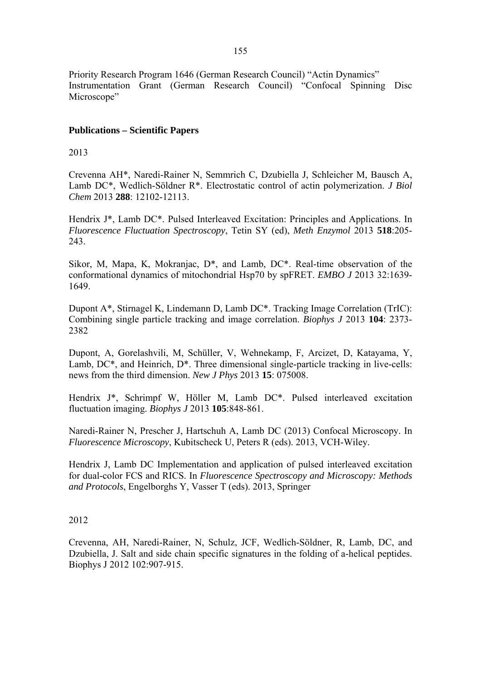Priority Research Program 1646 (German Research Council) "Actin Dynamics" Instrumentation Grant (German Research Council) "Confocal Spinning Disc Microscope"

## **Publications – Scientific Papers**

2013

Crevenna AH\*, Naredi-Rainer N, Semmrich C, Dzubiella J, Schleicher M, Bausch A, Lamb DC\*, Wedlich-Söldner R\*. Electrostatic control of actin polymerization. *J Biol Chem* 2013 **288**: 12102-12113.

Hendrix J\*, Lamb DC\*. Pulsed Interleaved Excitation: Principles and Applications. In *Fluorescence Fluctuation Spectroscopy*, Tetin SY (ed), *Meth Enzymol* 2013 **518**:205- 243.

Sikor, M, Mapa, K, Mokranjac, D\*, and Lamb, DC\*. Real-time observation of the conformational dynamics of mitochondrial Hsp70 by spFRET. *EMBO J* 2013 32:1639- 1649.

Dupont A\*, Stirnagel K, Lindemann D, Lamb DC\*. Tracking Image Correlation (TrIC): Combining single particle tracking and image correlation. *Biophys J* 2013 **104**: 2373- 2382

Dupont, A, Gorelashvili, M, Schüller, V, Wehnekamp, F, Arcizet, D, Katayama, Y, Lamb, DC<sup>\*</sup>, and Heinrich, D<sup>\*</sup>. Three dimensional single-particle tracking in live-cells: news from the third dimension. *New J Phys* 2013 **15**: 075008.

Hendrix J\*, Schrimpf W, Höller M, Lamb DC\*. Pulsed interleaved excitation fluctuation imaging. *Biophys J* 2013 **105**:848-861.

Naredi-Rainer N, Prescher J, Hartschuh A, Lamb DC (2013) Confocal Microscopy. In *Fluorescence Microscopy*, Kubitscheck U, Peters R (eds). 2013, VCH-Wiley.

Hendrix J, Lamb DC Implementation and application of pulsed interleaved excitation for dual-color FCS and RICS. In *Fluorescence Spectroscopy and Microscopy: Methods and Protocols*, Engelborghs Y, Vasser T (eds). 2013, Springer

2012

Crevenna, AH, Naredi-Rainer, N, Schulz, JCF, Wedlich-Söldner, R, Lamb, DC, and Dzubiella, J. Salt and side chain specific signatures in the folding of a-helical peptides. Biophys J 2012 102:907-915.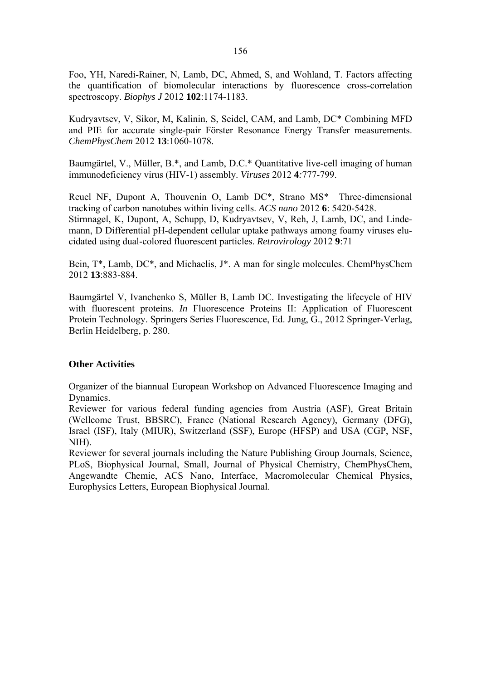Foo, YH, Naredi-Rainer, N, Lamb, DC, Ahmed, S, and Wohland, T. Factors affecting the quantification of biomolecular interactions by fluorescence cross-correlation spectroscopy. *Biophys J* 2012 **102**:1174-1183.

Kudryavtsev, V, Sikor, M, Kalinin, S, Seidel, CAM, and Lamb, DC\* Combining MFD and PIE for accurate single-pair Förster Resonance Energy Transfer measurements. *ChemPhysChem* 2012 **13**:1060-1078.

Baumgärtel, V., Müller, B.\*, and Lamb, D.C.\* Quantitative live-cell imaging of human immunodeficiency virus (HIV-1) assembly. *Viruses* 2012 **4***:*777-799.

Reuel NF, Dupont A, Thouvenin O, Lamb DC\*, Strano MS\* Three-dimensional tracking of carbon nanotubes within living cells. *ACS nano* 2012 **6**: 5420-5428. Stirnnagel, K, Dupont, A, Schupp, D, Kudryavtsev, V, Reh, J, Lamb, DC, and Lindemann, D Differential pH-dependent cellular uptake pathways among foamy viruses elucidated using dual-colored fluorescent particles. *Retrovirology* 2012 **9**:71

Bein, T\*, Lamb, DC\*, and Michaelis, J\*. A man for single molecules. ChemPhysChem 2012 **13**:883-884.

Baumgärtel V, Ivanchenko S, Müller B, Lamb DC. Investigating the lifecycle of HIV with fluorescent proteins. *In* Fluorescence Proteins II: Application of Fluorescent Protein Technology. Springers Series Fluorescence, Ed. Jung, G., 2012 Springer-Verlag, Berlin Heidelberg, p. 280.

## **Other Activities**

Organizer of the biannual European Workshop on Advanced Fluorescence Imaging and Dynamics.

Reviewer for various federal funding agencies from Austria (ASF), Great Britain (Wellcome Trust, BBSRC), France (National Research Agency), Germany (DFG), Israel (ISF), Italy (MIUR), Switzerland (SSF), Europe (HFSP) and USA (CGP, NSF, NIH).

Reviewer for several journals including the Nature Publishing Group Journals, Science, PLoS, Biophysical Journal, Small, Journal of Physical Chemistry, ChemPhysChem, Angewandte Chemie, ACS Nano, Interface, Macromolecular Chemical Physics, Europhysics Letters, European Biophysical Journal.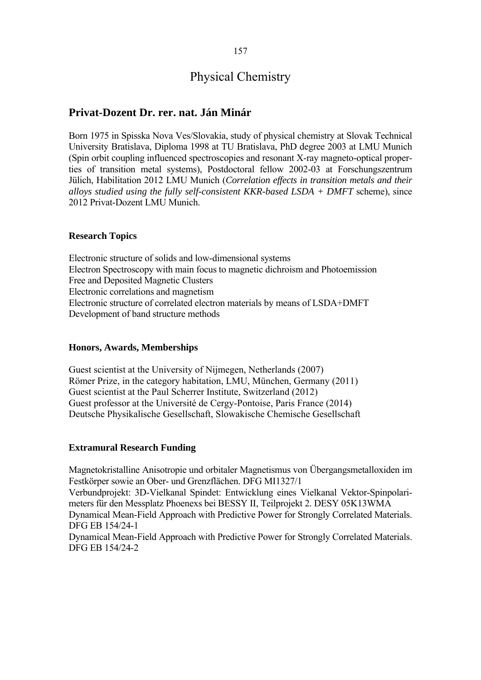# Physical Chemistry

## **Privat-Dozent Dr. rer. nat. Ján Minár**

Born 1975 in Spisska Nova Ves/Slovakia, study of physical chemistry at Slovak Technical University Bratislava, Diploma 1998 at TU Bratislava, PhD degree 2003 at LMU Munich (Spin orbit coupling influenced spectroscopies and resonant X-ray magneto-optical properties of transition metal systems), Postdoctoral fellow 2002-03 at Forschungszentrum Jülich, Habilitation 2012 LMU Munich (*Correlation effects in transition metals and their alloys studied using the fully self-consistent KKR-based LSDA + DMFT* scheme), since 2012 Privat-Dozent LMU Munich.

#### **Research Topics**

Electronic structure of solids and low-dimensional systems Electron Spectroscopy with main focus to magnetic dichroism and Photoemission Free and Deposited Magnetic Clusters Electronic correlations and magnetism Electronic structure of correlated electron materials by means of LSDA+DMFT Development of band structure methods

#### **Honors, Awards, Memberships**

Guest scientist at the University of Nijmegen, Netherlands (2007) Römer Prize, in the category habitation, LMU, München, Germany (2011) Guest scientist at the Paul Scherrer Institute, Switzerland (2012) Guest professor at the Université de Cergy-Pontoise, Paris France (2014) Deutsche Physikalische Gesellschaft, Slowakische Chemische Gesellschaft

#### **Extramural Research Funding**

Magnetokristalline Anisotropie und orbitaler Magnetismus von Übergangsmetalloxiden im Festkörper sowie an Ober- und Grenzflächen. DFG MI1327/1 Verbundprojekt: 3D-Vielkanal Spindet: Entwicklung eines Vielkanal Vektor-Spinpolarimeters für den Messplatz Phoenexs bei BESSY II, Teilprojekt 2. DESY 05K13WMA Dynamical Mean-Field Approach with Predictive Power for Strongly Correlated Materials. DFG EB 154/24-1 Dynamical Mean-Field Approach with Predictive Power for Strongly Correlated Materials. DFG EB 154/24-2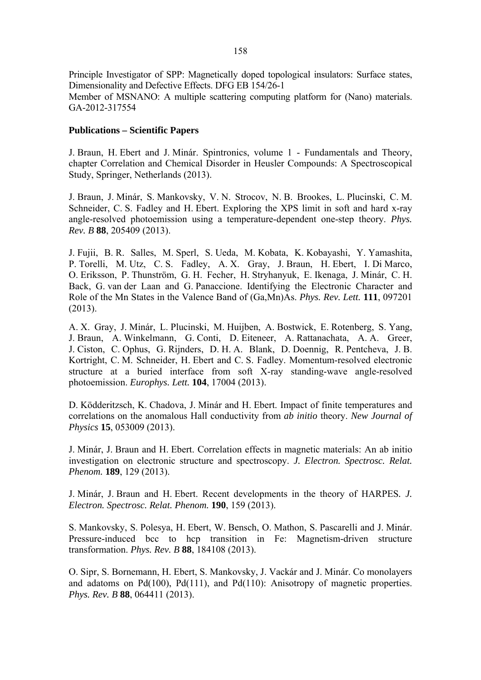Principle Investigator of SPP: Magnetically doped topological insulators: Surface states, Dimensionality and Defective Effects. DFG EB 154/26-1 Member of MSNANO: A multiple scattering computing platform for (Nano) materials. GA-2012-317554

#### **Publications – Scientific Papers**

J. Braun, H. Ebert and J. Minár. Spintronics, volume 1 - Fundamentals and Theory, chapter Correlation and Chemical Disorder in Heusler Compounds: A Spectroscopical Study, Springer, Netherlands (2013).

J. Braun, J. Minár, S. Mankovsky, V. N. Strocov, N. B. Brookes, L. Plucinski, C. M. Schneider, C. S. Fadley and H. Ebert. Exploring the XPS limit in soft and hard x-ray angle-resolved photoemission using a temperature-dependent one-step theory. *Phys. Rev. B* **88**, 205409 (2013).

J. Fujii, B. R. Salles, M. Sperl, S. Ueda, M. Kobata, K. Kobayashi, Y. Yamashita, P. Torelli, M. Utz, C. S. Fadley, A. X. Gray, J. Braun, H. Ebert, I. Di Marco, O. Eriksson, P. Thunström, G. H. Fecher, H. Stryhanyuk, E. Ikenaga, J. Minár, C. H. Back, G. van der Laan and G. Panaccione. Identifying the Electronic Character and Role of the Mn States in the Valence Band of (Ga,Mn)As. *Phys. Rev. Lett.* **111**, 097201 (2013).

A. X. Gray, J. Minár, L. Plucinski, M. Huijben, A. Bostwick, E. Rotenberg, S. Yang, J. Braun, A. Winkelmann, G. Conti, D. Eiteneer, A. Rattanachata, A. A. Greer, J. Ciston, C. Ophus, G. Rijnders, D. H. A. Blank, D. Doennig, R. Pentcheva, J. B. Kortright, C. M. Schneider, H. Ebert and C. S. Fadley. Momentum-resolved electronic structure at a buried interface from soft X-ray standing-wave angle-resolved photoemission. *Europhys. Lett.* **104**, 17004 (2013).

D. Ködderitzsch, K. Chadova, J. Minár and H. Ebert. Impact of finite temperatures and correlations on the anomalous Hall conductivity from *ab initio* theory. *New Journal of Physics* **15**, 053009 (2013).

J. Minár, J. Braun and H. Ebert. Correlation effects in magnetic materials: An ab initio investigation on electronic structure and spectroscopy. *J. Electron. Spectrosc. Relat. Phenom.* **189**, 129 (2013).

J. Minár, J. Braun and H. Ebert. Recent developments in the theory of HARPES*. J. Electron. Spectrosc. Relat. Phenom.* **190**, 159 (2013).

S. Mankovsky, S. Polesya, H. Ebert, W. Bensch, O. Mathon, S. Pascarelli and J. Minár. Pressure-induced bcc to hcp transition in Fe: Magnetism-driven structure transformation. *Phys. Rev. B* **88**, 184108 (2013).

O. Sipr, S. Bornemann, H. Ebert, S. Mankovsky, J. Vackár and J. Minár. Co monolayers and adatoms on Pd(100), Pd(111), and Pd(110): Anisotropy of magnetic properties. *Phys. Rev. B* **88**, 064411 (2013).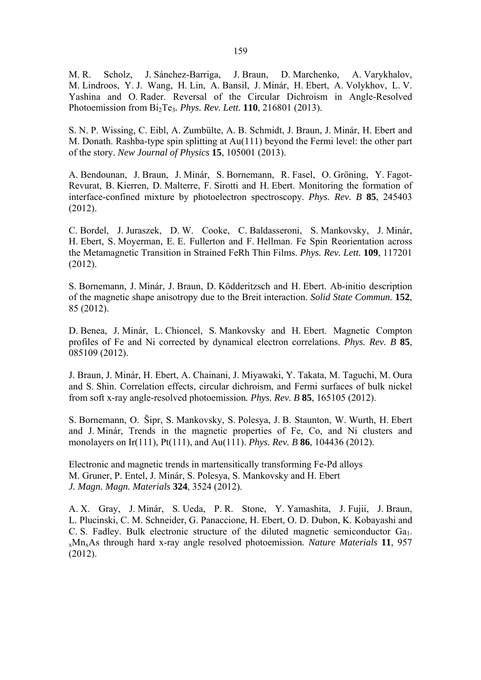M. R. Scholz, J. Sánchez-Barriga, J. Braun, D. Marchenko, A. Varykhalov, M. Lindroos, Y. J. Wang, H. Lin, A. Bansil, J. Minár, H. Ebert, A. Volykhov, L. V. Yashina and O. Rader. Reversal of the Circular Dichroism in Angle-Resolved Photoemission from Bi2Te3*. Phys. Rev. Lett.* **110**, 216801 (2013).

S. N. P. Wissing, C. Eibl, A. Zumbülte, A. B. Schmidt, J. Braun, J. Minár, H. Ebert and M. Donath. Rashba-type spin splitting at Au(111) beyond the Fermi level: the other part of the story. *New Journal of Physics* **15**, 105001 (2013).

A. Bendounan, J. Braun, J. Minár, S. Bornemann, R. Fasel, O. Gröning, Y. Fagot-Revurat, B. Kierren, D. Malterre, F. Sirotti and H. Ebert. Monitoring the formation of interface-confined mixture by photoelectron spectroscopy. *Phys. Rev. B* **85**, 245403 (2012).

C. Bordel, J. Juraszek, D. W. Cooke, C. Baldasseroni, S. Mankovsky, J. Minár, H. Ebert, S. Moyerman, E. E. Fullerton and F. Hellman. Fe Spin Reorientation across the Metamagnetic Transition in Strained FeRh Thin Films. *Phys. Rev. Lett.* **109**, 117201 (2012).

S. Bornemann, J. Minár, J. Braun, D. Ködderitzsch and H. Ebert. Ab-initio description of the magnetic shape anisotropy due to the Breit interaction. *Solid State Commun.* **152**, 85 (2012).

D. Benea, J. Minár, L. Chioncel, S. Mankovsky and H. Ebert. Magnetic Compton profiles of Fe and Ni corrected by dynamical electron correlations. *Phys. Rev. B* **85**, 085109 (2012).

J. Braun, J. Minár, H. Ebert, A. Chainani, J. Miyawaki, Y. Takata, M. Taguchi, M. Oura and S. Shin. Correlation effects, circular dichroism, and Fermi surfaces of bulk nickel from soft x-ray angle-resolved photoemission*. Phys. Rev. B* **85**, 165105 (2012).

S. Bornemann, O. Šipr, S. Mankovsky, S. Polesya, J. B. Staunton, W. Wurth, H. Ebert and J. Minár, Trends in the magnetic properties of Fe, Co, and Ni clusters and monolayers on Ir(111), Pt(111), and Au(111). *Phys. Rev. B* **86**, 104436 (2012).

Electronic and magnetic trends in martensitically transforming Fe-Pd alloys M. Gruner, P. Entel, J. Minár, S. Polesya, S. Mankovsky and H. Ebert *J. Magn. Magn. Materials* **324**, 3524 (2012).

A. X. Gray, J. Minár, S. Ueda, P. R. Stone, Y. Yamashita, J. Fujii, J. Braun, L. Plucinski, C. M. Schneider, G. Panaccione, H. Ebert, O. D. Dubon, K. Kobayashi and C. S. Fadley. Bulk electronic structure of the diluted magnetic semiconductor  $Ga<sub>1</sub>$ . xMnxAs through hard x-ray angle resolved photoemission*. Nature Materials* **11**, 957 (2012).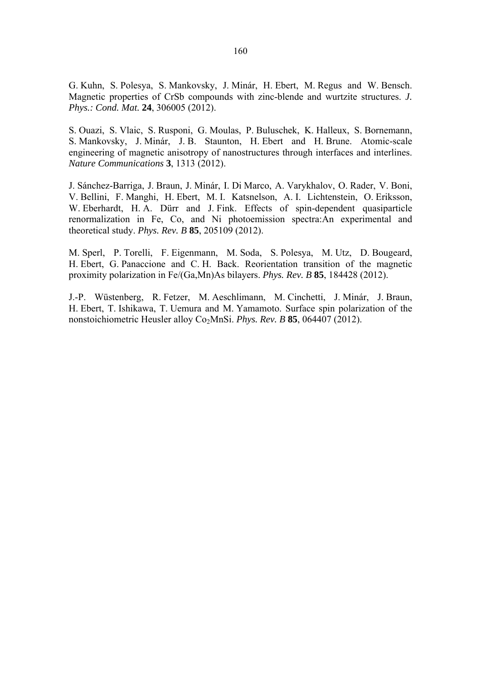G. Kuhn, S. Polesya, S. Mankovsky, J. Minár, H. Ebert, M. Regus and W. Bensch. Magnetic properties of CrSb compounds with zinc-blende and wurtzite structures. *J. Phys.: Cond. Mat.* **24**, 306005 (2012).

S. Ouazi, S. Vlaic, S. Rusponi, G. Moulas, P. Buluschek, K. Halleux, S. Bornemann, S. Mankovsky, J. Minár, J. B. Staunton, H. Ebert and H. Brune. Atomic-scale engineering of magnetic anisotropy of nanostructures through interfaces and interlines. *Nature Communications* **3**, 1313 (2012).

J. Sánchez-Barriga, J. Braun, J. Minár, I. Di Marco, A. Varykhalov, O. Rader, V. Boni, V. Bellini, F. Manghi, H. Ebert, M. I. Katsnelson, A. I. Lichtenstein, O. Eriksson, W. Eberhardt, H. A. Dürr and J. Fink. Effects of spin-dependent quasiparticle renormalization in Fe, Co, and Ni photoemission spectra:An experimental and theoretical study. *Phys. Rev. B* **85**, 205109 (2012).

M. Sperl, P. Torelli, F. Eigenmann, M. Soda, S. Polesya, M. Utz, D. Bougeard, H. Ebert, G. Panaccione and C. H. Back. Reorientation transition of the magnetic proximity polarization in Fe/(Ga,Mn)As bilayers. *Phys. Rev. B* **85**, 184428 (2012).

J.-P. Wüstenberg, R. Fetzer, M. Aeschlimann, M. Cinchetti, J. Minár, J. Braun, H. Ebert, T. Ishikawa, T. Uemura and M. Yamamoto. Surface spin polarization of the nonstoichiometric Heusler alloy Co<sub>2</sub>MnSi. *Phys. Rev. B* **85**, 064407 (2012).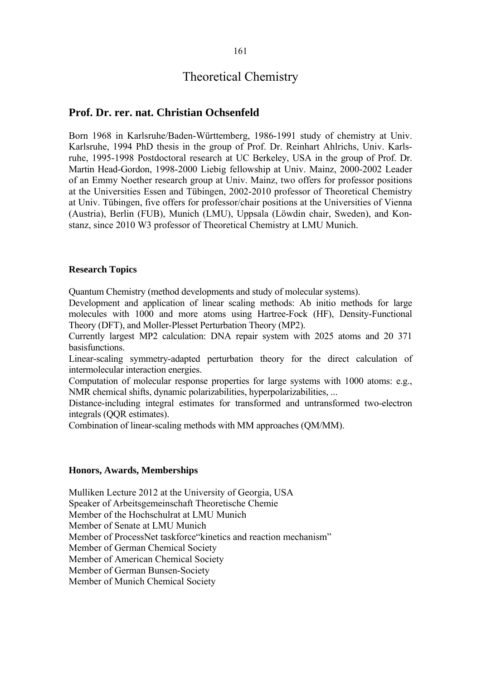# Theoretical Chemistry

## **Prof. Dr. rer. nat. Christian Ochsenfeld**

Born 1968 in Karlsruhe/Baden-Württemberg, 1986-1991 study of chemistry at Univ. Karlsruhe, 1994 PhD thesis in the group of Prof. Dr. Reinhart Ahlrichs, Univ. Karlsruhe, 1995-1998 Postdoctoral research at UC Berkeley, USA in the group of Prof. Dr. Martin Head-Gordon, 1998-2000 Liebig fellowship at Univ. Mainz, 2000-2002 Leader of an Emmy Noether research group at Univ. Mainz, two offers for professor positions at the Universities Essen and Tübingen, 2002-2010 professor of Theoretical Chemistry at Univ. Tübingen, five offers for professor/chair positions at the Universities of Vienna (Austria), Berlin (FUB), Munich (LMU), Uppsala (Löwdin chair, Sweden), and Konstanz, since 2010 W3 professor of Theoretical Chemistry at LMU Munich.

#### **Research Topics**

Quantum Chemistry (method developments and study of molecular systems).

Development and application of linear scaling methods: Ab initio methods for large molecules with 1000 and more atoms using Hartree-Fock (HF), Density-Functional Theory (DFT), and Moller-Plesset Perturbation Theory (MP2).

Currently largest MP2 calculation: DNA repair system with 2025 atoms and 20 371 basisfunctions.

Linear-scaling symmetry-adapted perturbation theory for the direct calculation of intermolecular interaction energies.

Computation of molecular response properties for large systems with 1000 atoms: e.g., NMR chemical shifts, dynamic polarizabilities, hyperpolarizabilities, ...

Distance-including integral estimates for transformed and untransformed two-electron integrals (QQR estimates).

Combination of linear-scaling methods with MM approaches (QM/MM).

#### **Honors, Awards, Memberships**

Mulliken Lecture 2012 at the University of Georgia, USA Speaker of Arbeitsgemeinschaft Theoretische Chemie Member of the Hochschulrat at LMU Munich Member of Senate at LMU Munich Member of ProcessNet taskforce"kinetics and reaction mechanism" Member of German Chemical Society Member of American Chemical Society Member of German Bunsen-Society Member of Munich Chemical Society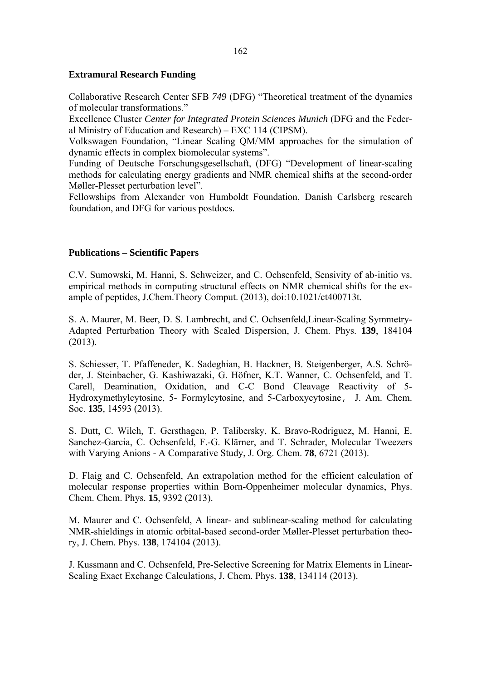## **Extramural Research Funding**

Collaborative Research Center SFB *749* (DFG) "Theoretical treatment of the dynamics of molecular transformations."

Excellence Cluster *Center for Integrated Protein Sciences Munich* (DFG and the Federal Ministry of Education and Research) – EXC 114 (CIPSM).

Volkswagen Foundation, "Linear Scaling QM/MM approaches for the simulation of dynamic effects in complex biomolecular systems".

Funding of Deutsche Forschungsgesellschaft, (DFG) "Development of linear-scaling methods for calculating energy gradients and NMR chemical shifts at the second-order Møller-Plesset perturbation level".

Fellowships from Alexander von Humboldt Foundation, Danish Carlsberg research foundation, and DFG for various postdocs.

#### **Publications – Scientific Papers**

C.V. Sumowski, M. Hanni, S. Schweizer, and C. Ochsenfeld, Sensivity of ab-initio vs. empirical methods in computing structural effects on NMR chemical shifts for the example of peptides, J.Chem.Theory Comput. (2013), doi:10.1021/ct400713t.

S. A. Maurer, M. Beer, D. S. Lambrecht, and C. Ochsenfeld,Linear-Scaling Symmetry-Adapted Perturbation Theory with Scaled Dispersion, J. Chem. Phys. **139**, 184104 (2013).

S. Schiesser, T. Pfaffeneder, K. Sadeghian, B. Hackner, B. Steigenberger, A.S. Schröder, J. Steinbacher, G. Kashiwazaki, G. Höfner, K.T. Wanner, C. Ochsenfeld, and T. Carell, Deamination, Oxidation, and C-C Bond Cleavage Reactivity of 5- Hydroxymethylcytosine, 5- Formylcytosine, and 5-Carboxycytosine, J. Am. Chem. Soc. **135**, 14593 (2013).

S. Dutt, C. Wilch, T. Gersthagen, P. Talibersky, K. Bravo-Rodriguez, M. Hanni, E. Sanchez-Garcia, C. Ochsenfeld, F.-G. Klärner, and T. Schrader, Molecular Tweezers with Varying Anions - A Comparative Study, J. Org. Chem. **78**, 6721 (2013).

D. Flaig and C. Ochsenfeld, An extrapolation method for the efficient calculation of molecular response properties within Born-Oppenheimer molecular dynamics, Phys. Chem. Chem. Phys. **15**, 9392 (2013).

M. Maurer and C. Ochsenfeld, A linear- and sublinear-scaling method for calculating NMR-shieldings in atomic orbital-based second-order Møller-Plesset perturbation theory, J. Chem. Phys. **138**, 174104 (2013).

J. Kussmann and C. Ochsenfeld, Pre-Selective Screening for Matrix Elements in Linear-Scaling Exact Exchange Calculations, J. Chem. Phys. **138**, 134114 (2013).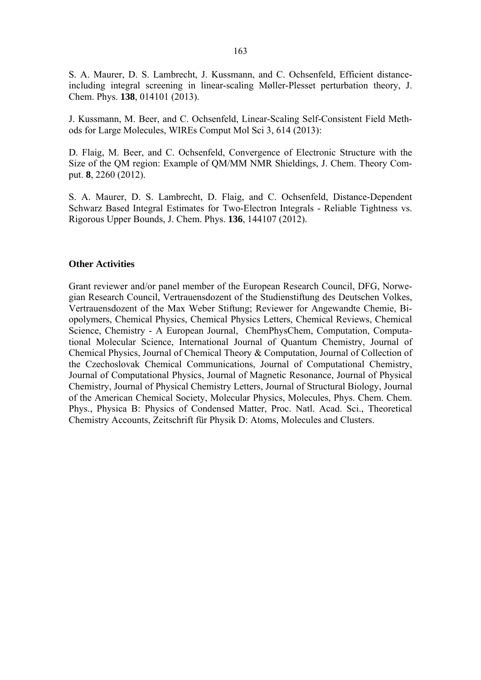S. A. Maurer, D. S. Lambrecht, J. Kussmann, and C. Ochsenfeld, Efficient distanceincluding integral screening in linear-scaling Møller-Plesset perturbation theory, J. Chem. Phys. **138**, 014101 (2013).

J. Kussmann, M. Beer, and C. Ochsenfeld, Linear-Scaling Self-Consistent Field Methods for Large Molecules, WIREs Comput Mol Sci 3, 614 (2013):

D. Flaig, M. Beer, and C. Ochsenfeld, Convergence of Electronic Structure with the Size of the QM region: Example of QM/MM NMR Shieldings, J. Chem. Theory Comput. **8**, 2260 (2012).

S. A. Maurer, D. S. Lambrecht, D. Flaig, and C. Ochsenfeld, Distance-Dependent Schwarz Based Integral Estimates for Two-Electron Integrals - Reliable Tightness vs. Rigorous Upper Bounds, J. Chem. Phys. **136**, 144107 (2012).

#### **Other Activities**

Grant reviewer and/or panel member of the European Research Council, DFG, Norwegian Research Council, Vertrauensdozent of the Studienstiftung des Deutschen Volkes, Vertrauensdozent of the Max Weber Stiftung; Reviewer for Angewandte Chemie, Biopolymers, Chemical Physics, Chemical Physics Letters, Chemical Reviews, Chemical Science, Chemistry - A European Journal, ChemPhysChem, Computation, Computational Molecular Science, International Journal of Quantum Chemistry, Journal of Chemical Physics, Journal of Chemical Theory & Computation, Journal of Collection of the Czechoslovak Chemical Communications, Journal of Computational Chemistry, Journal of Computational Physics, Journal of Magnetic Resonance, Journal of Physical Chemistry, Journal of Physical Chemistry Letters, Journal of Structural Biology, Journal of the American Chemical Society, Molecular Physics, Molecules, Phys. Chem. Chem. Phys., Physica B: Physics of Condensed Matter, Proc. Natl. Acad. Sci., Theoretical Chemistry Accounts, Zeitschrift für Physik D: Atoms, Molecules and Clusters.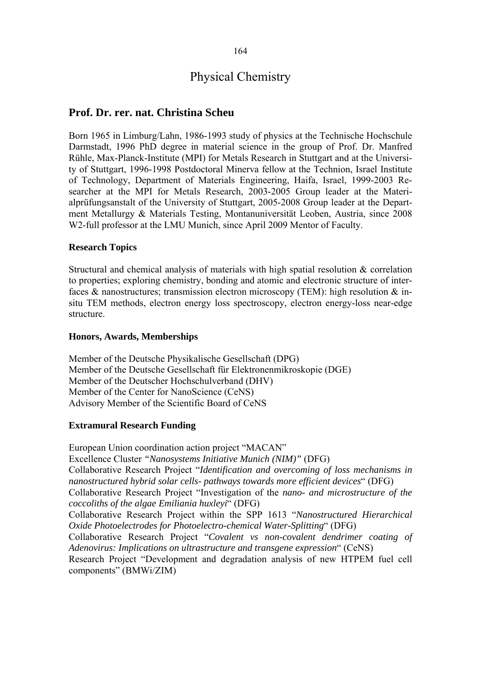## 164

# Physical Chemistry

## **Prof. Dr. rer. nat. Christina Scheu**

Born 1965 in Limburg/Lahn, 1986-1993 study of physics at the Technische Hochschule Darmstadt, 1996 PhD degree in material science in the group of Prof. Dr. Manfred Rühle, Max-Planck-Institute (MPI) for Metals Research in Stuttgart and at the University of Stuttgart, 1996-1998 Postdoctoral Minerva fellow at the Technion, Israel Institute of Technology, Department of Materials Engineering, Haifa, Israel, 1999-2003 Researcher at the MPI for Metals Research, 2003-2005 Group leader at the Materialprüfungsanstalt of the University of Stuttgart, 2005-2008 Group leader at the Department Metallurgy & Materials Testing, Montanuniversität Leoben, Austria, since 2008 W2-full professor at the LMU Munich, since April 2009 Mentor of Faculty.

#### **Research Topics**

Structural and chemical analysis of materials with high spatial resolution & correlation to properties; exploring chemistry, bonding and atomic and electronic structure of interfaces  $\&$  nanostructures; transmission electron microscopy (TEM): high resolution  $\&$  insitu TEM methods, electron energy loss spectroscopy, electron energy-loss near-edge structure.

#### **Honors, Awards, Memberships**

Member of the Deutsche Physikalische Gesellschaft (DPG) Member of the Deutsche Gesellschaft für Elektronenmikroskopie (DGE) Member of the Deutscher Hochschulverband (DHV) Member of the Center for NanoScience (CeNS) Advisory Member of the Scientific Board of CeNS

#### **Extramural Research Funding**

European Union coordination action project "MACAN" Excellence Cluster *"Nanosystems Initiative Munich (NIM)"* (DFG) Collaborative Research Project "*Identification and overcoming of loss mechanisms in nanostructured hybrid solar cells- pathways towards more efficient devices*" (DFG) Collaborative Research Project "Investigation of the *nano- and microstructure of the coccoliths of the algae Emiliania huxleyi*" (DFG) Collaborative Research Project within the SPP 1613 "*Nanostructured Hierarchical Oxide Photoelectrodes for Photoelectro-chemical Water-Splitting*" (DFG) Collaborative Research Project "*Covalent vs non-covalent dendrimer coating of Adenovirus: Implications on ultrastructure and transgene expression*" (CeNS) Research Project "Development and degradation analysis of new HTPEM fuel cell components" (BMWi/ZIM)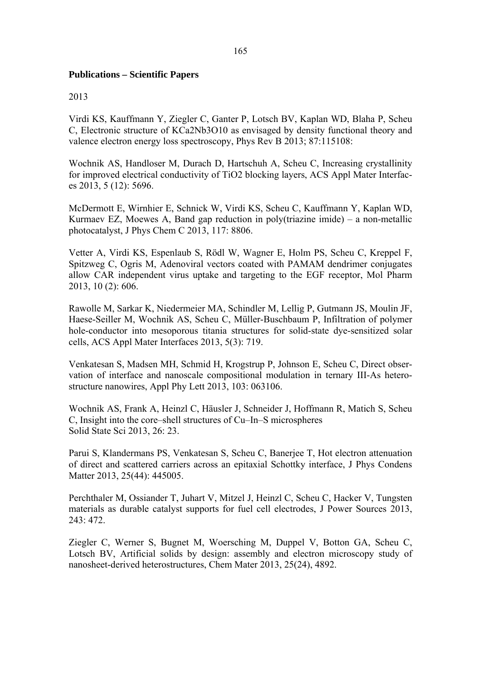## **Publications – Scientific Papers**

### 2013

Virdi KS, Kauffmann Y, Ziegler C, Ganter P, Lotsch BV, Kaplan WD, Blaha P, Scheu C, Electronic structure of KCa2Nb3O10 as envisaged by density functional theory and valence electron energy loss spectroscopy, Phys Rev B 2013; 87:115108:

Wochnik AS, Handloser M, Durach D, Hartschuh A, Scheu C, Increasing crystallinity for improved electrical conductivity of TiO2 blocking layers, ACS Appl Mater Interfaces 2013, 5 (12): 5696.

McDermott E, Wirnhier E, Schnick W, Virdi KS, Scheu C, Kauffmann Y, Kaplan WD, Kurmaev EZ, Moewes A, Band gap reduction in poly(triazine imide) – a non-metallic photocatalyst, J Phys Chem C 2013, 117: 8806.

Vetter A, Virdi KS, Espenlaub S, Rödl W, Wagner E, Holm PS, Scheu C, Kreppel F, Spitzweg C, Ogris M, Adenoviral vectors coated with PAMAM dendrimer conjugates allow CAR independent virus uptake and targeting to the EGF receptor, Mol Pharm 2013, 10 (2): 606.

Rawolle M, Sarkar K, Niedermeier MA, Schindler M, Lellig P, Gutmann JS, Moulin JF, Haese-Seiller M, Wochnik AS, Scheu C, Müller-Buschbaum P, Infiltration of polymer hole-conductor into mesoporous titania structures for solid-state dye-sensitized solar cells, ACS Appl Mater Interfaces 2013, 5(3): 719.

Venkatesan S, Madsen MH, Schmid H, Krogstrup P, Johnson E, Scheu C, Direct observation of interface and nanoscale compositional modulation in ternary III-As heterostructure nanowires, Appl Phy Lett 2013, 103: 063106.

Wochnik AS, Frank A, Heinzl C, Häusler J, Schneider J, Hoffmann R, Matich S, Scheu C, Insight into the core–shell structures of Cu–In–S microspheres Solid State Sci 2013, 26: 23.

Parui S, Klandermans PS, Venkatesan S, Scheu C, Banerjee T, Hot electron attenuation of direct and scattered carriers across an epitaxial Schottky interface, J Phys Condens Matter 2013, 25(44): 445005.

Perchthaler M, Ossiander T, Juhart V, Mitzel J, Heinzl C, Scheu C, Hacker V, Tungsten materials as durable catalyst supports for fuel cell electrodes, J Power Sources 2013, 243: 472.

Ziegler C, Werner S, Bugnet M, Woersching M, Duppel V, Botton GA, Scheu C, Lotsch BV, Artificial solids by design: assembly and electron microscopy study of nanosheet-derived heterostructures, Chem Mater 2013, 25(24), 4892.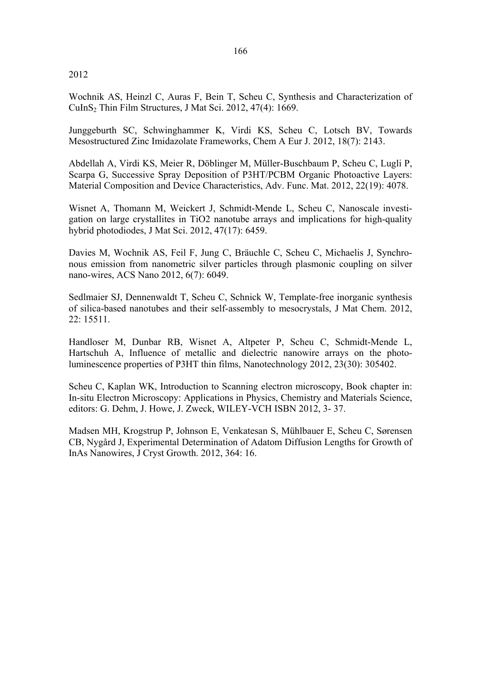2012

Wochnik AS, Heinzl C, Auras F, Bein T, Scheu C, Synthesis and Characterization of CuInS2 Thin Film Structures, J Mat Sci. 2012, 47(4): 1669.

Junggeburth SC, Schwinghammer K, Virdi KS, Scheu C, Lotsch BV, Towards Mesostructured Zinc Imidazolate Frameworks, Chem A Eur J. 2012, 18(7): 2143.

Abdellah A, Virdi KS, Meier R, Döblinger M, Müller-Buschbaum P, Scheu C, Lugli P, Scarpa G, Successive Spray Deposition of P3HT/PCBM Organic Photoactive Layers: Material Composition and Device Characteristics, Adv. Func. Mat. 2012, 22(19): 4078.

Wisnet A, Thomann M, Weickert J, Schmidt-Mende L, Scheu C, Nanoscale investigation on large crystallites in TiO2 nanotube arrays and implications for high-quality hybrid photodiodes, J Mat Sci. 2012, 47(17): 6459.

Davies M, Wochnik AS, Feil F, Jung C, Bräuchle C, Scheu C, Michaelis J, Synchronous emission from nanometric silver particles through plasmonic coupling on silver nano-wires, ACS Nano 2012, 6(7): 6049.

Sedlmaier SJ, Dennenwaldt T, Scheu C, Schnick W, Template-free inorganic synthesis of silica-based nanotubes and their self-assembly to mesocrystals, J Mat Chem. 2012, 22: 15511.

Handloser M, Dunbar RB, Wisnet A, Altpeter P, Scheu C, Schmidt-Mende L, Hartschuh A, Influence of metallic and dielectric nanowire arrays on the photoluminescence properties of P3HT thin films, Nanotechnology 2012, 23(30): 305402.

Scheu C, Kaplan WK, Introduction to Scanning electron microscopy, Book chapter in: In-situ Electron Microscopy: Applications in Physics, Chemistry and Materials Science, editors: G. Dehm, J. Howe, J. Zweck, WILEY-VCH ISBN 2012, 3- 37.

Madsen MH, Krogstrup P, Johnson E, Venkatesan S, Mühlbauer E, Scheu C, Sørensen CB, Nygård J, Experimental Determination of Adatom Diffusion Lengths for Growth of InAs Nanowires, J Cryst Growth. 2012, 364: 16.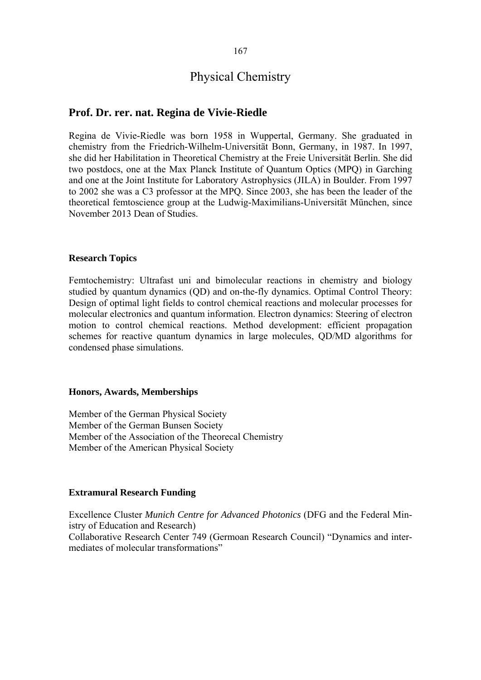# Physical Chemistry

## **Prof. Dr. rer. nat. Regina de Vivie-Riedle**

Regina de Vivie-Riedle was born 1958 in Wuppertal, Germany. She graduated in chemistry from the Friedrich-Wilhelm-Universität Bonn, Germany, in 1987. In 1997, she did her Habilitation in Theoretical Chemistry at the Freie Universität Berlin. She did two postdocs, one at the Max Planck Institute of Quantum Optics (MPQ) in Garching and one at the Joint Institute for Laboratory Astrophysics (JILA) in Boulder. From 1997 to 2002 she was a C3 professor at the MPQ. Since 2003, she has been the leader of the theoretical femtoscience group at the Ludwig-Maximilians-Universität München, since November 2013 Dean of Studies.

#### **Research Topics**

Femtochemistry: Ultrafast uni and bimolecular reactions in chemistry and biology studied by quantum dynamics (QD) and on-the-fly dynamics. Optimal Control Theory: Design of optimal light fields to control chemical reactions and molecular processes for molecular electronics and quantum information. Electron dynamics: Steering of electron motion to control chemical reactions. Method development: efficient propagation schemes for reactive quantum dynamics in large molecules, QD/MD algorithms for condensed phase simulations.

#### **Honors, Awards, Memberships**

Member of the German Physical Society Member of the German Bunsen Society Member of the Association of the Theorecal Chemistry Member of the American Physical Society

#### **Extramural Research Funding**

Excellence Cluster *Munich Centre for Advanced Photonics* (DFG and the Federal Ministry of Education and Research) Collaborative Research Center 749 (Germoan Research Council) "Dynamics and intermediates of molecular transformations"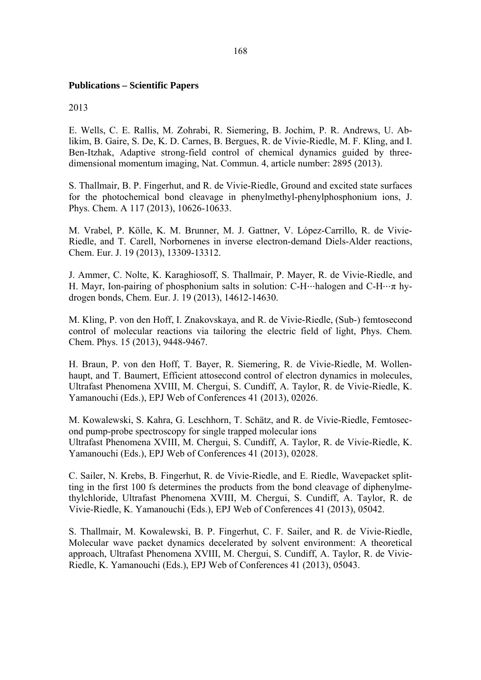## **Publications – Scientific Papers**

2013

E. Wells, C. E. Rallis, M. Zohrabi, R. Siemering, B. Jochim, P. R. Andrews, U. Ablikim, B. Gaire, S. De, K. D. Carnes, B. Bergues, R. de Vivie-Riedle, M. F. Kling, and I. Ben-Itzhak, Adaptive strong-field control of chemical dynamics guided by threedimensional momentum imaging, Nat. Commun. 4, article number: 2895 (2013).

S. Thallmair, B. P. Fingerhut, and R. de Vivie-Riedle, Ground and excited state surfaces for the photochemical bond cleavage in phenylmethyl-phenylphosphonium ions, J. Phys. Chem. A 117 (2013), 10626-10633.

M. Vrabel, P. Kölle, K. M. Brunner, M. J. Gattner, V. López-Carrillo, R. de Vivie-Riedle, and T. Carell, Norbornenes in inverse electron-demand Diels-Alder reactions, Chem. Eur. J. 19 (2013), 13309-13312.

J. Ammer, C. Nolte, K. Karaghiosoff, S. Thallmair, P. Mayer, R. de Vivie-Riedle, and H. Mayr, Ion-pairing of phosphonium salts in solution: C-H⋅⋅⋅halogen and C-H⋅⋅⋅π hydrogen bonds, Chem. Eur. J. 19 (2013), 14612-14630.

M. Kling, P. von den Hoff, I. Znakovskaya, and R. de Vivie-Riedle, (Sub-) femtosecond control of molecular reactions via tailoring the electric field of light, Phys. Chem. Chem. Phys. 15 (2013), 9448-9467.

H. Braun, P. von den Hoff, T. Bayer, R. Siemering, R. de Vivie-Riedle, M. Wollenhaupt, and T. Baumert, Efficient attosecond control of electron dynamics in molecules, Ultrafast Phenomena XVIII, M. Chergui, S. Cundiff, A. Taylor, R. de Vivie-Riedle, K. Yamanouchi (Eds.), EPJ Web of Conferences 41 (2013), 02026.

M. Kowalewski, S. Kahra, G. Leschhorn, T. Schätz, and R. de Vivie-Riedle, Femtosecond pump-probe spectroscopy for single trapped molecular ions Ultrafast Phenomena XVIII, M. Chergui, S. Cundiff, A. Taylor, R. de Vivie-Riedle, K. Yamanouchi (Eds.), EPJ Web of Conferences 41 (2013), 02028.

C. Sailer, N. Krebs, B. Fingerhut, R. de Vivie-Riedle, and E. Riedle, Wavepacket splitting in the first 100 fs determines the products from the bond cleavage of diphenylmethylchloride, Ultrafast Phenomena XVIII, M. Chergui, S. Cundiff, A. Taylor, R. de Vivie-Riedle, K. Yamanouchi (Eds.), EPJ Web of Conferences 41 (2013), 05042.

S. Thallmair, M. Kowalewski, B. P. Fingerhut, C. F. Sailer, and R. de Vivie-Riedle, Molecular wave packet dynamics decelerated by solvent environment: A theoretical approach, Ultrafast Phenomena XVIII, M. Chergui, S. Cundiff, A. Taylor, R. de Vivie-Riedle, K. Yamanouchi (Eds.), EPJ Web of Conferences 41 (2013), 05043.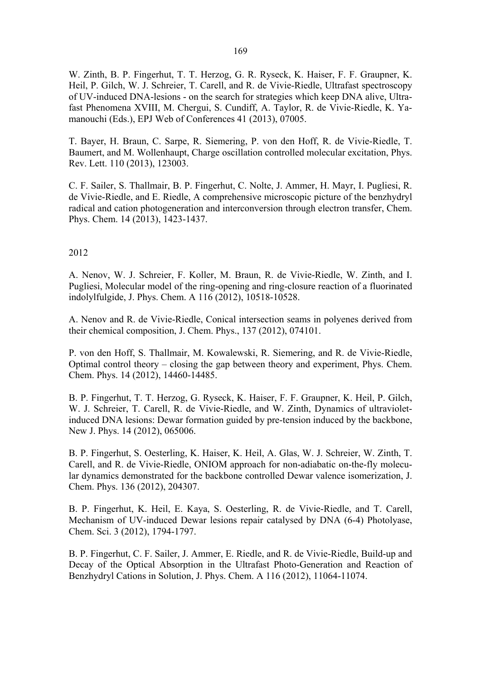W. Zinth, B. P. Fingerhut, T. T. Herzog, G. R. Ryseck, K. Haiser, F. F. Graupner, K. Heil, P. Gilch, W. J. Schreier, T. Carell, and R. de Vivie-Riedle, Ultrafast spectroscopy of UV-induced DNA-lesions - on the search for strategies which keep DNA alive, Ultrafast Phenomena XVIII, M. Chergui, S. Cundiff, A. Taylor, R. de Vivie-Riedle, K. Yamanouchi (Eds.), EPJ Web of Conferences 41 (2013), 07005.

T. Bayer, H. Braun, C. Sarpe, R. Siemering, P. von den Hoff, R. de Vivie-Riedle, T. Baumert, and M. Wollenhaupt, Charge oscillation controlled molecular excitation, Phys. Rev. Lett. 110 (2013), 123003.

C. F. Sailer, S. Thallmair, B. P. Fingerhut, C. Nolte, J. Ammer, H. Mayr, I. Pugliesi, R. de Vivie-Riedle, and E. Riedle, A comprehensive microscopic picture of the benzhydryl radical and cation photogeneration and interconversion through electron transfer, Chem. Phys. Chem. 14 (2013), 1423-1437.

## 2012

A. Nenov, W. J. Schreier, F. Koller, M. Braun, R. de Vivie-Riedle, W. Zinth, and I. Pugliesi, Molecular model of the ring-opening and ring-closure reaction of a fluorinated indolylfulgide, J. Phys. Chem. A 116 (2012), 10518-10528.

A. Nenov and R. de Vivie-Riedle, Conical intersection seams in polyenes derived from their chemical composition, J. Chem. Phys., 137 (2012), 074101.

P. von den Hoff, S. Thallmair, M. Kowalewski, R. Siemering, and R. de Vivie-Riedle, Optimal control theory – closing the gap between theory and experiment, Phys. Chem. Chem. Phys. 14 (2012), 14460-14485.

B. P. Fingerhut, T. T. Herzog, G. Ryseck, K. Haiser, F. F. Graupner, K. Heil, P. Gilch, W. J. Schreier, T. Carell, R. de Vivie-Riedle, and W. Zinth, Dynamics of ultravioletinduced DNA lesions: Dewar formation guided by pre-tension induced by the backbone, New J. Phys. 14 (2012), 065006.

B. P. Fingerhut, S. Oesterling, K. Haiser, K. Heil, A. Glas, W. J. Schreier, W. Zinth, T. Carell, and R. de Vivie-Riedle, ONIOM approach for non-adiabatic on-the-fly molecular dynamics demonstrated for the backbone controlled Dewar valence isomerization, J. Chem. Phys. 136 (2012), 204307.

B. P. Fingerhut, K. Heil, E. Kaya, S. Oesterling, R. de Vivie-Riedle, and T. Carell, Mechanism of UV-induced Dewar lesions repair catalysed by DNA (6-4) Photolyase, Chem. Sci. 3 (2012), 1794-1797.

B. P. Fingerhut, C. F. Sailer, J. Ammer, E. Riedle, and R. de Vivie-Riedle, Build-up and Decay of the Optical Absorption in the Ultrafast Photo-Generation and Reaction of Benzhydryl Cations in Solution, J. Phys. Chem. A 116 (2012), 11064-11074.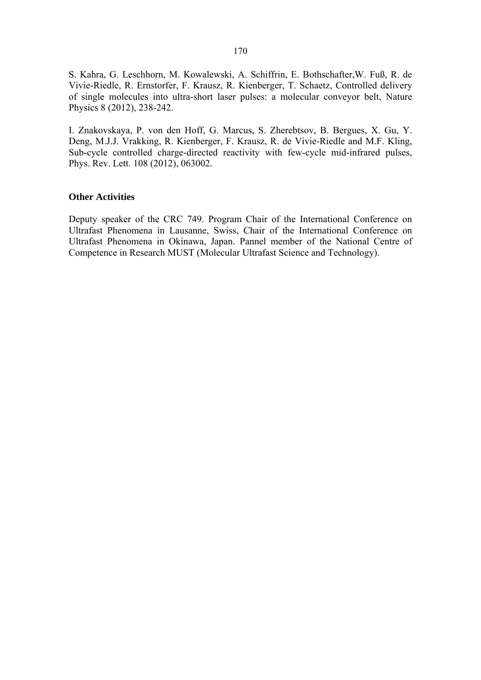S. Kahra, G. Leschhorn, M. Kowalewski, A. Schiffrin, E. Bothschafter,W. Fuß, R. de Vivie-Riedle, R. Ernstorfer, F. Krausz, R. Kienberger, T. Schaetz, Controlled delivery of single molecules into ultra-short laser pulses: a molecular conveyor belt, Nature Physics 8 (2012), 238-242.

I. Znakovskaya, P. von den Hoff, G. Marcus, S. Zherebtsov, B. Bergues, X. Gu, Y. Deng, M.J.J. Vrakking, R. Kienberger, F. Krausz, R. de Vivie-Riedle and M.F. Kling, Sub-cycle controlled charge-directed reactivity with few-cycle mid-infrared pulses, Phys. Rev. Lett. 108 (2012), 063002.

#### **Other Activities**

Deputy speaker of the CRC 749. Program Chair of the International Conference on Ultrafast Phenomena in Lausanne, Swiss, Chair of the International Conference on Ultrafast Phenomena in Okinawa, Japan. Pannel member of the National Centre of Competence in Research MUST (Molecular Ultrafast Science and Technology).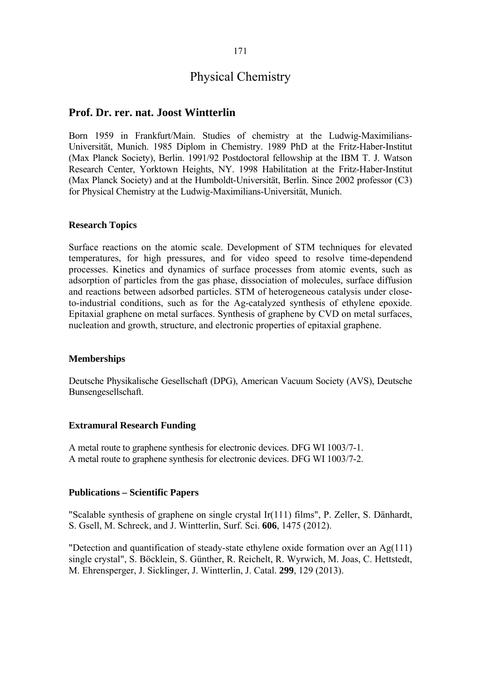## 171

# Physical Chemistry

## **Prof. Dr. rer. nat. Joost Wintterlin**

Born 1959 in Frankfurt/Main. Studies of chemistry at the Ludwig-Maximilians-Universität, Munich. 1985 Diplom in Chemistry. 1989 PhD at the Fritz-Haber-Institut (Max Planck Society), Berlin. 1991/92 Postdoctoral fellowship at the IBM T. J. Watson Research Center, Yorktown Heights, NY. 1998 Habilitation at the Fritz-Haber-Institut (Max Planck Society) and at the Humboldt-Universität, Berlin. Since 2002 professor (C3) for Physical Chemistry at the Ludwig-Maximilians-Universität, Munich.

#### **Research Topics**

Surface reactions on the atomic scale. Development of STM techniques for elevated temperatures, for high pressures, and for video speed to resolve time-dependend processes. Kinetics and dynamics of surface processes from atomic events, such as adsorption of particles from the gas phase, dissociation of molecules, surface diffusion and reactions between adsorbed particles. STM of heterogeneous catalysis under closeto-industrial conditions, such as for the Ag-catalyzed synthesis of ethylene epoxide. Epitaxial graphene on metal surfaces. Synthesis of graphene by CVD on metal surfaces, nucleation and growth, structure, and electronic properties of epitaxial graphene.

#### **Memberships**

Deutsche Physikalische Gesellschaft (DPG), American Vacuum Society (AVS), Deutsche Bunsengesellschaft.

#### **Extramural Research Funding**

A metal route to graphene synthesis for electronic devices. DFG WI 1003/7-1. A metal route to graphene synthesis for electronic devices. DFG WI 1003/7-2.

#### **Publications – Scientific Papers**

"Scalable synthesis of graphene on single crystal Ir(111) films", P. Zeller, S. Dänhardt, S. Gsell, M. Schreck, and J. Wintterlin, Surf. Sci. **606**, 1475 (2012).

"Detection and quantification of steady-state ethylene oxide formation over an Ag(111) single crystal", S. Böcklein, S. Günther, R. Reichelt, R. Wyrwich, M. Joas, C. Hettstedt, M. Ehrensperger, J. Sicklinger, J. Wintterlin, J. Catal. **299**, 129 (2013).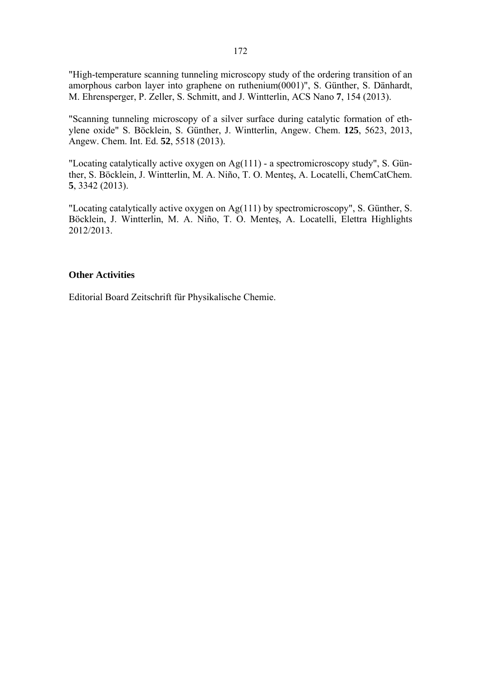"High-temperature scanning tunneling microscopy study of the ordering transition of an amorphous carbon layer into graphene on ruthenium(0001)", S. Günther, S. Dänhardt, M. Ehrensperger, P. Zeller, S. Schmitt, and J. Wintterlin, ACS Nano **7**, 154 (2013).

"Scanning tunneling microscopy of a silver surface during catalytic formation of ethylene oxide" S. Böcklein, S. Günther, J. Wintterlin, Angew. Chem. **125**, 5623, 2013, Angew. Chem. Int. Ed. **52**, 5518 (2013).

"Locating catalytically active oxygen on Ag(111) - a spectromicroscopy study", S. Günther, S. Böcklein, J. Wintterlin, M. A. Niño, T. O. Menteş, A. Locatelli, ChemCatChem. **5**, 3342 (2013).

"Locating catalytically active oxygen on Ag(111) by spectromicroscopy", S. Günther, S. Böcklein, J. Wintterlin, M. A. Niño, T. O. Menteş, A. Locatelli, Elettra Highlights 2012/2013.

## **Other Activities**

Editorial Board Zeitschrift für Physikalische Chemie.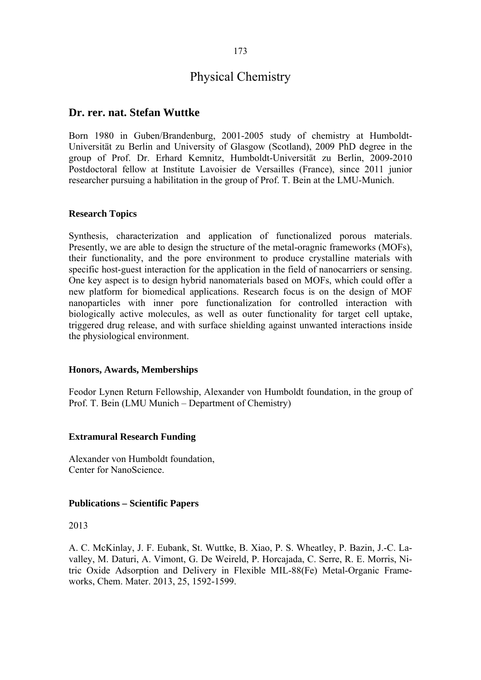# Physical Chemistry

## **Dr. rer. nat. Stefan Wuttke**

Born 1980 in Guben/Brandenburg, 2001-2005 study of chemistry at Humboldt-Universität zu Berlin and University of Glasgow (Scotland), 2009 PhD degree in the group of Prof. Dr. Erhard Kemnitz, Humboldt-Universität zu Berlin, 2009-2010 Postdoctoral fellow at Institute Lavoisier de Versailles (France), since 2011 junior researcher pursuing a habilitation in the group of Prof. T. Bein at the LMU-Munich.

#### **Research Topics**

Synthesis, characterization and application of functionalized porous materials. Presently, we are able to design the structure of the metal-oragnic frameworks (MOFs), their functionality, and the pore environment to produce crystalline materials with specific host-guest interaction for the application in the field of nanocarriers or sensing. One key aspect is to design hybrid nanomaterials based on MOFs, which could offer a new platform for biomedical applications. Research focus is on the design of MOF nanoparticles with inner pore functionalization for controlled interaction with biologically active molecules, as well as outer functionality for target cell uptake, triggered drug release, and with surface shielding against unwanted interactions inside the physiological environment.

#### **Honors, Awards, Memberships**

Feodor Lynen Return Fellowship, Alexander von Humboldt foundation, in the group of Prof. T. Bein (LMU Munich – Department of Chemistry)

## **Extramural Research Funding**

Alexander von Humboldt foundation, Center for NanoScience.

## **Publications – Scientific Papers**

#### 2013

A. C. McKinlay, J. F. Eubank, St. Wuttke, B. Xiao, P. S. Wheatley, P. Bazin, J.-C. Lavalley, M. Daturi, A. Vimont, G. De Weireld, P. Horcajada, C. Serre, R. E. Morris, Nitric Oxide Adsorption and Delivery in Flexible MIL-88(Fe) Metal-Organic Frameworks, Chem. Mater. 2013, 25, 1592-1599.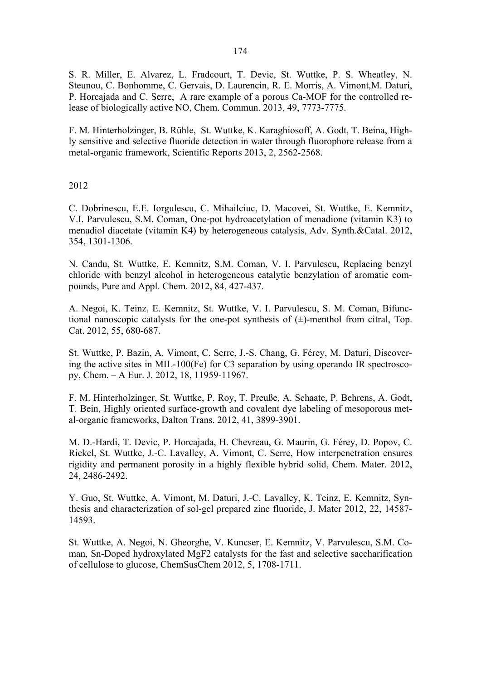S. R. Miller, E. Alvarez, L. Fradcourt, T. Devic, St. Wuttke, P. S. Wheatley, N. Steunou, C. Bonhomme, C. Gervais, D. Laurencin, R. E. Morris, A. Vimont,M. Daturi, P. Horcajada and C. Serre, A rare example of a porous Ca-MOF for the controlled release of biologically active NO, Chem. Commun. 2013, 49, 7773-7775.

F. M. Hinterholzinger, B. Rühle, St. Wuttke, K. Karaghiosoff, A. Godt, T. Beina, Highly sensitive and selective fluoride detection in water through fluorophore release from a metal-organic framework, Scientific Reports 2013, 2, 2562-2568.

2012

C. Dobrinescu, E.E. Iorgulescu, C. Mihailciuc, D. Macovei, St. Wuttke, E. Kemnitz, V.I. Parvulescu, S.M. Coman, One-pot hydroacetylation of menadione (vitamin K3) to menadiol diacetate (vitamin K4) by heterogeneous catalysis, Adv. Synth.&Catal. 2012, 354, 1301-1306.

N. Candu, St. Wuttke, E. Kemnitz, S.M. Coman, V. I. Parvulescu, Replacing benzyl chloride with benzyl alcohol in heterogeneous catalytic benzylation of aromatic compounds, Pure and Appl. Chem. 2012, 84, 427-437.

A. Negoi, K. Teinz, E. Kemnitz, St. Wuttke, V. I. Parvulescu, S. M. Coman, Bifunctional nanoscopic catalysts for the one-pot synthesis of  $(\pm)$ -menthol from citral, Top. Cat. 2012, 55, 680-687.

St. Wuttke, P. Bazin, A. Vimont, C. Serre, J.-S. Chang, G. Férey, M. Daturi, Discovering the active sites in MIL-100(Fe) for C3 separation by using operando IR spectroscopy, Chem. – A Eur. J. 2012, 18, 11959-11967.

F. M. Hinterholzinger, St. Wuttke, P. Roy, T. Preuße, A. Schaate, P. Behrens, A. Godt, T. Bein, Highly oriented surface-growth and covalent dye labeling of mesoporous metal-organic frameworks, Dalton Trans. 2012, 41, 3899-3901.

M. D.-Hardi, T. Devic, P. Horcajada, H. Chevreau, G. Maurin, G. Férey, D. Popov, C. Riekel, St. Wuttke, J.-C. Lavalley, A. Vimont, C. Serre, How interpenetration ensures rigidity and permanent porosity in a highly flexible hybrid solid, Chem. Mater. 2012, 24, 2486-2492.

Y. Guo, St. Wuttke, A. Vimont, M. Daturi, J.-C. Lavalley, K. Teinz, E. Kemnitz, Synthesis and characterization of sol-gel prepared zinc fluoride, J. Mater 2012, 22, 14587- 14593.

St. Wuttke, A. Negoi, N. Gheorghe, V. Kuncser, E. Kemnitz, V. Parvulescu, S.M. Coman, Sn-Doped hydroxylated MgF2 catalysts for the fast and selective saccharification of cellulose to glucose, ChemSusChem 2012, 5, 1708-1711.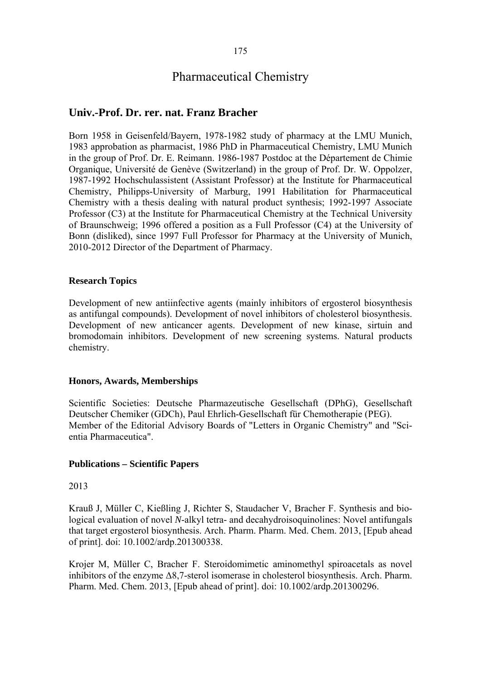# Pharmaceutical Chemistry

## **Univ.-Prof. Dr. rer. nat. Franz Bracher**

Born 1958 in Geisenfeld/Bayern, 1978-1982 study of pharmacy at the LMU Munich, 1983 approbation as pharmacist, 1986 PhD in Pharmaceutical Chemistry, LMU Munich in the group of Prof. Dr. E. Reimann. 1986-1987 Postdoc at the Département de Chimie Organique, Université de Genève (Switzerland) in the group of Prof. Dr. W. Oppolzer, 1987-1992 Hochschulassistent (Assistant Professor) at the Institute for Pharmaceutical Chemistry, Philipps-University of Marburg, 1991 Habilitation for Pharmaceutical Chemistry with a thesis dealing with natural product synthesis; 1992-1997 Associate Professor (C3) at the Institute for Pharmaceutical Chemistry at the Technical University of Braunschweig; 1996 offered a position as a Full Professor (C4) at the University of Bonn (disliked), since 1997 Full Professor for Pharmacy at the University of Munich, 2010-2012 Director of the Department of Pharmacy.

## **Research Topics**

Development of new antiinfective agents (mainly inhibitors of ergosterol biosynthesis as antifungal compounds). Development of novel inhibitors of cholesterol biosynthesis. Development of new anticancer agents. Development of new kinase, sirtuin and bromodomain inhibitors. Development of new screening systems. Natural products chemistry.

## **Honors, Awards, Memberships**

Scientific Societies: Deutsche Pharmazeutische Gesellschaft (DPhG), Gesellschaft Deutscher Chemiker (GDCh), Paul Ehrlich-Gesellschaft für Chemotherapie (PEG). Member of the Editorial Advisory Boards of "Letters in Organic Chemistry" and "Scientia Pharmaceutica".

## **Publications – Scientific Papers**

## 2013

Krauß J, Müller C, Kießling J, Richter S, Staudacher V, Bracher F. Synthesis and biological evaluation of novel *N*-alkyl tetra- and decahydroisoquinolines: Novel antifungals that target ergosterol biosynthesis. Arch. Pharm. Pharm. Med. Chem. 2013, [Epub ahead of print]. doi: 10.1002/ardp.201300338.

Krojer M, Müller C, Bracher F. Steroidomimetic aminomethyl spiroacetals as novel inhibitors of the enzyme  $\Delta 8$ ,7-sterol isomerase in cholesterol biosynthesis. Arch. Pharm. Pharm. Med. Chem. 2013, [Epub ahead of print]. doi: 10.1002/ardp.201300296.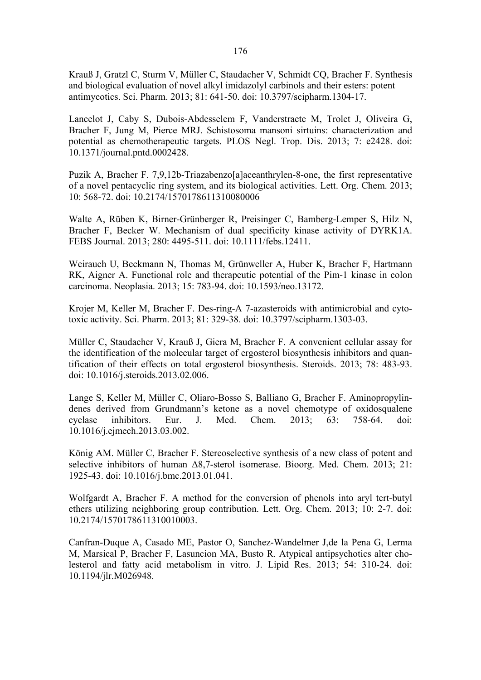Krauß J, Gratzl C, Sturm V, Müller C, Staudacher V, Schmidt CQ, Bracher F. Synthesis and biological evaluation of novel alkyl imidazolyl carbinols and their esters: potent antimycotics. Sci. Pharm. 2013; 81: 641-50. doi: 10.3797/scipharm.1304-17.

Lancelot J, Caby S, Dubois-Abdesselem F, Vanderstraete M, Trolet J, Oliveira G, Bracher F, Jung M, Pierce MRJ. Schistosoma mansoni sirtuins: characterization and potential as chemotherapeutic targets. PLOS Negl. Trop. Dis. 2013; 7: e2428. doi: 10.1371/journal.pntd.0002428.

Puzik A, Bracher F. 7,9,12b-Triazabenzo[a]aceanthrylen-8-one, the first representative of a novel pentacyclic ring system, and its biological activities. Lett. Org. Chem. 2013; 10: 568-72. doi: 10.2174/1570178611310080006

Walte A, Rüben K, Birner-Grünberger R, Preisinger C, Bamberg-Lemper S, Hilz N, Bracher F, Becker W. Mechanism of dual specificity kinase activity of DYRK1A. FEBS Journal. 2013; 280: 4495-511. doi: 10.1111/febs.12411.

Weirauch U, Beckmann N, Thomas M, Grünweller A, Huber K, Bracher F, Hartmann RK, Aigner A. Functional role and therapeutic potential of the Pim-1 kinase in colon carcinoma. Neoplasia. 2013; 15: 783-94. doi: 10.1593/neo.13172.

Krojer M, Keller M, Bracher F. Des-ring-A 7-azasteroids with antimicrobial and cytotoxic activity. Sci. Pharm. 2013; 81: 329-38. doi: 10.3797/scipharm.1303-03.

Müller C, Staudacher V, Krauß J, Giera M, Bracher F. A convenient cellular assay for the identification of the molecular target of ergosterol biosynthesis inhibitors and quantification of their effects on total ergosterol biosynthesis. Steroids. 2013; 78: 483-93. doi: 10.1016/j.steroids.2013.02.006.

Lange S, Keller M, Müller C, Oliaro-Bosso S, Balliano G, Bracher F. Aminopropylindenes derived from Grundmann's ketone as a novel chemotype of oxidosqualene cyclase inhibitors. Eur. J. Med. Chem. 2013; 63: 758-64. doi: 10.1016/j.ejmech.2013.03.002.

König AM. Müller C, Bracher F. Stereoselective synthesis of a new class of potent and selective inhibitors of human Δ8,7-sterol isomerase. Bioorg. Med. Chem. 2013; 21: 1925-43. doi: 10.1016/j.bmc.2013.01.041.

Wolfgardt A, Bracher F. A method for the conversion of phenols into aryl tert-butyl ethers utilizing neighboring group contribution. Lett. Org. Chem. 2013; 10: 2-7. doi: 10.2174/1570178611310010003.

Canfran-Duque A, Casado ME, Pastor O, Sanchez-Wandelmer J,de la Pena G, Lerma M, Marsical P, Bracher F, Lasuncion MA, Busto R. Atypical antipsychotics alter cholesterol and fatty acid metabolism in vitro. J. Lipid Res. 2013; 54: 310-24. doi: 10.1194/jlr.M026948.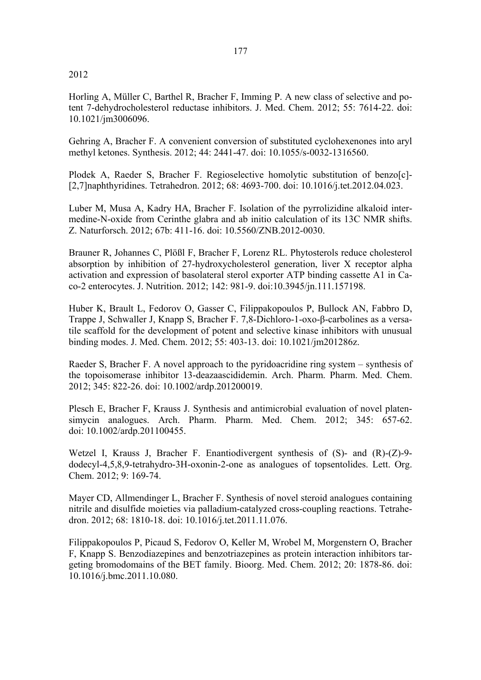#### 2012

Horling A, Müller C, Barthel R, Bracher F, Imming P. A new class of selective and potent 7-dehydrocholesterol reductase inhibitors. J. Med. Chem. 2012; 55: 7614-22. doi: 10.1021/jm3006096.

Gehring A, Bracher F. A convenient conversion of substituted cyclohexenones into aryl methyl ketones. Synthesis. 2012; 44: 2441-47. doi: 10.1055/s-0032-1316560.

Plodek A, Raeder S, Bracher F. Regioselective homolytic substitution of benzo[c]- [2,7]naphthyridines. Tetrahedron. 2012; 68: 4693-700. doi: 10.1016/j.tet.2012.04.023.

Luber M, Musa A, Kadry HA, Bracher F. Isolation of the pyrrolizidine alkaloid intermedine-N-oxide from Cerinthe glabra and ab initio calculation of its 13C NMR shifts. Z. Naturforsch. 2012; 67b: 411-16. doi: 10.5560/ZNB.2012-0030.

Brauner R, Johannes C, Plößl F, Bracher F, Lorenz RL. Phytosterols reduce cholesterol absorption by inhibition of 27-hydroxycholesterol generation, liver X receptor alpha activation and expression of basolateral sterol exporter ATP binding cassette A1 in Caco-2 enterocytes. J. Nutrition. 2012; 142: 981-9. doi:10.3945/jn.111.157198.

Huber K, Brault L, Fedorov O, Gasser C, Filippakopoulos P, Bullock AN, Fabbro D, Trappe J, Schwaller J, Knapp S, Bracher F. 7,8-Dichloro-1-oxo-β-carbolines as a versatile scaffold for the development of potent and selective kinase inhibitors with unusual binding modes. J. Med. Chem. 2012; 55: 403-13. doi: 10.1021/jm201286z.

Raeder S, Bracher F. A novel approach to the pyridoacridine ring system – synthesis of the topoisomerase inhibitor 13-deazaascididemin. Arch. Pharm. Pharm. Med. Chem. 2012; 345: 822-26. doi: 10.1002/ardp.201200019.

Plesch E, Bracher F, Krauss J. Synthesis and antimicrobial evaluation of novel platensimycin analogues. Arch. Pharm. Pharm. Med. Chem. 2012; 345: 657-62. doi: 10.1002/ardp.201100455.

Wetzel I, Krauss J, Bracher F. Enantiodivergent synthesis of (S)- and (R)-(Z)-9 dodecyl-4,5,8,9-tetrahydro-3H-oxonin-2-one as analogues of topsentolides. Lett. Org. Chem. 2012; 9: 169-74.

Mayer CD, Allmendinger L, Bracher F. Synthesis of novel steroid analogues containing nitrile and disulfide moieties via palladium-catalyzed cross-coupling reactions. Tetrahedron. 2012; 68: 1810-18. doi: 10.1016/j.tet.2011.11.076.

Filippakopoulos P, Picaud S, Fedorov O, Keller M, Wrobel M, Morgenstern O, Bracher F, Knapp S. Benzodiazepines and benzotriazepines as protein interaction inhibitors targeting bromodomains of the BET family. Bioorg. Med. Chem. 2012; 20: 1878-86. doi: 10.1016/j.bmc.2011.10.080.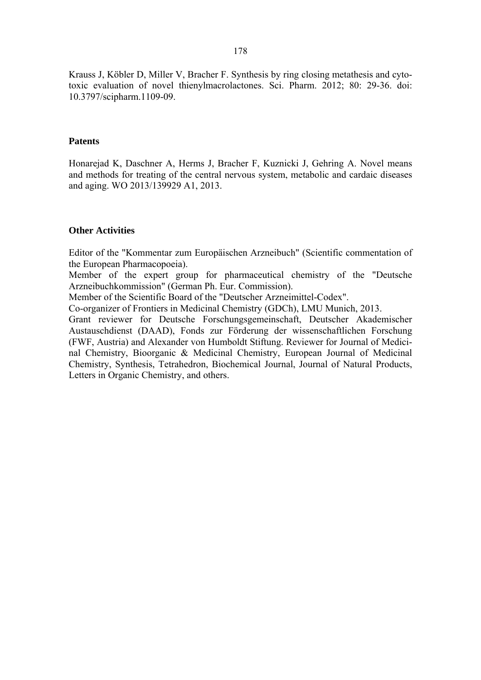Krauss J, Köbler D, Miller V, Bracher F. Synthesis by ring closing metathesis and cytotoxic evaluation of novel thienylmacrolactones. Sci. Pharm. 2012; 80: 29-36. doi: 10.3797/scipharm.1109-09.

#### **Patents**

Honarejad K, Daschner A, Herms J, Bracher F, Kuznicki J, Gehring A. Novel means and methods for treating of the central nervous system, metabolic and cardaic diseases and aging. WO 2013/139929 A1, 2013.

#### **Other Activities**

Editor of the "Kommentar zum Europäischen Arzneibuch" (Scientific commentation of the European Pharmacopoeia).

Member of the expert group for pharmaceutical chemistry of the "Deutsche Arzneibuchkommission" (German Ph. Eur. Commission).

Member of the Scientific Board of the "Deutscher Arzneimittel-Codex".

Co-organizer of Frontiers in Medicinal Chemistry (GDCh), LMU Munich, 2013.

Grant reviewer for Deutsche Forschungsgemeinschaft, Deutscher Akademischer Austauschdienst (DAAD), Fonds zur Förderung der wissenschaftlichen Forschung (FWF, Austria) and Alexander von Humboldt Stiftung. Reviewer for Journal of Medicinal Chemistry, Bioorganic & Medicinal Chemistry, European Journal of Medicinal Chemistry, Synthesis, Tetrahedron, Biochemical Journal, Journal of Natural Products, Letters in Organic Chemistry, and others.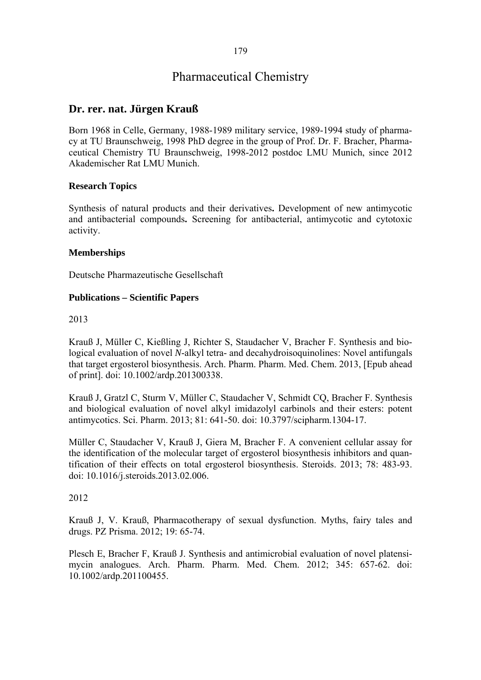# Pharmaceutical Chemistry

## **Dr. rer. nat. Jürgen Krauß**

Born 1968 in Celle, Germany, 1988-1989 military service, 1989-1994 study of pharmacy at TU Braunschweig, 1998 PhD degree in the group of Prof. Dr. F. Bracher, Pharmaceutical Chemistry TU Braunschweig, 1998-2012 postdoc LMU Munich, since 2012 Akademischer Rat LMU Munich.

## **Research Topics**

Synthesis of natural products and their derivatives**.** Development of new antimycotic and antibacterial compounds**.** Screening for antibacterial, antimycotic and cytotoxic activity.

## **Memberships**

Deutsche Pharmazeutische Gesellschaft

## **Publications – Scientific Papers**

2013

Krauß J, Müller C, Kießling J, Richter S, Staudacher V, Bracher F. Synthesis and biological evaluation of novel *N*-alkyl tetra- and decahydroisoquinolines: Novel antifungals that target ergosterol biosynthesis. Arch. Pharm. Pharm. Med. Chem. 2013, [Epub ahead of print]. doi: 10.1002/ardp.201300338.

Krauß J, Gratzl C, Sturm V, Müller C, Staudacher V, Schmidt CQ, Bracher F. Synthesis and biological evaluation of novel alkyl imidazolyl carbinols and their esters: potent antimycotics. Sci. Pharm. 2013; 81: 641-50. doi: 10.3797/scipharm.1304-17.

Müller C, Staudacher V, Krauß J, Giera M, Bracher F. A convenient cellular assay for the identification of the molecular target of ergosterol biosynthesis inhibitors and quantification of their effects on total ergosterol biosynthesis. Steroids. 2013; 78: 483-93. doi: 10.1016/j.steroids.2013.02.006.

## 2012

Krauß J, V. Krauß, Pharmacotherapy of sexual dysfunction. Myths, fairy tales and drugs. PZ Prisma. 2012; 19: 65-74.

Plesch E, Bracher F, Krauß J. Synthesis and antimicrobial evaluation of novel platensimycin analogues. Arch. Pharm. Pharm. Med. Chem. 2012; 345: 657-62. doi: 10.1002/ardp.201100455.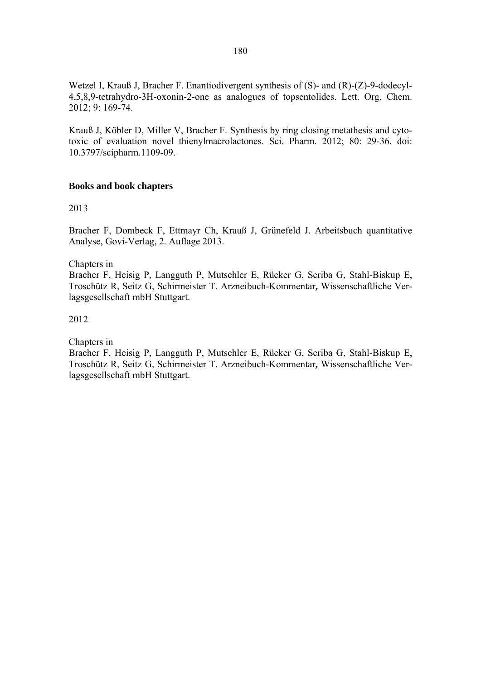Wetzel I, Krauß J, Bracher F. Enantiodivergent synthesis of (S)- and (R)-(Z)-9-dodecyl-4,5,8,9-tetrahydro-3H-oxonin-2-one as analogues of topsentolides. Lett. Org. Chem. 2012; 9: 169-74.

Krauß J, Köbler D, Miller V, Bracher F. Synthesis by ring closing metathesis and cytotoxic of evaluation novel thienylmacrolactones. Sci. Pharm. 2012; 80: 29-36. doi: 10.3797/scipharm.1109-09.

## **Books and book chapters**

2013

Bracher F, Dombeck F, Ettmayr Ch, Krauß J, Grünefeld J. Arbeitsbuch quantitative Analyse, Govi-Verlag, 2. Auflage 2013.

Chapters in

Bracher F, Heisig P, Langguth P, Mutschler E, Rücker G, Scriba G, Stahl-Biskup E, Troschütz R, Seitz G, Schirmeister T. Arzneibuch-Kommentar**,** Wissenschaftliche Verlagsgesellschaft mbH Stuttgart.

2012

Chapters in

Bracher F, Heisig P, Langguth P, Mutschler E, Rücker G, Scriba G, Stahl-Biskup E, Troschütz R, Seitz G, Schirmeister T. Arzneibuch-Kommentar**,** Wissenschaftliche Verlagsgesellschaft mbH Stuttgart.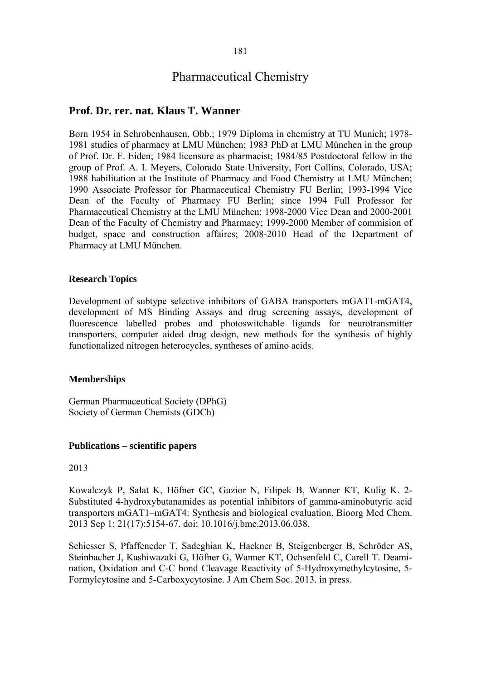## Pharmaceutical Chemistry

## **Prof. Dr. rer. nat. Klaus T. Wanner**

Born 1954 in Schrobenhausen, Obb.; 1979 Diploma in chemistry at TU Munich; 1978- 1981 studies of pharmacy at LMU München; 1983 PhD at LMU München in the group of Prof. Dr. F. Eiden; 1984 licensure as pharmacist; 1984/85 Postdoctoral fellow in the group of Prof. A. I. Meyers, Colorado State University, Fort Collins, Colorado, USA; 1988 habilitation at the Institute of Pharmacy and Food Chemistry at LMU München; 1990 Associate Professor for Pharmaceutical Chemistry FU Berlin; 1993-1994 Vice Dean of the Faculty of Pharmacy FU Berlin; since 1994 Full Professor for Pharmaceutical Chemistry at the LMU München; 1998-2000 Vice Dean and 2000-2001 Dean of the Faculty of Chemistry and Pharmacy; 1999-2000 Member of commision of budget, space and construction affaires; 2008-2010 Head of the Department of Pharmacy at LMU München.

#### **Research Topics**

Development of subtype selective inhibitors of GABA transporters mGAT1-mGAT4, development of MS Binding Assays and drug screening assays, development of fluorescence labelled probes and photoswitchable ligands for neurotransmitter transporters, computer aided drug design, new methods for the synthesis of highly functionalized nitrogen heterocycles, syntheses of amino acids.

#### **Memberships**

German Pharmaceutical Society (DPhG) Society of German Chemists (GDCh)

#### **Publications – scientific papers**

#### 2013

Kowalczyk P, Sałat K, Höfner GC, Guzior N, Filipek B, Wanner KT, Kulig K. 2- Substituted 4-hydroxybutanamides as potential inhibitors of gamma-aminobutyric acid transporters mGAT1–mGAT4: Synthesis and biological evaluation. Bioorg Med Chem. 2013 Sep 1; 21(17):5154-67. doi: 10.1016/j.bmc.2013.06.038.

Schiesser S, Pfaffeneder T, Sadeghian K, Hackner B, Steigenberger B, Schröder AS, Steinbacher J, Kashiwazaki G, Höfner G, Wanner KT, Ochsenfeld C, Carell T. Deamination, Oxidation and C-C bond Cleavage Reactivity of 5-Hydroxymethylcytosine, 5- Formylcytosine and 5-Carboxycytosine. J Am Chem Soc. 2013. in press.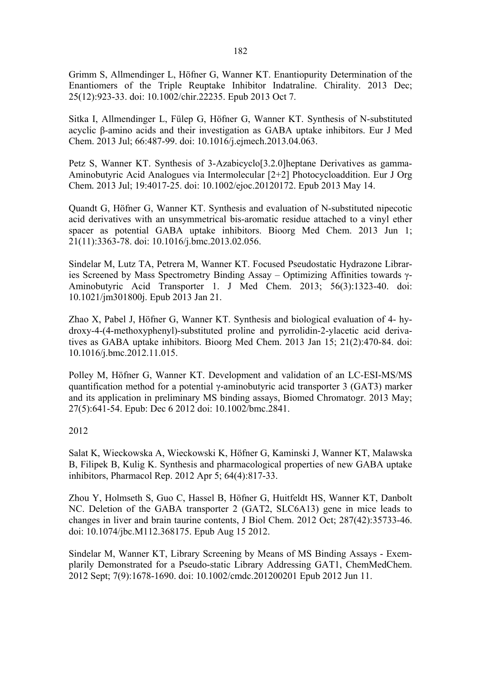Grimm S, Allmendinger L, Höfner G, Wanner KT. Enantiopurity Determination of the Enantiomers of the Triple Reuptake Inhibitor Indatraline. Chirality. 2013 Dec; 25(12):923-33. doi: 10.1002/chir.22235. Epub 2013 Oct 7.

Sitka I, Allmendinger L, Fülep G, Höfner G, Wanner KT. Synthesis of N-substituted acyclic β-amino acids and their investigation as GABA uptake inhibitors. Eur J Med Chem. 2013 Jul; 66:487-99. doi: 10.1016/j.ejmech.2013.04.063.

Petz S, Wanner KT. Synthesis of 3-Azabicyclo[3.2.0]heptane Derivatives as gamma-Aminobutyric Acid Analogues via Intermolecular [2+2] Photocycloaddition. Eur J Org Chem*.* 2013 Jul; 19:4017-25. doi: 10.1002/ejoc.20120172. Epub 2013 May 14.

Quandt G, Höfner G, Wanner KT. Synthesis and evaluation of N-substituted nipecotic acid derivatives with an unsymmetrical bis-aromatic residue attached to a vinyl ether spacer as potential GABA uptake inhibitors. Bioorg Med Chem. 2013 Jun 1; 21(11):3363-78. doi: 10.1016/j.bmc.2013.02.056.

Sindelar M, Lutz TA, Petrera M, Wanner KT. Focused Pseudostatic Hydrazone Libraries Screened by Mass Spectrometry Binding Assay – Optimizing Affinities towards γ-Aminobutyric Acid Transporter 1. J Med Chem. 2013; 56(3):1323-40. doi: 10.1021/jm301800j. Epub 2013 Jan 21.

Zhao X, Pabel J, Höfner G, Wanner KT. Synthesis and biological evaluation of 4- hydroxy-4-(4-methoxyphenyl)-substituted proline and pyrrolidin-2-ylacetic acid derivatives as GABA uptake inhibitors. Bioorg Med Chem. 2013 Jan 15; 21(2):470-84. doi: 10.1016/j.bmc.2012.11.015.

Polley M, Höfner G, Wanner KT. Development and validation of an LC-ESI-MS/MS quantification method for a potential γ-aminobutyric acid transporter 3 (GAT3) marker and its application in preliminary MS binding assays, Biomed Chromatogr. 2013 May; 27(5):641-54. Epub: Dec 6 2012 doi: 10.1002/bmc.2841.

## 2012

Salat K, Wieckowska A, Wieckowski K, Höfner G, Kaminski J, Wanner KT, Malawska B, Filipek B, Kulig K. Synthesis and pharmacological properties of new GABA uptake inhibitors, Pharmacol Rep. 2012 Apr 5; 64(4):817-33.

Zhou Y, Holmseth S, Guo C, Hassel B, Höfner G, Huitfeldt HS, Wanner KT, Danbolt NC. Deletion of the GABA transporter 2 (GAT2, SLC6A13) gene in mice leads to changes in liver and brain taurine contents, J Biol Chem. 2012 Oct; 287(42):35733-46. doi: 10.1074/jbc.M112.368175. Epub Aug 15 2012.

Sindelar M, Wanner KT, Library Screening by Means of MS Binding Assays - Exemplarily Demonstrated for a Pseudo-static Library Addressing GAT1, ChemMedChem. 2012 Sept; 7(9):1678-1690. doi: 10.1002/cmdc.201200201 Epub 2012 Jun 11.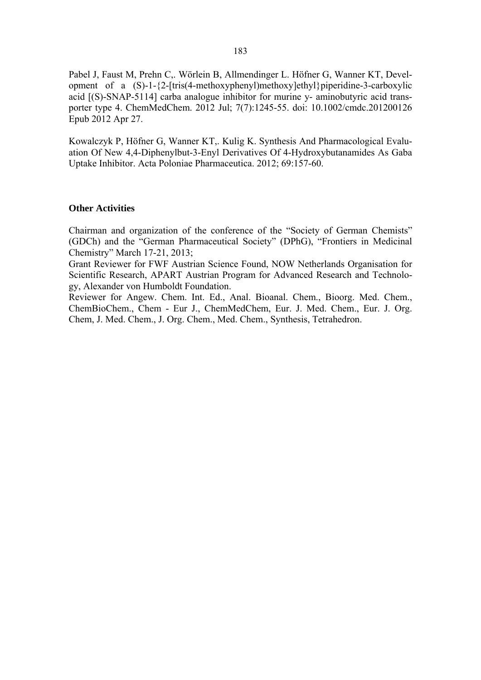Pabel J, Faust M, Prehn C,. Wörlein B, Allmendinger L. Höfner G, Wanner KT, Development of a  $(S)-1-\{2-[tris(4-methoxyphenyl)methoxy]ethyl\}\$ piperidine-3-carboxylic acid [(S)-SNAP-5114] carba analogue inhibitor for murine y- aminobutyric acid transporter type 4. ChemMedChem. 2012 Jul; 7(7):1245-55. doi: 10.1002/cmdc.201200126 Epub 2012 Apr 27.

Kowalczyk P, Höfner G, Wanner KT,. Kulig K. Synthesis And Pharmacological Evaluation Of New 4,4-Diphenylbut-3-Enyl Derivatives Of 4-Hydroxybutanamides As Gaba Uptake Inhibitor. Acta Poloniae Pharmaceutica. 2012; 69:157-60.

#### **Other Activities**

Chairman and organization of the conference of the "Society of German Chemists" (GDCh) and the "German Pharmaceutical Society" (DPhG), "Frontiers in Medicinal Chemistry" March 17-21, 2013;

Grant Reviewer for FWF Austrian Science Found, NOW Netherlands Organisation for Scientific Research, APART Austrian Program for Advanced Research and Technology, Alexander von Humboldt Foundation.

Reviewer for Angew. Chem. Int. Ed., Anal. Bioanal. Chem., Bioorg. Med. Chem., ChemBioChem., Chem - Eur J., ChemMedChem, Eur. J. Med. Chem., Eur. J. Org. Chem, J. Med. Chem., J. Org. Chem., Med. Chem., Synthesis, Tetrahedron.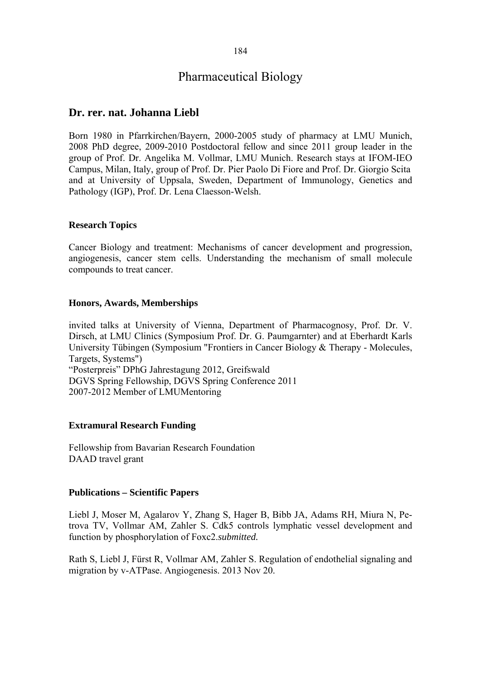# Pharmaceutical Biology

## **Dr. rer. nat. Johanna Liebl**

Born 1980 in Pfarrkirchen/Bayern, 2000-2005 study of pharmacy at LMU Munich, 2008 PhD degree, 2009-2010 Postdoctoral fellow and since 2011 group leader in the group of Prof. Dr. Angelika M. Vollmar, LMU Munich. Research stays at IFOM-IEO Campus, Milan, Italy, group of Prof. Dr. Pier Paolo Di Fiore and Prof. Dr. Giorgio Scita and at University of Uppsala, Sweden, Department of Immunology, Genetics and Pathology (IGP), Prof. Dr. Lena Claesson-Welsh.

## **Research Topics**

Cancer Biology and treatment: Mechanisms of cancer development and progression, angiogenesis, cancer stem cells. Understanding the mechanism of small molecule compounds to treat cancer.

## **Honors, Awards, Memberships**

invited talks at University of Vienna, Department of Pharmacognosy, Prof. Dr. V. Dirsch, at LMU Clinics (Symposium Prof. Dr. G. Paumgarnter) and at Eberhardt Karls University Tübingen (Symposium "Frontiers in Cancer Biology & Therapy - Molecules, Targets, Systems") "Posterpreis" DPhG Jahrestagung 2012, Greifswald DGVS Spring Fellowship, DGVS Spring Conference 2011

2007-2012 Member of LMUMentoring

## **Extramural Research Funding**

Fellowship from Bavarian Research Foundation DAAD travel grant

## **Publications – Scientific Papers**

Liebl J, Moser M, Agalarov Y, Zhang S, Hager B, Bibb JA, Adams RH, Miura N, Petrova TV, Vollmar AM, Zahler S. Cdk5 controls lymphatic vessel development and function by phosphorylation of Foxc2.*submitted.*

Rath S, Liebl J, Fürst R, Vollmar AM, Zahler S. Regulation of endothelial signaling and migration by v-ATPase. Angiogenesis. 2013 Nov 20.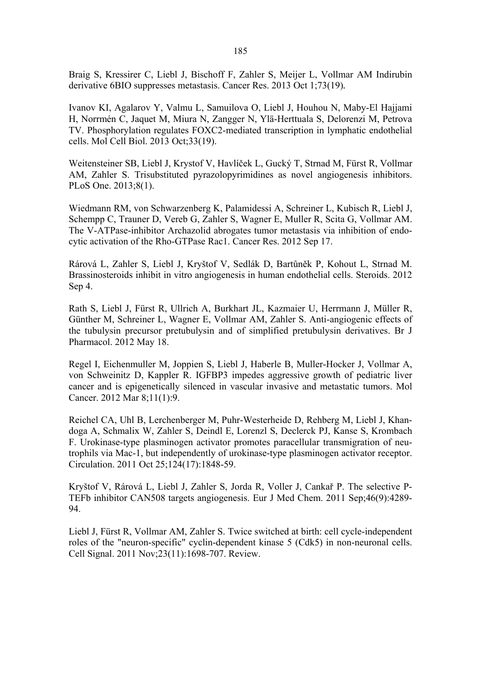Braig S, Kressirer C, Liebl J, Bischoff F, Zahler S, Meijer L, Vollmar AM Indirubin derivative 6BIO suppresses metastasis. Cancer Res. 2013 Oct 1;73(19)*.* 

Ivanov KI, Agalarov Y, Valmu L, Samuilova O, Liebl J, Houhou N, Maby-El Hajjami H, Norrmén C, Jaquet M, Miura N, Zangger N, Ylä-Herttuala S, Delorenzi M, Petrova TV. Phosphorylation regulates FOXC2-mediated transcription in lymphatic endothelial cells. Mol Cell Biol. 2013 Oct;33(19).

Weitensteiner SB, Liebl J, Krystof V, Havlíček L, Gucký T, Strnad M, Fürst R, Vollmar AM, Zahler S. Trisubstituted pyrazolopyrimidines as novel angiogenesis inhibitors. PLoS One. 2013;8(1).

Wiedmann RM, von Schwarzenberg K, Palamidessi A, Schreiner L, Kubisch R, Liebl J, Schempp C, Trauner D, Vereb G, Zahler S, Wagner E, Muller R, Scita G, Vollmar AM. The V-ATPase-inhibitor Archazolid abrogates tumor metastasis via inhibition of endocytic activation of the Rho-GTPase Rac1. Cancer Res. 2012 Sep 17.

Rárová L, Zahler S, Liebl J, Kryštof V, Sedlák D, Bartůněk P, Kohout L, Strnad M. Brassinosteroids inhibit in vitro angiogenesis in human endothelial cells. Steroids. 2012 Sep 4.

Rath S, Liebl J, Fürst R, Ullrich A, Burkhart JL, Kazmaier U, Herrmann J, Müller R, Günther M, Schreiner L, Wagner E, Vollmar AM, Zahler S. Anti-angiogenic effects of the tubulysin precursor pretubulysin and of simplified pretubulysin derivatives. Br J Pharmacol. 2012 May 18.

Regel I, Eichenmuller M, Joppien S, Liebl J, Haberle B, Muller-Hocker J, Vollmar A, von Schweinitz D, Kappler R. IGFBP3 impedes aggressive growth of pediatric liver cancer and is epigenetically silenced in vascular invasive and metastatic tumors. Mol Cancer. 2012 Mar 8;11(1):9.

Reichel CA, Uhl B, Lerchenberger M, Puhr-Westerheide D, Rehberg M, Liebl J, Khandoga A, Schmalix W, Zahler S, Deindl E, Lorenzl S, Declerck PJ, Kanse S, Krombach F. Urokinase-type plasminogen activator promotes paracellular transmigration of neutrophils via Mac-1, but independently of urokinase-type plasminogen activator receptor. Circulation. 2011 Oct 25;124(17):1848-59.

Kryštof V, Rárová L, Liebl J, Zahler S, Jorda R, Voller J, Cankař P. The selective P-TEFb inhibitor CAN508 targets angiogenesis. Eur J Med Chem. 2011 Sep;46(9):4289- 94.

Liebl J, Fürst R, Vollmar AM, Zahler S. Twice switched at birth: cell cycle-independent roles of the "neuron-specific" cyclin-dependent kinase 5 (Cdk5) in non-neuronal cells. Cell Signal. 2011 Nov;23(11):1698-707. Review.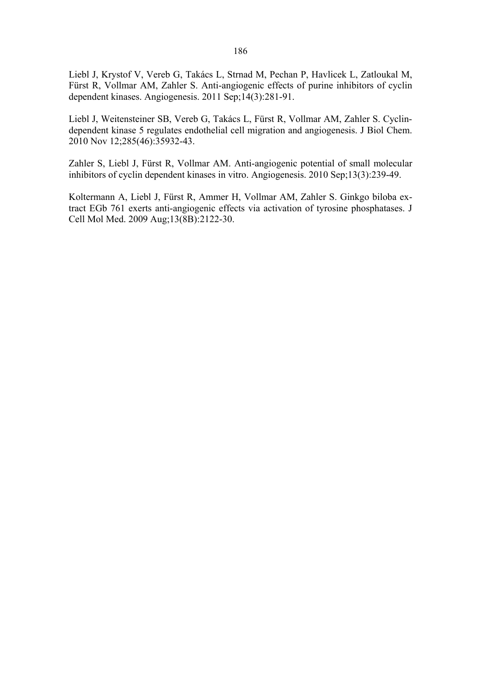Liebl J, Krystof V, Vereb G, Takács L, Strnad M, Pechan P, Havlicek L, Zatloukal M, Fürst R, Vollmar AM, Zahler S. Anti-angiogenic effects of purine inhibitors of cyclin dependent kinases. Angiogenesis. 2011 Sep;14(3):281-91.

Liebl J, Weitensteiner SB, Vereb G, Takács L, Fürst R, Vollmar AM, Zahler S. Cyclindependent kinase 5 regulates endothelial cell migration and angiogenesis. J Biol Chem. 2010 Nov 12;285(46):35932-43.

Zahler S, Liebl J, Fürst R, Vollmar AM. Anti-angiogenic potential of small molecular inhibitors of cyclin dependent kinases in vitro. Angiogenesis. 2010 Sep;13(3):239-49.

Koltermann A, Liebl J, Fürst R, Ammer H, Vollmar AM, Zahler S. Ginkgo biloba extract EGb 761 exerts anti-angiogenic effects via activation of tyrosine phosphatases. J Cell Mol Med. 2009 Aug;13(8B):2122-30.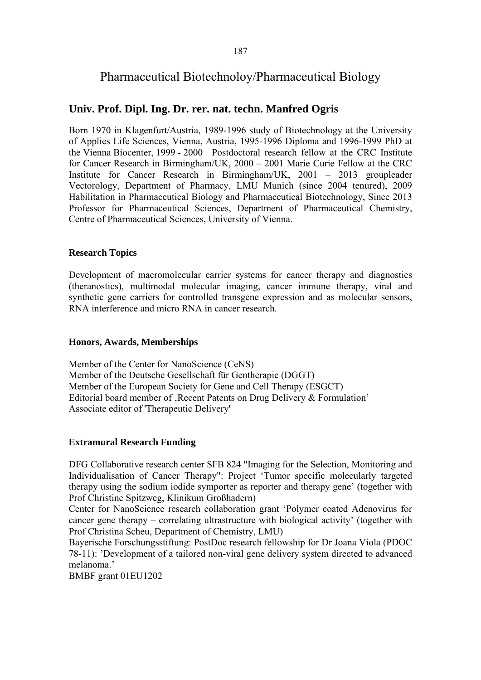# Pharmaceutical Biotechnoloy/Pharmaceutical Biology

## **Univ. Prof. Dipl. Ing. Dr. rer. nat. techn. Manfred Ogris**

Born 1970 in Klagenfurt/Austria, 1989-1996 study of Biotechnology at the University of Applies Life Sciences, Vienna, Austria, 1995-1996 Diploma and 1996-1999 PhD at the Vienna Biocenter, 1999 - 2000 Postdoctoral research fellow at the CRC Institute for Cancer Research in Birmingham/UK, 2000 – 2001 Marie Curie Fellow at the CRC Institute for Cancer Research in Birmingham/UK, 2001 – 2013 groupleader Vectorology, Department of Pharmacy, LMU Munich (since 2004 tenured), 2009 Habilitation in Pharmaceutical Biology and Pharmaceutical Biotechnology, Since 2013 Professor for Pharmaceutical Sciences, Department of Pharmaceutical Chemistry, Centre of Pharmaceutical Sciences, University of Vienna.

## **Research Topics**

Development of macromolecular carrier systems for cancer therapy and diagnostics (theranostics), multimodal molecular imaging, cancer immune therapy, viral and synthetic gene carriers for controlled transgene expression and as molecular sensors, RNA interference and micro RNA in cancer research.

## **Honors, Awards, Memberships**

Member of the Center for NanoScience (CeNS) Member of the Deutsche Gesellschaft für Gentherapie (DGGT) Member of the European Society for Gene and Cell Therapy (ESGCT) Editorial board member of , Recent Patents on Drug Delivery & Formulation' Associate editor of 'Therapeutic Delivery'

## **Extramural Research Funding**

DFG Collaborative research center SFB 824 "Imaging for the Selection, Monitoring and Individualisation of Cancer Therapy": Project 'Tumor specific molecularly targeted therapy using the sodium iodide symporter as reporter and therapy gene' (together with Prof Christine Spitzweg, Klinikum Großhadern)

Center for NanoScience research collaboration grant 'Polymer coated Adenovirus for cancer gene therapy – correlating ultrastructure with biological activity' (together with Prof Christina Scheu, Department of Chemistry, LMU)

Bayerische Forschungsstiftung: PostDoc research fellowship for Dr Joana Viola (PDOC 78-11): 'Development of a tailored non-viral gene delivery system directed to advanced melanoma.'

BMBF grant 01EU1202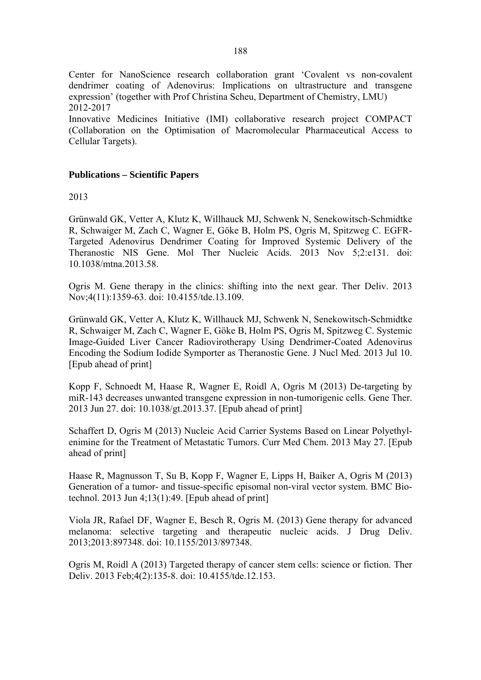Center for NanoScience research collaboration grant 'Covalent vs non-covalent dendrimer coating of Adenovirus: Implications on ultrastructure and transgene expression' (together with Prof Christina Scheu, Department of Chemistry, LMU) 2012-2017

Innovative Medicines Initiative (IMI) collaborative research project COMPACT (Collaboration on the Optimisation of Macromolecular Pharmaceutical Access to Cellular Targets).

## **Publications – Scientific Papers**

2013

Grünwald GK, Vetter A, Klutz K, Willhauck MJ, Schwenk N, Senekowitsch-Schmidtke R, Schwaiger M, Zach C, Wagner E, Göke B, Holm PS, Ogris M, Spitzweg C. EGFR-Targeted Adenovirus Dendrimer Coating for Improved Systemic Delivery of the Theranostic NIS Gene. Mol Ther Nucleic Acids. 2013 Nov 5;2:e131. doi: 10.1038/mtna.2013.58.

Ogris M. Gene therapy in the clinics: shifting into the next gear. Ther Deliv. 2013 Nov;4(11):1359-63. doi: 10.4155/tde.13.109.

Grünwald GK, Vetter A, Klutz K, Willhauck MJ, Schwenk N, Senekowitsch-Schmidtke R, Schwaiger M, Zach C, Wagner E, Göke B, Holm PS, Ogris M, Spitzweg C. Systemic Image-Guided Liver Cancer Radiovirotherapy Using Dendrimer-Coated Adenovirus Encoding the Sodium Iodide Symporter as Theranostic Gene. J Nucl Med. 2013 Jul 10. [Epub ahead of print]

Kopp F, Schnoedt M, Haase R, Wagner E, Roidl A, Ogris M (2013) De-targeting by miR-143 decreases unwanted transgene expression in non-tumorigenic cells. Gene Ther. 2013 Jun 27. doi: 10.1038/gt.2013.37. [Epub ahead of print]

Schaffert D, Ogris M (2013) Nucleic Acid Carrier Systems Based on Linear Polyethylenimine for the Treatment of Metastatic Tumors. Curr Med Chem. 2013 May 27. [Epub ahead of print]

Haase R, Magnusson T, Su B, Kopp F, Wagner E, Lipps H, Baiker A, Ogris M (2013) Generation of a tumor- and tissue-specific episomal non-viral vector system. BMC Biotechnol. 2013 Jun 4;13(1):49. [Epub ahead of print]

Viola JR, Rafael DF, Wagner E, Besch R, Ogris M. (2013) Gene therapy for advanced melanoma: selective targeting and therapeutic nucleic acids. J Drug Deliv. 2013;2013:897348. doi: 10.1155/2013/897348.

Ogris M, Roidl A (2013) Targeted therapy of cancer stem cells: science or fiction. Ther Deliv. 2013 Feb;4(2):135-8. doi: 10.4155/tde.12.153.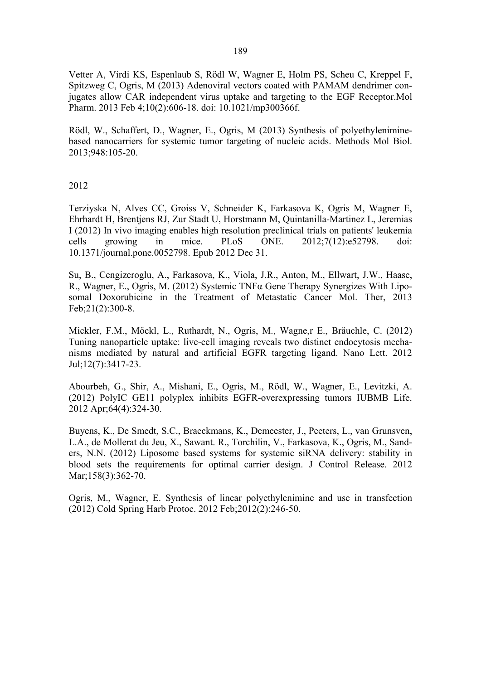Vetter A, Virdi KS, Espenlaub S, Rödl W, Wagner E, Holm PS, Scheu C, Kreppel F, Spitzweg C, Ogris, M (2013) Adenoviral vectors coated with PAMAM dendrimer conjugates allow CAR independent virus uptake and targeting to the EGF Receptor.Mol Pharm. 2013 Feb 4;10(2):606-18. doi: 10.1021/mp300366f.

Rödl, W., Schaffert, D., Wagner, E., Ogris, M (2013) Synthesis of polyethyleniminebased nanocarriers for systemic tumor targeting of nucleic acids. Methods Mol Biol. 2013;948:105-20.

2012

Terziyska N, Alves CC, Groiss V, Schneider K, Farkasova K, Ogris M, Wagner E, Ehrhardt H, Brentjens RJ, Zur Stadt U, Horstmann M, Quintanilla-Martinez L, Jeremias I (2012) In vivo imaging enables high resolution preclinical trials on patients' leukemia cells growing in mice. PLoS ONE. 2012;7(12):e52798. doi: 10.1371/journal.pone.0052798. Epub 2012 Dec 31.

Su, B., Cengizeroglu, A., Farkasova, K., Viola, J.R., Anton, M., Ellwart, J.W., Haase, R., Wagner, E., Ogris, M. (2012) Systemic TNFα Gene Therapy Synergizes With Liposomal Doxorubicine in the Treatment of Metastatic Cancer Mol. Ther, 2013 Feb;21(2):300-8.

Mickler, F.M., Möckl, L., Ruthardt, N., Ogris, M., Wagne,r E., Bräuchle, C. (2012) Tuning nanoparticle uptake: live-cell imaging reveals two distinct endocytosis mechanisms mediated by natural and artificial EGFR targeting ligand. Nano Lett. 2012 Jul;12(7):3417-23.

Abourbeh, G., Shir, A., Mishani, E., Ogris, M., Rödl, W., Wagner, E., Levitzki, A. (2012) PolyIC GE11 polyplex inhibits EGFR-overexpressing tumors IUBMB Life. 2012 Apr;64(4):324-30.

Buyens, K., De Smedt, S.C., Braeckmans, K., Demeester, J., Peeters, L., van Grunsven, L.A., de Mollerat du Jeu, X., Sawant. R., Torchilin, V., Farkasova, K., Ogris, M., Sanders, N.N. (2012) Liposome based systems for systemic siRNA delivery: stability in blood sets the requirements for optimal carrier design. J Control Release. 2012 Mar;158(3):362-70.

Ogris, M., Wagner, E. Synthesis of linear polyethylenimine and use in transfection (2012) Cold Spring Harb Protoc. 2012 Feb;2012(2):246-50.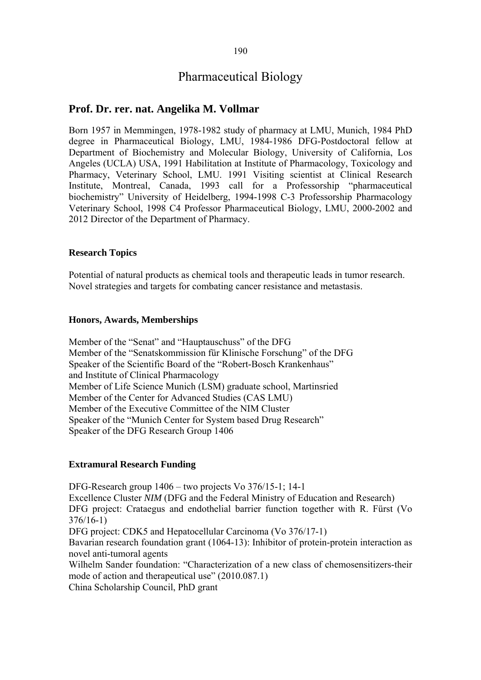## Pharmaceutical Biology

## **Prof. Dr. rer. nat. Angelika M. Vollmar**

Born 1957 in Memmingen, 1978-1982 study of pharmacy at LMU, Munich, 1984 PhD degree in Pharmaceutical Biology, LMU, 1984-1986 DFG-Postdoctoral fellow at Department of Biochemistry and Molecular Biology, University of California, Los Angeles (UCLA) USA, 1991 Habilitation at Institute of Pharmacology, Toxicology and Pharmacy, Veterinary School, LMU. 1991 Visiting scientist at Clinical Research Institute, Montreal, Canada, 1993 call for a Professorship "pharmaceutical biochemistry" University of Heidelberg, 1994-1998 C-3 Professorship Pharmacology Veterinary School, 1998 C4 Professor Pharmaceutical Biology, LMU, 2000-2002 and 2012 Director of the Department of Pharmacy.

#### **Research Topics**

Potential of natural products as chemical tools and therapeutic leads in tumor research. Novel strategies and targets for combating cancer resistance and metastasis.

#### **Honors, Awards, Memberships**

Member of the "Senat" and "Hauptauschuss" of the DFG Member of the "Senatskommission für Klinische Forschung" of the DFG Speaker of the Scientific Board of the "Robert-Bosch Krankenhaus" and Institute of Clinical Pharmacology Member of Life Science Munich (LSM) graduate school, Martinsried Member of the Center for Advanced Studies (CAS LMU) Member of the Executive Committee of the NIM Cluster Speaker of the "Munich Center for System based Drug Research" Speaker of the DFG Research Group 1406

#### **Extramural Research Funding**

DFG-Research group 1406 – two projects Vo 376/15-1; 14-1 Excellence Cluster *NIM* (DFG and the Federal Ministry of Education and Research) DFG project: Crataegus and endothelial barrier function together with R. Fürst (Vo 376/16-1) DFG project: CDK5 and Hepatocellular Carcinoma (Vo 376/17-1) Bavarian research foundation grant (1064-13): Inhibitor of protein-protein interaction as novel anti-tumoral agents Wilhelm Sander foundation: "Characterization of a new class of chemosensitizers-their mode of action and therapeutical use" (2010.087.1) China Scholarship Council, PhD grant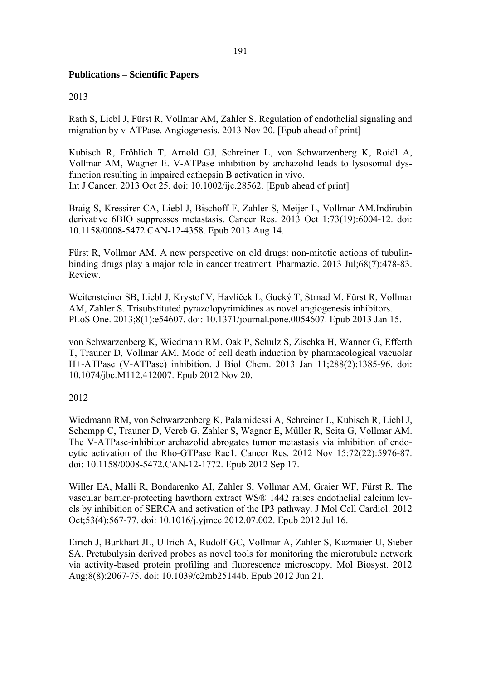## **Publications – Scientific Papers**

## 2013

Rath S, Liebl J, Fürst R, Vollmar AM, Zahler S. Regulation of endothelial signaling and migration by v-ATPase. Angiogenesis. 2013 Nov 20. [Epub ahead of print]

Kubisch R, Fröhlich T, Arnold GJ, Schreiner L, von Schwarzenberg K, Roidl A, Vollmar AM, Wagner E. V-ATPase inhibition by archazolid leads to lysosomal dysfunction resulting in impaired cathepsin B activation in vivo. Int J Cancer. 2013 Oct 25. doi: 10.1002/ijc.28562. [Epub ahead of print]

Braig S, Kressirer CA, Liebl J, Bischoff F, Zahler S, Meijer L, Vollmar AM.Indirubin derivative 6BIO suppresses metastasis. Cancer Res. 2013 Oct 1;73(19):6004-12. doi: 10.1158/0008-5472.CAN-12-4358. Epub 2013 Aug 14.

Fürst R, Vollmar AM. A new perspective on old drugs: non-mitotic actions of tubulinbinding drugs play a major role in cancer treatment. Pharmazie. 2013 Jul;68(7):478-83. Review.

Weitensteiner SB, Liebl J, Krystof V, Havlíček L, Gucký T, Strnad M, Fürst R, Vollmar AM, Zahler S. Trisubstituted pyrazolopyrimidines as novel angiogenesis inhibitors. PLoS One. 2013;8(1):e54607. doi: 10.1371/journal.pone.0054607. Epub 2013 Jan 15.

von Schwarzenberg K, Wiedmann RM, Oak P, Schulz S, Zischka H, Wanner G, Efferth T, Trauner D, Vollmar AM. Mode of cell death induction by pharmacological vacuolar H+-ATPase (V-ATPase) inhibition. J Biol Chem. 2013 Jan 11;288(2):1385-96. doi: 10.1074/jbc.M112.412007. Epub 2012 Nov 20.

## 2012

Wiedmann RM, von Schwarzenberg K, Palamidessi A, Schreiner L, Kubisch R, Liebl J, Schempp C, Trauner D, Vereb G, Zahler S, Wagner E, Müller R, Scita G, Vollmar AM. The V-ATPase-inhibitor archazolid abrogates tumor metastasis via inhibition of endocytic activation of the Rho-GTPase Rac1. Cancer Res. 2012 Nov 15;72(22):5976-87. doi: 10.1158/0008-5472.CAN-12-1772. Epub 2012 Sep 17.

Willer EA, Malli R, Bondarenko AI, Zahler S, Vollmar AM, Graier WF, Fürst R. The vascular barrier-protecting hawthorn extract WS® 1442 raises endothelial calcium levels by inhibition of SERCA and activation of the IP3 pathway. J Mol Cell Cardiol. 2012 Oct;53(4):567-77. doi: 10.1016/j.yjmcc.2012.07.002. Epub 2012 Jul 16.

Eirich J, Burkhart JL, Ullrich A, Rudolf GC, Vollmar A, Zahler S, Kazmaier U, Sieber SA. Pretubulysin derived probes as novel tools for monitoring the microtubule network via activity-based protein profiling and fluorescence microscopy. Mol Biosyst. 2012 Aug;8(8):2067-75. doi: 10.1039/c2mb25144b. Epub 2012 Jun 21.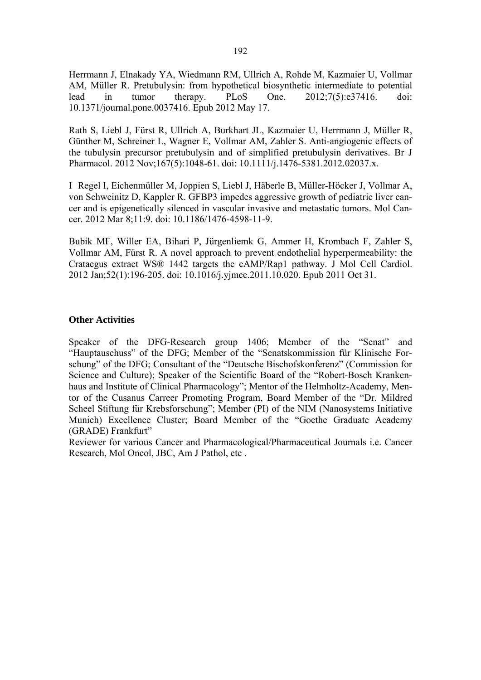Herrmann J, Elnakady YA, Wiedmann RM, Ullrich A, Rohde M, Kazmaier U, Vollmar AM, Müller R. Pretubulysin: from hypothetical biosynthetic intermediate to potential lead in tumor therapy. PLoS One. 2012;7(5):e37416. doi: 10.1371/journal.pone.0037416. Epub 2012 May 17.

Rath S, Liebl J, Fürst R, Ullrich A, Burkhart JL, Kazmaier U, Herrmann J, Müller R, Günther M, Schreiner L, Wagner E, Vollmar AM, Zahler S. Anti-angiogenic effects of the tubulysin precursor pretubulysin and of simplified pretubulysin derivatives. Br J Pharmacol. 2012 Nov;167(5):1048-61. doi: 10.1111/j.1476-5381.2012.02037.x.

I Regel I, Eichenmüller M, Joppien S, Liebl J, Häberle B, Müller-Höcker J, Vollmar A, von Schweinitz D, Kappler R. GFBP3 impedes aggressive growth of pediatric liver cancer and is epigenetically silenced in vascular invasive and metastatic tumors. Mol Cancer. 2012 Mar 8;11:9. doi: 10.1186/1476-4598-11-9.

Bubik MF, Willer EA, Bihari P, Jürgenliemk G, Ammer H, Krombach F, Zahler S, Vollmar AM, Fürst R. A novel approach to prevent endothelial hyperpermeability: the Crataegus extract WS® 1442 targets the cAMP/Rap1 pathway. J Mol Cell Cardiol. 2012 Jan;52(1):196-205. doi: 10.1016/j.yjmcc.2011.10.020. Epub 2011 Oct 31.

## **Other Activities**

Speaker of the DFG-Research group 1406; Member of the "Senat" and "Hauptauschuss" of the DFG; Member of the "Senatskommission für Klinische Forschung" of the DFG; Consultant of the "Deutsche Bischofskonferenz" (Commission for Science and Culture); Speaker of the Scientific Board of the "Robert-Bosch Krankenhaus and Institute of Clinical Pharmacology"; Mentor of the Helmholtz-Academy, Mentor of the Cusanus Carreer Promoting Program, Board Member of the "Dr. Mildred Scheel Stiftung für Krebsforschung"; Member (PI) of the NIM (Nanosystems Initiative Munich) Excellence Cluster; Board Member of the "Goethe Graduate Academy (GRADE) Frankfurt"

Reviewer for various Cancer and Pharmacological/Pharmaceutical Journals i.e. Cancer Research, Mol Oncol, JBC, Am J Pathol, etc .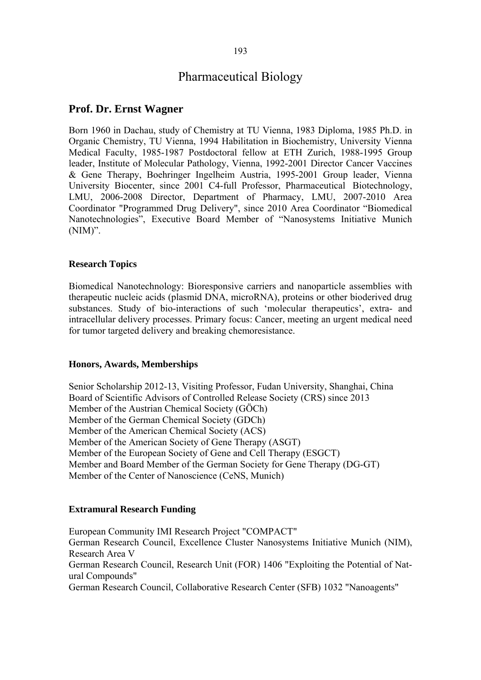# Pharmaceutical Biology

## **Prof. Dr. Ernst Wagner**

Born 1960 in Dachau, study of Chemistry at TU Vienna, 1983 Diploma, 1985 Ph.D. in Organic Chemistry, TU Vienna, 1994 Habilitation in Biochemistry, University Vienna Medical Faculty, 1985-1987 Postdoctoral fellow at ETH Zurich, 1988-1995 Group leader, Institute of Molecular Pathology, Vienna, 1992-2001 Director Cancer Vaccines & Gene Therapy, Boehringer Ingelheim Austria, 1995-2001 Group leader, Vienna University Biocenter, since 2001 C4-full Professor, Pharmaceutical Biotechnology, LMU, 2006-2008 Director, Department of Pharmacy, LMU, 2007-2010 Area Coordinator "Programmed Drug Delivery", since 2010 Area Coordinator "Biomedical Nanotechnologies", Executive Board Member of "Nanosystems Initiative Munich  $(NIM)$ ".

## **Research Topics**

Biomedical Nanotechnology: Bioresponsive carriers and nanoparticle assemblies with therapeutic nucleic acids (plasmid DNA, microRNA), proteins or other bioderived drug substances. Study of bio-interactions of such 'molecular therapeutics', extra- and intracellular delivery processes. Primary focus: Cancer, meeting an urgent medical need for tumor targeted delivery and breaking chemoresistance.

## **Honors, Awards, Memberships**

Senior Scholarship 2012-13, Visiting Professor, Fudan University, Shanghai, China Board of Scientific Advisors of Controlled Release Society (CRS) since 2013 Member of the Austrian Chemical Society (GÖCh) Member of the German Chemical Society (GDCh) Member of the American Chemical Society (ACS) Member of the American Society of Gene Therapy (ASGT) Member of the European Society of Gene and Cell Therapy (ESGCT) Member and Board Member of the German Society for Gene Therapy (DG-GT) Member of the Center of Nanoscience (CeNS, Munich)

## **Extramural Research Funding**

European Community IMI Research Project "COMPACT" German Research Council, Excellence Cluster Nanosystems Initiative Munich (NIM), Research Area V German Research Council, Research Unit (FOR) 1406 "Exploiting the Potential of Natural Compounds" German Research Council, Collaborative Research Center (SFB) 1032 "Nanoagents"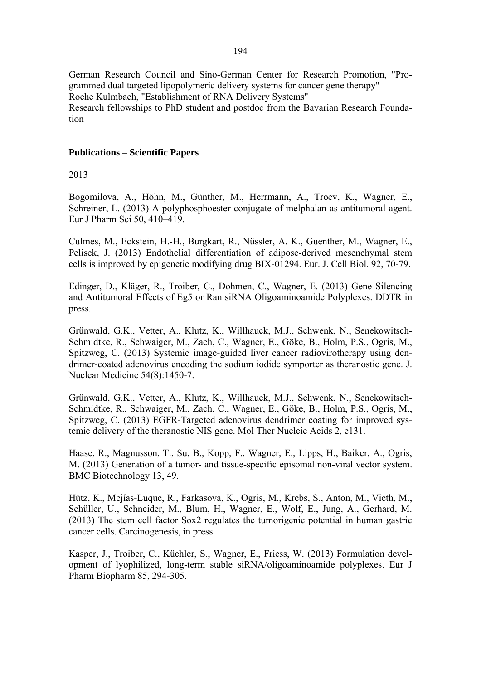German Research Council and Sino-German Center for Research Promotion, "Programmed dual targeted lipopolymeric delivery systems for cancer gene therapy" Roche Kulmbach, "Establishment of RNA Delivery Systems" Research fellowships to PhD student and postdoc from the Bavarian Research Foundation

## **Publications – Scientific Papers**

2013

Bogomilova, A., Höhn, M., Günther, M., Herrmann, A., Troev, K., Wagner, E., Schreiner, L. (2013) A polyphosphoester conjugate of melphalan as antitumoral agent. Eur J Pharm Sci 50, 410–419.

Culmes, M., Eckstein, H.-H., Burgkart, R., Nüssler, A. K., Guenther, M., Wagner, E., Pelisek, J. (2013) Endothelial differentiation of adipose-derived mesenchymal stem cells is improved by epigenetic modifying drug BIX-01294. Eur. J. Cell Biol. 92, 70-79.

Edinger, D., Kläger, R., Troiber, C., Dohmen, C., Wagner, E. (2013) Gene Silencing and Antitumoral Effects of Eg5 or Ran siRNA Oligoaminoamide Polyplexes. DDTR in press.

Grünwald, G.K., Vetter, A., Klutz, K., Willhauck, M.J., Schwenk, N., Senekowitsch-Schmidtke, R., Schwaiger, M., Zach, C., Wagner, E., Göke, B., Holm, P.S., Ogris, M., Spitzweg, C. (2013) Systemic image-guided liver cancer radiovirotherapy using dendrimer-coated adenovirus encoding the sodium iodide symporter as theranostic gene. J. Nuclear Medicine 54(8):1450-7.

Grünwald, G.K., Vetter, A., Klutz, K., Willhauck, M.J., Schwenk, N., Senekowitsch-Schmidtke, R., Schwaiger, M., Zach, C., Wagner, E., Göke, B., Holm, P.S., Ogris, M., Spitzweg, C. (2013) EGFR-Targeted adenovirus dendrimer coating for improved systemic delivery of the theranostic NIS gene. Mol Ther Nucleic Acids 2, e131.

Haase, R., Magnusson, T., Su, B., Kopp, F., Wagner, E., Lipps, H., Baiker, A., Ogris, M. (2013) Generation of a tumor- and tissue-specific episomal non-viral vector system. BMC Biotechnology 13, 49.

Hütz, K., Mejías-Luque, R., Farkasova, K., Ogris, M., Krebs, S., Anton, M., Vieth, M., Schüller, U., Schneider, M., Blum, H., Wagner, E., Wolf, E., Jung, A., Gerhard, M. (2013) The stem cell factor Sox2 regulates the tumorigenic potential in human gastric cancer cells. Carcinogenesis, in press.

Kasper, J., Troiber, C., Küchler, S., Wagner, E., Friess, W. (2013) Formulation development of lyophilized, long-term stable siRNA/oligoaminoamide polyplexes. Eur J Pharm Biopharm 85, 294-305.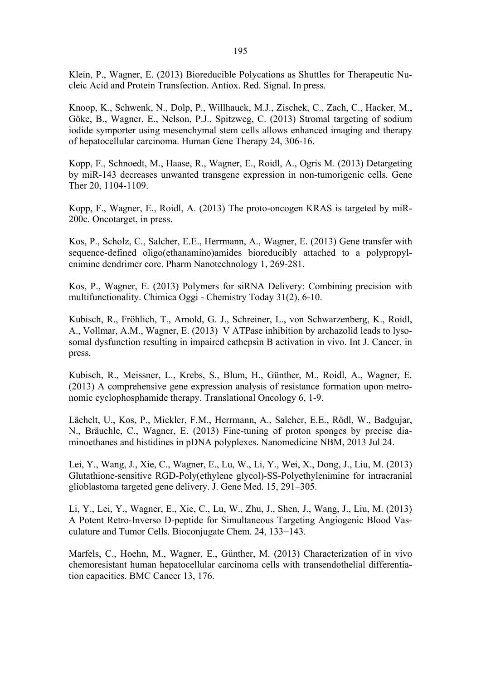Klein, P., Wagner, E. (2013) Bioreducible Polycations as Shuttles for Therapeutic Nucleic Acid and Protein Transfection. Antiox. Red. Signal. In press.

Knoop, K., Schwenk, N., Dolp, P., Willhauck, M.J., Zischek, C., Zach, C., Hacker, M., Göke, B., Wagner, E., Nelson, P.J., Spitzweg, C. (2013) Stromal targeting of sodium iodide symporter using mesenchymal stem cells allows enhanced imaging and therapy of hepatocellular carcinoma. Human Gene Therapy 24, 306-16.

Kopp, F., Schnoedt, M., Haase, R., Wagner, E., Roidl, A., Ogris M. (2013) Detargeting by miR-143 decreases unwanted transgene expression in non-tumorigenic cells. Gene Ther 20, 1104-1109.

Kopp, F., Wagner, E., Roidl, A. (2013) The proto-oncogen KRAS is targeted by miR-200c. Oncotarget, in press.

Kos, P., Scholz, C., Salcher, E.E., Herrmann, A., Wagner, E. (2013) Gene transfer with sequence-defined oligo(ethanamino)amides bioreducibly attached to a polypropylenimine dendrimer core. Pharm Nanotechnology 1, 269-281.

Kos, P., Wagner, E. (2013) Polymers for siRNA Delivery: Combining precision with multifunctionality. Chimica Oggi - Chemistry Today 31(2), 6-10.

Kubisch, R., Fröhlich, T., Arnold, G. J., Schreiner, L., von Schwarzenberg, K., Roidl, A., Vollmar, A.M., Wagner, E. (2013) V ATPase inhibition by archazolid leads to lysosomal dysfunction resulting in impaired cathepsin B activation in vivo. Int J. Cancer, in press.

Kubisch, R., Meissner, L., Krebs, S., Blum, H., Günther, M., Roidl, A., Wagner, E. (2013) A comprehensive gene expression analysis of resistance formation upon metronomic cyclophosphamide therapy. Translational Oncology 6, 1-9.

Lächelt, U., Kos, P., Mickler, F.M., Herrmann, A., Salcher, E.E., Rödl, W., Badgujar, N., Bräuchle, C., Wagner, E. (2013) Fine-tuning of proton sponges by precise diaminoethanes and histidines in pDNA polyplexes. Nanomedicine NBM, 2013 Jul 24.

Lei, Y., Wang, J., Xie, C., Wagner, E., Lu, W., Li, Y., Wei, X., Dong, J., Liu, M. (2013) Glutathione-sensitive RGD-Poly(ethylene glycol)-SS-Polyethylenimine for intracranial glioblastoma targeted gene delivery. J. Gene Med. 15, 291–305.

Li, Y., Lei, Y., Wagner, E., Xie, C., Lu, W., Zhu, J., Shen, J., Wang, J., Liu, M. (2013) A Potent Retro-Inverso D-peptide for Simultaneous Targeting Angiogenic Blood Vasculature and Tumor Cells. Bioconjugate Chem. 24, 133−143.

Marfels, C., Hoehn, M., Wagner, E., Günther, M. (2013) Characterization of in vivo chemoresistant human hepatocellular carcinoma cells with transendothelial differentiation capacities. BMC Cancer 13, 176.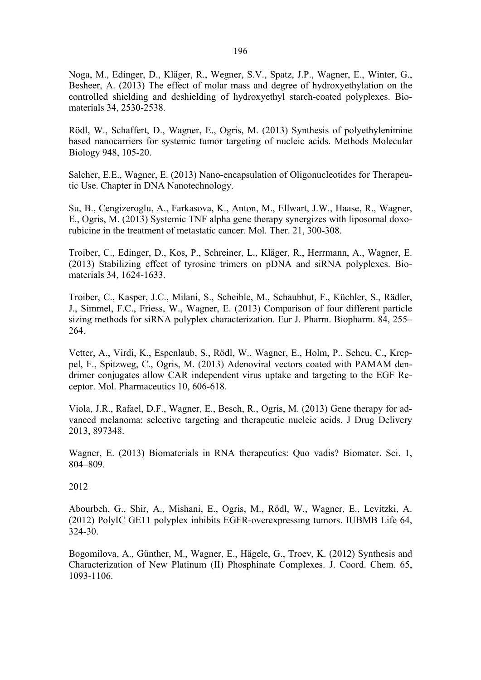Noga, M., Edinger, D., Kläger, R., Wegner, S.V., Spatz, J.P., Wagner, E., Winter, G., Besheer, A. (2013) The effect of molar mass and degree of hydroxyethylation on the controlled shielding and deshielding of hydroxyethyl starch-coated polyplexes. Biomaterials 34, 2530-2538.

Rödl, W., Schaffert, D., Wagner, E., Ogris, M. (2013) Synthesis of polyethylenimine based nanocarriers for systemic tumor targeting of nucleic acids. Methods Molecular Biology 948, 105-20.

Salcher, E.E., Wagner, E. (2013) Nano-encapsulation of Oligonucleotides for Therapeutic Use. Chapter in DNA Nanotechnology.

Su, B., Cengizeroglu, A., Farkasova, K., Anton, M., Ellwart, J.W., Haase, R., Wagner, E., Ogris, M. (2013) Systemic TNF alpha gene therapy synergizes with liposomal doxorubicine in the treatment of metastatic cancer. Mol. Ther. 21, 300-308.

Troiber, C., Edinger, D., Kos, P., Schreiner, L., Kläger, R., Herrmann, A., Wagner, E. (2013) Stabilizing effect of tyrosine trimers on pDNA and siRNA polyplexes. Biomaterials 34, 1624-1633.

Troiber, C., Kasper, J.C., Milani, S., Scheible, M., Schaubhut, F., Küchler, S., Rädler, J., Simmel, F.C., Friess, W., Wagner, E. (2013) Comparison of four different particle sizing methods for siRNA polyplex characterization. Eur J. Pharm. Biopharm. 84, 255– 264.

Vetter, A., Virdi, K., Espenlaub, S., Rödl, W., Wagner, E., Holm, P., Scheu, C., Kreppel, F., Spitzweg, C., Ogris, M. (2013) Adenoviral vectors coated with PAMAM dendrimer conjugates allow CAR independent virus uptake and targeting to the EGF Receptor. Mol. Pharmaceutics 10, 606-618.

Viola, J.R., Rafael, D.F., Wagner, E., Besch, R., Ogris, M. (2013) Gene therapy for advanced melanoma: selective targeting and therapeutic nucleic acids. J Drug Delivery 2013, 897348.

Wagner, E. (2013) Biomaterials in RNA therapeutics: Quo vadis? Biomater. Sci. 1, 804–809.

2012

Abourbeh, G., Shir, A., Mishani, E., Ogris, M., Rödl, W., Wagner, E., Levitzki, A. (2012) PolyIC GE11 polyplex inhibits EGFR-overexpressing tumors. IUBMB Life 64, 324-30.

Bogomilova, A., Günther, M., Wagner, E., Hägele, G., Troev, K. (2012) Synthesis and Characterization of New Platinum (II) Phosphinate Complexes. J. Coord. Chem. 65, 1093-1106.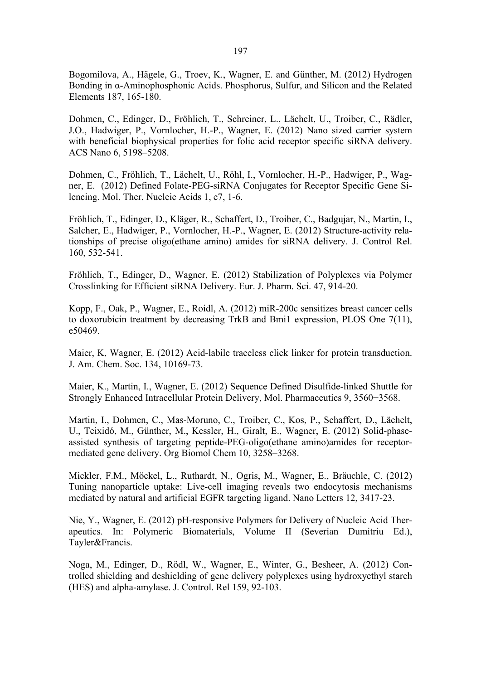Bogomilova, A., Hägele, G., Troev, K., Wagner, E. and Günther, M. (2012) Hydrogen Bonding in α-Aminophosphonic Acids. Phosphorus, Sulfur, and Silicon and the Related Elements 187, 165-180.

Dohmen, C., Edinger, D., Fröhlich, T., Schreiner, L., Lächelt, U., Troiber, C., Rädler, J.O., Hadwiger, P., Vornlocher, H.-P., Wagner, E. (2012) Nano sized carrier system with beneficial biophysical properties for folic acid receptor specific siRNA delivery. ACS Nano 6, 5198–5208.

Dohmen, C., Fröhlich, T., Lächelt, U., Röhl, I., Vornlocher, H.-P., Hadwiger, P., Wagner, E. (2012) Defined Folate-PEG-siRNA Conjugates for Receptor Specific Gene Silencing. Mol. Ther. Nucleic Acids 1, e7, 1-6.

Fröhlich, T., Edinger, D., Kläger, R., Schaffert, D., Troiber, C., Badgujar, N., Martin, I., Salcher, E., Hadwiger, P., Vornlocher, H.-P., Wagner, E. (2012) Structure-activity relationships of precise oligo(ethane amino) amides for siRNA delivery. J. Control Rel. 160, 532-541.

Fröhlich, T., Edinger, D., Wagner, E. (2012) Stabilization of Polyplexes via Polymer Crosslinking for Efficient siRNA Delivery. Eur. J. Pharm. Sci. 47, 914-20.

Kopp, F., Oak, P., Wagner, E., Roidl, A. (2012) miR-200c sensitizes breast cancer cells to doxorubicin treatment by decreasing TrkB and Bmi1 expression, PLOS One 7(11), e50469.

Maier, K, Wagner, E. (2012) Acid-labile traceless click linker for protein transduction. J. Am. Chem. Soc. 134, 10169-73.

Maier, K., Martin, I., Wagner, E. (2012) Sequence Defined Disulfide-linked Shuttle for Strongly Enhanced Intracellular Protein Delivery, Mol. Pharmaceutics 9, 3560−3568.

Martin, I., Dohmen, C., Mas-Moruno, C., Troiber, C., Kos, P., Schaffert, D., Lächelt, U., Teixidó, M., Günther, M., Kessler, H., Giralt, E., Wagner, E. (2012) Solid-phaseassisted synthesis of targeting peptide-PEG-oligo(ethane amino)amides for receptormediated gene delivery. Org Biomol Chem 10, 3258–3268.

Mickler, F.M., Möckel, L., Ruthardt, N., Ogris, M., Wagner, E., Bräuchle, C. (2012) Tuning nanoparticle uptake: Live-cell imaging reveals two endocytosis mechanisms mediated by natural and artificial EGFR targeting ligand. Nano Letters 12, 3417-23.

Nie, Y., Wagner, E. (2012) pH-responsive Polymers for Delivery of Nucleic Acid Therapeutics. In: Polymeric Biomaterials, Volume II (Severian Dumitriu Ed.), Tayler&Francis.

Noga, M., Edinger, D., Rödl, W., Wagner, E., Winter, G., Besheer, A. (2012) Controlled shielding and deshielding of gene delivery polyplexes using hydroxyethyl starch (HES) and alpha-amylase. J. Control. Rel 159, 92-103.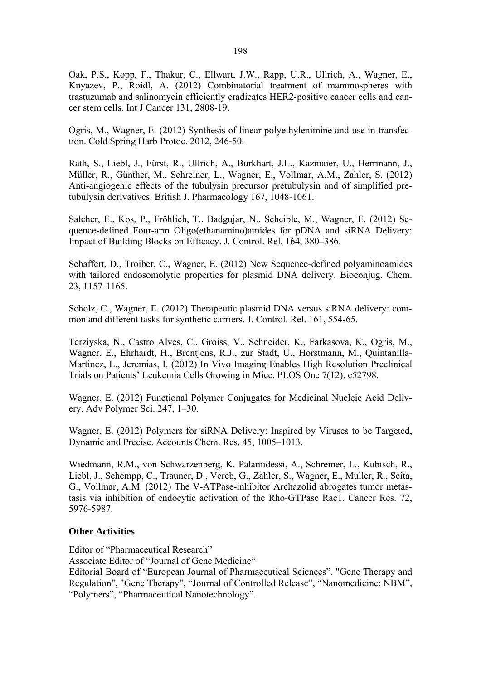Oak, P.S., Kopp, F., Thakur, C., Ellwart, J.W., Rapp, U.R., Ullrich, A., Wagner, E., Knyazev, P., Roidl, A. (2012) Combinatorial treatment of mammospheres with trastuzumab and salinomycin efficiently eradicates HER2-positive cancer cells and cancer stem cells. Int J Cancer 131, 2808-19.

Ogris, M., Wagner, E. (2012) Synthesis of linear polyethylenimine and use in transfection. Cold Spring Harb Protoc. 2012, 246-50.

Rath, S., Liebl, J., Fürst, R., Ullrich, A., Burkhart, J.L., Kazmaier, U., Herrmann, J., Müller, R., Günther, M., Schreiner, L., Wagner, E., Vollmar, A.M., Zahler, S. (2012) Anti-angiogenic effects of the tubulysin precursor pretubulysin and of simplified pretubulysin derivatives. British J. Pharmacology 167, 1048-1061.

Salcher, E., Kos, P., Fröhlich, T., Badgujar, N., Scheible, M., Wagner, E. (2012) Sequence-defined Four-arm Oligo(ethanamino)amides for pDNA and siRNA Delivery: Impact of Building Blocks on Efficacy. J. Control. Rel. 164, 380–386.

Schaffert, D., Troiber, C., Wagner, E. (2012) New Sequence-defined polyaminoamides with tailored endosomolytic properties for plasmid DNA delivery. Bioconjug. Chem. 23, 1157-1165.

Scholz, C., Wagner, E. (2012) Therapeutic plasmid DNA versus siRNA delivery: common and different tasks for synthetic carriers. J. Control. Rel. 161, 554-65.

Terziyska, N., Castro Alves, C., Groiss, V., Schneider, K., Farkasova, K., Ogris, M., Wagner, E., Ehrhardt, H., Brentjens, R.J., zur Stadt, U., Horstmann, M., Quintanilla-Martinez, L., Jeremias, I. (2012) In Vivo Imaging Enables High Resolution Preclinical Trials on Patients' Leukemia Cells Growing in Mice. PLOS One 7(12), e52798.

Wagner, E. (2012) Functional Polymer Conjugates for Medicinal Nucleic Acid Delivery. Adv Polymer Sci. 247, 1–30.

Wagner, E. (2012) Polymers for siRNA Delivery: Inspired by Viruses to be Targeted, Dynamic and Precise. Accounts Chem. Res. 45, 1005–1013.

Wiedmann, R.M., von Schwarzenberg, K. Palamidessi, A., Schreiner, L., Kubisch, R., Liebl, J., Schempp, C., Trauner, D., Vereb, G., Zahler, S., Wagner, E., Muller, R., Scita, G., Vollmar, A.M. (2012) The V-ATPase-inhibitor Archazolid abrogates tumor metastasis via inhibition of endocytic activation of the Rho-GTPase Rac1. Cancer Res. 72, 5976-5987.

## **Other Activities**

Editor of "Pharmaceutical Research"

Associate Editor of "Journal of Gene Medicine"

Editorial Board of "European Journal of Pharmaceutical Sciences", "Gene Therapy and Regulation", "Gene Therapy", "Journal of Controlled Release", "Nanomedicine: NBM", "Polymers", "Pharmaceutical Nanotechnology".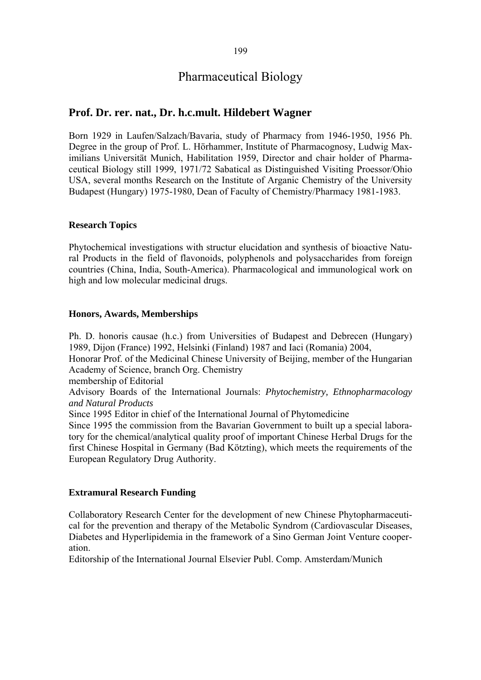# Pharmaceutical Biology

## **Prof. Dr. rer. nat., Dr. h.c.mult. Hildebert Wagner**

Born 1929 in Laufen/Salzach/Bavaria, study of Pharmacy from 1946-1950, 1956 Ph. Degree in the group of Prof. L. Hörhammer, Institute of Pharmacognosy, Ludwig Maximilians Universität Munich, Habilitation 1959, Director and chair holder of Pharmaceutical Biology still 1999, 1971/72 Sabatical as Distinguished Visiting Proessor/Ohio USA, several months Research on the Institute of Arganic Chemistry of the University Budapest (Hungary) 1975-1980, Dean of Faculty of Chemistry/Pharmacy 1981-1983.

## **Research Topics**

Phytochemical investigations with structur elucidation and synthesis of bioactive Natural Products in the field of flavonoids, polyphenols and polysaccharides from foreign countries (China, India, South-America). Pharmacological and immunological work on high and low molecular medicinal drugs.

## **Honors, Awards, Memberships**

Ph. D. honoris causae (h.c.) from Universities of Budapest and Debrecen (Hungary) 1989, Dijon (France) 1992, Helsinki (Finland) 1987 and Iaci (Romania) 2004,

Honorar Prof. of the Medicinal Chinese University of Beijing, member of the Hungarian Academy of Science, branch Org. Chemistry

membership of Editorial

Advisory Boards of the International Journals: *Phytochemistry, Ethnopharmacology and Natural Products* 

Since 1995 Editor in chief of the International Journal of Phytomedicine

Since 1995 the commission from the Bavarian Government to built up a special laboratory for the chemical/analytical quality proof of important Chinese Herbal Drugs for the first Chinese Hospital in Germany (Bad Kötzting), which meets the requirements of the European Regulatory Drug Authority.

## **Extramural Research Funding**

Collaboratory Research Center for the development of new Chinese Phytopharmaceutical for the prevention and therapy of the Metabolic Syndrom (Cardiovascular Diseases, Diabetes and Hyperlipidemia in the framework of a Sino German Joint Venture cooperation.

Editorship of the International Journal Elsevier Publ. Comp. Amsterdam/Munich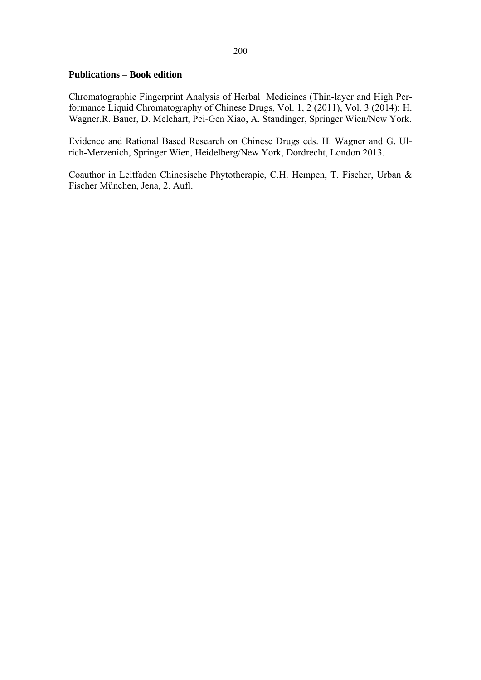## **Publications – Book edition**

Chromatographic Fingerprint Analysis of Herbal Medicines (Thin-layer and High Performance Liquid Chromatography of Chinese Drugs, Vol. 1, 2 (2011), Vol. 3 (2014): H. Wagner,R. Bauer, D. Melchart, Pei-Gen Xiao, A. Staudinger, Springer Wien/New York.

Evidence and Rational Based Research on Chinese Drugs eds. H. Wagner and G. Ulrich-Merzenich, Springer Wien, Heidelberg/New York, Dordrecht, London 2013.

Coauthor in Leitfaden Chinesische Phytotherapie, C.H. Hempen, T. Fischer, Urban & Fischer München, Jena, 2. Aufl.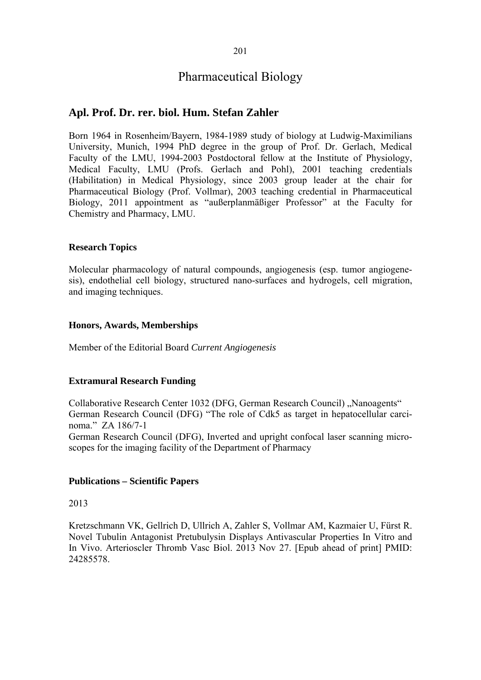# Pharmaceutical Biology

## **Apl. Prof. Dr. rer. biol. Hum. Stefan Zahler**

Born 1964 in Rosenheim/Bayern, 1984-1989 study of biology at Ludwig-Maximilians University, Munich, 1994 PhD degree in the group of Prof. Dr. Gerlach, Medical Faculty of the LMU, 1994-2003 Postdoctoral fellow at the Institute of Physiology, Medical Faculty, LMU (Profs. Gerlach and Pohl), 2001 teaching credentials (Habilitation) in Medical Physiology, since 2003 group leader at the chair for Pharmaceutical Biology (Prof. Vollmar), 2003 teaching credential in Pharmaceutical Biology, 2011 appointment as "außerplanmäßiger Professor" at the Faculty for Chemistry and Pharmacy, LMU.

## **Research Topics**

Molecular pharmacology of natural compounds, angiogenesis (esp. tumor angiogenesis), endothelial cell biology, structured nano-surfaces and hydrogels, cell migration, and imaging techniques.

## **Honors, Awards, Memberships**

Member of the Editorial Board *Current Angiogenesis*

## **Extramural Research Funding**

Collaborative Research Center 1032 (DFG, German Research Council) "Nanoagents" German Research Council (DFG) "The role of Cdk5 as target in hepatocellular carcinoma." ZA 186/7-1 German Research Council (DFG), Inverted and upright confocal laser scanning microscopes for the imaging facility of the Department of Pharmacy

## **Publications – Scientific Papers**

## 2013

Kretzschmann VK, Gellrich D, Ullrich A, Zahler S, Vollmar AM, Kazmaier U, Fürst R. Novel Tubulin Antagonist Pretubulysin Displays Antivascular Properties In Vitro and In Vivo. Arterioscler Thromb Vasc Biol. 2013 Nov 27. [Epub ahead of print] PMID: 24285578.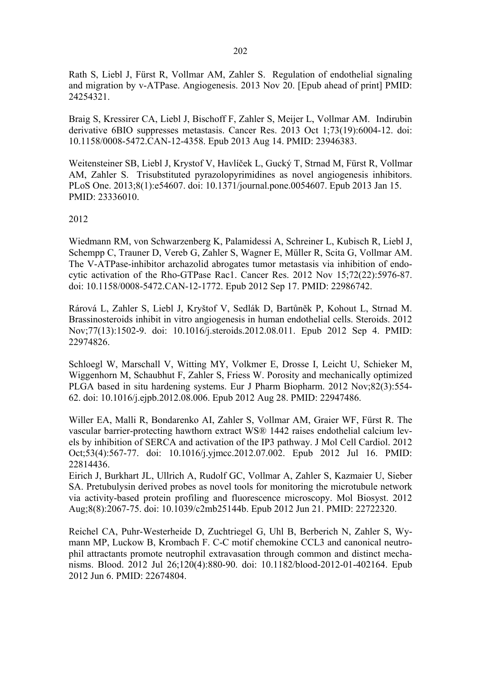Rath S, Liebl J, Fürst R, Vollmar AM, Zahler S. Regulation of endothelial signaling and migration by v-ATPase. Angiogenesis. 2013 Nov 20. [Epub ahead of print] PMID: 24254321.

Braig S, Kressirer CA, Liebl J, Bischoff F, Zahler S, Meijer L, Vollmar AM. Indirubin derivative 6BIO suppresses metastasis. Cancer Res. 2013 Oct 1;73(19):6004-12. doi: 10.1158/0008-5472.CAN-12-4358. Epub 2013 Aug 14. PMID: 23946383.

Weitensteiner SB, Liebl J, Krystof V, Havlíček L, Gucký T, Strnad M, Fürst R, Vollmar AM, Zahler S. Trisubstituted pyrazolopyrimidines as novel angiogenesis inhibitors. PLoS One. 2013;8(1):e54607. doi: 10.1371/journal.pone.0054607. Epub 2013 Jan 15. PMID: 23336010.

#### 2012

Wiedmann RM, von Schwarzenberg K, Palamidessi A, Schreiner L, Kubisch R, Liebl J, Schempp C, Trauner D, Vereb G, Zahler S, Wagner E, Müller R, Scita G, Vollmar AM. The V-ATPase-inhibitor archazolid abrogates tumor metastasis via inhibition of endocytic activation of the Rho-GTPase Rac1. Cancer Res. 2012 Nov 15;72(22):5976-87. doi: 10.1158/0008-5472.CAN-12-1772. Epub 2012 Sep 17. PMID: 22986742.

Rárová L, Zahler S, Liebl J, Kryštof V, Sedlák D, Bartůněk P, Kohout L, Strnad M. Brassinosteroids inhibit in vitro angiogenesis in human endothelial cells. Steroids. 2012 Nov;77(13):1502-9. doi: 10.1016/j.steroids.2012.08.011. Epub 2012 Sep 4. PMID: 22974826.

Schloegl W, Marschall V, Witting MY, Volkmer E, Drosse I, Leicht U, Schieker M, Wiggenhorn M, Schaubhut F, Zahler S, Friess W. Porosity and mechanically optimized PLGA based in situ hardening systems. Eur J Pharm Biopharm. 2012 Nov;82(3):554- 62. doi: 10.1016/j.ejpb.2012.08.006. Epub 2012 Aug 28. PMID: 22947486.

Willer EA, Malli R, Bondarenko AI, Zahler S, Vollmar AM, Graier WF, Fürst R. The vascular barrier-protecting hawthorn extract WS® 1442 raises endothelial calcium levels by inhibition of SERCA and activation of the IP3 pathway. J Mol Cell Cardiol. 2012 Oct;53(4):567-77. doi: 10.1016/j.yjmcc.2012.07.002. Epub 2012 Jul 16. PMID: 22814436.

Eirich J, Burkhart JL, Ullrich A, Rudolf GC, Vollmar A, Zahler S, Kazmaier U, Sieber SA. Pretubulysin derived probes as novel tools for monitoring the microtubule network via activity-based protein profiling and fluorescence microscopy. Mol Biosyst. 2012 Aug;8(8):2067-75. doi: 10.1039/c2mb25144b. Epub 2012 Jun 21. PMID: 22722320.

Reichel CA, Puhr-Westerheide D, Zuchtriegel G, Uhl B, Berberich N, Zahler S, Wymann MP, Luckow B, Krombach F. C-C motif chemokine CCL3 and canonical neutrophil attractants promote neutrophil extravasation through common and distinct mechanisms. Blood. 2012 Jul 26;120(4):880-90. doi: 10.1182/blood-2012-01-402164. Epub 2012 Jun 6. PMID: 22674804.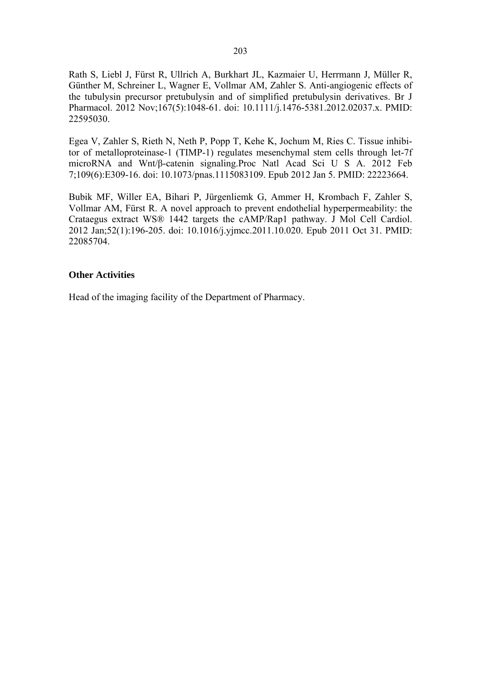Rath S, Liebl J, Fürst R, Ullrich A, Burkhart JL, Kazmaier U, Herrmann J, Müller R, Günther M, Schreiner L, Wagner E, Vollmar AM, Zahler S. Anti-angiogenic effects of the tubulysin precursor pretubulysin and of simplified pretubulysin derivatives. Br J Pharmacol. 2012 Nov;167(5):1048-61. doi: 10.1111/j.1476-5381.2012.02037.x. PMID: 22595030.

Egea V, Zahler S, Rieth N, Neth P, Popp T, Kehe K, Jochum M, Ries C. Tissue inhibitor of metalloproteinase-1 (TIMP-1) regulates mesenchymal stem cells through let-7f microRNA and Wnt/β-catenin signaling.Proc Natl Acad Sci U S A. 2012 Feb 7;109(6):E309-16. doi: 10.1073/pnas.1115083109. Epub 2012 Jan 5. PMID: 22223664.

Bubik MF, Willer EA, Bihari P, Jürgenliemk G, Ammer H, Krombach F, Zahler S, Vollmar AM, Fürst R. A novel approach to prevent endothelial hyperpermeability: the Crataegus extract WS® 1442 targets the cAMP/Rap1 pathway. J Mol Cell Cardiol. 2012 Jan;52(1):196-205. doi: 10.1016/j.yjmcc.2011.10.020. Epub 2011 Oct 31. PMID: 22085704.

#### **Other Activities**

Head of the imaging facility of the Department of Pharmacy.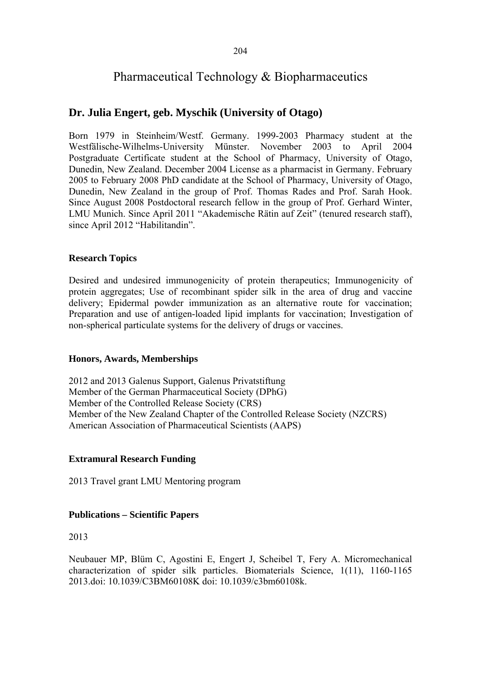# Pharmaceutical Technology & Biopharmaceutics

## **Dr. Julia Engert, geb. Myschik (University of Otago)**

Born 1979 in Steinheim/Westf. Germany. 1999-2003 Pharmacy student at the Westfälische-Wilhelms-University Münster. November 2003 to April 2004 Postgraduate Certificate student at the School of Pharmacy, University of Otago, Dunedin, New Zealand. December 2004 License as a pharmacist in Germany. February 2005 to February 2008 PhD candidate at the School of Pharmacy, University of Otago, Dunedin, New Zealand in the group of Prof. Thomas Rades and Prof. Sarah Hook. Since August 2008 Postdoctoral research fellow in the group of Prof. Gerhard Winter, LMU Munich. Since April 2011 "Akademische Rätin auf Zeit" (tenured research staff), since April 2012 "Habilitandin".

## **Research Topics**

Desired and undesired immunogenicity of protein therapeutics; Immunogenicity of protein aggregates; Use of recombinant spider silk in the area of drug and vaccine delivery; Epidermal powder immunization as an alternative route for vaccination; Preparation and use of antigen-loaded lipid implants for vaccination; Investigation of non-spherical particulate systems for the delivery of drugs or vaccines.

## **Honors, Awards, Memberships**

2012 and 2013 Galenus Support, Galenus Privatstiftung Member of the German Pharmaceutical Society (DPhG) Member of the Controlled Release Society (CRS) Member of the New Zealand Chapter of the Controlled Release Society (NZCRS) American Association of Pharmaceutical Scientists (AAPS)

## **Extramural Research Funding**

2013 Travel grant LMU Mentoring program

## **Publications – Scientific Papers**

2013

Neubauer MP, Blüm C, Agostini E, Engert J, Scheibel T, Fery A. Micromechanical characterization of spider silk particles. Biomaterials Science, 1(11), 1160-1165 2013.doi: 10.1039/C3BM60108K doi: 10.1039/c3bm60108k.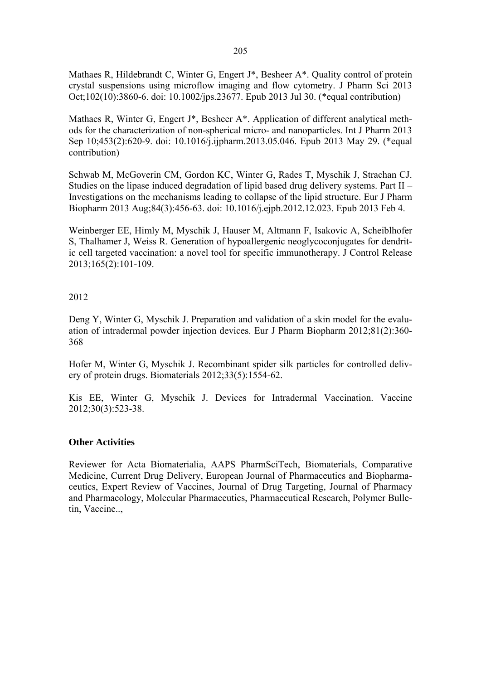Mathaes R, Hildebrandt C, Winter G, Engert J\*, Besheer A\*. Quality control of protein crystal suspensions using microflow imaging and flow cytometry. J Pharm Sci 2013 Oct;102(10):3860-6. doi: 10.1002/jps.23677. Epub 2013 Jul 30. (\*equal contribution)

Mathaes R, Winter G, Engert J\*, Besheer A\*. Application of different analytical methods for the characterization of non-spherical micro- and nanoparticles. Int J Pharm 2013 Sep 10;453(2):620-9. doi: 10.1016/j.ijpharm.2013.05.046. Epub 2013 May 29. (\*equal contribution)

Schwab M, McGoverin CM, Gordon KC, Winter G, Rades T, Myschik J, Strachan CJ. Studies on the lipase induced degradation of lipid based drug delivery systems. Part II – Investigations on the mechanisms leading to collapse of the lipid structure. Eur J Pharm Biopharm 2013 Aug;84(3):456-63. doi: 10.1016/j.ejpb.2012.12.023. Epub 2013 Feb 4.

Weinberger EE, Himly M, Myschik J, Hauser M, Altmann F, Isakovic A, Scheiblhofer S, Thalhamer J, Weiss R. Generation of hypoallergenic neoglycoconjugates for dendritic cell targeted vaccination: a novel tool for specific immunotherapy. J Control Release 2013;165(2):101-109.

## 2012

Deng Y, Winter G, Myschik J. Preparation and validation of a skin model for the evaluation of intradermal powder injection devices. Eur J Pharm Biopharm 2012;81(2):360- 368

Hofer M, Winter G, Myschik J. Recombinant spider silk particles for controlled delivery of protein drugs. Biomaterials 2012;33(5):1554-62.

Kis EE, Winter G, Myschik J. Devices for Intradermal Vaccination. Vaccine 2012;30(3):523-38.

## **Other Activities**

Reviewer for Acta Biomaterialia, AAPS PharmSciTech, Biomaterials, Comparative Medicine, Current Drug Delivery, European Journal of Pharmaceutics and Biopharmaceutics, Expert Review of Vaccines, Journal of Drug Targeting, Journal of Pharmacy and Pharmacology, Molecular Pharmaceutics, Pharmaceutical Research, Polymer Bulletin, Vaccine..,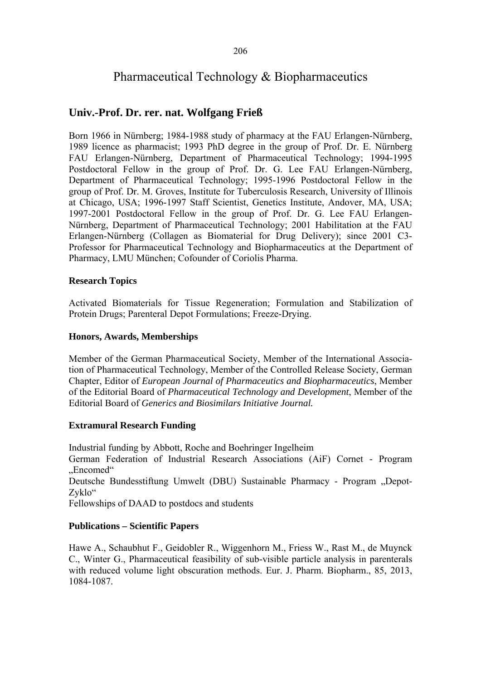# Pharmaceutical Technology & Biopharmaceutics

# **Univ.-Prof. Dr. rer. nat. Wolfgang Frieß**

Born 1966 in Nürnberg; 1984-1988 study of pharmacy at the FAU Erlangen-Nürnberg, 1989 licence as pharmacist; 1993 PhD degree in the group of Prof. Dr. E. Nürnberg FAU Erlangen-Nürnberg, Department of Pharmaceutical Technology; 1994-1995 Postdoctoral Fellow in the group of Prof. Dr. G. Lee FAU Erlangen-Nürnberg, Department of Pharmaceutical Technology; 1995-1996 Postdoctoral Fellow in the group of Prof. Dr. M. Groves, Institute for Tuberculosis Research, University of Illinois at Chicago, USA; 1996-1997 Staff Scientist, Genetics Institute, Andover, MA, USA; 1997-2001 Postdoctoral Fellow in the group of Prof. Dr. G. Lee FAU Erlangen-Nürnberg, Department of Pharmaceutical Technology; 2001 Habilitation at the FAU Erlangen-Nürnberg (Collagen as Biomaterial for Drug Delivery); since 2001 C3- Professor for Pharmaceutical Technology and Biopharmaceutics at the Department of Pharmacy, LMU München; Cofounder of Coriolis Pharma.

## **Research Topics**

Activated Biomaterials for Tissue Regeneration; Formulation and Stabilization of Protein Drugs; Parenteral Depot Formulations; Freeze-Drying.

## **Honors, Awards, Memberships**

Member of the German Pharmaceutical Society, Member of the International Association of Pharmaceutical Technology, Member of the Controlled Release Society, German Chapter, Editor of *European Journal of Pharmaceutics and Biopharmaceutics*, Member of the Editorial Board of *Pharmaceutical Technology and Development*, Member of the Editorial Board of *Generics and Biosimilars Initiative Journal.*

## **Extramural Research Funding**

Industrial funding by Abbott, Roche and Boehringer Ingelheim German Federation of Industrial Research Associations (AiF) Cornet - Program "Encomed" Deutsche Bundesstiftung Umwelt (DBU) Sustainable Pharmacy - Program "Depot-Zyklo" Fellowships of DAAD to postdocs and students

## **Publications – Scientific Papers**

Hawe A., Schaubhut F., Geidobler R., Wiggenhorn M., Friess W., Rast M., de Muynck C., Winter G., Pharmaceutical feasibility of sub-visible particle analysis in parenterals with reduced volume light obscuration methods. Eur. J. Pharm. Biopharm., 85, 2013, 1084-1087.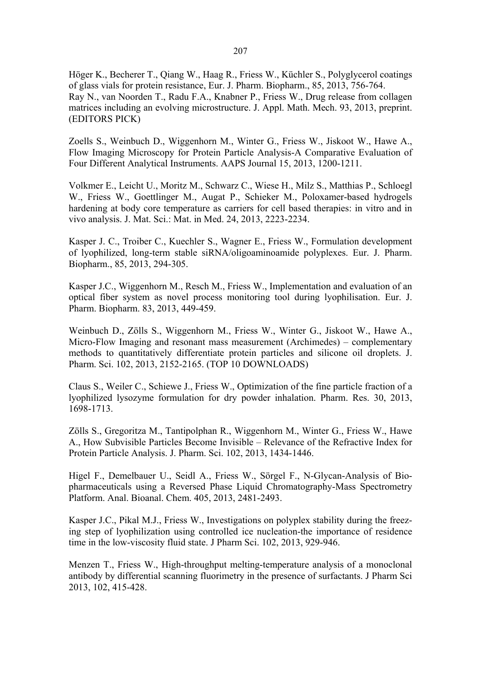Höger K., Becherer T., Qiang W., Haag R., Friess W., Küchler S., Polyglycerol coatings of glass vials for protein resistance, Eur. J. Pharm. Biopharm., 85, 2013, 756-764. Ray N., van Noorden T., Radu F.A., Knabner P., Friess W., Drug release from collagen matrices including an evolving microstructure. J. Appl. Math. Mech. 93, 2013, preprint. (EDITORS PICK)

Zoells S., Weinbuch D., Wiggenhorn M., Winter G., Friess W., Jiskoot W., Hawe A., Flow Imaging Microscopy for Protein Particle Analysis-A Comparative Evaluation of Four Different Analytical Instruments. AAPS Journal 15, 2013, 1200-1211.

Volkmer E., Leicht U., Moritz M., Schwarz C., Wiese H., Milz S., Matthias P., Schloegl W., Friess W., Goettlinger M., Augat P., Schieker M., Poloxamer-based hydrogels hardening at body core temperature as carriers for cell based therapies: in vitro and in vivo analysis. J. Mat. Sci.: Mat. in Med. 24, 2013, 2223-2234.

Kasper J. C., Troiber C., Kuechler S., Wagner E., Friess W., Formulation development of lyophilized, long-term stable siRNA/oligoaminoamide polyplexes. Eur. J. Pharm. Biopharm., 85, 2013, 294-305.

Kasper J.C., Wiggenhorn M., Resch M., Friess W., Implementation and evaluation of an optical fiber system as novel process monitoring tool during lyophilisation. Eur. J. Pharm. Biopharm. 83, 2013, 449-459.

Weinbuch D., Zölls S., Wiggenhorn M., Friess W., Winter G., Jiskoot W., Hawe A., Micro-Flow Imaging and resonant mass measurement (Archimedes) – complementary methods to quantitatively differentiate protein particles and silicone oil droplets. J. Pharm. Sci. 102, 2013, 2152-2165. (TOP 10 DOWNLOADS)

Claus S., Weiler C., Schiewe J., Friess W., Optimization of the fine particle fraction of a lyophilized lysozyme formulation for dry powder inhalation. Pharm. Res. 30, 2013, 1698-1713.

Zölls S., Gregoritza M., Tantipolphan R., Wiggenhorn M., Winter G., Friess W., Hawe A., How Subvisible Particles Become Invisible – Relevance of the Refractive Index for Protein Particle Analysis. J. Pharm. Sci. 102, 2013, 1434-1446.

Higel F., Demelbauer U., Seidl A., Friess W., Sörgel F., N-Glycan-Analysis of Biopharmaceuticals using a Reversed Phase Liquid Chromatography-Mass Spectrometry Platform. Anal. Bioanal. Chem. 405, 2013, 2481-2493.

Kasper J.C., Pikal M.J., Friess W., Investigations on polyplex stability during the freezing step of lyophilization using controlled ice nucleation-the importance of residence time in the low-viscosity fluid state. J Pharm Sci. 102, 2013, 929-946.

Menzen T., Friess W., High-throughput melting-temperature analysis of a monoclonal antibody by differential scanning fluorimetry in the presence of surfactants. J Pharm Sci 2013, 102, 415-428.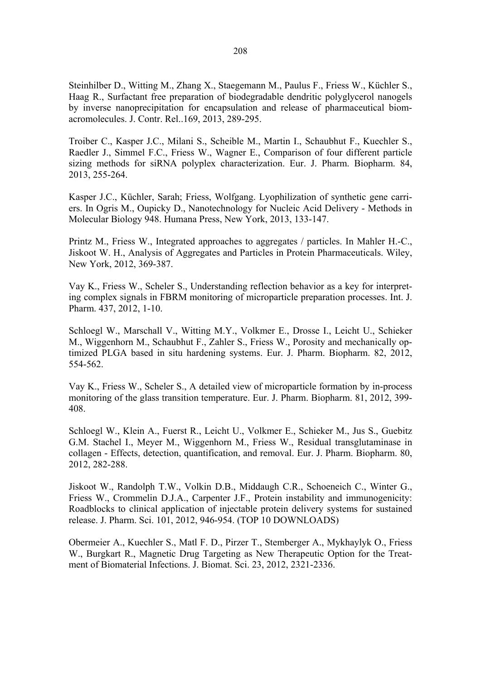Steinhilber D., Witting M., Zhang X., Staegemann M., Paulus F., Friess W., Küchler S., Haag R., Surfactant free preparation of biodegradable dendritic polyglycerol nanogels by inverse nanoprecipitation for encapsulation and release of pharmaceutical biomacromolecules. J. Contr. Rel..169, 2013, 289-295.

Troiber C., Kasper J.C., Milani S., Scheible M., Martin I., Schaubhut F., Kuechler S., Raedler J., Simmel F.C., Friess W., Wagner E., Comparison of four different particle sizing methods for siRNA polyplex characterization. Eur. J. Pharm. Biopharm. 84, 2013, 255-264.

Kasper J.C., Küchler, Sarah; Friess, Wolfgang. Lyophilization of synthetic gene carriers. In Ogris M., Oupicky D., Nanotechnology for Nucleic Acid Delivery - Methods in Molecular Biology 948. Humana Press, New York, 2013, 133-147.

Printz M., Friess W., Integrated approaches to aggregates / particles. In Mahler H.-C., Jiskoot W. H., Analysis of Aggregates and Particles in Protein Pharmaceuticals. Wiley, New York, 2012, 369-387.

Vay K., Friess W., Scheler S., Understanding reflection behavior as a key for interpreting complex signals in FBRM monitoring of microparticle preparation processes. Int. J. Pharm. 437, 2012, 1-10.

Schloegl W., Marschall V., Witting M.Y., Volkmer E., Drosse I., Leicht U., Schieker M., Wiggenhorn M., Schaubhut F., Zahler S., Friess W., Porosity and mechanically optimized PLGA based in situ hardening systems. Eur. J. Pharm. Biopharm. 82, 2012, 554-562.

Vay K., Friess W., Scheler S., A detailed view of microparticle formation by in-process monitoring of the glass transition temperature. Eur. J. Pharm. Biopharm. 81, 2012, 399- 408.

Schloegl W., Klein A., Fuerst R., Leicht U., Volkmer E., Schieker M., Jus S., Guebitz G.M. Stachel I., Meyer M., Wiggenhorn M., Friess W., Residual transglutaminase in collagen - Effects, detection, quantification, and removal. Eur. J. Pharm. Biopharm. 80, 2012, 282-288.

Jiskoot W., Randolph T.W., Volkin D.B., Middaugh C.R., Schoeneich C., Winter G., Friess W., Crommelin D.J.A., Carpenter J.F., Protein instability and immunogenicity: Roadblocks to clinical application of injectable protein delivery systems for sustained release. J. Pharm. Sci. 101, 2012, 946-954. (TOP 10 DOWNLOADS)

Obermeier A., Kuechler S., Matl F. D., Pirzer T., Stemberger A., Mykhaylyk O., Friess W., Burgkart R., Magnetic Drug Targeting as New Therapeutic Option for the Treatment of Biomaterial Infections. J. Biomat. Sci. 23, 2012, 2321-2336.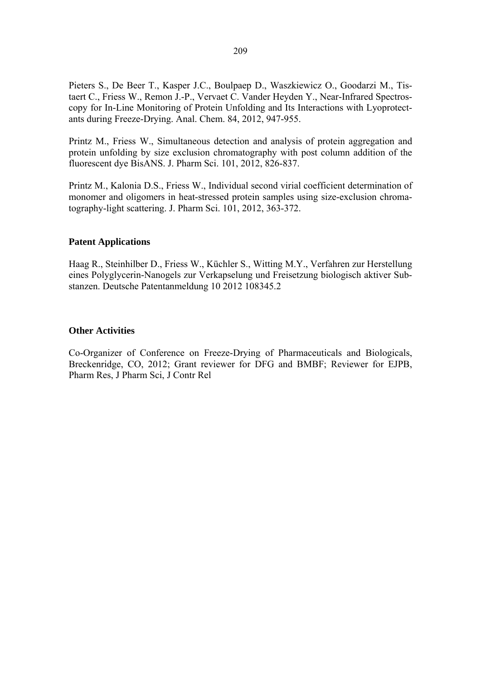Pieters S., De Beer T., Kasper J.C., Boulpaep D., Waszkiewicz O., Goodarzi M., Tistaert C., Friess W., Remon J.-P., Vervaet C. Vander Heyden Y., Near-Infrared Spectroscopy for In-Line Monitoring of Protein Unfolding and Its Interactions with Lyoprotectants during Freeze-Drying. Anal. Chem. 84, 2012, 947-955.

Printz M., Friess W., Simultaneous detection and analysis of protein aggregation and protein unfolding by size exclusion chromatography with post column addition of the fluorescent dye BisANS. J. Pharm Sci. 101, 2012, 826-837.

Printz M., Kalonia D.S., Friess W., Individual second virial coefficient determination of monomer and oligomers in heat-stressed protein samples using size-exclusion chromatography-light scattering. J. Pharm Sci. 101, 2012, 363-372.

#### **Patent Applications**

Haag R., Steinhilber D., Friess W., Küchler S., Witting M.Y., Verfahren zur Herstellung eines Polyglycerin-Nanogels zur Verkapselung und Freisetzung biologisch aktiver Substanzen. Deutsche Patentanmeldung 10 2012 108345.2

#### **Other Activities**

Co-Organizer of Conference on Freeze-Drying of Pharmaceuticals and Biologicals, Breckenridge, CO, 2012; Grant reviewer for DFG and BMBF; Reviewer for EJPB, Pharm Res, J Pharm Sci, J Contr Rel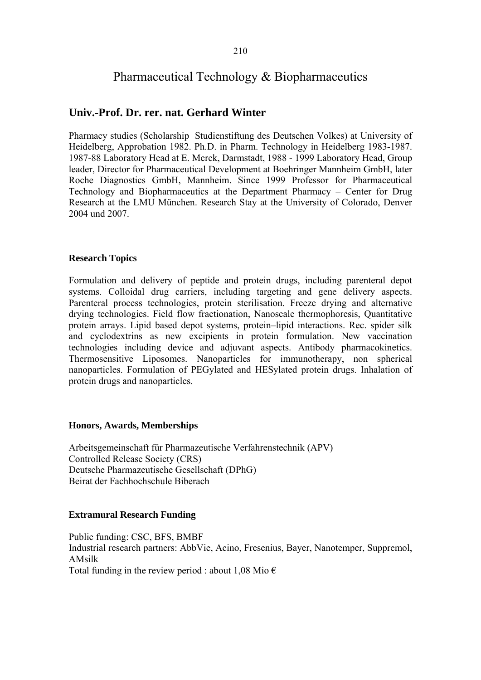# Pharmaceutical Technology & Biopharmaceutics

# **Univ.-Prof. Dr. rer. nat. Gerhard Winter**

Pharmacy studies (Scholarship Studienstiftung des Deutschen Volkes) at University of Heidelberg, Approbation 1982. Ph.D. in Pharm. Technology in Heidelberg 1983-1987. 1987-88 Laboratory Head at E. Merck, Darmstadt, 1988 - 1999 Laboratory Head, Group leader, Director for Pharmaceutical Development at Boehringer Mannheim GmbH, later Roche Diagnostics GmbH, Mannheim. Since 1999 Professor for Pharmaceutical Technology and Biopharmaceutics at the Department Pharmacy – Center for Drug Research at the LMU München. Research Stay at the University of Colorado, Denver 2004 und 2007.

### **Research Topics**

Formulation and delivery of peptide and protein drugs, including parenteral depot systems. Colloidal drug carriers, including targeting and gene delivery aspects. Parenteral process technologies, protein sterilisation. Freeze drying and alternative drying technologies. Field flow fractionation, Nanoscale thermophoresis, Quantitative protein arrays. Lipid based depot systems, protein–lipid interactions. Rec. spider silk and cyclodextrins as new excipients in protein formulation. New vaccination technologies including device and adjuvant aspects. Antibody pharmacokinetics. Thermosensitive Liposomes. Nanoparticles for immunotherapy, non spherical nanoparticles. Formulation of PEGylated and HESylated protein drugs. Inhalation of protein drugs and nanoparticles.

### **Honors, Awards, Memberships**

Arbeitsgemeinschaft für Pharmazeutische Verfahrenstechnik (APV) Controlled Release Society (CRS) Deutsche Pharmazeutische Gesellschaft (DPhG) Beirat der Fachhochschule Biberach

# **Extramural Research Funding**

Public funding: CSC, BFS, BMBF Industrial research partners: AbbVie, Acino, Fresenius, Bayer, Nanotemper, Suppremol, AMsilk Total funding in the review period : about 1,08 Mio  $\epsilon$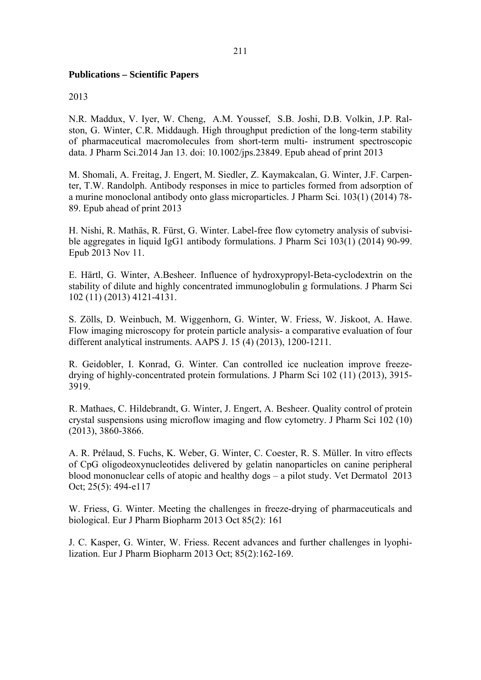### **Publications – Scientific Papers**

### 2013

N.R. Maddux, V. Iyer, W. Cheng, A.M. Youssef, S.B. Joshi, D.B. Volkin, J.P. Ralston, G. Winter, C.R. Middaugh. High throughput prediction of the long-term stability of pharmaceutical macromolecules from short-term multi- instrument spectroscopic data. J Pharm Sci.2014 Jan 13. doi: 10.1002/jps.23849. Epub ahead of print 2013

M. Shomali, A. Freitag, J. Engert, M. Siedler, Z. Kaymakcalan, G. Winter, J.F. Carpenter, T.W. Randolph. Antibody responses in mice to particles formed from adsorption of a murine monoclonal antibody onto glass microparticles. J Pharm Sci. 103(1) (2014) 78- 89. Epub ahead of print 2013

H. Nishi, R. Mathäs, R. Fürst, G. Winter. Label-free flow cytometry analysis of subvisible aggregates in liquid IgG1 antibody formulations. J Pharm Sci 103(1) (2014) 90-99. Epub 2013 Nov 11.

E. Härtl, G. Winter, A.Besheer. Influence of hydroxypropyl-Beta-cyclodextrin on the stability of dilute and highly concentrated immunoglobulin g formulations. J Pharm Sci 102 (11) (2013) 4121-4131.

S. Zölls, D. Weinbuch, M. Wiggenhorn, G. Winter, W. Friess, W. Jiskoot, A. Hawe. Flow imaging microscopy for protein particle analysis- a comparative evaluation of four different analytical instruments. AAPS J. 15 (4) (2013), 1200-1211.

R. Geidobler, I. Konrad, G. Winter. Can controlled ice nucleation improve freezedrying of highly-concentrated protein formulations. J Pharm Sci 102 (11) (2013), 3915- 3919.

R. Mathaes, C. Hildebrandt, G. Winter, J. Engert, A. Besheer. Quality control of protein crystal suspensions using microflow imaging and flow cytometry. J Pharm Sci 102 (10) (2013), 3860-3866.

A. R. Prélaud, S. Fuchs, K. Weber, G. Winter, C. Coester, R. S. Müller. In vitro effects of CpG oligodeoxynucleotides delivered by gelatin nanoparticles on canine peripheral blood mononuclear cells of atopic and healthy dogs – a pilot study. Vet Dermatol 2013 Oct; 25(5): 494-e117

W. Friess, G. Winter. Meeting the challenges in freeze-drying of pharmaceuticals and biological. Eur J Pharm Biopharm 2013 Oct 85(2): 161

J. C. Kasper, G. Winter, W. Friess. Recent advances and further challenges in lyophilization. Eur J Pharm Biopharm 2013 Oct; 85(2):162-169.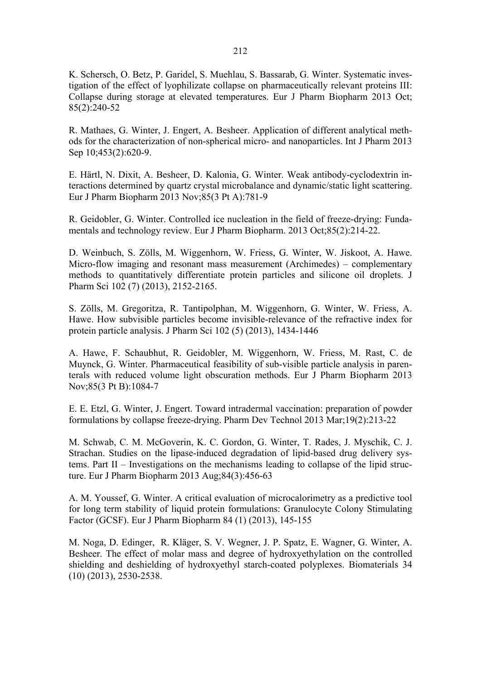K. Schersch, O. Betz, P. Garidel, S. Muehlau, S. Bassarab, G. Winter. Systematic investigation of the effect of lyophilizate collapse on pharmaceutically relevant proteins III: Collapse during storage at elevated temperatures. Eur J Pharm Biopharm 2013 Oct; 85(2):240-52

R. Mathaes, G. Winter, J. Engert, A. Besheer. Application of different analytical methods for the characterization of non-spherical micro- and nanoparticles. Int J Pharm 2013 Sep 10;453(2):620-9.

E. Härtl, N. Dixit, A. Besheer, D. Kalonia, G. Winter. Weak antibody-cyclodextrin interactions determined by quartz crystal microbalance and dynamic/static light scattering. Eur J Pharm Biopharm 2013 Nov;85(3 Pt A):781-9

R. Geidobler, G. Winter. Controlled ice nucleation in the field of freeze-drying: Fundamentals and technology review. Eur J Pharm Biopharm. 2013 Oct;85(2):214-22.

D. Weinbuch, S. Zölls, M. Wiggenhorn, W. Friess, G. Winter, W. Jiskoot, A. Hawe. Micro-flow imaging and resonant mass measurement (Archimedes) – complementary methods to quantitatively differentiate protein particles and silicone oil droplets. J Pharm Sci 102 (7) (2013), 2152-2165.

S. Zölls, M. Gregoritza, R. Tantipolphan, M. Wiggenhorn, G. Winter, W. Friess, A. Hawe. How subvisible particles become invisible-relevance of the refractive index for protein particle analysis. J Pharm Sci 102 (5) (2013), 1434-1446

A. Hawe, F. Schaubhut, R. Geidobler, M. Wiggenhorn, W. Friess, M. Rast, C. de Muynck, G. Winter. Pharmaceutical feasibility of sub-visible particle analysis in parenterals with reduced volume light obscuration methods. Eur J Pharm Biopharm 2013 Nov;85(3 Pt B):1084-7

E. E. Etzl, G. Winter, J. Engert. Toward intradermal vaccination: preparation of powder formulations by collapse freeze-drying. Pharm Dev Technol 2013 Mar;19(2):213-22

M. Schwab, C. M. McGoverin, K. C. Gordon, G. Winter, T. Rades, J. Myschik, C. J. Strachan. Studies on the lipase-induced degradation of lipid-based drug delivery systems. Part II – Investigations on the mechanisms leading to collapse of the lipid structure. Eur J Pharm Biopharm 2013 Aug;84(3):456-63

A. M. Youssef, G. Winter. A critical evaluation of microcalorimetry as a predictive tool for long term stability of liquid protein formulations: Granulocyte Colony Stimulating Factor (GCSF). Eur J Pharm Biopharm 84 (1) (2013), 145-155

M. Noga, D. Edinger, R. Kläger, S. V. Wegner, J. P. Spatz, E. Wagner, G. Winter, A. Besheer. The effect of molar mass and degree of hydroxyethylation on the controlled shielding and deshielding of hydroxyethyl starch-coated polyplexes. Biomaterials 34 (10) (2013), 2530-2538.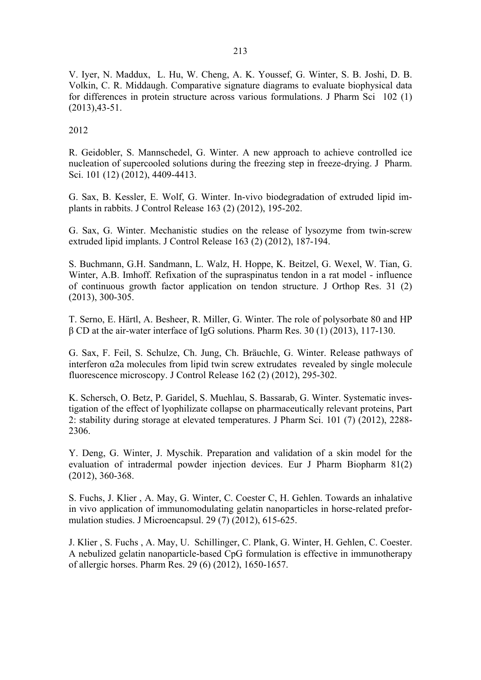V. Iyer, N. Maddux, L. Hu, W. Cheng, A. K. Youssef, G. Winter, S. B. Joshi, D. B. Volkin, C. R. Middaugh. Comparative signature diagrams to evaluate biophysical data for differences in protein structure across various formulations. J Pharm Sci 102 (1) (2013),43-51.

2012

R. Geidobler, S. Mannschedel, G. Winter. A new approach to achieve controlled ice nucleation of supercooled solutions during the freezing step in freeze-drying. J Pharm. Sci. 101 (12) (2012), 4409-4413.

G. Sax, B. Kessler, E. Wolf, G. Winter. In-vivo biodegradation of extruded lipid implants in rabbits. J Control Release 163 (2) (2012), 195-202.

G. Sax, G. Winter. Mechanistic studies on the release of lysozyme from twin-screw extruded lipid implants. J Control Release 163 (2) (2012), 187-194.

S. Buchmann, G.H. Sandmann, L. Walz, H. Hoppe, K. Beitzel, G. Wexel, W. Tian, G. Winter, A.B. Imhoff. Refixation of the supraspinatus tendon in a rat model - influence of continuous growth factor application on tendon structure. J Orthop Res. 31 (2) (2013), 300-305.

T. Serno, E. Härtl, A. Besheer, R. Miller, G. Winter. The role of polysorbate 80 and HP β CD at the air-water interface of IgG solutions. Pharm Res. 30 (1) (2013), 117-130.

G. Sax, F. Feil, S. Schulze, Ch. Jung, Ch. Bräuchle, G. Winter. Release pathways of interferon α2a molecules from lipid twin screw extrudates revealed by single molecule fluorescence microscopy. J Control Release 162 (2) (2012), 295-302.

K. Schersch, O. Betz, P. Garidel, S. Muehlau, S. Bassarab, G. Winter. Systematic investigation of the effect of lyophilizate collapse on pharmaceutically relevant proteins, Part 2: stability during storage at elevated temperatures. J Pharm Sci. 101 (7) (2012), 2288- 2306.

Y. Deng, G. Winter, J. Myschik. Preparation and validation of a skin model for the evaluation of intradermal powder injection devices. Eur J Pharm Biopharm 81(2) (2012), 360-368.

S. Fuchs, J. Klier , A. May, G. Winter, C. Coester C, H. Gehlen. Towards an inhalative in vivo application of immunomodulating gelatin nanoparticles in horse-related preformulation studies. J Microencapsul. 29 (7) (2012), 615-625.

J. Klier , S. Fuchs , A. May, U. Schillinger, C. Plank, G. Winter, H. Gehlen, C. Coester. A nebulized gelatin nanoparticle-based CpG formulation is effective in immunotherapy of allergic horses. Pharm Res. 29 (6) (2012), 1650-1657.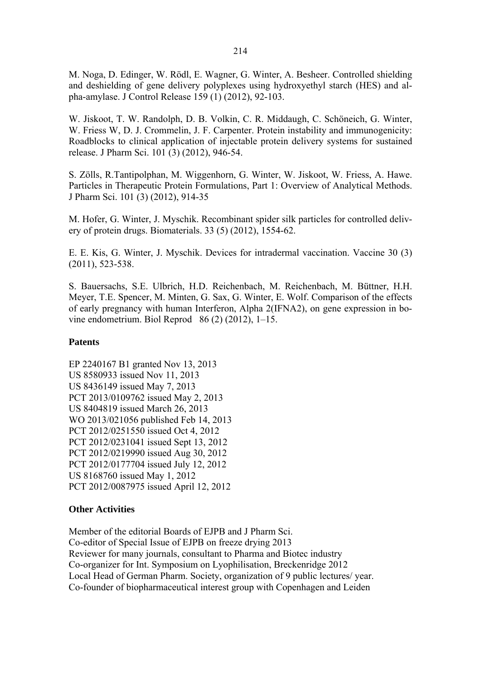M. Noga, D. Edinger, W. Rödl, E. Wagner, G. Winter, A. Besheer. Controlled shielding and deshielding of gene delivery polyplexes using hydroxyethyl starch (HES) and alpha-amylase. J Control Release 159 (1) (2012), 92-103.

W. Jiskoot, T. W. Randolph, D. B. Volkin, C. R. Middaugh, C. Schöneich, G. Winter, W. Friess W, D. J. Crommelin, J. F. Carpenter. Protein instability and immunogenicity: Roadblocks to clinical application of injectable protein delivery systems for sustained release. J Pharm Sci. 101 (3) (2012), 946-54.

S. Zölls, R.Tantipolphan, M. Wiggenhorn, G. Winter, W. Jiskoot, W. Friess, A. Hawe. Particles in Therapeutic Protein Formulations, Part 1: Overview of Analytical Methods. J Pharm Sci. 101 (3) (2012), 914-35

M. Hofer, G. Winter, J. Myschik. Recombinant spider silk particles for controlled delivery of protein drugs. Biomaterials. 33 (5) (2012), 1554-62.

E. E. Kis, G. Winter, J. Myschik. Devices for intradermal vaccination. Vaccine 30 (3) (2011), 523-538.

S. Bauersachs, S.E. Ulbrich, H.D. Reichenbach, M. Reichenbach, M. Büttner, H.H. Meyer, T.E. Spencer, M. Minten, G. Sax, G. Winter, E. Wolf. Comparison of the effects of early pregnancy with human Interferon, Alpha 2(IFNA2), on gene expression in bovine endometrium. Biol Reprod 86 (2) (2012), 1–15.

### **Patents**

EP 2240167 B1 granted Nov 13, 2013 US 8580933 issued Nov 11, 2013 US 8436149 issued May 7, 2013 PCT 2013/0109762 issued May 2, 2013 US 8404819 issued March 26, 2013 WO 2013/021056 published Feb 14, 2013 PCT 2012/0251550 issued Oct 4, 2012 PCT 2012/0231041 issued Sept 13, 2012 PCT 2012/0219990 issued Aug 30, 2012 PCT 2012/0177704 issued July 12, 2012 US 8168760 issued May 1, 2012 PCT 2012/0087975 issued April 12, 2012

### **Other Activities**

Member of the editorial Boards of EJPB and J Pharm Sci. Co-editor of Special Issue of EJPB on freeze drying 2013 Reviewer for many journals, consultant to Pharma and Biotec industry Co-organizer for Int. Symposium on Lyophilisation, Breckenridge 2012 Local Head of German Pharm. Society, organization of 9 public lectures/ year. Co-founder of biopharmaceutical interest group with Copenhagen and Leiden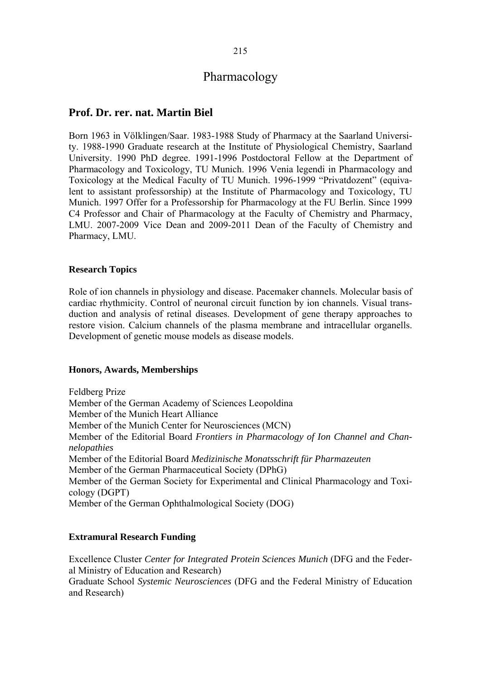# **Prof. Dr. rer. nat. Martin Biel**

Born 1963 in Völklingen/Saar. 1983-1988 Study of Pharmacy at the Saarland University. 1988-1990 Graduate research at the Institute of Physiological Chemistry, Saarland University. 1990 PhD degree. 1991-1996 Postdoctoral Fellow at the Department of Pharmacology and Toxicology, TU Munich. 1996 Venia legendi in Pharmacology and Toxicology at the Medical Faculty of TU Munich. 1996-1999 "Privatdozent" (equivalent to assistant professorship) at the Institute of Pharmacology and Toxicology, TU Munich. 1997 Offer for a Professorship for Pharmacology at the FU Berlin. Since 1999 C4 Professor and Chair of Pharmacology at the Faculty of Chemistry and Pharmacy, LMU. 2007-2009 Vice Dean and 2009-2011 Dean of the Faculty of Chemistry and Pharmacy, LMU.

#### **Research Topics**

Role of ion channels in physiology and disease. Pacemaker channels. Molecular basis of cardiac rhythmicity. Control of neuronal circuit function by ion channels. Visual transduction and analysis of retinal diseases. Development of gene therapy approaches to restore vision. Calcium channels of the plasma membrane and intracellular organells. Development of genetic mouse models as disease models.

#### **Honors, Awards, Memberships**

Feldberg Prize Member of the German Academy of Sciences Leopoldina Member of the Munich Heart Alliance Member of the Munich Center for Neurosciences (MCN) Member of the Editorial Board *Frontiers in Pharmacology of Ion Channel and Channelopathies*  Member of the Editorial Board *Medizinische Monatsschrift für Pharmazeuten*  Member of the German Pharmaceutical Society (DPhG) Member of the German Society for Experimental and Clinical Pharmacology and Toxicology (DGPT) Member of the German Ophthalmological Society (DOG)

### **Extramural Research Funding**

Excellence Cluster *Center for Integrated Protein Sciences Munich* (DFG and the Federal Ministry of Education and Research) Graduate School *Systemic Neurosciences* (DFG and the Federal Ministry of Education and Research)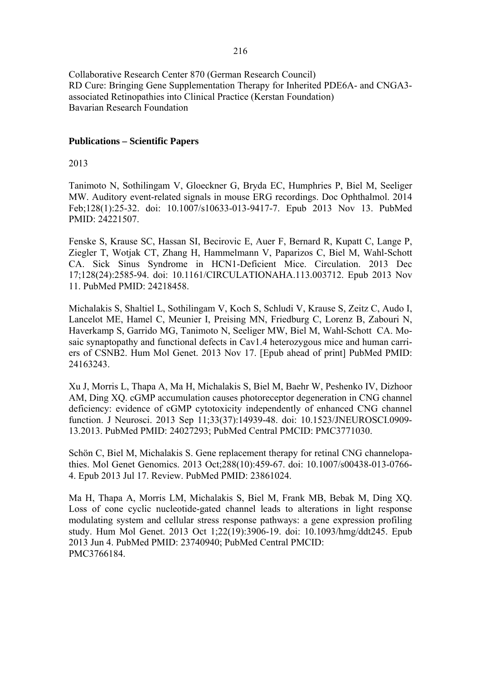Collaborative Research Center 870 (German Research Council) RD Cure: Bringing Gene Supplementation Therapy for Inherited PDE6A- and CNGA3 associated Retinopathies into Clinical Practice (Kerstan Foundation) Bavarian Research Foundation

#### **Publications – Scientific Papers**

#### 2013

Tanimoto N, Sothilingam V, Gloeckner G, Bryda EC, Humphries P, Biel M, Seeliger MW. Auditory event-related signals in mouse ERG recordings. Doc Ophthalmol. 2014 Feb;128(1):25-32. doi: 10.1007/s10633-013-9417-7. Epub 2013 Nov 13. PubMed PMID: 24221507.

Fenske S, Krause SC, Hassan SI, Becirovic E, Auer F, Bernard R, Kupatt C, Lange P, Ziegler T, Wotjak CT, Zhang H, Hammelmann V, Paparizos C, Biel M, Wahl-Schott CA. Sick Sinus Syndrome in HCN1-Deficient Mice. Circulation. 2013 Dec 17;128(24):2585-94. doi: 10.1161/CIRCULATIONAHA.113.003712. Epub 2013 Nov 11. PubMed PMID: 24218458.

Michalakis S, Shaltiel L, Sothilingam V, Koch S, Schludi V, Krause S, Zeitz C, Audo I, Lancelot ME, Hamel C, Meunier I, Preising MN, Friedburg C, Lorenz B, Zabouri N, Haverkamp S, Garrido MG, Tanimoto N, Seeliger MW, Biel M, Wahl-Schott CA. Mosaic synaptopathy and functional defects in Cav1.4 heterozygous mice and human carriers of CSNB2. Hum Mol Genet. 2013 Nov 17. [Epub ahead of print] PubMed PMID: 24163243.

Xu J, Morris L, Thapa A, Ma H, Michalakis S, Biel M, Baehr W, Peshenko IV, Dizhoor AM, Ding XQ. cGMP accumulation causes photoreceptor degeneration in CNG channel deficiency: evidence of cGMP cytotoxicity independently of enhanced CNG channel function. J Neurosci. 2013 Sep 11;33(37):14939-48. doi: 10.1523/JNEUROSCI.0909- 13.2013. PubMed PMID: 24027293; PubMed Central PMCID: PMC3771030.

Schön C, Biel M, Michalakis S. Gene replacement therapy for retinal CNG channelopathies. Mol Genet Genomics. 2013 Oct;288(10):459-67. doi: 10.1007/s00438-013-0766- 4. Epub 2013 Jul 17. Review. PubMed PMID: 23861024.

Ma H, Thapa A, Morris LM, Michalakis S, Biel M, Frank MB, Bebak M, Ding XQ. Loss of cone cyclic nucleotide-gated channel leads to alterations in light response modulating system and cellular stress response pathways: a gene expression profiling study. Hum Mol Genet. 2013 Oct 1;22(19):3906-19. doi: 10.1093/hmg/ddt245. Epub 2013 Jun 4. PubMed PMID: 23740940; PubMed Central PMCID: PMC3766184.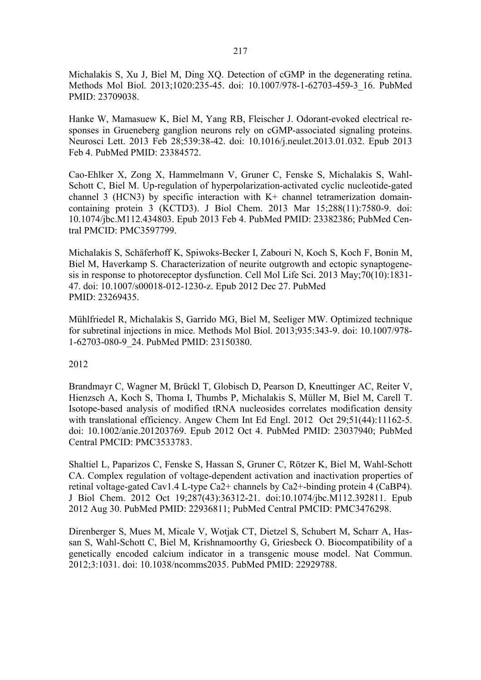Michalakis S, Xu J, Biel M, Ding XQ. Detection of cGMP in the degenerating retina. Methods Mol Biol. 2013;1020:235-45. doi: 10.1007/978-1-62703-459-3\_16. PubMed PMID: 23709038.

Hanke W, Mamasuew K, Biel M, Yang RB, Fleischer J. Odorant-evoked electrical responses in Grueneberg ganglion neurons rely on cGMP-associated signaling proteins. Neurosci Lett. 2013 Feb 28;539:38-42. doi: 10.1016/j.neulet.2013.01.032. Epub 2013 Feb 4. PubMed PMID: 23384572.

Cao-Ehlker X, Zong X, Hammelmann V, Gruner C, Fenske S, Michalakis S, Wahl-Schott C, Biel M. Up-regulation of hyperpolarization-activated cyclic nucleotide-gated channel 3 (HCN3) by specific interaction with K+ channel tetramerization domaincontaining protein 3 (KCTD3). J Biol Chem. 2013 Mar 15;288(11):7580-9. doi: 10.1074/jbc.M112.434803. Epub 2013 Feb 4. PubMed PMID: 23382386; PubMed Central PMCID: PMC3597799.

Michalakis S, Schäferhoff K, Spiwoks-Becker I, Zabouri N, Koch S, Koch F, Bonin M, Biel M, Haverkamp S. Characterization of neurite outgrowth and ectopic synaptogenesis in response to photoreceptor dysfunction. Cell Mol Life Sci. 2013 May;70(10):1831- 47. doi: 10.1007/s00018-012-1230-z. Epub 2012 Dec 27. PubMed PMID: 23269435.

Mühlfriedel R, Michalakis S, Garrido MG, Biel M, Seeliger MW. Optimized technique for subretinal injections in mice. Methods Mol Biol. 2013;935:343-9. doi: 10.1007/978- 1-62703-080-9\_24. PubMed PMID: 23150380.

### 2012

Brandmayr C, Wagner M, Brückl T, Globisch D, Pearson D, Kneuttinger AC, Reiter V, Hienzsch A, Koch S, Thoma I, Thumbs P, Michalakis S, Müller M, Biel M, Carell T. Isotope-based analysis of modified tRNA nucleosides correlates modification density with translational efficiency. Angew Chem Int Ed Engl. 2012 Oct 29;51(44):11162-5. doi: 10.1002/anie.201203769. Epub 2012 Oct 4. PubMed PMID: 23037940; PubMed Central PMCID: PMC3533783.

Shaltiel L, Paparizos C, Fenske S, Hassan S, Gruner C, Rötzer K, Biel M, Wahl-Schott CA. Complex regulation of voltage-dependent activation and inactivation properties of retinal voltage-gated Cav1.4 L-type Ca2+ channels by Ca2+-binding protein 4 (CaBP4). J Biol Chem. 2012 Oct 19;287(43):36312-21. doi:10.1074/jbc.M112.392811. Epub 2012 Aug 30. PubMed PMID: 22936811; PubMed Central PMCID: PMC3476298.

Direnberger S, Mues M, Micale V, Wotjak CT, Dietzel S, Schubert M, Scharr A, Hassan S, Wahl-Schott C, Biel M, Krishnamoorthy G, Griesbeck O. Biocompatibility of a genetically encoded calcium indicator in a transgenic mouse model. Nat Commun. 2012;3:1031. doi: 10.1038/ncomms2035. PubMed PMID: 22929788.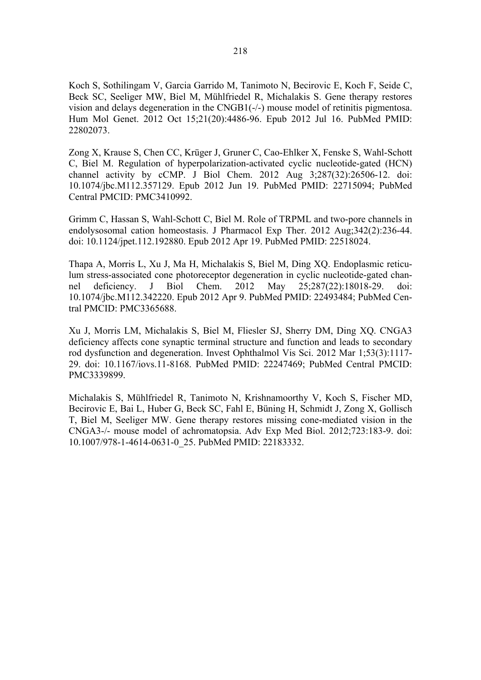Koch S, Sothilingam V, Garcia Garrido M, Tanimoto N, Becirovic E, Koch F, Seide C, Beck SC, Seeliger MW, Biel M, Mühlfriedel R, Michalakis S. Gene therapy restores vision and delays degeneration in the CNGB1(-/-) mouse model of retinitis pigmentosa. Hum Mol Genet. 2012 Oct 15;21(20):4486-96. Epub 2012 Jul 16. PubMed PMID: 22802073.

Zong X, Krause S, Chen CC, Krüger J, Gruner C, Cao-Ehlker X, Fenske S, Wahl-Schott C, Biel M. Regulation of hyperpolarization-activated cyclic nucleotide-gated (HCN) channel activity by cCMP. J Biol Chem. 2012 Aug 3;287(32):26506-12. doi: 10.1074/jbc.M112.357129. Epub 2012 Jun 19. PubMed PMID: 22715094; PubMed Central PMCID: PMC3410992.

Grimm C, Hassan S, Wahl-Schott C, Biel M. Role of TRPML and two-pore channels in endolysosomal cation homeostasis. J Pharmacol Exp Ther. 2012 Aug;342(2):236-44. doi: 10.1124/jpet.112.192880. Epub 2012 Apr 19. PubMed PMID: 22518024.

Thapa A, Morris L, Xu J, Ma H, Michalakis S, Biel M, Ding XQ. Endoplasmic reticulum stress-associated cone photoreceptor degeneration in cyclic nucleotide-gated channel deficiency. J Biol Chem. 2012 May 25;287(22):18018-29. doi: 10.1074/jbc.M112.342220. Epub 2012 Apr 9. PubMed PMID: 22493484; PubMed Central PMCID: PMC3365688.

Xu J, Morris LM, Michalakis S, Biel M, Fliesler SJ, Sherry DM, Ding XQ. CNGA3 deficiency affects cone synaptic terminal structure and function and leads to secondary rod dysfunction and degeneration. Invest Ophthalmol Vis Sci. 2012 Mar 1;53(3):1117- 29. doi: 10.1167/iovs.11-8168. PubMed PMID: 22247469; PubMed Central PMCID: PMC3339899.

Michalakis S, Mühlfriedel R, Tanimoto N, Krishnamoorthy V, Koch S, Fischer MD, Becirovic E, Bai L, Huber G, Beck SC, Fahl E, Büning H, Schmidt J, Zong X, Gollisch T, Biel M, Seeliger MW. Gene therapy restores missing cone-mediated vision in the CNGA3-/- mouse model of achromatopsia. Adv Exp Med Biol. 2012;723:183-9. doi: 10.1007/978-1-4614-0631-0\_25. PubMed PMID: 22183332.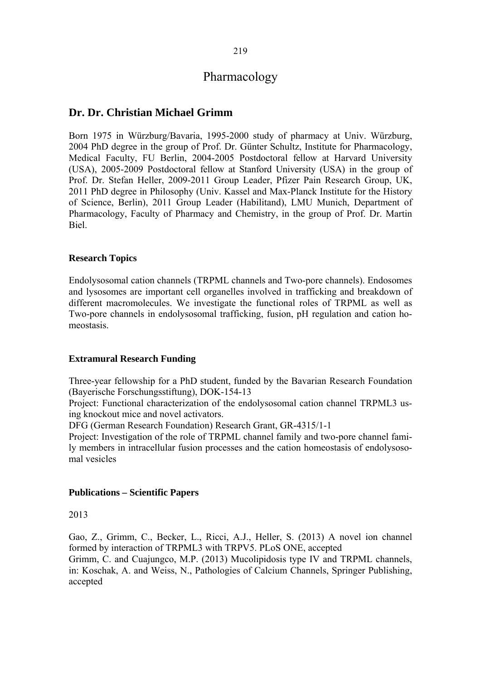# **Dr. Dr. Christian Michael Grimm**

Born 1975 in Würzburg/Bavaria, 1995-2000 study of pharmacy at Univ. Würzburg, 2004 PhD degree in the group of Prof. Dr. Günter Schultz, Institute for Pharmacology, Medical Faculty, FU Berlin, 2004-2005 Postdoctoral fellow at Harvard University (USA), 2005-2009 Postdoctoral fellow at Stanford University (USA) in the group of Prof. Dr. Stefan Heller, 2009-2011 Group Leader, Pfizer Pain Research Group, UK, 2011 PhD degree in Philosophy (Univ. Kassel and Max-Planck Institute for the History of Science, Berlin), 2011 Group Leader (Habilitand), LMU Munich, Department of Pharmacology, Faculty of Pharmacy and Chemistry, in the group of Prof. Dr. Martin Biel.

#### **Research Topics**

Endolysosomal cation channels (TRPML channels and Two-pore channels). Endosomes and lysosomes are important cell organelles involved in trafficking and breakdown of different macromolecules. We investigate the functional roles of TRPML as well as Two-pore channels in endolysosomal trafficking, fusion, pH regulation and cation homeostasis.

### **Extramural Research Funding**

Three-year fellowship for a PhD student, funded by the Bavarian Research Foundation (Bayerische Forschungsstiftung), DOK-154-13

Project: Functional characterization of the endolysosomal cation channel TRPML3 using knockout mice and novel activators.

DFG (German Research Foundation) Research Grant, GR-4315/1-1

Project: Investigation of the role of TRPML channel family and two-pore channel family members in intracellular fusion processes and the cation homeostasis of endolysosomal vesicles

### **Publications – Scientific Papers**

2013

Gao, Z., Grimm, C., Becker, L., Ricci, A.J., Heller, S. (2013) A novel ion channel formed by interaction of TRPML3 with TRPV5. PLoS ONE, accepted Grimm, C. and Cuajungco, M.P. (2013) Mucolipidosis type IV and TRPML channels, in: Koschak, A. and Weiss, N., Pathologies of Calcium Channels, Springer Publishing, accepted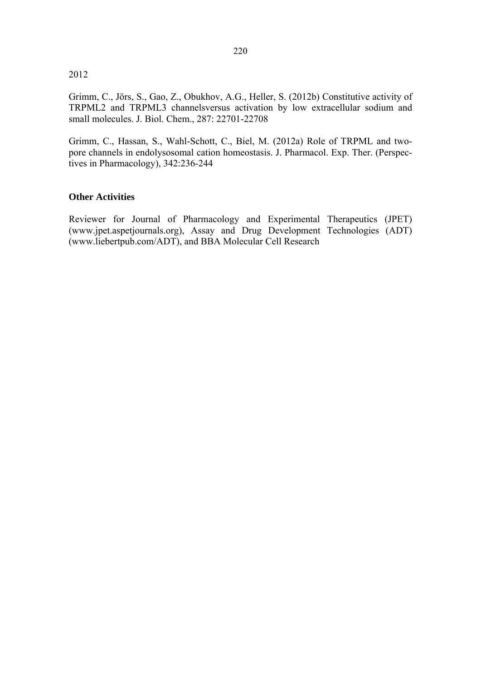#### 2012

Grimm, C., Jörs, S., Gao, Z., Obukhov, A.G., Heller, S. (2012b) Constitutive activity of TRPML2 and TRPML3 channelsversus activation by low extracellular sodium and small molecules. J. Biol. Chem., 287: 22701-22708

Grimm, C., Hassan, S., Wahl-Schott, C., Biel, M. (2012a) Role of TRPML and twopore channels in endolysosomal cation homeostasis. J. Pharmacol. Exp. Ther. (Perspectives in Pharmacology), 342:236-244

#### **Other Activities**

Reviewer for Journal of Pharmacology and Experimental Therapeutics (JPET) (www.jpet.aspetjournals.org), Assay and Drug Development Technologies (ADT) (www.liebertpub.com/ADT), and BBA Molecular Cell Research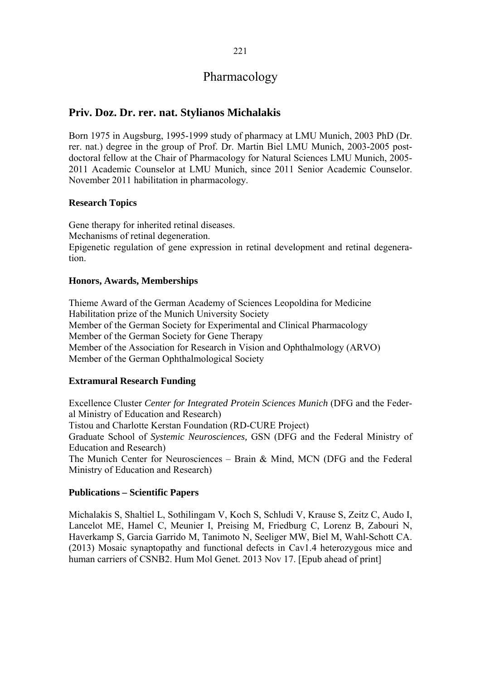# **Priv. Doz. Dr. rer. nat. Stylianos Michalakis**

Born 1975 in Augsburg, 1995-1999 study of pharmacy at LMU Munich, 2003 PhD (Dr. rer. nat.) degree in the group of Prof. Dr. Martin Biel LMU Munich, 2003-2005 postdoctoral fellow at the Chair of Pharmacology for Natural Sciences LMU Munich, 2005- 2011 Academic Counselor at LMU Munich, since 2011 Senior Academic Counselor. November 2011 habilitation in pharmacology.

## **Research Topics**

Gene therapy for inherited retinal diseases. Mechanisms of retinal degeneration. Epigenetic regulation of gene expression in retinal development and retinal degeneration.

## **Honors, Awards, Memberships**

Thieme Award of the German Academy of Sciences Leopoldina for Medicine Habilitation prize of the Munich University Society Member of the German Society for Experimental and Clinical Pharmacology Member of the German Society for Gene Therapy Member of the Association for Research in Vision and Ophthalmology (ARVO) Member of the German Ophthalmological Society

### **Extramural Research Funding**

Excellence Cluster *Center for Integrated Protein Sciences Munich* (DFG and the Federal Ministry of Education and Research) Tistou and Charlotte Kerstan Foundation (RD-CURE Project) Graduate School of *Systemic Neurosciences,* GSN (DFG and the Federal Ministry of Education and Research) The Munich Center for Neurosciences – Brain & Mind, MCN (DFG and the Federal Ministry of Education and Research)

### **Publications – Scientific Papers**

Michalakis S, Shaltiel L, Sothilingam V, Koch S, Schludi V, Krause S, Zeitz C, Audo I, Lancelot ME, Hamel C, Meunier I, Preising M, Friedburg C, Lorenz B, Zabouri N, Haverkamp S, Garcia Garrido M, Tanimoto N, Seeliger MW, Biel M, Wahl-Schott CA. (2013) Mosaic synaptopathy and functional defects in Cav1.4 heterozygous mice and human carriers of CSNB2. Hum Mol Genet. 2013 Nov 17. [Epub ahead of print]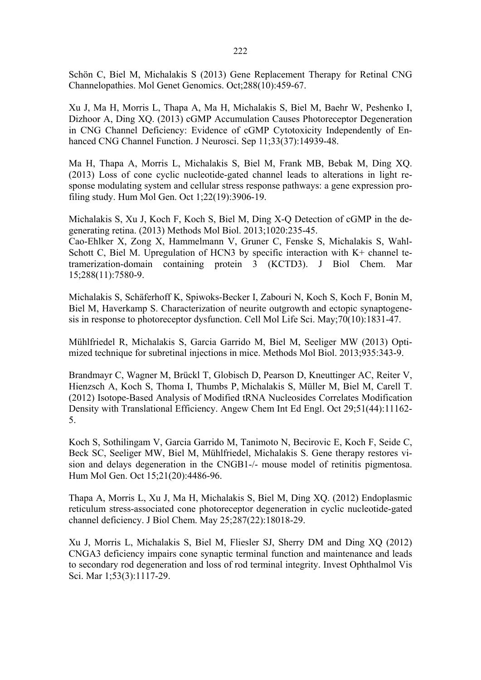Schön C, Biel M, Michalakis S (2013) Gene Replacement Therapy for Retinal CNG Channelopathies. Mol Genet Genomics. Oct;288(10):459-67.

Xu J, Ma H, Morris L, Thapa A, Ma H, Michalakis S, Biel M, Baehr W, Peshenko I, Dizhoor A, Ding XQ. (2013) cGMP Accumulation Causes Photoreceptor Degeneration in CNG Channel Deficiency: Evidence of cGMP Cytotoxicity Independently of Enhanced CNG Channel Function. J Neurosci. Sep 11;33(37):14939-48.

Ma H, Thapa A, Morris L, Michalakis S, Biel M, Frank MB, Bebak M, Ding XQ. (2013) Loss of cone cyclic nucleotide-gated channel leads to alterations in light response modulating system and cellular stress response pathways: a gene expression profiling study. Hum Mol Gen. Oct 1;22(19):3906-19.

Michalakis S, Xu J, Koch F, Koch S, Biel M, Ding X-Q Detection of cGMP in the degenerating retina. (2013) Methods Mol Biol. 2013;1020:235-45.

Cao-Ehlker X, Zong X, Hammelmann V, Gruner C, Fenske S, Michalakis S, Wahl-Schott C, Biel M. Upregulation of HCN3 by specific interaction with K+ channel tetramerization-domain containing protein 3 (KCTD3). J Biol Chem. Mar 15;288(11):7580-9.

Michalakis S, Schäferhoff K, Spiwoks-Becker I, Zabouri N, Koch S, Koch F, Bonin M, Biel M, Haverkamp S. Characterization of neurite outgrowth and ectopic synaptogenesis in response to photoreceptor dysfunction. Cell Mol Life Sci. May;70(10):1831-47.

Mühlfriedel R, Michalakis S, Garcia Garrido M, Biel M, Seeliger MW (2013) Optimized technique for subretinal injections in mice. Methods Mol Biol. 2013;935:343-9.

Brandmayr C, Wagner M, Brückl T, Globisch D, Pearson D, Kneuttinger AC, Reiter V, Hienzsch A, Koch S, Thoma I, Thumbs P, Michalakis S, Müller M, Biel M, Carell T. (2012) Isotope-Based Analysis of Modified tRNA Nucleosides Correlates Modification Density with Translational Efficiency. Angew Chem Int Ed Engl. Oct 29;51(44):11162- 5.

Koch S, Sothilingam V, Garcia Garrido M, Tanimoto N, Becirovic E, Koch F, Seide C, Beck SC, Seeliger MW, Biel M, Mühlfriedel, Michalakis S. Gene therapy restores vision and delays degeneration in the CNGB1-/- mouse model of retinitis pigmentosa. Hum Mol Gen. Oct 15;21(20):4486-96.

Thapa A, Morris L, Xu J, Ma H, Michalakis S, Biel M, Ding XQ. (2012) Endoplasmic reticulum stress-associated cone photoreceptor degeneration in cyclic nucleotide-gated channel deficiency. J Biol Chem. May 25;287(22):18018-29.

Xu J, Morris L, Michalakis S, Biel M, Fliesler SJ, Sherry DM and Ding XQ (2012) CNGA3 deficiency impairs cone synaptic terminal function and maintenance and leads to secondary rod degeneration and loss of rod terminal integrity. Invest Ophthalmol Vis Sci. Mar 1;53(3):1117-29.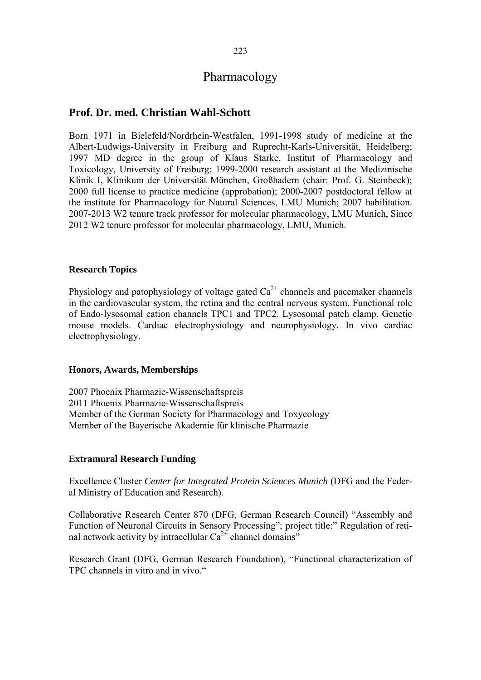# **Prof. Dr. med. Christian Wahl-Schott**

Born 1971 in Bielefeld/Nordrhein-Westfalen, 1991-1998 study of medicine at the Albert-Ludwigs-University in Freiburg and Ruprecht-Karls-Universität, Heidelberg; 1997 MD degree in the group of Klaus Starke, Institut of Pharmacology and Toxicology, University of Freiburg; 1999-2000 research assistant at the Medizinische Klinik I, Klinikum der Universität München, Großhadern (chair: Prof. G. Steinbeck); 2000 full license to practice medicine (approbation); 2000-2007 postdoctoral fellow at the institute for Pharmacology for Natural Sciences, LMU Munich; 2007 habilitation. 2007-2013 W2 tenure track professor for molecular pharmacology, LMU Munich, Since 2012 W2 tenure professor for molecular pharmacology, LMU, Munich.

### **Research Topics**

Physiology and patophysiology of voltage gated  $Ca^{2+}$  channels and pacemaker channels in the cardiovascular system, the retina and the central nervous system. Functional role of Endo-lysosomal cation channels TPC1 and TPC2. Lysosomal patch clamp. Genetic mouse models. Cardiac electrophysiology and neurophysiology. In vivo cardiac electrophysiology.

#### **Honors, Awards, Memberships**

2007 Phoenix Pharmazie-Wissenschaftspreis 2011 Phoenix Pharmazie-Wissenschaftspreis Member of the German Society for Pharmacology and Toxycology Member of the Bayerische Akademie für klinische Pharmazie

## **Extramural Research Funding**

Excellence Cluster *Center for Integrated Protein Sciences Munich* (DFG and the Federal Ministry of Education and Research).

Collaborative Research Center 870 (DFG, German Research Council) "Assembly and Function of Neuronal Circuits in Sensory Processing"; project title:" Regulation of retinal network activity by intracellular  $Ca^{2+}$  channel domains"

Research Grant (DFG, German Research Foundation), "Functional characterization of TPC channels in vitro and in vivo."